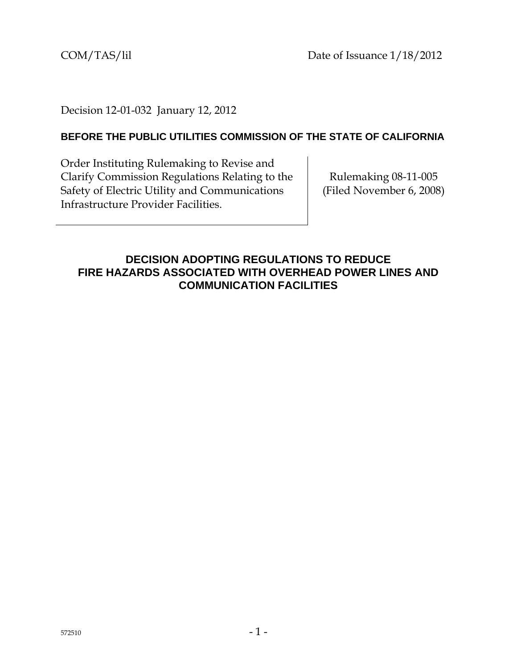#### Decision 12-01-032 January 12, 2012

#### **BEFORE THE PUBLIC UTILITIES COMMISSION OF THE STATE OF CALIFORNIA**

Order Instituting Rulemaking to Revise and Clarify Commission Regulations Relating to the Safety of Electric Utility and Communications Infrastructure Provider Facilities.

Rulemaking 08-11-005 (Filed November 6, 2008)

#### **DECISION ADOPTING REGULATIONS TO REDUCE FIRE HAZARDS ASSOCIATED WITH OVERHEAD POWER LINES AND COMMUNICATION FACILITIES**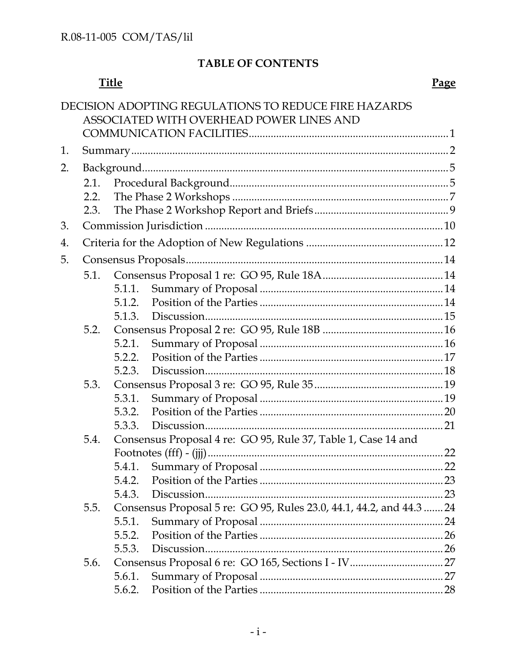# **Title**

|    |      |        | DECISION ADOPTING REGULATIONS TO REDUCE FIRE HAZARDS                 |  |  |  |
|----|------|--------|----------------------------------------------------------------------|--|--|--|
|    |      |        | ASSOCIATED WITH OVERHEAD POWER LINES AND                             |  |  |  |
|    |      |        |                                                                      |  |  |  |
| 1. |      |        |                                                                      |  |  |  |
| 2. |      |        |                                                                      |  |  |  |
|    | 2.1. |        |                                                                      |  |  |  |
|    | 2.2. |        |                                                                      |  |  |  |
|    | 2.3. |        |                                                                      |  |  |  |
| 3. |      |        |                                                                      |  |  |  |
| 4. |      |        |                                                                      |  |  |  |
| 5. |      |        |                                                                      |  |  |  |
|    |      |        |                                                                      |  |  |  |
|    | 5.1. |        |                                                                      |  |  |  |
|    |      | 5.1.2. |                                                                      |  |  |  |
|    |      | 5.1.3. |                                                                      |  |  |  |
|    | 5.2. |        |                                                                      |  |  |  |
|    |      | 5.2.1. |                                                                      |  |  |  |
|    |      | 5.2.2. |                                                                      |  |  |  |
|    |      | 5.2.3. |                                                                      |  |  |  |
|    | 5.3. |        |                                                                      |  |  |  |
|    |      | 5.3.1. |                                                                      |  |  |  |
|    |      | 5.3.2. |                                                                      |  |  |  |
|    |      | 5.3.3. |                                                                      |  |  |  |
|    | 5.4. |        | Consensus Proposal 4 re: GO 95, Rule 37, Table 1, Case 14 and        |  |  |  |
|    |      |        |                                                                      |  |  |  |
|    |      |        |                                                                      |  |  |  |
|    |      |        |                                                                      |  |  |  |
|    |      | 5.4.3. | Discussion                                                           |  |  |  |
|    | 5.5. |        | Consensus Proposal 5 re: GO 95, Rules 23.0, 44.1, 44.2, and 44.3  24 |  |  |  |
|    |      | 5.5.1. |                                                                      |  |  |  |
|    |      | 5.5.2. |                                                                      |  |  |  |
|    |      | 5.5.3. |                                                                      |  |  |  |
|    | 5.6. |        |                                                                      |  |  |  |
|    |      | 5.6.1. |                                                                      |  |  |  |
|    |      | 5.6.2. |                                                                      |  |  |  |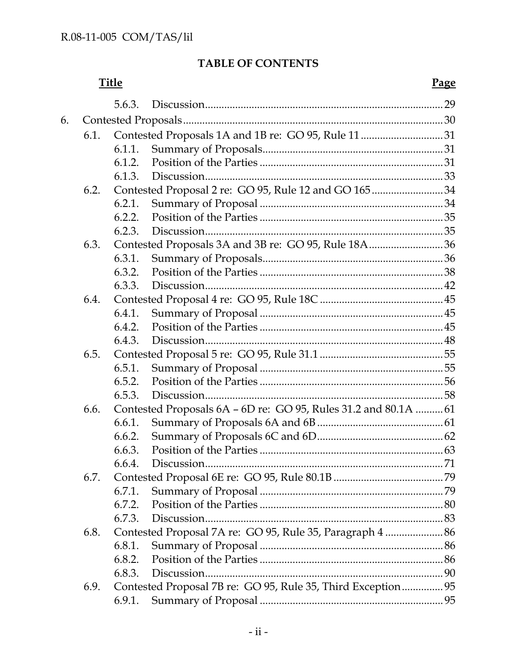#### **Title** Page 5.6.3. 6. 6.1. 6.1.1.  $6.1.2.$  $6.1.3.$ 6.2. Contested Proposal 2 re: GO 95, Rule 12 and GO 165...............................34  $6.2.1.$  $6.2.2.$ 6.2.3. 6.3. 6.3.1. 6.3.2 6.3.3. 6.4. 6.4.1. 6.4.2. 6.4.3.  $Disclusion$  (48  $6.5.$ 6.5.1.  $6.5.2.$ 6.5.3. Contested Proposals 6A - 6D re: GO 95, Rules 31.2 and 80.1A .......... 61 6.6. 6.6.1.  $6.6.2.$ 6.6.3. 6.6.4. 6.7. 6.7.1.  $6.7.2.$ 6.7.3. Contested Proposal 7A re: GO 95, Rule 35, Paragraph 4 ....................... 86 6.8. 6.8.1.  $6.8.2.$ 6.8.3. Contested Proposal 7B re: GO 95, Rule 35, Third Exception............... 95 6.9. 6.9.1.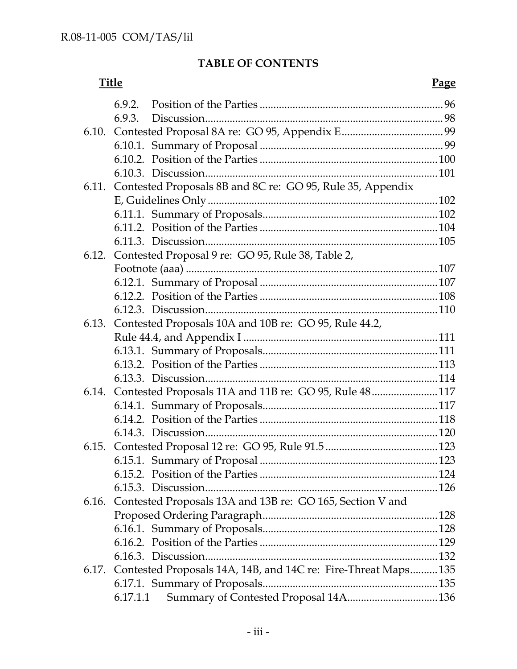# **Title Page** 6.9.2. Position of the Parties ...................................................................96 6.9.3. Discussion.......................................................................................98 6.10. Contested Proposal 8A re: GO 95, Appendix E.....................................99 6.10.1. Summary of Proposal ...................................................................99 6.10.2. Position of the Parties .................................................................100 6.10.3. Discussion.....................................................................................101 6.11. Contested Proposals 8B and 8C re: GO 95, Rule 35, Appendix E, Guidelines Only ....................................................................................102 6.11.1. Summary of Proposals................................................................102 6.11.2. Position of the Parties .................................................................104 6.11.3. Discussion.....................................................................................105 6.12. Contested Proposal 9 re: GO 95, Rule 38, Table 2, Footnote (aaa) ............................................................................................107 6.12.1. Summary of Proposal .................................................................107 6.12.2. Position of the Parties .................................................................108 6.12.3. Discussion.....................................................................................110 6.13. Contested Proposals 10A and 10B re: GO 95, Rule 44.2, Rule 44.4, and Appendix I .......................................................................111 6.13.1. Summary of Proposals................................................................111 6.13.2. Position of the Parties .................................................................113 6.13.3. Discussion.....................................................................................114 6.14. Contested Proposals 11A and 11B re: GO 95, Rule 48........................117 6.14.1. Summary of Proposals................................................................117 6.14.2. Position of the Parties .................................................................118 6.14.3. Discussion.....................................................................................120 6.15. Contested Proposal 12 re: GO 95, Rule 91.5 .........................................123 6.15.1. Summary of Proposal .................................................................123 6.15.2. Position of the Parties .................................................................124 6.15.3. Discussion.....................................................................................126 6.16. Contested Proposals 13A and 13B re: GO 165, Section V and Proposed Ordering Paragraph................................................................128 6.16.1. Summary of Proposals................................................................128 6.16.2. Position of the Parties .................................................................129 6.16.3. Discussion.....................................................................................132 6.17. Contested Proposals 14A, 14B, and 14C re: Fire-Threat Maps..........135 6.17.1. Summary of Proposals................................................................135 6.17.1.1 Summary of Contested Proposal 14A.................................136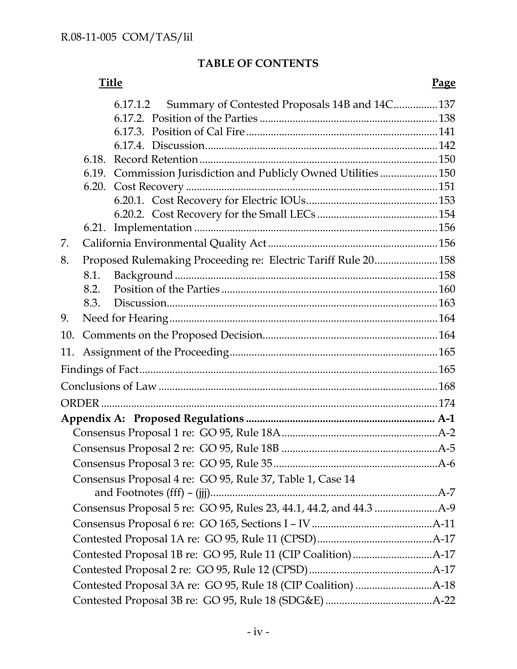# **Title Page** 6.17.1.2 Summary of Contested Proposals 14B and 14C................137 6.17.2. Position of the Parties .................................................................138 6.17.3. Position of Cal Fire......................................................................141 6.17.4. Discussion.....................................................................................142 6.18. Record Retention .......................................................................................150 6.19. Commission Jurisdiction and Publicly Owned Utilities .....................150 6.20. Cost Recovery ............................................................................................151 6.20.1. Cost Recovery for Electric IOUs................................................153 6.20.2. Cost Recovery for the Small LECs ............................................154 6.21. Implementation .........................................................................................156 7. California Environmental Quality Act ..............................................................156 8. Proposed Rulemaking Proceeding re: Electric Tariff Rule 20.......................158 8.1. Background ................................................................................................158 8.2. Position of the Parties ...............................................................................160 8.3. Discussion...................................................................................................163 9. Need for Hearing..................................................................................................164 10. Comments on the Proposed Decision................................................................164 11. Assignment of the Proceeding............................................................................165 Findings of Fact.............................................................................................................165 Conclusions of Law ......................................................................................................168 ORDER ...........................................................................................................................174 **Appendix A: Proposed Regulations ..................................................................... A-1** Consensus Proposal 1 re: GO 95, Rule 18A.........................................................A-2 Consensus Proposal 2 re: GO 95, Rule 18B .........................................................A-5 Consensus Proposal 3 re: GO 95, Rule 35............................................................A-6 Consensus Proposal 4 re: GO 95, Rule 37, Table 1, Case 14 and Footnotes (fff) – (jjj)...................................................................................A-7 Consensus Proposal 5 re: GO 95, Rules 23, 44.1, 44.2, and 44.3 .......................A-9 Consensus Proposal 6 re: GO 165, Sections I – IV ............................................A-11 Contested Proposal 1A re: GO 95, Rule 11 (CPSD)..........................................A-17 Contested Proposal 1B re: GO 95, Rule 11 (CIP Coalition).............................A-17 Contested Proposal 2 re: GO 95, Rule 12 (CPSD).............................................A-17 Contested Proposal 3A re: GO 95, Rule 18 (CIP Coalition) ............................A-18 Contested Proposal 3B re: GO 95, Rule 18 (SDG&E) .......................................A-22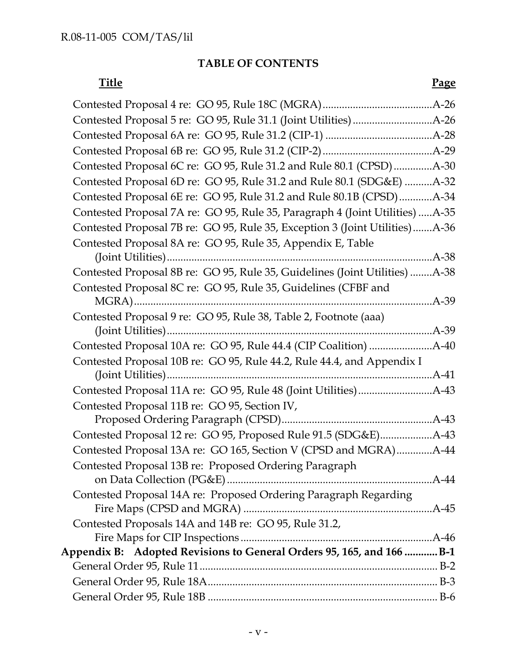Contested Proposal 4 re: GO 95, Rule 18C (MGRA)........................................A-26 Contested Proposal 5 re: GO 95, Rule 31.1 (Joint Utilities).............................A-26 Contested Proposal 6A re: GO 95, Rule 31.2 (CIP-1) .......................................A-28 Contested Proposal 6B re: GO 95, Rule 31.2 (CIP-2)........................................A-29 Contested Proposal 6C re: GO 95, Rule 31.2 and Rule 80.1 (CPSD)..............A-30 Contested Proposal 6D re: GO 95, Rule 31.2 and Rule 80.1 (SDG&E) ..........A-32 Contested Proposal 6E re: GO 95, Rule 31.2 and Rule 80.1B (CPSD)............A-34 Contested Proposal 7A re: GO 95, Rule 35, Paragraph 4 (Joint Utilities) .....A-35 Contested Proposal 7B re: GO 95, Rule 35, Exception 3 (Joint Utilities).......A-36 Contested Proposal 8A re: GO 95, Rule 35, Appendix E, Table (Joint Utilities).................................................................................................A-38 Contested Proposal 8B re: GO 95, Rule 35, Guidelines (Joint Utilities) ........A-38 Contested Proposal 8C re: GO 95, Rule 35, Guidelines (CFBF and MGRA).............................................................................................................A-39 Contested Proposal 9 re: GO 95, Rule 38, Table 2, Footnote (aaa) (Joint Utilities).................................................................................................A-39 Contested Proposal 10A re: GO 95, Rule 44.4 (CIP Coalition) .......................A-40 Contested Proposal 10B re: GO 95, Rule 44.2, Rule 44.4, and Appendix I (Joint Utilities).................................................................................................A-41 Contested Proposal 11A re: GO 95, Rule 48 (Joint Utilities)...........................A-43 Contested Proposal 11B re: GO 95, Section IV, Proposed Ordering Paragraph (CPSD).......................................................A-43 Contested Proposal 12 re: GO 95, Proposed Rule 91.5 (SDG&E)...................A-43 Contested Proposal 13A re: GO 165, Section V (CPSD and MGRA).............A-44 Contested Proposal 13B re: Proposed Ordering Paragraph

| Contested Proposal 14A re: Proposed Ordering Paragraph Regarding<br>Contested Proposals 14A and 14B re: GO 95, Rule 31.2,<br>Appendix B: Adopted Revisions to General Orders 95, 165, and 166  B-1 |  |
|----------------------------------------------------------------------------------------------------------------------------------------------------------------------------------------------------|--|
|                                                                                                                                                                                                    |  |
|                                                                                                                                                                                                    |  |
|                                                                                                                                                                                                    |  |
|                                                                                                                                                                                                    |  |
|                                                                                                                                                                                                    |  |
|                                                                                                                                                                                                    |  |
|                                                                                                                                                                                                    |  |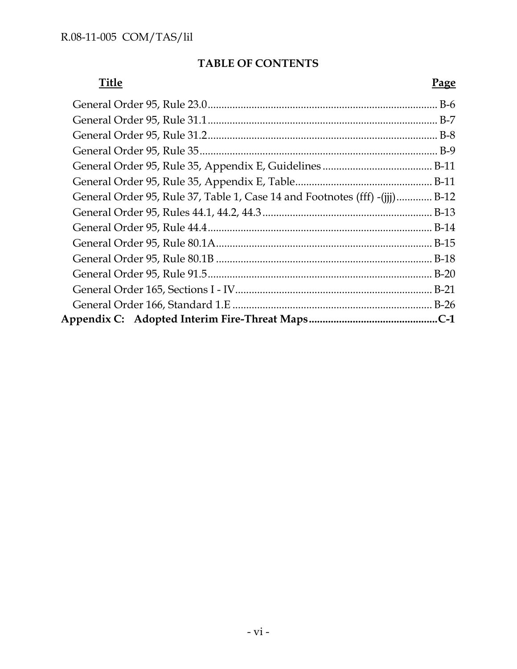# **Title Page**

| General Order 95, Rule 37, Table 1, Case 14 and Footnotes (fff) -(iji) B-12 |  |
|-----------------------------------------------------------------------------|--|
|                                                                             |  |
|                                                                             |  |
|                                                                             |  |
|                                                                             |  |
|                                                                             |  |
|                                                                             |  |
|                                                                             |  |
|                                                                             |  |
|                                                                             |  |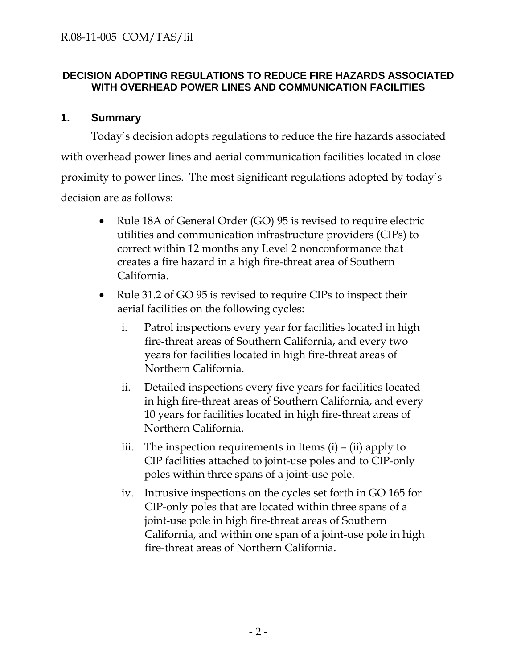#### **DECISION ADOPTING REGULATIONS TO REDUCE FIRE HAZARDS ASSOCIATED WITH OVERHEAD POWER LINES AND COMMUNICATION FACILITIES**

#### **1. Summary**

Today's decision adopts regulations to reduce the fire hazards associated with overhead power lines and aerial communication facilities located in close proximity to power lines. The most significant regulations adopted by today's decision are as follows:

- Rule 18A of General Order (GO) 95 is revised to require electric utilities and communication infrastructure providers (CIPs) to correct within 12 months any Level 2 nonconformance that creates a fire hazard in a high fire-threat area of Southern California.
- Rule 31.2 of GO 95 is revised to require CIPs to inspect their aerial facilities on the following cycles:
	- i. Patrol inspections every year for facilities located in high fire-threat areas of Southern California, and every two years for facilities located in high fire-threat areas of Northern California.
	- ii. Detailed inspections every five years for facilities located in high fire-threat areas of Southern California, and every 10 years for facilities located in high fire-threat areas of Northern California.
	- iii. The inspection requirements in Items  $(i)$   $(ii)$  apply to CIP facilities attached to joint-use poles and to CIP-only poles within three spans of a joint-use pole.
	- iv. Intrusive inspections on the cycles set forth in GO 165 for CIP-only poles that are located within three spans of a joint-use pole in high fire-threat areas of Southern California, and within one span of a joint-use pole in high fire-threat areas of Northern California.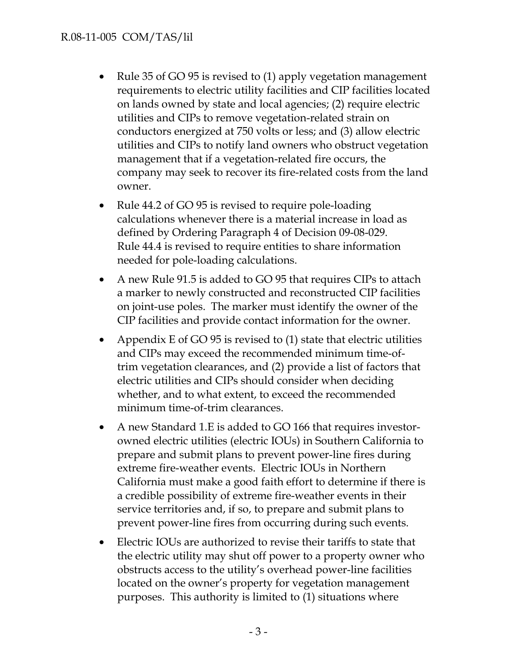- Rule 35 of GO 95 is revised to (1) apply vegetation management requirements to electric utility facilities and CIP facilities located on lands owned by state and local agencies; (2) require electric utilities and CIPs to remove vegetation-related strain on conductors energized at 750 volts or less; and (3) allow electric utilities and CIPs to notify land owners who obstruct vegetation management that if a vegetation-related fire occurs, the company may seek to recover its fire-related costs from the land owner.
- Rule 44.2 of GO 95 is revised to require pole-loading calculations whenever there is a material increase in load as defined by Ordering Paragraph 4 of Decision 09-08-029. Rule 44.4 is revised to require entities to share information needed for pole-loading calculations.
- A new Rule 91.5 is added to GO 95 that requires CIPs to attach a marker to newly constructed and reconstructed CIP facilities on joint-use poles. The marker must identify the owner of the CIP facilities and provide contact information for the owner.
- Appendix E of GO 95 is revised to (1) state that electric utilities and CIPs may exceed the recommended minimum time-oftrim vegetation clearances, and (2) provide a list of factors that electric utilities and CIPs should consider when deciding whether, and to what extent, to exceed the recommended minimum time-of-trim clearances.
- A new Standard 1.E is added to GO 166 that requires investorowned electric utilities (electric IOUs) in Southern California to prepare and submit plans to prevent power-line fires during extreme fire-weather events. Electric IOUs in Northern California must make a good faith effort to determine if there is a credible possibility of extreme fire-weather events in their service territories and, if so, to prepare and submit plans to prevent power-line fires from occurring during such events.
- Electric IOUs are authorized to revise their tariffs to state that the electric utility may shut off power to a property owner who obstructs access to the utility's overhead power-line facilities located on the owner's property for vegetation management purposes. This authority is limited to (1) situations where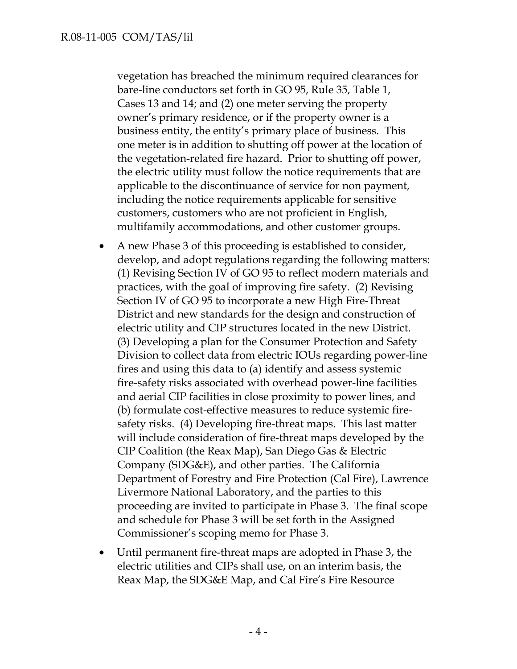vegetation has breached the minimum required clearances for bare-line conductors set forth in GO 95, Rule 35, Table 1, Cases 13 and 14; and (2) one meter serving the property owner's primary residence, or if the property owner is a business entity, the entity's primary place of business. This one meter is in addition to shutting off power at the location of the vegetation-related fire hazard. Prior to shutting off power, the electric utility must follow the notice requirements that are applicable to the discontinuance of service for non payment, including the notice requirements applicable for sensitive customers, customers who are not proficient in English, multifamily accommodations, and other customer groups.

- A new Phase 3 of this proceeding is established to consider, develop, and adopt regulations regarding the following matters: (1) Revising Section IV of GO 95 to reflect modern materials and practices, with the goal of improving fire safety. (2) Revising Section IV of GO 95 to incorporate a new High Fire-Threat District and new standards for the design and construction of electric utility and CIP structures located in the new District. (3) Developing a plan for the Consumer Protection and Safety Division to collect data from electric IOUs regarding power-line fires and using this data to (a) identify and assess systemic fire-safety risks associated with overhead power-line facilities and aerial CIP facilities in close proximity to power lines, and (b) formulate cost-effective measures to reduce systemic firesafety risks. (4) Developing fire-threat maps. This last matter will include consideration of fire-threat maps developed by the CIP Coalition (the Reax Map), San Diego Gas & Electric Company (SDG&E), and other parties. The California Department of Forestry and Fire Protection (Cal Fire), Lawrence Livermore National Laboratory, and the parties to this proceeding are invited to participate in Phase 3. The final scope and schedule for Phase 3 will be set forth in the Assigned Commissioner's scoping memo for Phase 3.
- Until permanent fire-threat maps are adopted in Phase 3, the electric utilities and CIPs shall use, on an interim basis, the Reax Map, the SDG&E Map, and Cal Fire's Fire Resource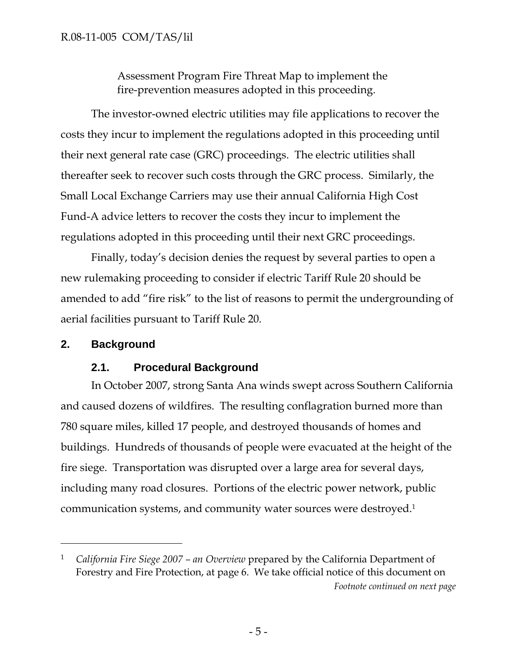Assessment Program Fire Threat Map to implement the fire-prevention measures adopted in this proceeding.

The investor-owned electric utilities may file applications to recover the costs they incur to implement the regulations adopted in this proceeding until their next general rate case (GRC) proceedings. The electric utilities shall thereafter seek to recover such costs through the GRC process. Similarly, the Small Local Exchange Carriers may use their annual California High Cost Fund-A advice letters to recover the costs they incur to implement the regulations adopted in this proceeding until their next GRC proceedings.

Finally, today's decision denies the request by several parties to open a new rulemaking proceeding to consider if electric Tariff Rule 20 should be amended to add "fire risk" to the list of reasons to permit the undergrounding of aerial facilities pursuant to Tariff Rule 20.

#### **2. Background**

-

#### **2.1. Procedural Background**

In October 2007, strong Santa Ana winds swept across Southern California and caused dozens of wildfires. The resulting conflagration burned more than 780 square miles, killed 17 people, and destroyed thousands of homes and buildings. Hundreds of thousands of people were evacuated at the height of the fire siege. Transportation was disrupted over a large area for several days, including many road closures. Portions of the electric power network, public communication systems, and community water sources were destroyed.1

<sup>1</sup> *California Fire Siege 2007 – an Overview* prepared by the California Department of Forestry and Fire Protection, at page 6. We take official notice of this document on *Footnote continued on next page*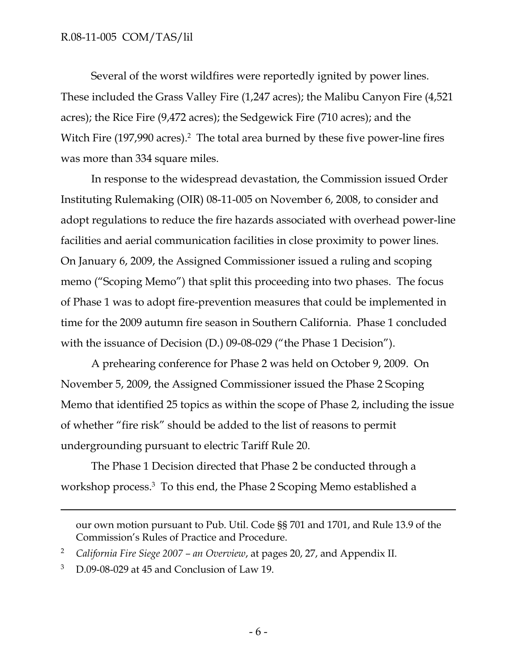Several of the worst wildfires were reportedly ignited by power lines. These included the Grass Valley Fire (1,247 acres); the Malibu Canyon Fire (4,521 acres); the Rice Fire (9,472 acres); the Sedgewick Fire (710 acres); and the Witch Fire (197,990 acres).<sup>2</sup> The total area burned by these five power-line fires was more than 334 square miles.

In response to the widespread devastation, the Commission issued Order Instituting Rulemaking (OIR) 08-11-005 on November 6, 2008, to consider and adopt regulations to reduce the fire hazards associated with overhead power-line facilities and aerial communication facilities in close proximity to power lines. On January 6, 2009, the Assigned Commissioner issued a ruling and scoping memo ("Scoping Memo") that split this proceeding into two phases. The focus of Phase 1 was to adopt fire-prevention measures that could be implemented in time for the 2009 autumn fire season in Southern California. Phase 1 concluded with the issuance of Decision (D.) 09-08-029 ("the Phase 1 Decision").

A prehearing conference for Phase 2 was held on October 9, 2009. On November 5, 2009, the Assigned Commissioner issued the Phase 2 Scoping Memo that identified 25 topics as within the scope of Phase 2, including the issue of whether "fire risk" should be added to the list of reasons to permit undergrounding pursuant to electric Tariff Rule 20.

The Phase 1 Decision directed that Phase 2 be conducted through a workshop process.3 To this end, the Phase 2 Scoping Memo established a

our own motion pursuant to Pub. Util. Code §§ 701 and 1701, and Rule 13.9 of the Commission's Rules of Practice and Procedure.

-

<sup>2</sup> *California Fire Siege 2007 – an Overview*, at pages 20, 27, and Appendix II.

<sup>3</sup> D.09-08-029 at 45 and Conclusion of Law 19.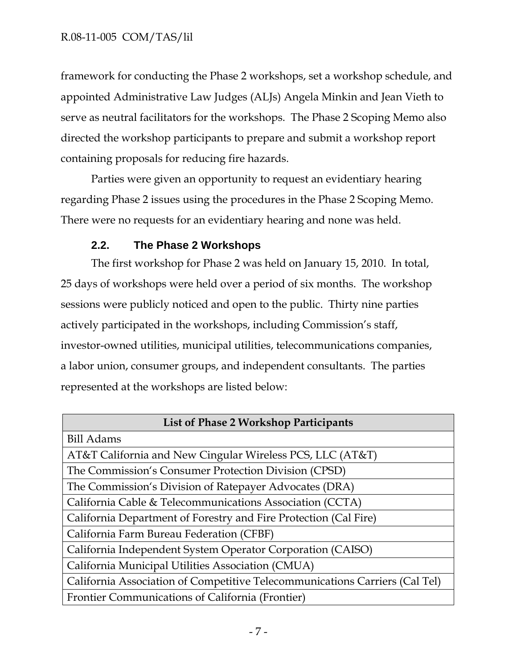framework for conducting the Phase 2 workshops, set a workshop schedule, and appointed Administrative Law Judges (ALJs) Angela Minkin and Jean Vieth to serve as neutral facilitators for the workshops. The Phase 2 Scoping Memo also directed the workshop participants to prepare and submit a workshop report containing proposals for reducing fire hazards.

Parties were given an opportunity to request an evidentiary hearing regarding Phase 2 issues using the procedures in the Phase 2 Scoping Memo. There were no requests for an evidentiary hearing and none was held.

#### **2.2. The Phase 2 Workshops**

The first workshop for Phase 2 was held on January 15, 2010. In total, 25 days of workshops were held over a period of six months. The workshop sessions were publicly noticed and open to the public. Thirty nine parties actively participated in the workshops, including Commission's staff, investor-owned utilities, municipal utilities, telecommunications companies, a labor union, consumer groups, and independent consultants. The parties represented at the workshops are listed below:

| List of Phase 2 Workshop Participants                                       |
|-----------------------------------------------------------------------------|
| <b>Bill Adams</b>                                                           |
| AT&T California and New Cingular Wireless PCS, LLC (AT&T)                   |
| The Commission's Consumer Protection Division (CPSD)                        |
| The Commission's Division of Ratepayer Advocates (DRA)                      |
| California Cable & Telecommunications Association (CCTA)                    |
| California Department of Forestry and Fire Protection (Cal Fire)            |
| California Farm Bureau Federation (CFBF)                                    |
| California Independent System Operator Corporation (CAISO)                  |
| California Municipal Utilities Association (CMUA)                           |
| California Association of Competitive Telecommunications Carriers (Cal Tel) |
| Frontier Communications of California (Frontier)                            |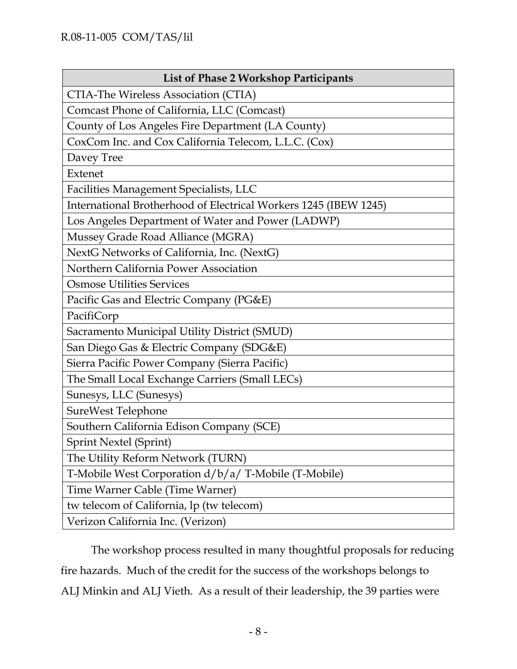| <b>List of Phase 2 Workshop Participants</b>                     |
|------------------------------------------------------------------|
| CTIA-The Wireless Association (CTIA)                             |
| Comcast Phone of California, LLC (Comcast)                       |
| County of Los Angeles Fire Department (LA County)                |
|                                                                  |
| CoxCom Inc. and Cox California Telecom, L.L.C. (Cox)             |
| Davey Tree<br>Extenet                                            |
|                                                                  |
| Facilities Management Specialists, LLC                           |
| International Brotherhood of Electrical Workers 1245 (IBEW 1245) |
| Los Angeles Department of Water and Power (LADWP)                |
| Mussey Grade Road Alliance (MGRA)                                |
| NextG Networks of California, Inc. (NextG)                       |
| Northern California Power Association                            |
| <b>Osmose Utilities Services</b>                                 |
| Pacific Gas and Electric Company (PG&E)                          |
| PacifiCorp                                                       |
| Sacramento Municipal Utility District (SMUD)                     |
| San Diego Gas & Electric Company (SDG&E)                         |
| Sierra Pacific Power Company (Sierra Pacific)                    |
| The Small Local Exchange Carriers (Small LECs)                   |
| Sunesys, LLC (Sunesys)                                           |
| <b>SureWest Telephone</b>                                        |
| Southern California Edison Company (SCE)                         |
| Sprint Nextel (Sprint)                                           |
| The Utility Reform Network (TURN)                                |
| T-Mobile West Corporation d/b/a/T-Mobile (T-Mobile)              |
| Time Warner Cable (Time Warner)                                  |
| tw telecom of California, lp (tw telecom)                        |
| Verizon California Inc. (Verizon)                                |

The workshop process resulted in many thoughtful proposals for reducing fire hazards. Much of the credit for the success of the workshops belongs to ALJ Minkin and ALJ Vieth. As a result of their leadership, the 39 parties were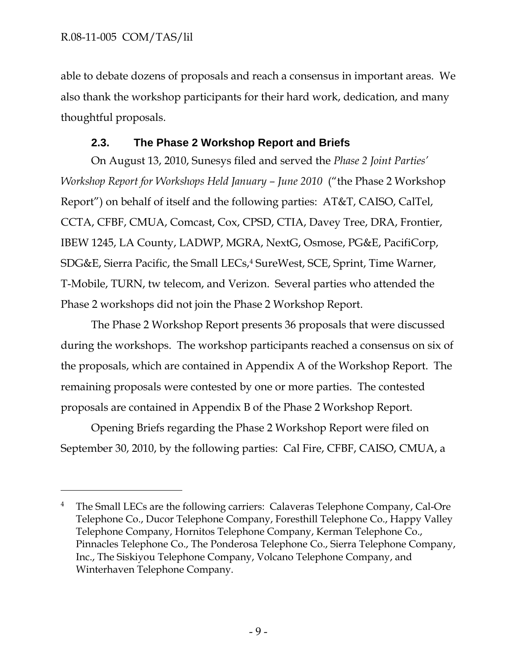-

able to debate dozens of proposals and reach a consensus in important areas. We also thank the workshop participants for their hard work, dedication, and many thoughtful proposals.

#### **2.3. The Phase 2 Workshop Report and Briefs**

On August 13, 2010, Sunesys filed and served the *Phase 2 Joint Parties' Workshop Report for Workshops Held January – June 2010* ("the Phase 2 Workshop Report") on behalf of itself and the following parties: AT&T, CAISO, CalTel, CCTA, CFBF, CMUA, Comcast, Cox, CPSD, CTIA, Davey Tree, DRA, Frontier, IBEW 1245, LA County, LADWP, MGRA, NextG, Osmose, PG&E, PacifiCorp, SDG&E, Sierra Pacific, the Small LECs,<sup>4</sup> SureWest, SCE, Sprint, Time Warner, T-Mobile, TURN, tw telecom, and Verizon. Several parties who attended the Phase 2 workshops did not join the Phase 2 Workshop Report.

The Phase 2 Workshop Report presents 36 proposals that were discussed during the workshops. The workshop participants reached a consensus on six of the proposals, which are contained in Appendix A of the Workshop Report. The remaining proposals were contested by one or more parties. The contested proposals are contained in Appendix B of the Phase 2 Workshop Report.

Opening Briefs regarding the Phase 2 Workshop Report were filed on September 30, 2010, by the following parties: Cal Fire, CFBF, CAISO, CMUA, a

<sup>4</sup> The Small LECs are the following carriers: Calaveras Telephone Company, Cal-Ore Telephone Co., Ducor Telephone Company, Foresthill Telephone Co., Happy Valley Telephone Company, Hornitos Telephone Company, Kerman Telephone Co., Pinnacles Telephone Co., The Ponderosa Telephone Co., Sierra Telephone Company, Inc., The Siskiyou Telephone Company, Volcano Telephone Company, and Winterhaven Telephone Company.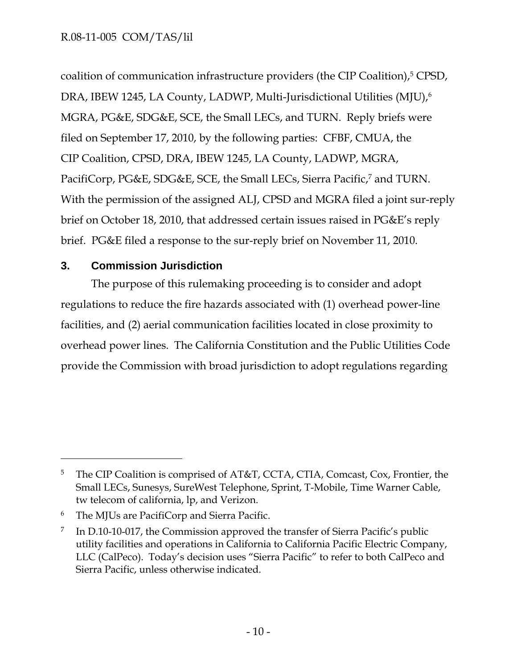coalition of communication infrastructure providers (the CIP Coalition), $5$  CPSD, DRA, IBEW 1245, LA County, LADWP, Multi-Jurisdictional Utilities (MJU),<sup>6</sup> MGRA, PG&E, SDG&E, SCE, the Small LECs, and TURN. Reply briefs were filed on September 17, 2010, by the following parties: CFBF, CMUA, the CIP Coalition, CPSD, DRA, IBEW 1245, LA County, LADWP, MGRA, PacifiCorp, PG&E, SDG&E, SCE, the Small LECs, Sierra Pacific,<sup>7</sup> and TURN. With the permission of the assigned ALJ, CPSD and MGRA filed a joint sur-reply brief on October 18, 2010, that addressed certain issues raised in PG&E's reply brief. PG&E filed a response to the sur-reply brief on November 11, 2010.

# **3. Commission Jurisdiction**

The purpose of this rulemaking proceeding is to consider and adopt regulations to reduce the fire hazards associated with (1) overhead power-line facilities, and (2) aerial communication facilities located in close proximity to overhead power lines. The California Constitution and the Public Utilities Code provide the Commission with broad jurisdiction to adopt regulations regarding

 $\overline{a}$ 

<sup>5</sup> The CIP Coalition is comprised of AT&T, CCTA, CTIA, Comcast, Cox, Frontier, the Small LECs, Sunesys, SureWest Telephone, Sprint, T-Mobile, Time Warner Cable, tw telecom of california, lp, and Verizon.

<sup>&</sup>lt;sup>6</sup> The MJUs are PacifiCorp and Sierra Pacific.

 $7 \text{ In } D.10{\text{-}}10{\text{-}}017$ , the Commission approved the transfer of Sierra Pacific's public utility facilities and operations in California to California Pacific Electric Company, LLC (CalPeco). Today's decision uses "Sierra Pacific" to refer to both CalPeco and Sierra Pacific, unless otherwise indicated.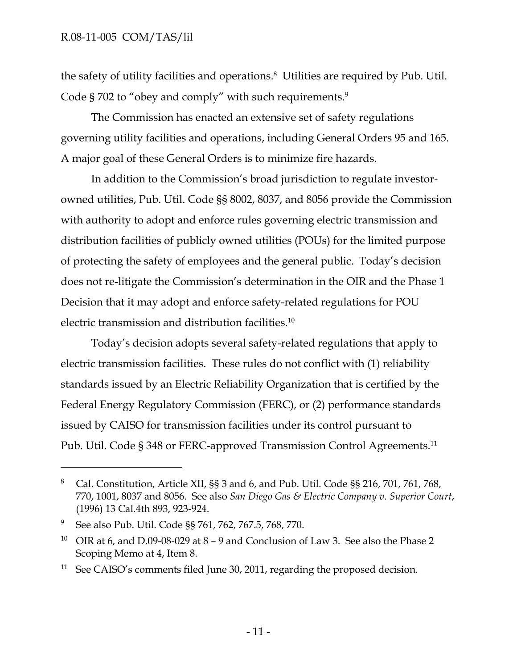the safety of utility facilities and operations.<sup>8</sup> Utilities are required by Pub. Util. Code § 702 to "obey and comply" with such requirements. $9$ 

The Commission has enacted an extensive set of safety regulations governing utility facilities and operations, including General Orders 95 and 165. A major goal of these General Orders is to minimize fire hazards.

In addition to the Commission's broad jurisdiction to regulate investorowned utilities, Pub. Util. Code §§ 8002, 8037, and 8056 provide the Commission with authority to adopt and enforce rules governing electric transmission and distribution facilities of publicly owned utilities (POUs) for the limited purpose of protecting the safety of employees and the general public. Today's decision does not re-litigate the Commission's determination in the OIR and the Phase 1 Decision that it may adopt and enforce safety-related regulations for POU electric transmission and distribution facilities.10

Today's decision adopts several safety-related regulations that apply to electric transmission facilities. These rules do not conflict with (1) reliability standards issued by an Electric Reliability Organization that is certified by the Federal Energy Regulatory Commission (FERC), or (2) performance standards issued by CAISO for transmission facilities under its control pursuant to Pub. Util. Code § 348 or FERC-approved Transmission Control Agreements.<sup>11</sup>

-

<sup>8</sup> Cal. Constitution, Article XII, §§ 3 and 6, and Pub. Util. Code §§ 216, 701, 761, 768, 770, 1001, 8037 and 8056. See also *San Diego Gas & Electric Company v. Superior Court*, (1996) 13 Cal.4th 893, 923-924.

<sup>9</sup> See also Pub. Util. Code §§ 761, 762, 767.5, 768, 770.

<sup>&</sup>lt;sup>10</sup> OIR at 6, and D.09-08-029 at  $8 - 9$  and Conclusion of Law 3. See also the Phase 2 Scoping Memo at 4, Item 8.

<sup>11</sup> See CAISO's comments filed June 30, 2011, regarding the proposed decision.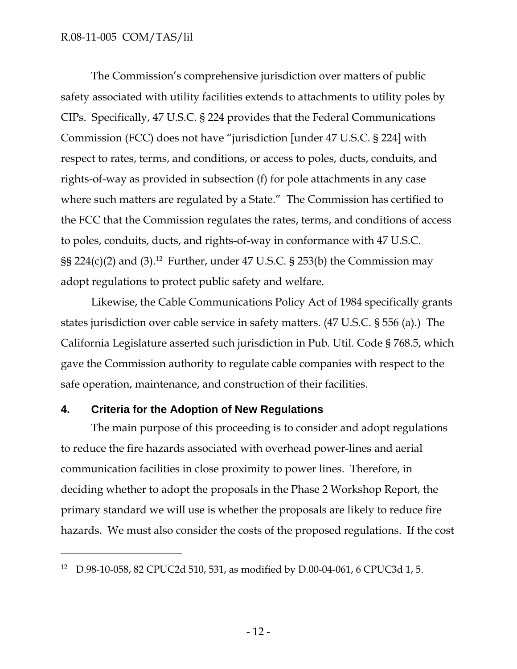The Commission's comprehensive jurisdiction over matters of public safety associated with utility facilities extends to attachments to utility poles by CIPs. Specifically, 47 U.S.C. § 224 provides that the Federal Communications Commission (FCC) does not have "jurisdiction [under 47 U.S.C. § 224] with respect to rates, terms, and conditions, or access to poles, ducts, conduits, and rights-of-way as provided in subsection (f) for pole attachments in any case where such matters are regulated by a State." The Commission has certified to the FCC that the Commission regulates the rates, terms, and conditions of access to poles, conduits, ducts, and rights-of-way in conformance with 47 U.S.C. §§ 224(c)(2) and (3).<sup>12</sup> Further, under 47 U.S.C. § 253(b) the Commission may adopt regulations to protect public safety and welfare.

Likewise, the Cable Communications Policy Act of 1984 specifically grants states jurisdiction over cable service in safety matters. (47 U.S.C. § 556 (a).) The California Legislature asserted such jurisdiction in Pub. Util. Code § 768.5, which gave the Commission authority to regulate cable companies with respect to the safe operation, maintenance, and construction of their facilities.

#### **4. Criteria for the Adoption of New Regulations**

-

The main purpose of this proceeding is to consider and adopt regulations to reduce the fire hazards associated with overhead power-lines and aerial communication facilities in close proximity to power lines. Therefore, in deciding whether to adopt the proposals in the Phase 2 Workshop Report, the primary standard we will use is whether the proposals are likely to reduce fire hazards. We must also consider the costs of the proposed regulations. If the cost

<sup>12</sup> D.98-10-058, 82 CPUC2d 510, 531, as modified by D.00-04-061, 6 CPUC3d 1, 5.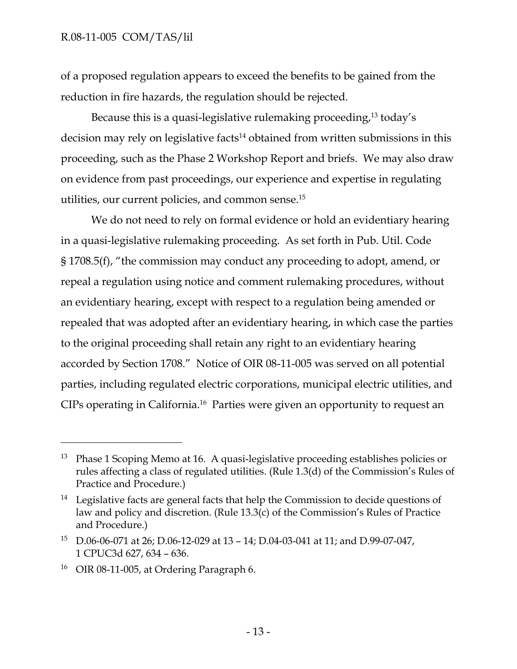of a proposed regulation appears to exceed the benefits to be gained from the reduction in fire hazards, the regulation should be rejected.

Because this is a quasi-legislative rulemaking proceeding, $13 \text{ today/s}$ decision may rely on legislative facts<sup>14</sup> obtained from written submissions in this proceeding, such as the Phase 2 Workshop Report and briefs. We may also draw on evidence from past proceedings, our experience and expertise in regulating utilities, our current policies, and common sense.15

We do not need to rely on formal evidence or hold an evidentiary hearing in a quasi-legislative rulemaking proceeding. As set forth in Pub. Util. Code § 1708.5(f), "the commission may conduct any proceeding to adopt, amend, or repeal a regulation using notice and comment rulemaking procedures, without an evidentiary hearing, except with respect to a regulation being amended or repealed that was adopted after an evidentiary hearing, in which case the parties to the original proceeding shall retain any right to an evidentiary hearing accorded by Section 1708." Notice of OIR 08-11-005 was served on all potential parties, including regulated electric corporations, municipal electric utilities, and CIPs operating in California.16 Parties were given an opportunity to request an

-

<sup>&</sup>lt;sup>13</sup> Phase 1 Scoping Memo at 16. A quasi-legislative proceeding establishes policies or rules affecting a class of regulated utilities. (Rule 1.3(d) of the Commission's Rules of Practice and Procedure.)

<sup>&</sup>lt;sup>14</sup> Legislative facts are general facts that help the Commission to decide questions of law and policy and discretion. (Rule 13.3(c) of the Commission's Rules of Practice and Procedure.)

<sup>15</sup> D.06-06-071 at 26; D.06-12-029 at 13 – 14; D.04-03-041 at 11; and D.99-07-047, 1 CPUC3d 627, 634 – 636.

<sup>&</sup>lt;sup>16</sup> OIR 08-11-005, at Ordering Paragraph 6.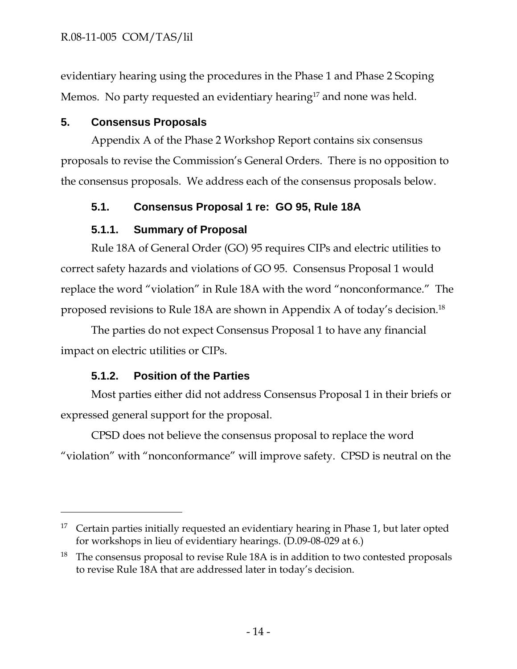evidentiary hearing using the procedures in the Phase 1 and Phase 2 Scoping Memos. No party requested an evidentiary hearing<sup>17</sup> and none was held.

# **5. Consensus Proposals**

Appendix A of the Phase 2 Workshop Report contains six consensus proposals to revise the Commission's General Orders. There is no opposition to the consensus proposals. We address each of the consensus proposals below.

# **5.1. Consensus Proposal 1 re: GO 95, Rule 18A**

# **5.1.1. Summary of Proposal**

Rule 18A of General Order (GO) 95 requires CIPs and electric utilities to correct safety hazards and violations of GO 95. Consensus Proposal 1 would replace the word "violation" in Rule 18A with the word "nonconformance." The proposed revisions to Rule 18A are shown in Appendix A of today's decision.18

The parties do not expect Consensus Proposal 1 to have any financial impact on electric utilities or CIPs.

# **5.1.2. Position of the Parties**

-

Most parties either did not address Consensus Proposal 1 in their briefs or expressed general support for the proposal.

CPSD does not believe the consensus proposal to replace the word "violation" with "nonconformance" will improve safety. CPSD is neutral on the

<sup>&</sup>lt;sup>17</sup> Certain parties initially requested an evidentiary hearing in Phase 1, but later opted for workshops in lieu of evidentiary hearings. (D.09-08-029 at 6.)

 $18$  The consensus proposal to revise Rule 18A is in addition to two contested proposals to revise Rule 18A that are addressed later in today's decision.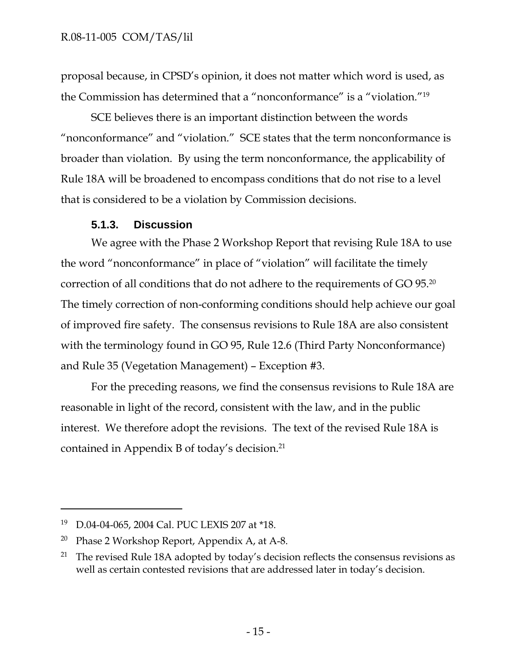proposal because, in CPSD's opinion, it does not matter which word is used, as the Commission has determined that a "nonconformance" is a "violation."19

SCE believes there is an important distinction between the words "nonconformance" and "violation." SCE states that the term nonconformance is broader than violation. By using the term nonconformance, the applicability of Rule 18A will be broadened to encompass conditions that do not rise to a level that is considered to be a violation by Commission decisions.

#### **5.1.3. Discussion**

We agree with the Phase 2 Workshop Report that revising Rule 18A to use the word "nonconformance" in place of "violation" will facilitate the timely correction of all conditions that do not adhere to the requirements of GO 95.20 The timely correction of non-conforming conditions should help achieve our goal of improved fire safety. The consensus revisions to Rule 18A are also consistent with the terminology found in GO 95, Rule 12.6 (Third Party Nonconformance) and Rule 35 (Vegetation Management) – Exception #3.

For the preceding reasons, we find the consensus revisions to Rule 18A are reasonable in light of the record, consistent with the law, and in the public interest. We therefore adopt the revisions. The text of the revised Rule 18A is contained in Appendix B of today's decision.21

-

<sup>19</sup> D.04-04-065, 2004 Cal. PUC LEXIS 207 at \*18.

<sup>&</sup>lt;sup>20</sup> Phase 2 Workshop Report, Appendix A, at A-8.

<sup>&</sup>lt;sup>21</sup> The revised Rule 18A adopted by today's decision reflects the consensus revisions as well as certain contested revisions that are addressed later in today's decision.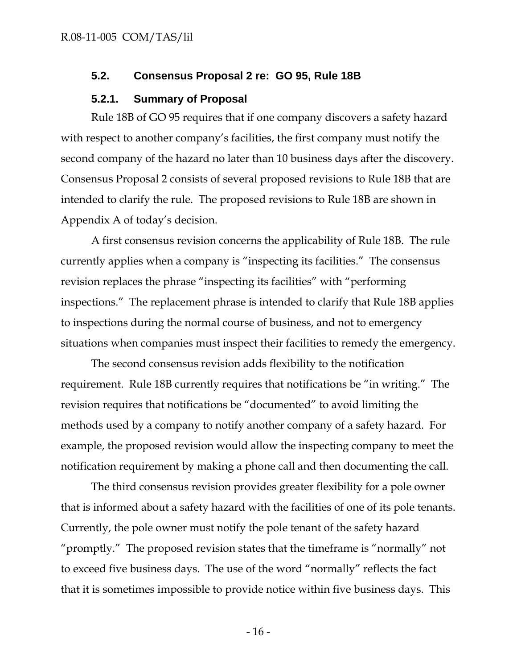#### **5.2. Consensus Proposal 2 re: GO 95, Rule 18B**

#### **5.2.1. Summary of Proposal**

Rule 18B of GO 95 requires that if one company discovers a safety hazard with respect to another company's facilities, the first company must notify the second company of the hazard no later than 10 business days after the discovery. Consensus Proposal 2 consists of several proposed revisions to Rule 18B that are intended to clarify the rule. The proposed revisions to Rule 18B are shown in Appendix A of today's decision.

A first consensus revision concerns the applicability of Rule 18B. The rule currently applies when a company is "inspecting its facilities." The consensus revision replaces the phrase "inspecting its facilities" with "performing inspections." The replacement phrase is intended to clarify that Rule 18B applies to inspections during the normal course of business, and not to emergency situations when companies must inspect their facilities to remedy the emergency.

The second consensus revision adds flexibility to the notification requirement. Rule 18B currently requires that notifications be "in writing." The revision requires that notifications be "documented" to avoid limiting the methods used by a company to notify another company of a safety hazard. For example, the proposed revision would allow the inspecting company to meet the notification requirement by making a phone call and then documenting the call.

The third consensus revision provides greater flexibility for a pole owner that is informed about a safety hazard with the facilities of one of its pole tenants. Currently, the pole owner must notify the pole tenant of the safety hazard "promptly." The proposed revision states that the timeframe is "normally" not to exceed five business days. The use of the word "normally" reflects the fact that it is sometimes impossible to provide notice within five business days. This

- 16 -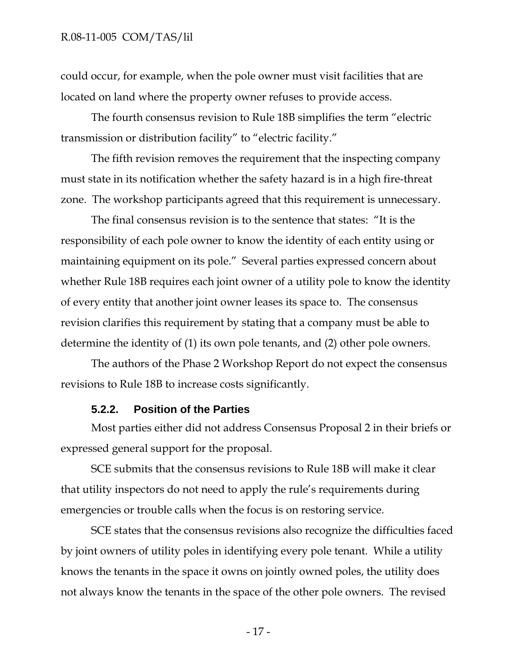could occur, for example, when the pole owner must visit facilities that are located on land where the property owner refuses to provide access.

The fourth consensus revision to Rule 18B simplifies the term "electric transmission or distribution facility" to "electric facility."

The fifth revision removes the requirement that the inspecting company must state in its notification whether the safety hazard is in a high fire-threat zone. The workshop participants agreed that this requirement is unnecessary.

The final consensus revision is to the sentence that states: "It is the responsibility of each pole owner to know the identity of each entity using or maintaining equipment on its pole." Several parties expressed concern about whether Rule 18B requires each joint owner of a utility pole to know the identity of every entity that another joint owner leases its space to. The consensus revision clarifies this requirement by stating that a company must be able to determine the identity of (1) its own pole tenants, and (2) other pole owners.

The authors of the Phase 2 Workshop Report do not expect the consensus revisions to Rule 18B to increase costs significantly.

#### **5.2.2. Position of the Parties**

Most parties either did not address Consensus Proposal 2 in their briefs or expressed general support for the proposal.

SCE submits that the consensus revisions to Rule 18B will make it clear that utility inspectors do not need to apply the rule's requirements during emergencies or trouble calls when the focus is on restoring service.

SCE states that the consensus revisions also recognize the difficulties faced by joint owners of utility poles in identifying every pole tenant. While a utility knows the tenants in the space it owns on jointly owned poles, the utility does not always know the tenants in the space of the other pole owners. The revised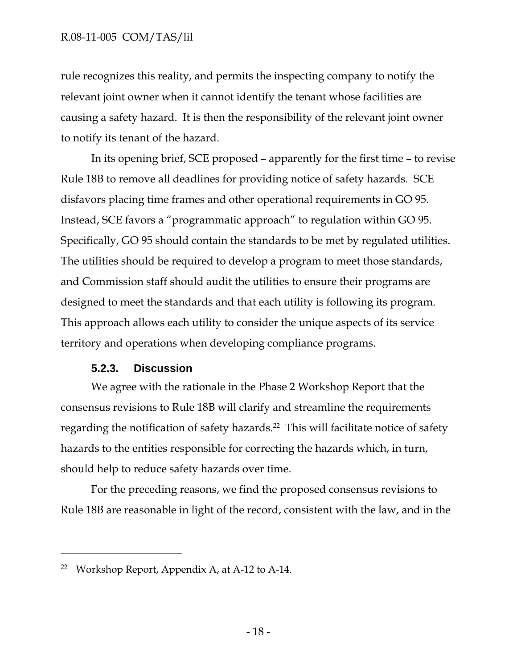rule recognizes this reality, and permits the inspecting company to notify the relevant joint owner when it cannot identify the tenant whose facilities are causing a safety hazard. It is then the responsibility of the relevant joint owner to notify its tenant of the hazard.

In its opening brief, SCE proposed – apparently for the first time – to revise Rule 18B to remove all deadlines for providing notice of safety hazards. SCE disfavors placing time frames and other operational requirements in GO 95. Instead, SCE favors a "programmatic approach" to regulation within GO 95. Specifically, GO 95 should contain the standards to be met by regulated utilities. The utilities should be required to develop a program to meet those standards, and Commission staff should audit the utilities to ensure their programs are designed to meet the standards and that each utility is following its program. This approach allows each utility to consider the unique aspects of its service territory and operations when developing compliance programs.

#### **5.2.3. Discussion**

-

We agree with the rationale in the Phase 2 Workshop Report that the consensus revisions to Rule 18B will clarify and streamline the requirements regarding the notification of safety hazards.22 This will facilitate notice of safety hazards to the entities responsible for correcting the hazards which, in turn, should help to reduce safety hazards over time.

For the preceding reasons, we find the proposed consensus revisions to Rule 18B are reasonable in light of the record, consistent with the law, and in the

<sup>&</sup>lt;sup>22</sup> Workshop Report, Appendix A, at A-12 to A-14.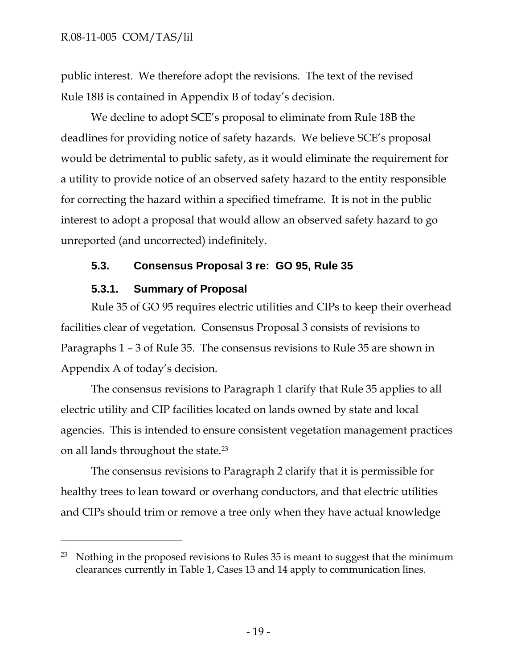public interest. We therefore adopt the revisions. The text of the revised Rule 18B is contained in Appendix B of today's decision.

We decline to adopt SCE's proposal to eliminate from Rule 18B the deadlines for providing notice of safety hazards. We believe SCE's proposal would be detrimental to public safety, as it would eliminate the requirement for a utility to provide notice of an observed safety hazard to the entity responsible for correcting the hazard within a specified timeframe. It is not in the public interest to adopt a proposal that would allow an observed safety hazard to go unreported (and uncorrected) indefinitely.

#### **5.3. Consensus Proposal 3 re: GO 95, Rule 35**

#### **5.3.1. Summary of Proposal**

-

Rule 35 of GO 95 requires electric utilities and CIPs to keep their overhead facilities clear of vegetation. Consensus Proposal 3 consists of revisions to Paragraphs 1 – 3 of Rule 35. The consensus revisions to Rule 35 are shown in Appendix A of today's decision.

The consensus revisions to Paragraph 1 clarify that Rule 35 applies to all electric utility and CIP facilities located on lands owned by state and local agencies. This is intended to ensure consistent vegetation management practices on all lands throughout the state.23

The consensus revisions to Paragraph 2 clarify that it is permissible for healthy trees to lean toward or overhang conductors, and that electric utilities and CIPs should trim or remove a tree only when they have actual knowledge

<sup>&</sup>lt;sup>23</sup> Nothing in the proposed revisions to Rules 35 is meant to suggest that the minimum clearances currently in Table 1, Cases 13 and 14 apply to communication lines.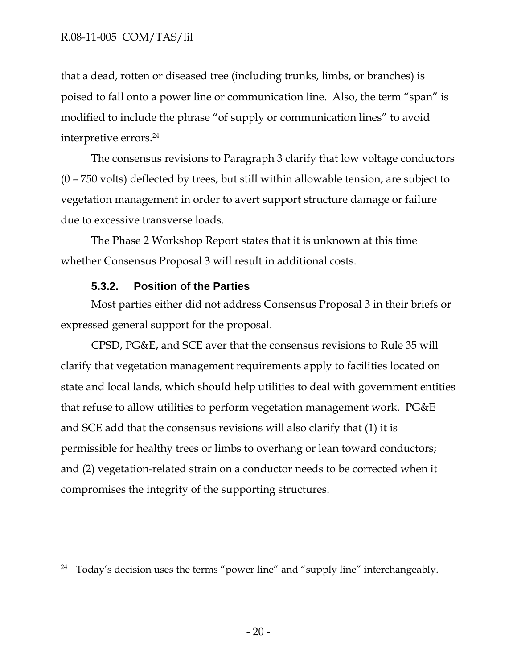that a dead, rotten or diseased tree (including trunks, limbs, or branches) is poised to fall onto a power line or communication line. Also, the term "span" is modified to include the phrase "of supply or communication lines" to avoid interpretive errors.24

The consensus revisions to Paragraph 3 clarify that low voltage conductors (0 – 750 volts) deflected by trees, but still within allowable tension, are subject to vegetation management in order to avert support structure damage or failure due to excessive transverse loads.

The Phase 2 Workshop Report states that it is unknown at this time whether Consensus Proposal 3 will result in additional costs.

#### **5.3.2. Position of the Parties**

-

Most parties either did not address Consensus Proposal 3 in their briefs or expressed general support for the proposal.

CPSD, PG&E, and SCE aver that the consensus revisions to Rule 35 will clarify that vegetation management requirements apply to facilities located on state and local lands, which should help utilities to deal with government entities that refuse to allow utilities to perform vegetation management work. PG&E and SCE add that the consensus revisions will also clarify that (1) it is permissible for healthy trees or limbs to overhang or lean toward conductors; and (2) vegetation-related strain on a conductor needs to be corrected when it compromises the integrity of the supporting structures.

<sup>&</sup>lt;sup>24</sup> Today's decision uses the terms "power line" and "supply line" interchangeably.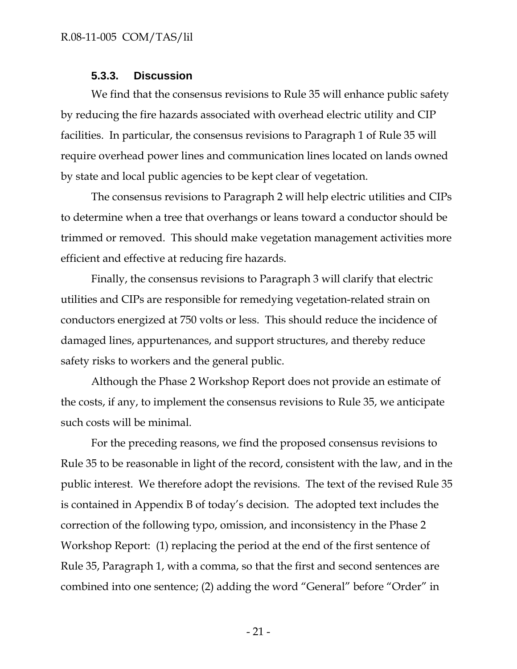#### **5.3.3. Discussion**

We find that the consensus revisions to Rule 35 will enhance public safety by reducing the fire hazards associated with overhead electric utility and CIP facilities. In particular, the consensus revisions to Paragraph 1 of Rule 35 will require overhead power lines and communication lines located on lands owned by state and local public agencies to be kept clear of vegetation.

The consensus revisions to Paragraph 2 will help electric utilities and CIPs to determine when a tree that overhangs or leans toward a conductor should be trimmed or removed. This should make vegetation management activities more efficient and effective at reducing fire hazards.

Finally, the consensus revisions to Paragraph 3 will clarify that electric utilities and CIPs are responsible for remedying vegetation-related strain on conductors energized at 750 volts or less. This should reduce the incidence of damaged lines, appurtenances, and support structures, and thereby reduce safety risks to workers and the general public.

Although the Phase 2 Workshop Report does not provide an estimate of the costs, if any, to implement the consensus revisions to Rule 35, we anticipate such costs will be minimal.

For the preceding reasons, we find the proposed consensus revisions to Rule 35 to be reasonable in light of the record, consistent with the law, and in the public interest. We therefore adopt the revisions. The text of the revised Rule 35 is contained in Appendix B of today's decision. The adopted text includes the correction of the following typo, omission, and inconsistency in the Phase 2 Workshop Report: (1) replacing the period at the end of the first sentence of Rule 35, Paragraph 1, with a comma, so that the first and second sentences are combined into one sentence; (2) adding the word "General" before "Order" in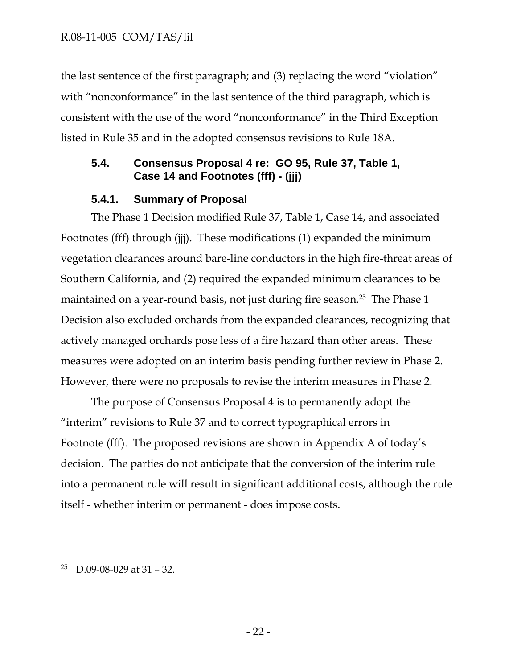the last sentence of the first paragraph; and (3) replacing the word "violation" with "nonconformance" in the last sentence of the third paragraph, which is consistent with the use of the word "nonconformance" in the Third Exception listed in Rule 35 and in the adopted consensus revisions to Rule 18A.

#### **5.4. Consensus Proposal 4 re: GO 95, Rule 37, Table 1, Case 14 and Footnotes (fff) - (jjj)**

#### **5.4.1. Summary of Proposal**

The Phase 1 Decision modified Rule 37, Table 1, Case 14, and associated Footnotes (fff) through (jjj). These modifications (1) expanded the minimum vegetation clearances around bare-line conductors in the high fire-threat areas of Southern California, and (2) required the expanded minimum clearances to be maintained on a year-round basis, not just during fire season.<sup>25</sup> The Phase 1 Decision also excluded orchards from the expanded clearances, recognizing that actively managed orchards pose less of a fire hazard than other areas. These measures were adopted on an interim basis pending further review in Phase 2. However, there were no proposals to revise the interim measures in Phase 2.

The purpose of Consensus Proposal 4 is to permanently adopt the "interim" revisions to Rule 37 and to correct typographical errors in Footnote (fff). The proposed revisions are shown in Appendix A of today's decision. The parties do not anticipate that the conversion of the interim rule into a permanent rule will result in significant additional costs, although the rule itself - whether interim or permanent - does impose costs.

-

 $25$  D.09-08-029 at 31 – 32.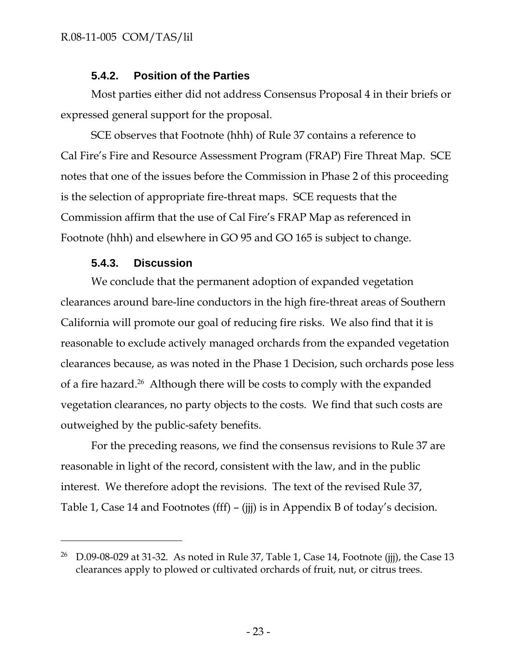#### **5.4.2. Position of the Parties**

Most parties either did not address Consensus Proposal 4 in their briefs or expressed general support for the proposal.

SCE observes that Footnote (hhh) of Rule 37 contains a reference to Cal Fire's Fire and Resource Assessment Program (FRAP) Fire Threat Map. SCE notes that one of the issues before the Commission in Phase 2 of this proceeding is the selection of appropriate fire-threat maps. SCE requests that the Commission affirm that the use of Cal Fire's FRAP Map as referenced in Footnote (hhh) and elsewhere in GO 95 and GO 165 is subject to change.

#### **5.4.3. Discussion**

-

We conclude that the permanent adoption of expanded vegetation clearances around bare-line conductors in the high fire-threat areas of Southern California will promote our goal of reducing fire risks. We also find that it is reasonable to exclude actively managed orchards from the expanded vegetation clearances because, as was noted in the Phase 1 Decision, such orchards pose less of a fire hazard.26 Although there will be costs to comply with the expanded vegetation clearances, no party objects to the costs. We find that such costs are outweighed by the public-safety benefits.

For the preceding reasons, we find the consensus revisions to Rule 37 are reasonable in light of the record, consistent with the law, and in the public interest. We therefore adopt the revisions. The text of the revised Rule 37, Table 1, Case 14 and Footnotes (fff) – (jjj) is in Appendix B of today's decision.

<sup>&</sup>lt;sup>26</sup> D.09-08-029 at 31-32. As noted in Rule 37, Table 1, Case 14, Footnote (iii), the Case 13 clearances apply to plowed or cultivated orchards of fruit, nut, or citrus trees.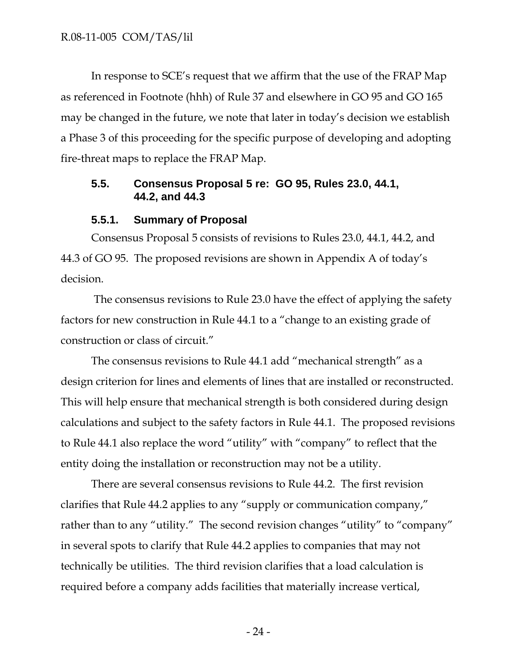In response to SCE's request that we affirm that the use of the FRAP Map as referenced in Footnote (hhh) of Rule 37 and elsewhere in GO 95 and GO 165 may be changed in the future, we note that later in today's decision we establish a Phase 3 of this proceeding for the specific purpose of developing and adopting fire-threat maps to replace the FRAP Map.

#### **5.5. Consensus Proposal 5 re: GO 95, Rules 23.0, 44.1, 44.2, and 44.3**

#### **5.5.1. Summary of Proposal**

Consensus Proposal 5 consists of revisions to Rules 23.0, 44.1, 44.2, and 44.3 of GO 95. The proposed revisions are shown in Appendix A of today's decision.

 The consensus revisions to Rule 23.0 have the effect of applying the safety factors for new construction in Rule 44.1 to a "change to an existing grade of construction or class of circuit."

The consensus revisions to Rule 44.1 add "mechanical strength" as a design criterion for lines and elements of lines that are installed or reconstructed. This will help ensure that mechanical strength is both considered during design calculations and subject to the safety factors in Rule 44.1. The proposed revisions to Rule 44.1 also replace the word "utility" with "company" to reflect that the entity doing the installation or reconstruction may not be a utility.

There are several consensus revisions to Rule 44.2. The first revision clarifies that Rule 44.2 applies to any "supply or communication company," rather than to any "utility." The second revision changes "utility" to "company" in several spots to clarify that Rule 44.2 applies to companies that may not technically be utilities. The third revision clarifies that a load calculation is required before a company adds facilities that materially increase vertical,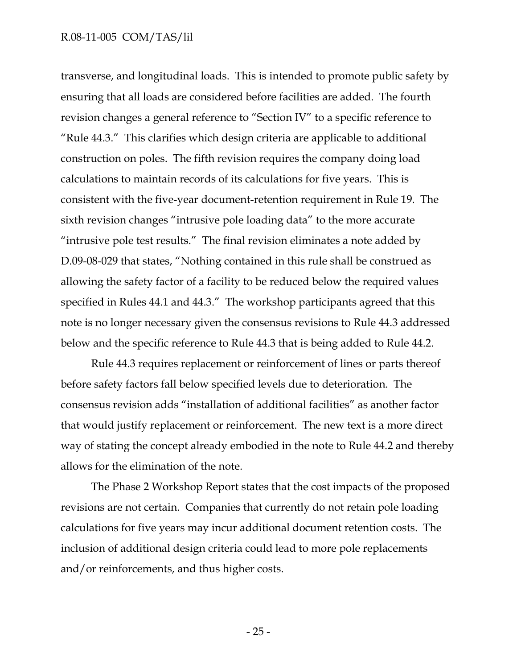#### R.08-11-005 COM/TAS/lil

transverse, and longitudinal loads. This is intended to promote public safety by ensuring that all loads are considered before facilities are added. The fourth revision changes a general reference to "Section IV" to a specific reference to "Rule 44.3." This clarifies which design criteria are applicable to additional construction on poles. The fifth revision requires the company doing load calculations to maintain records of its calculations for five years. This is consistent with the five-year document-retention requirement in Rule 19. The sixth revision changes "intrusive pole loading data" to the more accurate "intrusive pole test results." The final revision eliminates a note added by D.09-08-029 that states, "Nothing contained in this rule shall be construed as allowing the safety factor of a facility to be reduced below the required values specified in Rules 44.1 and 44.3." The workshop participants agreed that this note is no longer necessary given the consensus revisions to Rule 44.3 addressed below and the specific reference to Rule 44.3 that is being added to Rule 44.2.

Rule 44.3 requires replacement or reinforcement of lines or parts thereof before safety factors fall below specified levels due to deterioration. The consensus revision adds "installation of additional facilities" as another factor that would justify replacement or reinforcement. The new text is a more direct way of stating the concept already embodied in the note to Rule 44.2 and thereby allows for the elimination of the note.

The Phase 2 Workshop Report states that the cost impacts of the proposed revisions are not certain. Companies that currently do not retain pole loading calculations for five years may incur additional document retention costs. The inclusion of additional design criteria could lead to more pole replacements and/or reinforcements, and thus higher costs.

- 25 -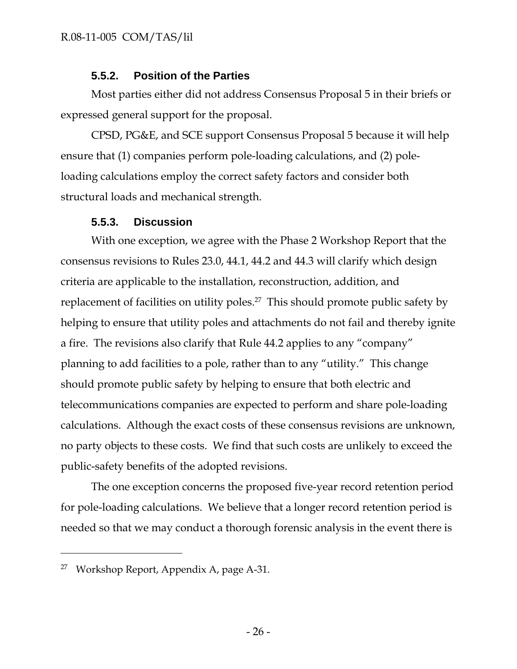#### **5.5.2. Position of the Parties**

Most parties either did not address Consensus Proposal 5 in their briefs or expressed general support for the proposal.

CPSD, PG&E, and SCE support Consensus Proposal 5 because it will help ensure that (1) companies perform pole-loading calculations, and (2) poleloading calculations employ the correct safety factors and consider both structural loads and mechanical strength.

#### **5.5.3. Discussion**

With one exception, we agree with the Phase 2 Workshop Report that the consensus revisions to Rules 23.0, 44.1, 44.2 and 44.3 will clarify which design criteria are applicable to the installation, reconstruction, addition, and replacement of facilities on utility poles.<sup>27</sup> This should promote public safety by helping to ensure that utility poles and attachments do not fail and thereby ignite a fire. The revisions also clarify that Rule 44.2 applies to any "company" planning to add facilities to a pole, rather than to any "utility." This change should promote public safety by helping to ensure that both electric and telecommunications companies are expected to perform and share pole-loading calculations. Although the exact costs of these consensus revisions are unknown, no party objects to these costs. We find that such costs are unlikely to exceed the public-safety benefits of the adopted revisions.

The one exception concerns the proposed five-year record retention period for pole-loading calculations. We believe that a longer record retention period is needed so that we may conduct a thorough forensic analysis in the event there is

 $\overline{a}$ 

<sup>&</sup>lt;sup>27</sup> Workshop Report, Appendix A, page A-31.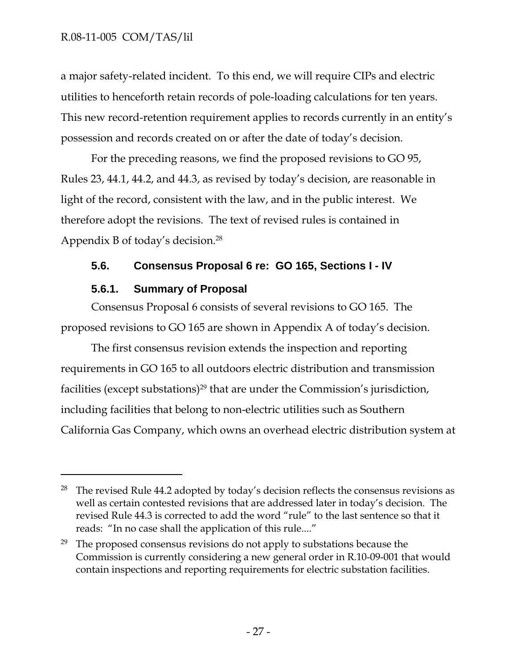a major safety-related incident. To this end, we will require CIPs and electric utilities to henceforth retain records of pole-loading calculations for ten years. This new record-retention requirement applies to records currently in an entity's possession and records created on or after the date of today's decision.

For the preceding reasons, we find the proposed revisions to GO 95, Rules 23, 44.1, 44.2, and 44.3, as revised by today's decision, are reasonable in light of the record, consistent with the law, and in the public interest. We therefore adopt the revisions. The text of revised rules is contained in Appendix B of today's decision.28

# **5.6. Consensus Proposal 6 re: GO 165, Sections I - IV**

# **5.6.1. Summary of Proposal**

 $\overline{a}$ 

Consensus Proposal 6 consists of several revisions to GO 165. The proposed revisions to GO 165 are shown in Appendix A of today's decision.

The first consensus revision extends the inspection and reporting requirements in GO 165 to all outdoors electric distribution and transmission facilities (except substations)<sup>29</sup> that are under the Commission's jurisdiction, including facilities that belong to non-electric utilities such as Southern California Gas Company, which owns an overhead electric distribution system at

<sup>&</sup>lt;sup>28</sup> The revised Rule 44.2 adopted by today's decision reflects the consensus revisions as well as certain contested revisions that are addressed later in today's decision. The revised Rule 44.3 is corrected to add the word "rule" to the last sentence so that it reads: "In no case shall the application of this rule...."

<sup>&</sup>lt;sup>29</sup> The proposed consensus revisions do not apply to substations because the Commission is currently considering a new general order in R.10-09-001 that would contain inspections and reporting requirements for electric substation facilities.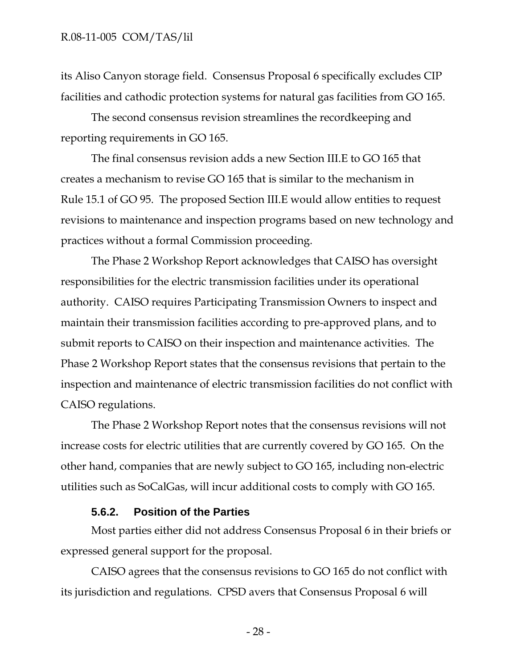its Aliso Canyon storage field. Consensus Proposal 6 specifically excludes CIP facilities and cathodic protection systems for natural gas facilities from GO 165.

The second consensus revision streamlines the recordkeeping and reporting requirements in GO 165.

The final consensus revision adds a new Section III.E to GO 165 that creates a mechanism to revise GO 165 that is similar to the mechanism in Rule 15.1 of GO 95. The proposed Section III.E would allow entities to request revisions to maintenance and inspection programs based on new technology and practices without a formal Commission proceeding.

The Phase 2 Workshop Report acknowledges that CAISO has oversight responsibilities for the electric transmission facilities under its operational authority. CAISO requires Participating Transmission Owners to inspect and maintain their transmission facilities according to pre-approved plans, and to submit reports to CAISO on their inspection and maintenance activities. The Phase 2 Workshop Report states that the consensus revisions that pertain to the inspection and maintenance of electric transmission facilities do not conflict with CAISO regulations.

The Phase 2 Workshop Report notes that the consensus revisions will not increase costs for electric utilities that are currently covered by GO 165. On the other hand, companies that are newly subject to GO 165, including non-electric utilities such as SoCalGas, will incur additional costs to comply with GO 165.

#### **5.6.2. Position of the Parties**

Most parties either did not address Consensus Proposal 6 in their briefs or expressed general support for the proposal.

CAISO agrees that the consensus revisions to GO 165 do not conflict with its jurisdiction and regulations. CPSD avers that Consensus Proposal 6 will

- 28 -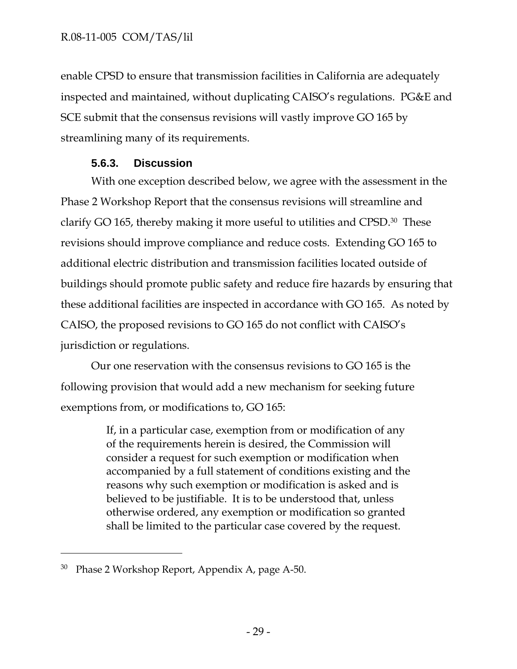enable CPSD to ensure that transmission facilities in California are adequately inspected and maintained, without duplicating CAISO's regulations. PG&E and SCE submit that the consensus revisions will vastly improve GO 165 by streamlining many of its requirements.

#### **5.6.3. Discussion**

With one exception described below, we agree with the assessment in the Phase 2 Workshop Report that the consensus revisions will streamline and clarify GO 165, thereby making it more useful to utilities and CPSD.<sup>30</sup> These revisions should improve compliance and reduce costs. Extending GO 165 to additional electric distribution and transmission facilities located outside of buildings should promote public safety and reduce fire hazards by ensuring that these additional facilities are inspected in accordance with GO 165. As noted by CAISO, the proposed revisions to GO 165 do not conflict with CAISO's jurisdiction or regulations.

Our one reservation with the consensus revisions to GO 165 is the following provision that would add a new mechanism for seeking future exemptions from, or modifications to, GO 165:

> If, in a particular case, exemption from or modification of any of the requirements herein is desired, the Commission will consider a request for such exemption or modification when accompanied by a full statement of conditions existing and the reasons why such exemption or modification is asked and is believed to be justifiable. It is to be understood that, unless otherwise ordered, any exemption or modification so granted shall be limited to the particular case covered by the request.

 $\overline{a}$ 

Phase 2 Workshop Report, Appendix A, page A-50.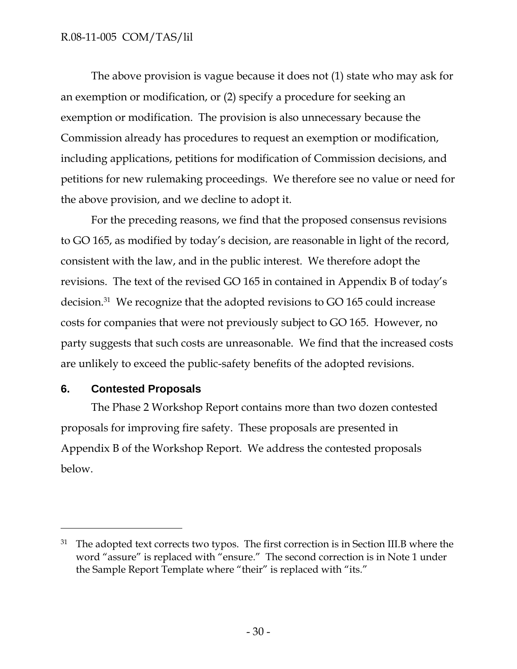The above provision is vague because it does not (1) state who may ask for an exemption or modification, or (2) specify a procedure for seeking an exemption or modification. The provision is also unnecessary because the Commission already has procedures to request an exemption or modification, including applications, petitions for modification of Commission decisions, and petitions for new rulemaking proceedings. We therefore see no value or need for the above provision, and we decline to adopt it.

For the preceding reasons, we find that the proposed consensus revisions to GO 165, as modified by today's decision, are reasonable in light of the record, consistent with the law, and in the public interest. We therefore adopt the revisions. The text of the revised GO 165 in contained in Appendix B of today's decision.<sup>31</sup> We recognize that the adopted revisions to GO 165 could increase costs for companies that were not previously subject to GO 165. However, no party suggests that such costs are unreasonable. We find that the increased costs are unlikely to exceed the public-safety benefits of the adopted revisions.

# **6. Contested Proposals**

-

The Phase 2 Workshop Report contains more than two dozen contested proposals for improving fire safety. These proposals are presented in Appendix B of the Workshop Report. We address the contested proposals below.

 $31$  The adopted text corrects two typos. The first correction is in Section III.B where the word "assure" is replaced with "ensure." The second correction is in Note 1 under the Sample Report Template where "their" is replaced with "its."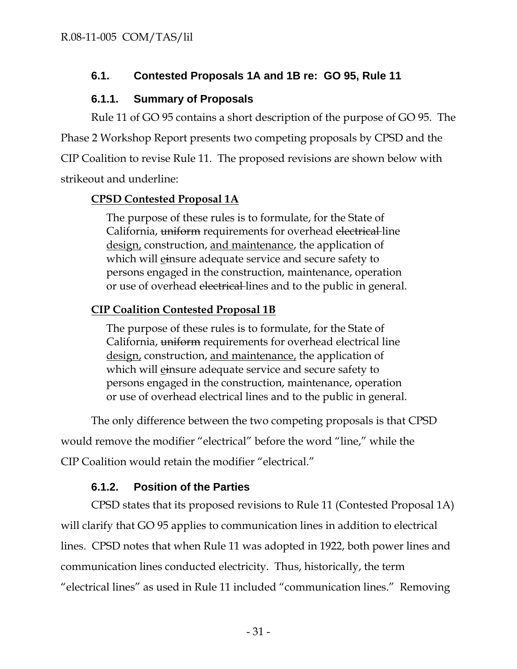# **6.1. Contested Proposals 1A and 1B re: GO 95, Rule 11**

## **6.1.1. Summary of Proposals**

Rule 11 of GO 95 contains a short description of the purpose of GO 95. The Phase 2 Workshop Report presents two competing proposals by CPSD and the CIP Coalition to revise Rule 11. The proposed revisions are shown below with strikeout and underline:

# **CPSD Contested Proposal 1A**

The purpose of these rules is to formulate, for the State of California, uniform requirements for overhead electrical line design, construction, and maintenance, the application of which will einsure adequate service and secure safety to persons engaged in the construction, maintenance, operation or use of overhead electrical lines and to the public in general.

# **CIP Coalition Contested Proposal 1B**

The purpose of these rules is to formulate, for the State of California, uniform requirements for overhead electrical line design, construction, and maintenance, the application of which will einsure adequate service and secure safety to persons engaged in the construction, maintenance, operation or use of overhead electrical lines and to the public in general.

The only difference between the two competing proposals is that CPSD would remove the modifier "electrical" before the word "line," while the CIP Coalition would retain the modifier "electrical."

# **6.1.2. Position of the Parties**

CPSD states that its proposed revisions to Rule 11 (Contested Proposal 1A) will clarify that GO 95 applies to communication lines in addition to electrical lines. CPSD notes that when Rule 11 was adopted in 1922, both power lines and communication lines conducted electricity. Thus, historically, the term "electrical lines" as used in Rule 11 included "communication lines." Removing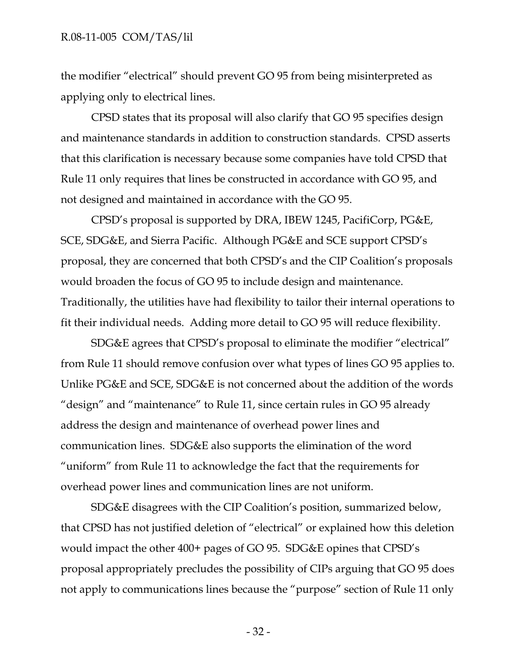the modifier "electrical" should prevent GO 95 from being misinterpreted as applying only to electrical lines.

CPSD states that its proposal will also clarify that GO 95 specifies design and maintenance standards in addition to construction standards. CPSD asserts that this clarification is necessary because some companies have told CPSD that Rule 11 only requires that lines be constructed in accordance with GO 95, and not designed and maintained in accordance with the GO 95.

CPSD's proposal is supported by DRA, IBEW 1245, PacifiCorp, PG&E, SCE, SDG&E, and Sierra Pacific. Although PG&E and SCE support CPSD's proposal, they are concerned that both CPSD's and the CIP Coalition's proposals would broaden the focus of GO 95 to include design and maintenance. Traditionally, the utilities have had flexibility to tailor their internal operations to fit their individual needs. Adding more detail to GO 95 will reduce flexibility.

SDG&E agrees that CPSD's proposal to eliminate the modifier "electrical" from Rule 11 should remove confusion over what types of lines GO 95 applies to. Unlike PG&E and SCE, SDG&E is not concerned about the addition of the words "design" and "maintenance" to Rule 11, since certain rules in GO 95 already address the design and maintenance of overhead power lines and communication lines. SDG&E also supports the elimination of the word "uniform" from Rule 11 to acknowledge the fact that the requirements for overhead power lines and communication lines are not uniform.

SDG&E disagrees with the CIP Coalition's position, summarized below, that CPSD has not justified deletion of "electrical" or explained how this deletion would impact the other 400+ pages of GO 95. SDG&E opines that CPSD's proposal appropriately precludes the possibility of CIPs arguing that GO 95 does not apply to communications lines because the "purpose" section of Rule 11 only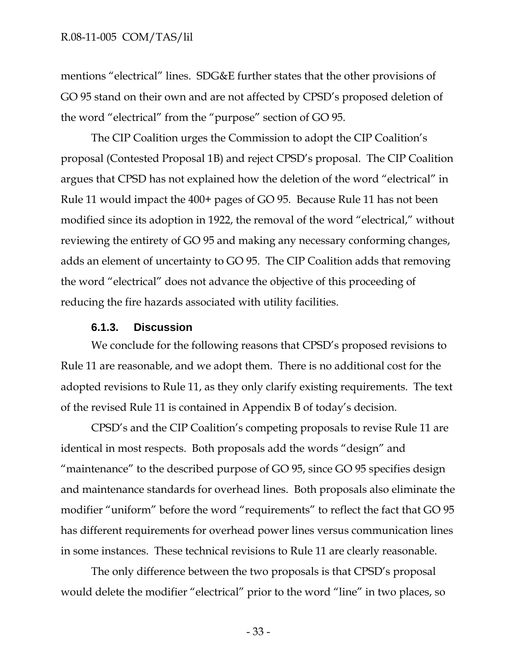mentions "electrical" lines. SDG&E further states that the other provisions of GO 95 stand on their own and are not affected by CPSD's proposed deletion of the word "electrical" from the "purpose" section of GO 95.

The CIP Coalition urges the Commission to adopt the CIP Coalition's proposal (Contested Proposal 1B) and reject CPSD's proposal. The CIP Coalition argues that CPSD has not explained how the deletion of the word "electrical" in Rule 11 would impact the 400+ pages of GO 95. Because Rule 11 has not been modified since its adoption in 1922, the removal of the word "electrical," without reviewing the entirety of GO 95 and making any necessary conforming changes, adds an element of uncertainty to GO 95. The CIP Coalition adds that removing the word "electrical" does not advance the objective of this proceeding of reducing the fire hazards associated with utility facilities.

#### **6.1.3. Discussion**

We conclude for the following reasons that CPSD's proposed revisions to Rule 11 are reasonable, and we adopt them. There is no additional cost for the adopted revisions to Rule 11, as they only clarify existing requirements. The text of the revised Rule 11 is contained in Appendix B of today's decision.

CPSD's and the CIP Coalition's competing proposals to revise Rule 11 are identical in most respects. Both proposals add the words "design" and "maintenance" to the described purpose of GO 95, since GO 95 specifies design and maintenance standards for overhead lines. Both proposals also eliminate the modifier "uniform" before the word "requirements" to reflect the fact that GO 95 has different requirements for overhead power lines versus communication lines in some instances. These technical revisions to Rule 11 are clearly reasonable.

The only difference between the two proposals is that CPSD's proposal would delete the modifier "electrical" prior to the word "line" in two places, so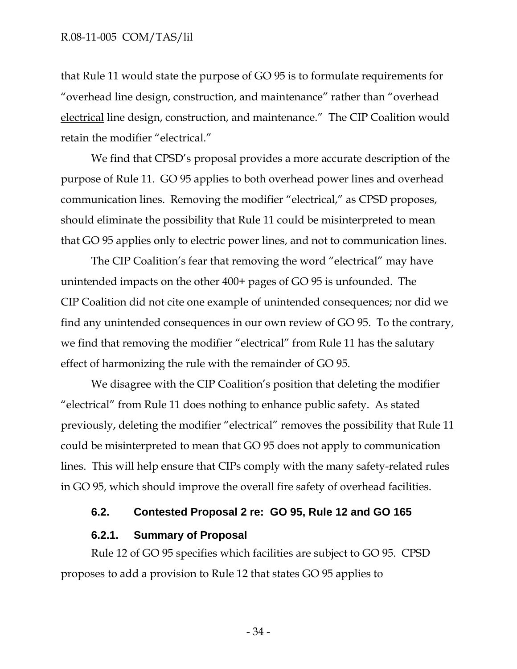that Rule 11 would state the purpose of GO 95 is to formulate requirements for "overhead line design, construction, and maintenance" rather than "overhead electrical line design, construction, and maintenance." The CIP Coalition would retain the modifier "electrical."

We find that CPSD's proposal provides a more accurate description of the purpose of Rule 11. GO 95 applies to both overhead power lines and overhead communication lines. Removing the modifier "electrical," as CPSD proposes, should eliminate the possibility that Rule 11 could be misinterpreted to mean that GO 95 applies only to electric power lines, and not to communication lines.

The CIP Coalition's fear that removing the word "electrical" may have unintended impacts on the other 400+ pages of GO 95 is unfounded. The CIP Coalition did not cite one example of unintended consequences; nor did we find any unintended consequences in our own review of GO 95. To the contrary, we find that removing the modifier "electrical" from Rule 11 has the salutary effect of harmonizing the rule with the remainder of GO 95.

We disagree with the CIP Coalition's position that deleting the modifier "electrical" from Rule 11 does nothing to enhance public safety. As stated previously, deleting the modifier "electrical" removes the possibility that Rule 11 could be misinterpreted to mean that GO 95 does not apply to communication lines. This will help ensure that CIPs comply with the many safety-related rules in GO 95, which should improve the overall fire safety of overhead facilities.

#### **6.2. Contested Proposal 2 re: GO 95, Rule 12 and GO 165**

#### **6.2.1. Summary of Proposal**

Rule 12 of GO 95 specifies which facilities are subject to GO 95. CPSD proposes to add a provision to Rule 12 that states GO 95 applies to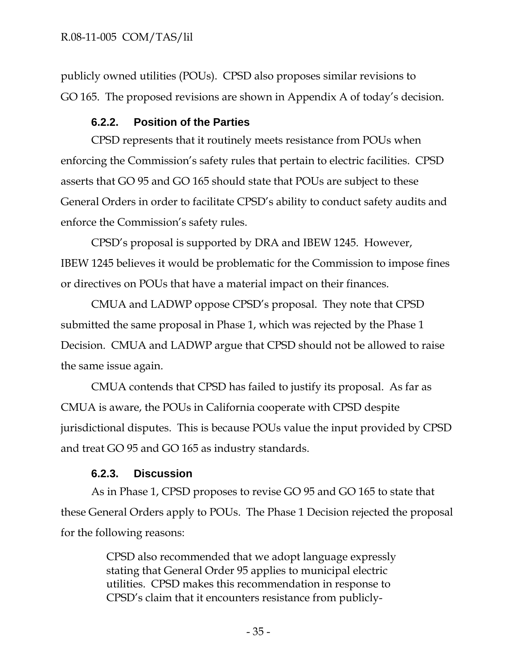publicly owned utilities (POUs). CPSD also proposes similar revisions to GO 165. The proposed revisions are shown in Appendix A of today's decision.

## **6.2.2. Position of the Parties**

CPSD represents that it routinely meets resistance from POUs when enforcing the Commission's safety rules that pertain to electric facilities. CPSD asserts that GO 95 and GO 165 should state that POUs are subject to these General Orders in order to facilitate CPSD's ability to conduct safety audits and enforce the Commission's safety rules.

CPSD's proposal is supported by DRA and IBEW 1245. However, IBEW 1245 believes it would be problematic for the Commission to impose fines or directives on POUs that have a material impact on their finances.

CMUA and LADWP oppose CPSD's proposal. They note that CPSD submitted the same proposal in Phase 1, which was rejected by the Phase 1 Decision. CMUA and LADWP argue that CPSD should not be allowed to raise the same issue again.

CMUA contends that CPSD has failed to justify its proposal. As far as CMUA is aware, the POUs in California cooperate with CPSD despite jurisdictional disputes. This is because POUs value the input provided by CPSD and treat GO 95 and GO 165 as industry standards.

# **6.2.3. Discussion**

As in Phase 1, CPSD proposes to revise GO 95 and GO 165 to state that these General Orders apply to POUs. The Phase 1 Decision rejected the proposal for the following reasons:

> CPSD also recommended that we adopt language expressly stating that General Order 95 applies to municipal electric utilities. CPSD makes this recommendation in response to CPSD's claim that it encounters resistance from publicly-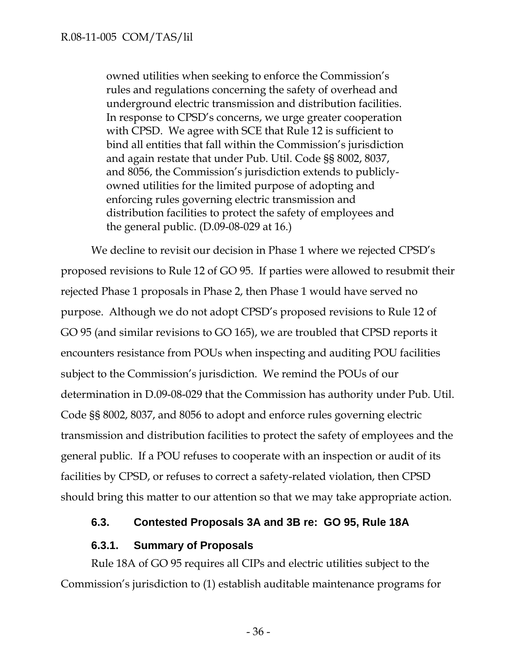owned utilities when seeking to enforce the Commission's rules and regulations concerning the safety of overhead and underground electric transmission and distribution facilities. In response to CPSD's concerns, we urge greater cooperation with CPSD. We agree with SCE that Rule 12 is sufficient to bind all entities that fall within the Commission's jurisdiction and again restate that under Pub. Util. Code §§ 8002, 8037, and 8056, the Commission's jurisdiction extends to publiclyowned utilities for the limited purpose of adopting and enforcing rules governing electric transmission and distribution facilities to protect the safety of employees and the general public. (D.09-08-029 at 16.)

We decline to revisit our decision in Phase 1 where we rejected CPSD's proposed revisions to Rule 12 of GO 95. If parties were allowed to resubmit their rejected Phase 1 proposals in Phase 2, then Phase 1 would have served no purpose. Although we do not adopt CPSD's proposed revisions to Rule 12 of GO 95 (and similar revisions to GO 165), we are troubled that CPSD reports it encounters resistance from POUs when inspecting and auditing POU facilities subject to the Commission's jurisdiction. We remind the POUs of our determination in D.09-08-029 that the Commission has authority under Pub. Util. Code §§ 8002, 8037, and 8056 to adopt and enforce rules governing electric transmission and distribution facilities to protect the safety of employees and the general public. If a POU refuses to cooperate with an inspection or audit of its facilities by CPSD, or refuses to correct a safety-related violation, then CPSD should bring this matter to our attention so that we may take appropriate action.

### **6.3. Contested Proposals 3A and 3B re: GO 95, Rule 18A**

### **6.3.1. Summary of Proposals**

Rule 18A of GO 95 requires all CIPs and electric utilities subject to the Commission's jurisdiction to (1) establish auditable maintenance programs for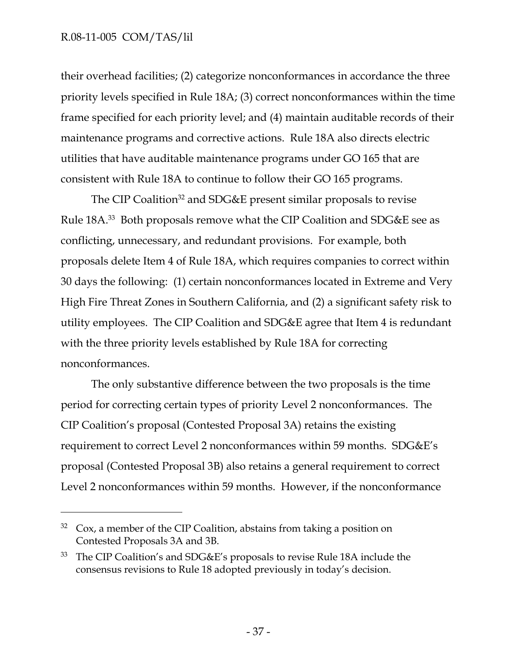-

their overhead facilities; (2) categorize nonconformances in accordance the three priority levels specified in Rule 18A; (3) correct nonconformances within the time frame specified for each priority level; and (4) maintain auditable records of their maintenance programs and corrective actions. Rule 18A also directs electric utilities that have auditable maintenance programs under GO 165 that are consistent with Rule 18A to continue to follow their GO 165 programs.

The CIP Coalition<sup>32</sup> and SDG&E present similar proposals to revise Rule 18A.<sup>33</sup> Both proposals remove what the CIP Coalition and SDG&E see as conflicting, unnecessary, and redundant provisions. For example, both proposals delete Item 4 of Rule 18A, which requires companies to correct within 30 days the following: (1) certain nonconformances located in Extreme and Very High Fire Threat Zones in Southern California, and (2) a significant safety risk to utility employees. The CIP Coalition and SDG&E agree that Item 4 is redundant with the three priority levels established by Rule 18A for correcting nonconformances.

The only substantive difference between the two proposals is the time period for correcting certain types of priority Level 2 nonconformances. The CIP Coalition's proposal (Contested Proposal 3A) retains the existing requirement to correct Level 2 nonconformances within 59 months. SDG&E's proposal (Contested Proposal 3B) also retains a general requirement to correct Level 2 nonconformances within 59 months. However, if the nonconformance

 $32$  Cox, a member of the CIP Coalition, abstains from taking a position on Contested Proposals 3A and 3B.

 $33$  The CIP Coalition's and SDG&E's proposals to revise Rule 18A include the consensus revisions to Rule 18 adopted previously in today's decision.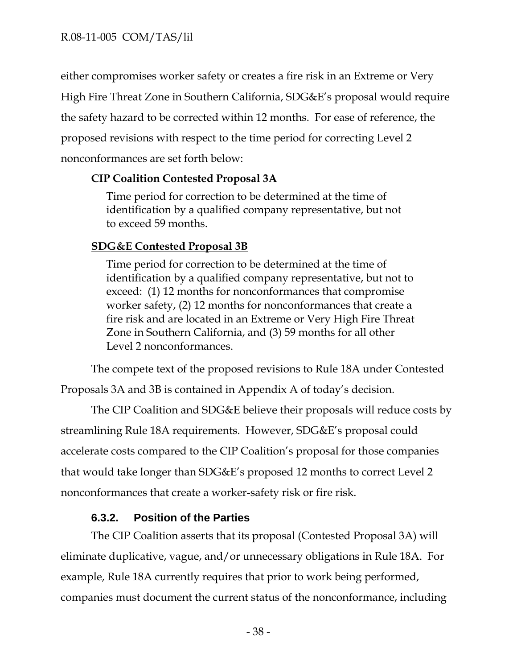either compromises worker safety or creates a fire risk in an Extreme or Very High Fire Threat Zone in Southern California, SDG&E's proposal would require the safety hazard to be corrected within 12 months. For ease of reference, the proposed revisions with respect to the time period for correcting Level 2 nonconformances are set forth below:

### **CIP Coalition Contested Proposal 3A**

Time period for correction to be determined at the time of identification by a qualified company representative, but not to exceed 59 months.

## **SDG&E Contested Proposal 3B**

Time period for correction to be determined at the time of identification by a qualified company representative, but not to exceed: (1) 12 months for nonconformances that compromise worker safety, (2) 12 months for nonconformances that create a fire risk and are located in an Extreme or Very High Fire Threat Zone in Southern California, and (3) 59 months for all other Level 2 nonconformances.

The compete text of the proposed revisions to Rule 18A under Contested Proposals 3A and 3B is contained in Appendix A of today's decision.

The CIP Coalition and SDG&E believe their proposals will reduce costs by streamlining Rule 18A requirements. However, SDG&E's proposal could accelerate costs compared to the CIP Coalition's proposal for those companies that would take longer than SDG&E's proposed 12 months to correct Level 2 nonconformances that create a worker-safety risk or fire risk.

## **6.3.2. Position of the Parties**

The CIP Coalition asserts that its proposal (Contested Proposal 3A) will eliminate duplicative, vague, and/or unnecessary obligations in Rule 18A. For example, Rule 18A currently requires that prior to work being performed, companies must document the current status of the nonconformance, including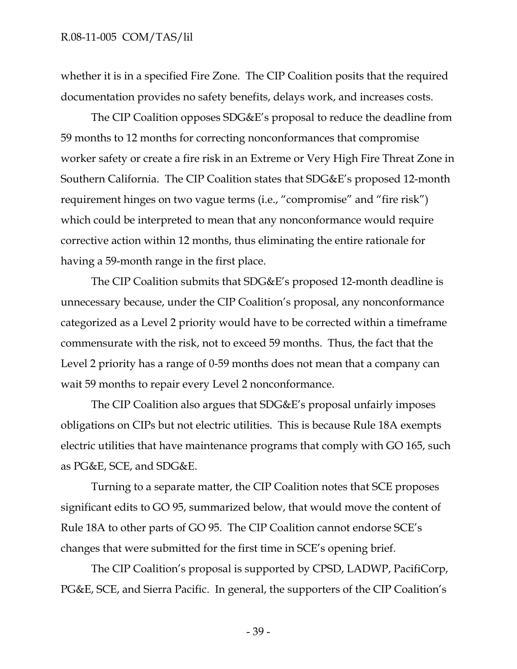whether it is in a specified Fire Zone. The CIP Coalition posits that the required documentation provides no safety benefits, delays work, and increases costs.

The CIP Coalition opposes SDG&E's proposal to reduce the deadline from 59 months to 12 months for correcting nonconformances that compromise worker safety or create a fire risk in an Extreme or Very High Fire Threat Zone in Southern California. The CIP Coalition states that SDG&E's proposed 12-month requirement hinges on two vague terms (i.e., "compromise" and "fire risk") which could be interpreted to mean that any nonconformance would require corrective action within 12 months, thus eliminating the entire rationale for having a 59-month range in the first place.

The CIP Coalition submits that SDG&E's proposed 12-month deadline is unnecessary because, under the CIP Coalition's proposal, any nonconformance categorized as a Level 2 priority would have to be corrected within a timeframe commensurate with the risk, not to exceed 59 months. Thus, the fact that the Level 2 priority has a range of 0-59 months does not mean that a company can wait 59 months to repair every Level 2 nonconformance.

The CIP Coalition also argues that SDG&E's proposal unfairly imposes obligations on CIPs but not electric utilities. This is because Rule 18A exempts electric utilities that have maintenance programs that comply with GO 165, such as PG&E, SCE, and SDG&E.

Turning to a separate matter, the CIP Coalition notes that SCE proposes significant edits to GO 95, summarized below, that would move the content of Rule 18A to other parts of GO 95. The CIP Coalition cannot endorse SCE's changes that were submitted for the first time in SCE's opening brief.

The CIP Coalition's proposal is supported by CPSD, LADWP, PacifiCorp, PG&E, SCE, and Sierra Pacific. In general, the supporters of the CIP Coalition's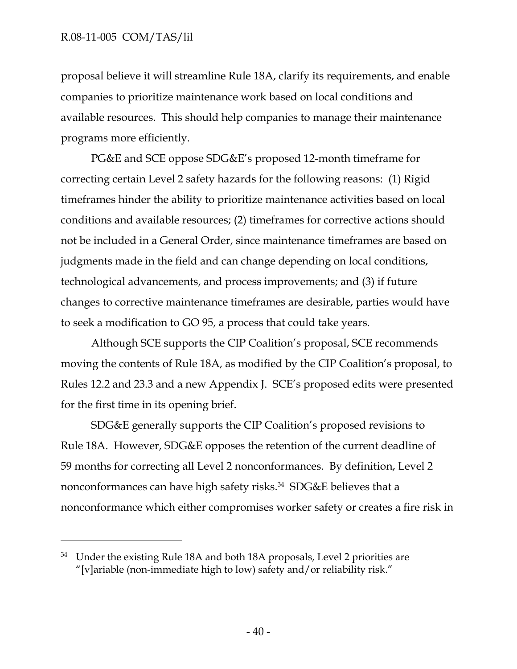$\overline{a}$ 

proposal believe it will streamline Rule 18A, clarify its requirements, and enable companies to prioritize maintenance work based on local conditions and available resources. This should help companies to manage their maintenance programs more efficiently.

PG&E and SCE oppose SDG&E's proposed 12-month timeframe for correcting certain Level 2 safety hazards for the following reasons: (1) Rigid timeframes hinder the ability to prioritize maintenance activities based on local conditions and available resources; (2) timeframes for corrective actions should not be included in a General Order, since maintenance timeframes are based on judgments made in the field and can change depending on local conditions, technological advancements, and process improvements; and (3) if future changes to corrective maintenance timeframes are desirable, parties would have to seek a modification to GO 95, a process that could take years.

Although SCE supports the CIP Coalition's proposal, SCE recommends moving the contents of Rule 18A, as modified by the CIP Coalition's proposal, to Rules 12.2 and 23.3 and a new Appendix J. SCE's proposed edits were presented for the first time in its opening brief.

SDG&E generally supports the CIP Coalition's proposed revisions to Rule 18A. However, SDG&E opposes the retention of the current deadline of 59 months for correcting all Level 2 nonconformances. By definition, Level 2 nonconformances can have high safety risks.<sup>34</sup> SDG&E believes that a nonconformance which either compromises worker safety or creates a fire risk in

<sup>&</sup>lt;sup>34</sup> Under the existing Rule 18A and both 18A proposals, Level 2 priorities are "[v]ariable (non-immediate high to low) safety and/or reliability risk."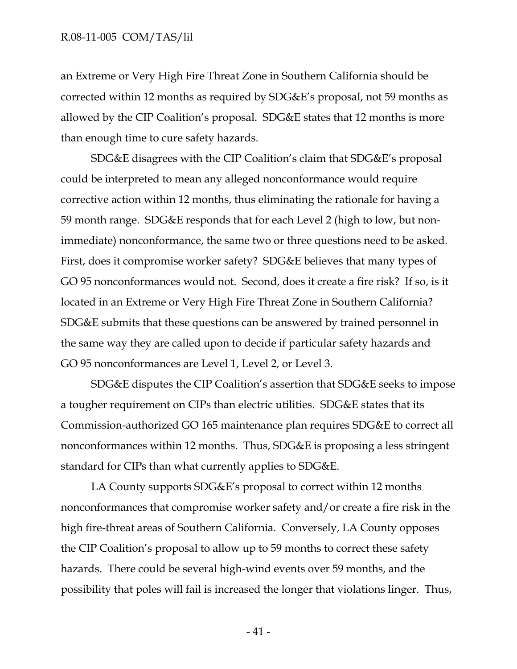an Extreme or Very High Fire Threat Zone in Southern California should be corrected within 12 months as required by SDG&E's proposal, not 59 months as allowed by the CIP Coalition's proposal. SDG&E states that 12 months is more than enough time to cure safety hazards.

SDG&E disagrees with the CIP Coalition's claim that SDG&E's proposal could be interpreted to mean any alleged nonconformance would require corrective action within 12 months, thus eliminating the rationale for having a 59 month range. SDG&E responds that for each Level 2 (high to low, but nonimmediate) nonconformance, the same two or three questions need to be asked. First, does it compromise worker safety? SDG&E believes that many types of GO 95 nonconformances would not. Second, does it create a fire risk? If so, is it located in an Extreme or Very High Fire Threat Zone in Southern California? SDG&E submits that these questions can be answered by trained personnel in the same way they are called upon to decide if particular safety hazards and GO 95 nonconformances are Level 1, Level 2, or Level 3.

SDG&E disputes the CIP Coalition's assertion that SDG&E seeks to impose a tougher requirement on CIPs than electric utilities. SDG&E states that its Commission-authorized GO 165 maintenance plan requires SDG&E to correct all nonconformances within 12 months. Thus, SDG&E is proposing a less stringent standard for CIPs than what currently applies to SDG&E.

LA County supports SDG&E's proposal to correct within 12 months nonconformances that compromise worker safety and/or create a fire risk in the high fire-threat areas of Southern California. Conversely, LA County opposes the CIP Coalition's proposal to allow up to 59 months to correct these safety hazards. There could be several high-wind events over 59 months, and the possibility that poles will fail is increased the longer that violations linger. Thus,

- 41 -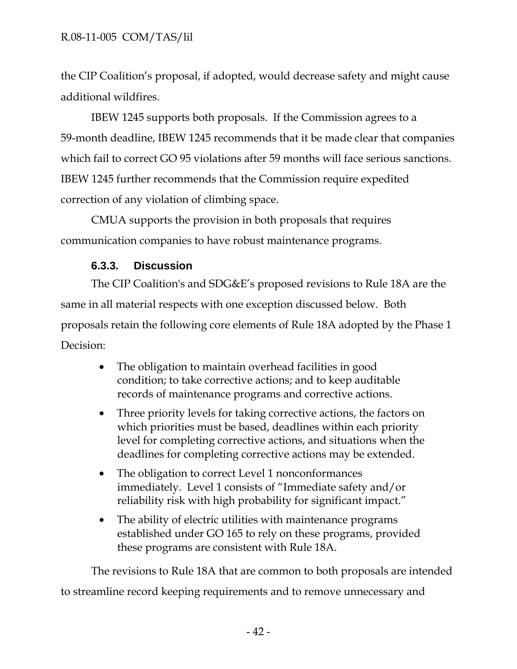the CIP Coalition's proposal, if adopted, would decrease safety and might cause additional wildfires.

IBEW 1245 supports both proposals. If the Commission agrees to a 59-month deadline, IBEW 1245 recommends that it be made clear that companies which fail to correct GO 95 violations after 59 months will face serious sanctions. IBEW 1245 further recommends that the Commission require expedited correction of any violation of climbing space.

CMUA supports the provision in both proposals that requires communication companies to have robust maintenance programs.

# **6.3.3. Discussion**

The CIP Coalition's and SDG&E's proposed revisions to Rule 18A are the same in all material respects with one exception discussed below. Both proposals retain the following core elements of Rule 18A adopted by the Phase 1 Decision:

- The obligation to maintain overhead facilities in good condition; to take corrective actions; and to keep auditable records of maintenance programs and corrective actions.
- Three priority levels for taking corrective actions, the factors on which priorities must be based, deadlines within each priority level for completing corrective actions, and situations when the deadlines for completing corrective actions may be extended.
- The obligation to correct Level 1 nonconformances immediately. Level 1 consists of "Immediate safety and/or reliability risk with high probability for significant impact."
- The ability of electric utilities with maintenance programs established under GO 165 to rely on these programs, provided these programs are consistent with Rule 18A.

The revisions to Rule 18A that are common to both proposals are intended to streamline record keeping requirements and to remove unnecessary and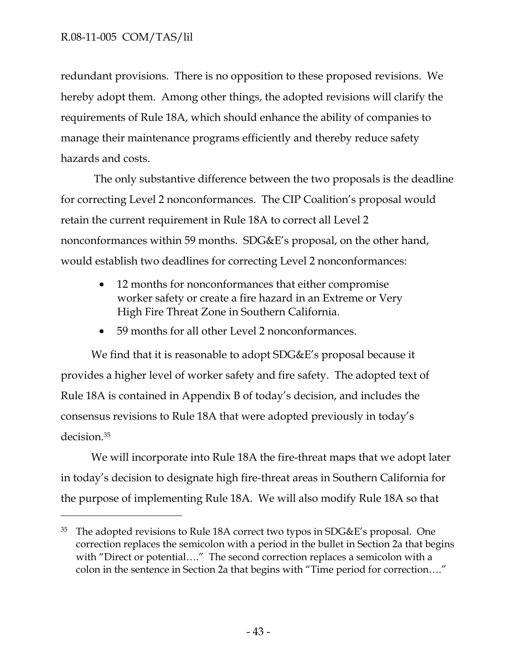-

redundant provisions. There is no opposition to these proposed revisions. We hereby adopt them. Among other things, the adopted revisions will clarify the requirements of Rule 18A, which should enhance the ability of companies to manage their maintenance programs efficiently and thereby reduce safety hazards and costs.

 The only substantive difference between the two proposals is the deadline for correcting Level 2 nonconformances. The CIP Coalition's proposal would retain the current requirement in Rule 18A to correct all Level 2 nonconformances within 59 months. SDG&E's proposal, on the other hand, would establish two deadlines for correcting Level 2 nonconformances:

- 12 months for nonconformances that either compromise worker safety or create a fire hazard in an Extreme or Very High Fire Threat Zone in Southern California.
- 59 months for all other Level 2 nonconformances.

We find that it is reasonable to adopt SDG&E's proposal because it provides a higher level of worker safety and fire safety. The adopted text of Rule 18A is contained in Appendix B of today's decision, and includes the consensus revisions to Rule 18A that were adopted previously in today's decision.35

We will incorporate into Rule 18A the fire-threat maps that we adopt later in today's decision to designate high fire-threat areas in Southern California for the purpose of implementing Rule 18A. We will also modify Rule 18A so that

 $35$  The adopted revisions to Rule 18A correct two typos in SDG&E's proposal. One correction replaces the semicolon with a period in the bullet in Section 2a that begins with "Direct or potential…." The second correction replaces a semicolon with a colon in the sentence in Section 2a that begins with "Time period for correction…."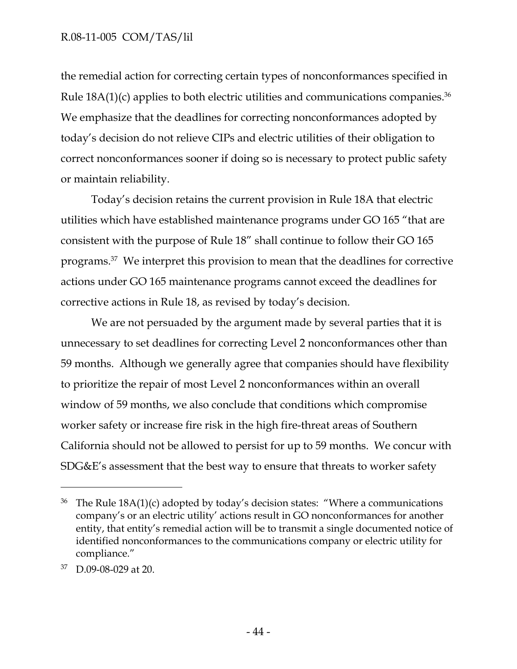the remedial action for correcting certain types of nonconformances specified in Rule  $18A(1)(c)$  applies to both electric utilities and communications companies.<sup>36</sup> We emphasize that the deadlines for correcting nonconformances adopted by today's decision do not relieve CIPs and electric utilities of their obligation to correct nonconformances sooner if doing so is necessary to protect public safety or maintain reliability.

Today's decision retains the current provision in Rule 18A that electric utilities which have established maintenance programs under GO 165 "that are consistent with the purpose of Rule 18" shall continue to follow their GO 165 programs.37 We interpret this provision to mean that the deadlines for corrective actions under GO 165 maintenance programs cannot exceed the deadlines for corrective actions in Rule 18, as revised by today's decision.

We are not persuaded by the argument made by several parties that it is unnecessary to set deadlines for correcting Level 2 nonconformances other than 59 months. Although we generally agree that companies should have flexibility to prioritize the repair of most Level 2 nonconformances within an overall window of 59 months, we also conclude that conditions which compromise worker safety or increase fire risk in the high fire-threat areas of Southern California should not be allowed to persist for up to 59 months. We concur with SDG&E's assessment that the best way to ensure that threats to worker safety

 $\overline{a}$ 

 $36$  The Rule  $18A(1)(c)$  adopted by today's decision states: "Where a communications company's or an electric utility' actions result in GO nonconformances for another entity, that entity's remedial action will be to transmit a single documented notice of identified nonconformances to the communications company or electric utility for compliance."

<sup>37</sup> D.09-08-029 at 20.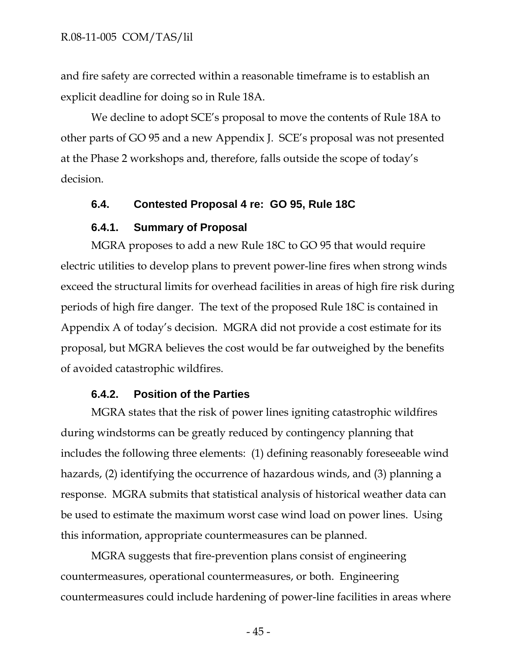and fire safety are corrected within a reasonable timeframe is to establish an explicit deadline for doing so in Rule 18A.

We decline to adopt SCE's proposal to move the contents of Rule 18A to other parts of GO 95 and a new Appendix J. SCE's proposal was not presented at the Phase 2 workshops and, therefore, falls outside the scope of today's decision.

#### **6.4. Contested Proposal 4 re: GO 95, Rule 18C**

#### **6.4.1. Summary of Proposal**

MGRA proposes to add a new Rule 18C to GO 95 that would require electric utilities to develop plans to prevent power-line fires when strong winds exceed the structural limits for overhead facilities in areas of high fire risk during periods of high fire danger. The text of the proposed Rule 18C is contained in Appendix A of today's decision. MGRA did not provide a cost estimate for its proposal, but MGRA believes the cost would be far outweighed by the benefits of avoided catastrophic wildfires.

#### **6.4.2. Position of the Parties**

MGRA states that the risk of power lines igniting catastrophic wildfires during windstorms can be greatly reduced by contingency planning that includes the following three elements: (1) defining reasonably foreseeable wind hazards, (2) identifying the occurrence of hazardous winds, and (3) planning a response. MGRA submits that statistical analysis of historical weather data can be used to estimate the maximum worst case wind load on power lines. Using this information, appropriate countermeasures can be planned.

MGRA suggests that fire-prevention plans consist of engineering countermeasures, operational countermeasures, or both. Engineering countermeasures could include hardening of power-line facilities in areas where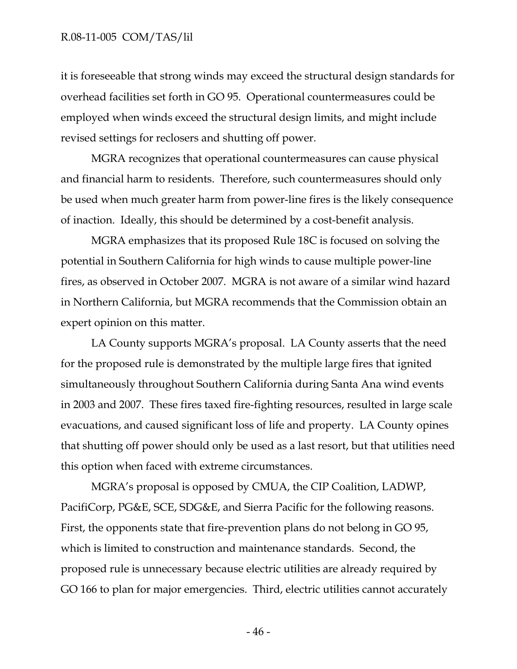it is foreseeable that strong winds may exceed the structural design standards for overhead facilities set forth in GO 95. Operational countermeasures could be employed when winds exceed the structural design limits, and might include revised settings for reclosers and shutting off power.

MGRA recognizes that operational countermeasures can cause physical and financial harm to residents. Therefore, such countermeasures should only be used when much greater harm from power-line fires is the likely consequence of inaction. Ideally, this should be determined by a cost-benefit analysis.

MGRA emphasizes that its proposed Rule 18C is focused on solving the potential in Southern California for high winds to cause multiple power-line fires, as observed in October 2007. MGRA is not aware of a similar wind hazard in Northern California, but MGRA recommends that the Commission obtain an expert opinion on this matter.

LA County supports MGRA's proposal. LA County asserts that the need for the proposed rule is demonstrated by the multiple large fires that ignited simultaneously throughout Southern California during Santa Ana wind events in 2003 and 2007. These fires taxed fire-fighting resources, resulted in large scale evacuations, and caused significant loss of life and property. LA County opines that shutting off power should only be used as a last resort, but that utilities need this option when faced with extreme circumstances.

MGRA's proposal is opposed by CMUA, the CIP Coalition, LADWP, PacifiCorp, PG&E, SCE, SDG&E, and Sierra Pacific for the following reasons. First, the opponents state that fire-prevention plans do not belong in GO 95, which is limited to construction and maintenance standards. Second, the proposed rule is unnecessary because electric utilities are already required by GO 166 to plan for major emergencies. Third, electric utilities cannot accurately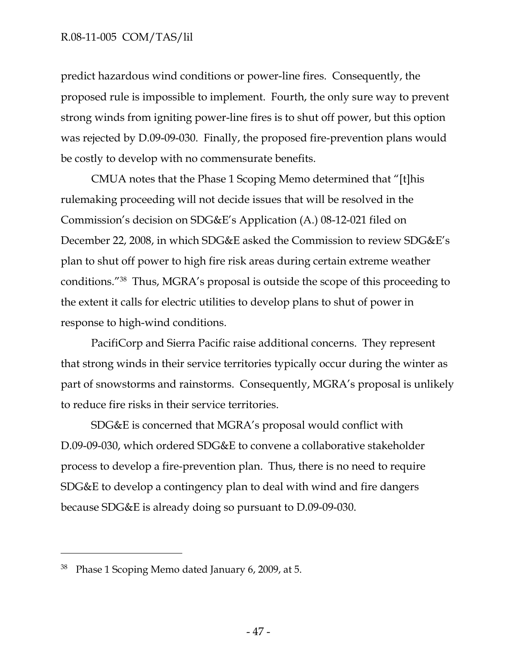predict hazardous wind conditions or power-line fires. Consequently, the proposed rule is impossible to implement. Fourth, the only sure way to prevent strong winds from igniting power-line fires is to shut off power, but this option was rejected by D.09-09-030. Finally, the proposed fire-prevention plans would be costly to develop with no commensurate benefits.

CMUA notes that the Phase 1 Scoping Memo determined that "[t]his rulemaking proceeding will not decide issues that will be resolved in the Commission's decision on SDG&E's Application (A.) 08-12-021 filed on December 22, 2008, in which SDG&E asked the Commission to review SDG&E's plan to shut off power to high fire risk areas during certain extreme weather conditions."38 Thus, MGRA's proposal is outside the scope of this proceeding to the extent it calls for electric utilities to develop plans to shut of power in response to high-wind conditions.

PacifiCorp and Sierra Pacific raise additional concerns. They represent that strong winds in their service territories typically occur during the winter as part of snowstorms and rainstorms. Consequently, MGRA's proposal is unlikely to reduce fire risks in their service territories.

SDG&E is concerned that MGRA's proposal would conflict with D.09-09-030, which ordered SDG&E to convene a collaborative stakeholder process to develop a fire-prevention plan. Thus, there is no need to require SDG&E to develop a contingency plan to deal with wind and fire dangers because SDG&E is already doing so pursuant to D.09-09-030.

 $\overline{a}$ 

<sup>38</sup> Phase 1 Scoping Memo dated January 6, 2009, at 5.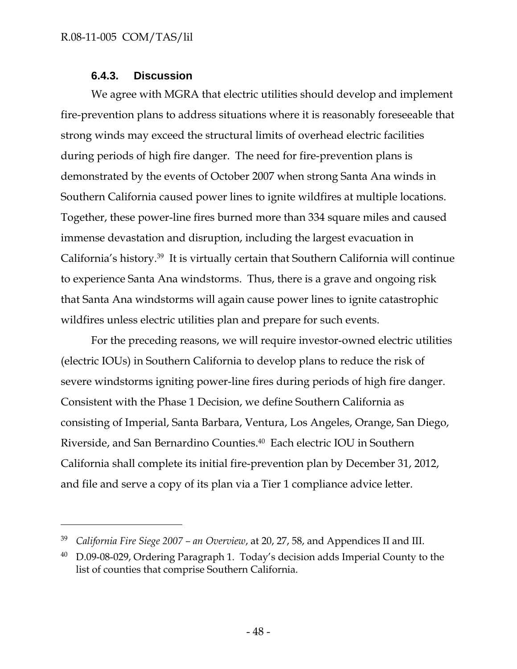$\overline{a}$ 

### **6.4.3. Discussion**

We agree with MGRA that electric utilities should develop and implement fire-prevention plans to address situations where it is reasonably foreseeable that strong winds may exceed the structural limits of overhead electric facilities during periods of high fire danger. The need for fire-prevention plans is demonstrated by the events of October 2007 when strong Santa Ana winds in Southern California caused power lines to ignite wildfires at multiple locations. Together, these power-line fires burned more than 334 square miles and caused immense devastation and disruption, including the largest evacuation in California's history.39 It is virtually certain that Southern California will continue to experience Santa Ana windstorms. Thus, there is a grave and ongoing risk that Santa Ana windstorms will again cause power lines to ignite catastrophic wildfires unless electric utilities plan and prepare for such events.

For the preceding reasons, we will require investor-owned electric utilities (electric IOUs) in Southern California to develop plans to reduce the risk of severe windstorms igniting power-line fires during periods of high fire danger. Consistent with the Phase 1 Decision, we define Southern California as consisting of Imperial, Santa Barbara, Ventura, Los Angeles, Orange, San Diego, Riverside, and San Bernardino Counties.40 Each electric IOU in Southern California shall complete its initial fire-prevention plan by December 31, 2012, and file and serve a copy of its plan via a Tier 1 compliance advice letter.

<sup>39</sup> *California Fire Siege 2007 – an Overview*, at 20, 27, 58, and Appendices II and III.

 $40$  D.09-08-029, Ordering Paragraph 1. Today's decision adds Imperial County to the list of counties that comprise Southern California.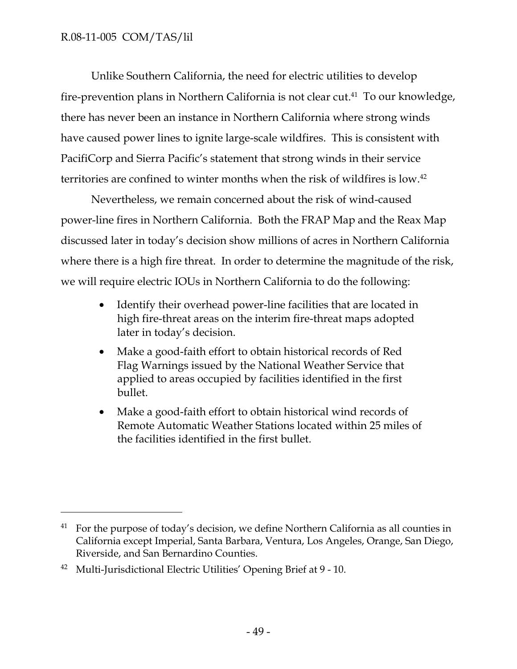Unlike Southern California, the need for electric utilities to develop fire-prevention plans in Northern California is not clear cut.<sup>41</sup> To our knowledge, there has never been an instance in Northern California where strong winds have caused power lines to ignite large-scale wildfires. This is consistent with PacifiCorp and Sierra Pacific's statement that strong winds in their service territories are confined to winter months when the risk of wildfires is low.42

Nevertheless, we remain concerned about the risk of wind-caused power-line fires in Northern California. Both the FRAP Map and the Reax Map discussed later in today's decision show millions of acres in Northern California where there is a high fire threat. In order to determine the magnitude of the risk, we will require electric IOUs in Northern California to do the following:

- Identify their overhead power-line facilities that are located in high fire-threat areas on the interim fire-threat maps adopted later in today's decision.
- Make a good-faith effort to obtain historical records of Red Flag Warnings issued by the National Weather Service that applied to areas occupied by facilities identified in the first bullet.
- Make a good-faith effort to obtain historical wind records of Remote Automatic Weather Stations located within 25 miles of the facilities identified in the first bullet.

-

 $41$  For the purpose of today's decision, we define Northern California as all counties in California except Imperial, Santa Barbara, Ventura, Los Angeles, Orange, San Diego, Riverside, and San Bernardino Counties.

<sup>&</sup>lt;sup>42</sup> Multi-Jurisdictional Electric Utilities' Opening Brief at  $9 - 10$ .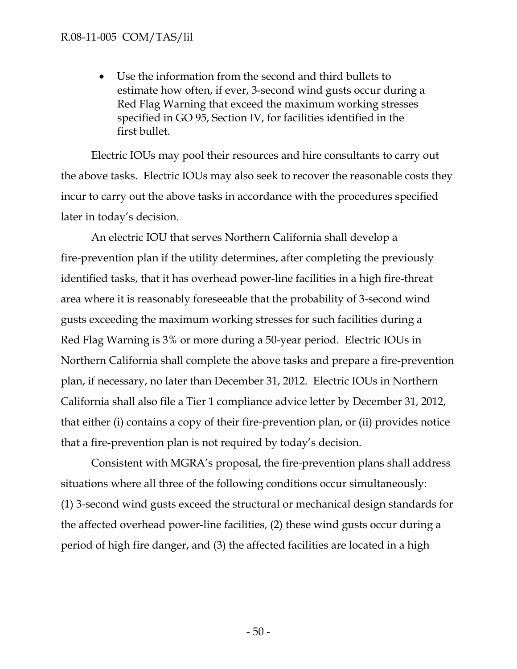• Use the information from the second and third bullets to estimate how often, if ever, 3-second wind gusts occur during a Red Flag Warning that exceed the maximum working stresses specified in GO 95, Section IV, for facilities identified in the first bullet.

Electric IOUs may pool their resources and hire consultants to carry out the above tasks. Electric IOUs may also seek to recover the reasonable costs they incur to carry out the above tasks in accordance with the procedures specified later in today's decision.

An electric IOU that serves Northern California shall develop a fire-prevention plan if the utility determines, after completing the previously identified tasks, that it has overhead power-line facilities in a high fire-threat area where it is reasonably foreseeable that the probability of 3-second wind gusts exceeding the maximum working stresses for such facilities during a Red Flag Warning is 3% or more during a 50-year period. Electric IOUs in Northern California shall complete the above tasks and prepare a fire-prevention plan, if necessary, no later than December 31, 2012. Electric IOUs in Northern California shall also file a Tier 1 compliance advice letter by December 31, 2012, that either (i) contains a copy of their fire-prevention plan, or (ii) provides notice that a fire-prevention plan is not required by today's decision.

Consistent with MGRA's proposal, the fire-prevention plans shall address situations where all three of the following conditions occur simultaneously: (1) 3-second wind gusts exceed the structural or mechanical design standards for the affected overhead power-line facilities, (2) these wind gusts occur during a period of high fire danger, and (3) the affected facilities are located in a high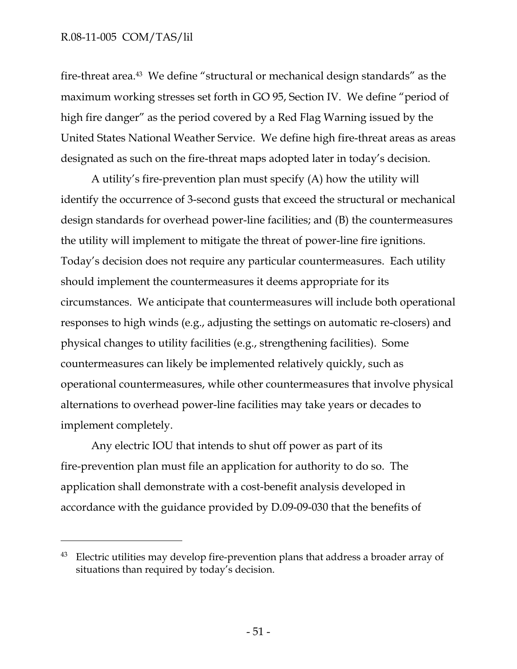-

fire-threat area.<sup>43</sup> We define "structural or mechanical design standards" as the maximum working stresses set forth in GO 95, Section IV. We define "period of high fire danger" as the period covered by a Red Flag Warning issued by the United States National Weather Service. We define high fire-threat areas as areas designated as such on the fire-threat maps adopted later in today's decision.

A utility's fire-prevention plan must specify (A) how the utility will identify the occurrence of 3-second gusts that exceed the structural or mechanical design standards for overhead power-line facilities; and (B) the countermeasures the utility will implement to mitigate the threat of power-line fire ignitions. Today's decision does not require any particular countermeasures. Each utility should implement the countermeasures it deems appropriate for its circumstances. We anticipate that countermeasures will include both operational responses to high winds (e.g., adjusting the settings on automatic re-closers) and physical changes to utility facilities (e.g., strengthening facilities). Some countermeasures can likely be implemented relatively quickly, such as operational countermeasures, while other countermeasures that involve physical alternations to overhead power-line facilities may take years or decades to implement completely.

Any electric IOU that intends to shut off power as part of its fire-prevention plan must file an application for authority to do so. The application shall demonstrate with a cost-benefit analysis developed in accordance with the guidance provided by D.09-09-030 that the benefits of

 $43$  Electric utilities may develop fire-prevention plans that address a broader array of situations than required by today's decision.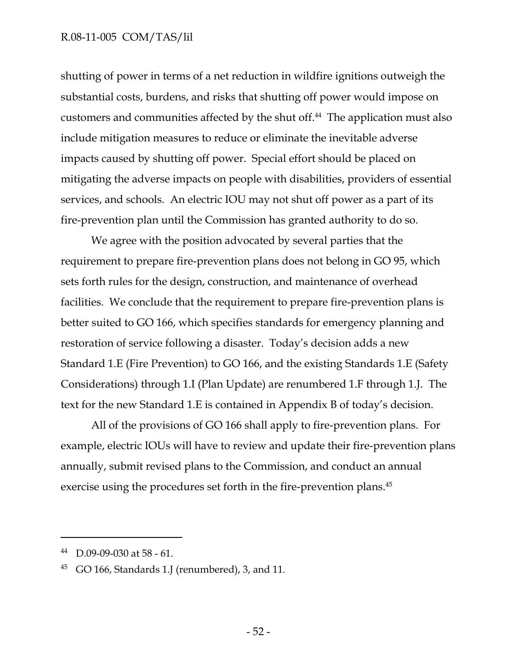shutting of power in terms of a net reduction in wildfire ignitions outweigh the substantial costs, burdens, and risks that shutting off power would impose on customers and communities affected by the shut off.<sup>44</sup> The application must also include mitigation measures to reduce or eliminate the inevitable adverse impacts caused by shutting off power. Special effort should be placed on mitigating the adverse impacts on people with disabilities, providers of essential services, and schools. An electric IOU may not shut off power as a part of its fire-prevention plan until the Commission has granted authority to do so.

We agree with the position advocated by several parties that the requirement to prepare fire-prevention plans does not belong in GO 95, which sets forth rules for the design, construction, and maintenance of overhead facilities. We conclude that the requirement to prepare fire-prevention plans is better suited to GO 166, which specifies standards for emergency planning and restoration of service following a disaster. Today's decision adds a new Standard 1.E (Fire Prevention) to GO 166, and the existing Standards 1.E (Safety Considerations) through 1.I (Plan Update) are renumbered 1.F through 1.J. The text for the new Standard 1.E is contained in Appendix B of today's decision.

All of the provisions of GO 166 shall apply to fire-prevention plans. For example, electric IOUs will have to review and update their fire-prevention plans annually, submit revised plans to the Commission, and conduct an annual exercise using the procedures set forth in the fire-prevention plans.<sup>45</sup>

<sup>44</sup> D.09-09-030 at 58 - 61.

GO 166, Standards 1.J (renumbered), 3, and 11.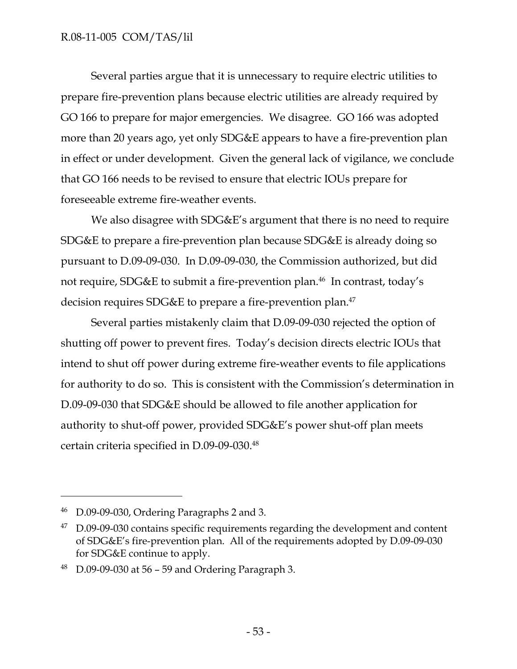Several parties argue that it is unnecessary to require electric utilities to prepare fire-prevention plans because electric utilities are already required by GO 166 to prepare for major emergencies. We disagree. GO 166 was adopted more than 20 years ago, yet only SDG&E appears to have a fire-prevention plan in effect or under development. Given the general lack of vigilance, we conclude that GO 166 needs to be revised to ensure that electric IOUs prepare for foreseeable extreme fire-weather events.

We also disagree with SDG&E's argument that there is no need to require SDG&E to prepare a fire-prevention plan because SDG&E is already doing so pursuant to D.09-09-030. In D.09-09-030, the Commission authorized, but did not require, SDG&E to submit a fire-prevention plan.<sup>46</sup> In contrast, today's decision requires SDG&E to prepare a fire-prevention plan.<sup>47</sup>

Several parties mistakenly claim that D.09-09-030 rejected the option of shutting off power to prevent fires. Today's decision directs electric IOUs that intend to shut off power during extreme fire-weather events to file applications for authority to do so. This is consistent with the Commission's determination in D.09-09-030 that SDG&E should be allowed to file another application for authority to shut-off power, provided SDG&E's power shut-off plan meets certain criteria specified in D.09-09-030.48

 $\overline{a}$ 

 $46$  D.09-09-030, Ordering Paragraphs 2 and 3.

 $47$  D.09-09-030 contains specific requirements regarding the development and content of SDG&E's fire-prevention plan. All of the requirements adopted by D.09-09-030 for SDG&E continue to apply.

 $48$  D.09-09-030 at 56 – 59 and Ordering Paragraph 3.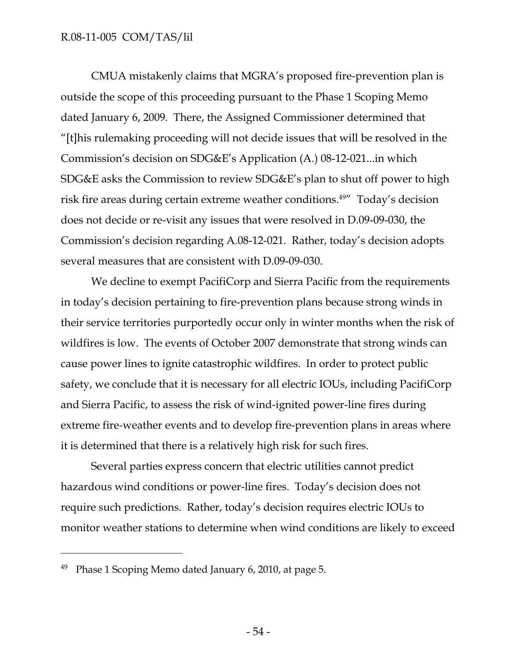CMUA mistakenly claims that MGRA's proposed fire-prevention plan is outside the scope of this proceeding pursuant to the Phase 1 Scoping Memo dated January 6, 2009. There, the Assigned Commissioner determined that "[t]his rulemaking proceeding will not decide issues that will be resolved in the Commission's decision on SDG&E's Application (A.) 08-12-021...in which SDG&E asks the Commission to review SDG&E's plan to shut off power to high risk fire areas during certain extreme weather conditions.49" Today's decision does not decide or re-visit any issues that were resolved in D.09-09-030, the Commission's decision regarding A.08-12-021. Rather, today's decision adopts several measures that are consistent with D.09-09-030.

We decline to exempt PacifiCorp and Sierra Pacific from the requirements in today's decision pertaining to fire-prevention plans because strong winds in their service territories purportedly occur only in winter months when the risk of wildfires is low. The events of October 2007 demonstrate that strong winds can cause power lines to ignite catastrophic wildfires. In order to protect public safety, we conclude that it is necessary for all electric IOUs, including PacifiCorp and Sierra Pacific, to assess the risk of wind-ignited power-line fires during extreme fire-weather events and to develop fire-prevention plans in areas where it is determined that there is a relatively high risk for such fires.

Several parties express concern that electric utilities cannot predict hazardous wind conditions or power-line fires. Today's decision does not require such predictions. Rather, today's decision requires electric IOUs to monitor weather stations to determine when wind conditions are likely to exceed

-

Phase 1 Scoping Memo dated January 6, 2010, at page 5.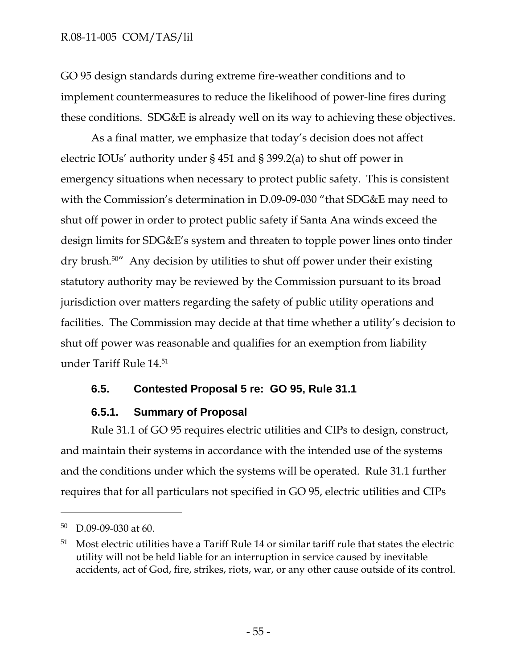GO 95 design standards during extreme fire-weather conditions and to implement countermeasures to reduce the likelihood of power-line fires during these conditions. SDG&E is already well on its way to achieving these objectives.

As a final matter, we emphasize that today's decision does not affect electric IOUs' authority under § 451 and § 399.2(a) to shut off power in emergency situations when necessary to protect public safety. This is consistent with the Commission's determination in D.09-09-030 "that SDG&E may need to shut off power in order to protect public safety if Santa Ana winds exceed the design limits for SDG&E's system and threaten to topple power lines onto tinder dry brush.50" Any decision by utilities to shut off power under their existing statutory authority may be reviewed by the Commission pursuant to its broad jurisdiction over matters regarding the safety of public utility operations and facilities. The Commission may decide at that time whether a utility's decision to shut off power was reasonable and qualifies for an exemption from liability under Tariff Rule 14.51

# **6.5. Contested Proposal 5 re: GO 95, Rule 31.1**

## **6.5.1. Summary of Proposal**

Rule 31.1 of GO 95 requires electric utilities and CIPs to design, construct, and maintain their systems in accordance with the intended use of the systems and the conditions under which the systems will be operated. Rule 31.1 further requires that for all particulars not specified in GO 95, electric utilities and CIPs

-

 $50$  D.09-09-030 at 60.

 $51$  Most electric utilities have a Tariff Rule 14 or similar tariff rule that states the electric utility will not be held liable for an interruption in service caused by inevitable accidents, act of God, fire, strikes, riots, war, or any other cause outside of its control.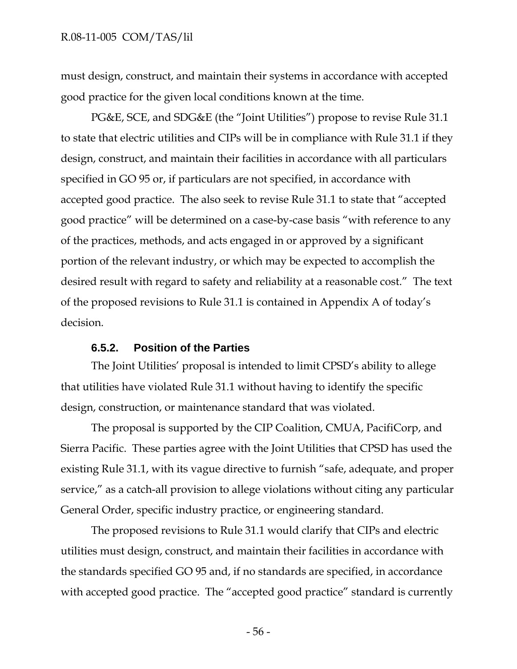must design, construct, and maintain their systems in accordance with accepted good practice for the given local conditions known at the time.

PG&E, SCE, and SDG&E (the "Joint Utilities") propose to revise Rule 31.1 to state that electric utilities and CIPs will be in compliance with Rule 31.1 if they design, construct, and maintain their facilities in accordance with all particulars specified in GO 95 or, if particulars are not specified, in accordance with accepted good practice. The also seek to revise Rule 31.1 to state that "accepted good practice" will be determined on a case-by-case basis "with reference to any of the practices, methods, and acts engaged in or approved by a significant portion of the relevant industry, or which may be expected to accomplish the desired result with regard to safety and reliability at a reasonable cost." The text of the proposed revisions to Rule 31.1 is contained in Appendix A of today's decision.

#### **6.5.2. Position of the Parties**

The Joint Utilities' proposal is intended to limit CPSD's ability to allege that utilities have violated Rule 31.1 without having to identify the specific design, construction, or maintenance standard that was violated.

The proposal is supported by the CIP Coalition, CMUA, PacifiCorp, and Sierra Pacific. These parties agree with the Joint Utilities that CPSD has used the existing Rule 31.1, with its vague directive to furnish "safe, adequate, and proper service," as a catch-all provision to allege violations without citing any particular General Order, specific industry practice, or engineering standard.

The proposed revisions to Rule 31.1 would clarify that CIPs and electric utilities must design, construct, and maintain their facilities in accordance with the standards specified GO 95 and, if no standards are specified, in accordance with accepted good practice. The "accepted good practice" standard is currently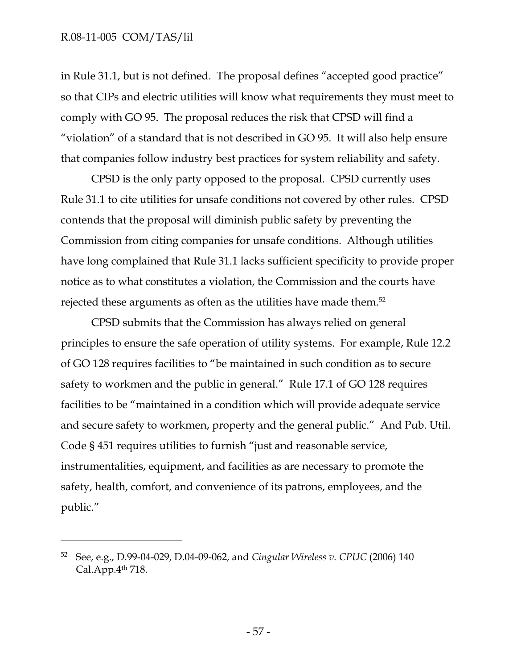$\overline{a}$ 

in Rule 31.1, but is not defined. The proposal defines "accepted good practice" so that CIPs and electric utilities will know what requirements they must meet to comply with GO 95. The proposal reduces the risk that CPSD will find a "violation" of a standard that is not described in GO 95. It will also help ensure that companies follow industry best practices for system reliability and safety.

CPSD is the only party opposed to the proposal. CPSD currently uses Rule 31.1 to cite utilities for unsafe conditions not covered by other rules. CPSD contends that the proposal will diminish public safety by preventing the Commission from citing companies for unsafe conditions. Although utilities have long complained that Rule 31.1 lacks sufficient specificity to provide proper notice as to what constitutes a violation, the Commission and the courts have rejected these arguments as often as the utilities have made them.<sup>52</sup>

CPSD submits that the Commission has always relied on general principles to ensure the safe operation of utility systems. For example, Rule 12.2 of GO 128 requires facilities to "be maintained in such condition as to secure safety to workmen and the public in general." Rule 17.1 of GO 128 requires facilities to be "maintained in a condition which will provide adequate service and secure safety to workmen, property and the general public." And Pub. Util. Code § 451 requires utilities to furnish "just and reasonable service, instrumentalities, equipment, and facilities as are necessary to promote the safety, health, comfort, and convenience of its patrons, employees, and the public."

<sup>52</sup> See, e.g., D.99-04-029, D.04-09-062, and *Cingular Wireless v. CPUC* (2006) 140 Cal.App.4th 718.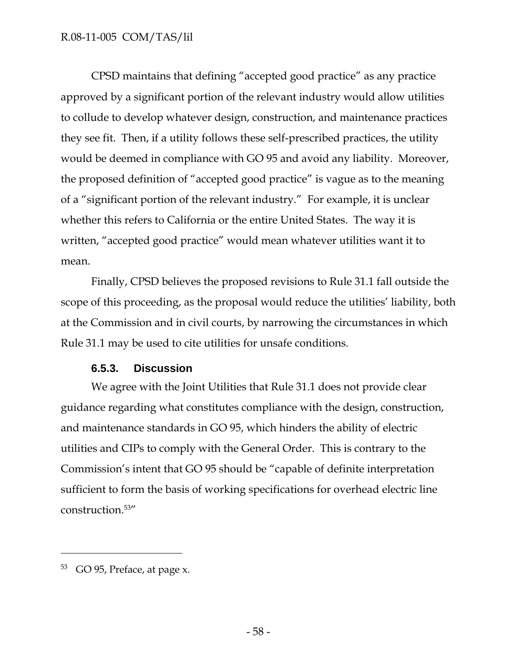CPSD maintains that defining "accepted good practice" as any practice approved by a significant portion of the relevant industry would allow utilities to collude to develop whatever design, construction, and maintenance practices they see fit. Then, if a utility follows these self-prescribed practices, the utility would be deemed in compliance with GO 95 and avoid any liability. Moreover, the proposed definition of "accepted good practice" is vague as to the meaning of a "significant portion of the relevant industry." For example, it is unclear whether this refers to California or the entire United States. The way it is written, "accepted good practice" would mean whatever utilities want it to mean.

Finally, CPSD believes the proposed revisions to Rule 31.1 fall outside the scope of this proceeding, as the proposal would reduce the utilities' liability, both at the Commission and in civil courts, by narrowing the circumstances in which Rule 31.1 may be used to cite utilities for unsafe conditions.

## **6.5.3. Discussion**

We agree with the Joint Utilities that Rule 31.1 does not provide clear guidance regarding what constitutes compliance with the design, construction, and maintenance standards in GO 95, which hinders the ability of electric utilities and CIPs to comply with the General Order. This is contrary to the Commission's intent that GO 95 should be "capable of definite interpretation sufficient to form the basis of working specifications for overhead electric line construction.53"

-

 $53$  GO 95, Preface, at page x.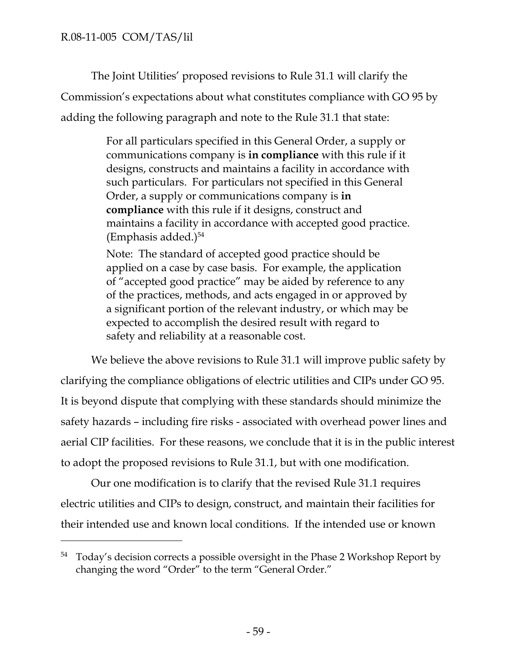$\overline{a}$ 

The Joint Utilities' proposed revisions to Rule 31.1 will clarify the Commission's expectations about what constitutes compliance with GO 95 by adding the following paragraph and note to the Rule 31.1 that state:

> For all particulars specified in this General Order, a supply or communications company is **in compliance** with this rule if it designs, constructs and maintains a facility in accordance with such particulars. For particulars not specified in this General Order, a supply or communications company is **in compliance** with this rule if it designs, construct and maintains a facility in accordance with accepted good practice. (Emphasis added.) $54$

> Note: The standard of accepted good practice should be applied on a case by case basis. For example, the application of "accepted good practice" may be aided by reference to any of the practices, methods, and acts engaged in or approved by a significant portion of the relevant industry, or which may be expected to accomplish the desired result with regard to safety and reliability at a reasonable cost.

We believe the above revisions to Rule 31.1 will improve public safety by clarifying the compliance obligations of electric utilities and CIPs under GO 95. It is beyond dispute that complying with these standards should minimize the safety hazards – including fire risks - associated with overhead power lines and aerial CIP facilities. For these reasons, we conclude that it is in the public interest to adopt the proposed revisions to Rule 31.1, but with one modification.

Our one modification is to clarify that the revised Rule 31.1 requires electric utilities and CIPs to design, construct, and maintain their facilities for their intended use and known local conditions. If the intended use or known

<sup>54</sup> Today's decision corrects a possible oversight in the Phase 2 Workshop Report by changing the word "Order" to the term "General Order."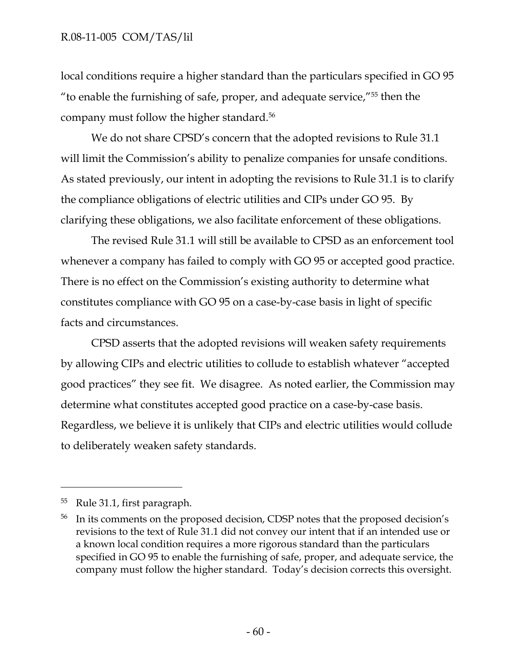local conditions require a higher standard than the particulars specified in GO 95 "to enable the furnishing of safe, proper, and adequate service,"55 then the company must follow the higher standard.56

We do not share CPSD's concern that the adopted revisions to Rule 31.1 will limit the Commission's ability to penalize companies for unsafe conditions. As stated previously, our intent in adopting the revisions to Rule 31.1 is to clarify the compliance obligations of electric utilities and CIPs under GO 95. By clarifying these obligations, we also facilitate enforcement of these obligations.

The revised Rule 31.1 will still be available to CPSD as an enforcement tool whenever a company has failed to comply with GO 95 or accepted good practice. There is no effect on the Commission's existing authority to determine what constitutes compliance with GO 95 on a case-by-case basis in light of specific facts and circumstances.

CPSD asserts that the adopted revisions will weaken safety requirements by allowing CIPs and electric utilities to collude to establish whatever "accepted good practices" they see fit. We disagree. As noted earlier, the Commission may determine what constitutes accepted good practice on a case-by-case basis. Regardless, we believe it is unlikely that CIPs and electric utilities would collude to deliberately weaken safety standards.

 $\overline{a}$ 

<sup>55</sup> Rule 31.1, first paragraph.

<sup>56</sup> In its comments on the proposed decision, CDSP notes that the proposed decision's revisions to the text of Rule 31.1 did not convey our intent that if an intended use or a known local condition requires a more rigorous standard than the particulars specified in GO 95 to enable the furnishing of safe, proper, and adequate service, the company must follow the higher standard. Today's decision corrects this oversight.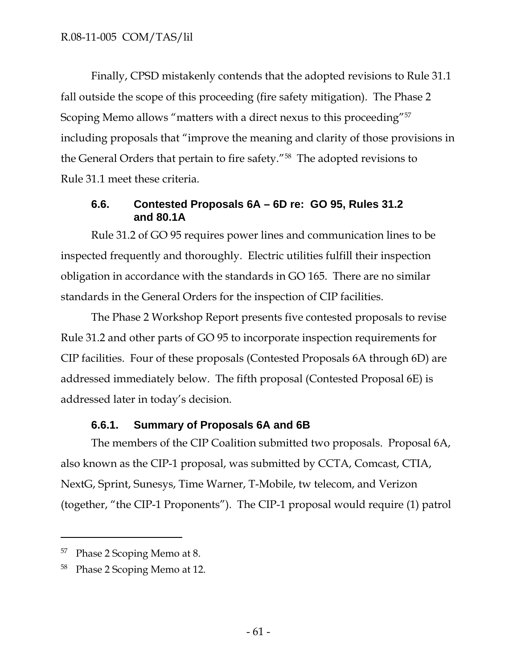Finally, CPSD mistakenly contends that the adopted revisions to Rule 31.1 fall outside the scope of this proceeding (fire safety mitigation). The Phase 2 Scoping Memo allows "matters with a direct nexus to this proceeding"<sup>57</sup> including proposals that "improve the meaning and clarity of those provisions in the General Orders that pertain to fire safety."58 The adopted revisions to Rule 31.1 meet these criteria.

# **6.6. Contested Proposals 6A – 6D re: GO 95, Rules 31.2 and 80.1A**

Rule 31.2 of GO 95 requires power lines and communication lines to be inspected frequently and thoroughly. Electric utilities fulfill their inspection obligation in accordance with the standards in GO 165. There are no similar standards in the General Orders for the inspection of CIP facilities.

The Phase 2 Workshop Report presents five contested proposals to revise Rule 31.2 and other parts of GO 95 to incorporate inspection requirements for CIP facilities. Four of these proposals (Contested Proposals 6A through 6D) are addressed immediately below. The fifth proposal (Contested Proposal 6E) is addressed later in today's decision.

# **6.6.1. Summary of Proposals 6A and 6B**

The members of the CIP Coalition submitted two proposals. Proposal 6A, also known as the CIP-1 proposal, was submitted by CCTA, Comcast, CTIA, NextG, Sprint, Sunesys, Time Warner, T-Mobile, tw telecom, and Verizon (together, "the CIP-1 Proponents"). The CIP-1 proposal would require (1) patrol

-

<sup>57</sup> Phase 2 Scoping Memo at 8.

<sup>58</sup> Phase 2 Scoping Memo at 12.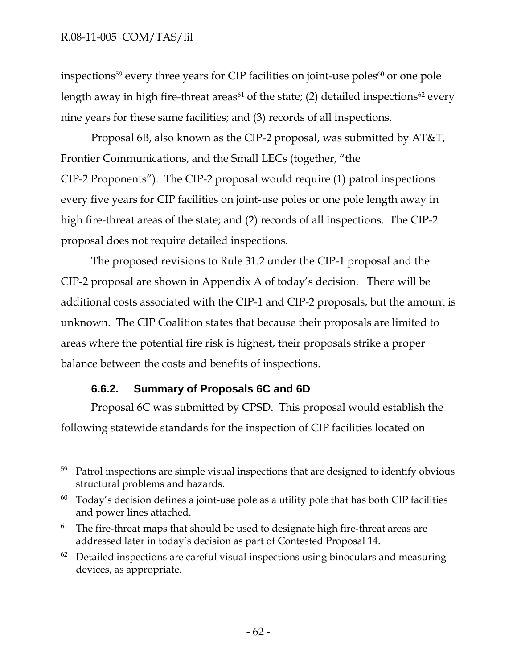$\overline{a}$ 

inspections<sup>59</sup> every three years for CIP facilities on joint-use poles<sup>60</sup> or one pole length away in high fire-threat areas<sup>61</sup> of the state; (2) detailed inspections<sup>62</sup> every nine years for these same facilities; and (3) records of all inspections.

Proposal 6B, also known as the CIP-2 proposal, was submitted by AT&T, Frontier Communications, and the Small LECs (together, "the CIP-2 Proponents"). The CIP-2 proposal would require (1) patrol inspections every five years for CIP facilities on joint-use poles or one pole length away in high fire-threat areas of the state; and (2) records of all inspections. The CIP-2 proposal does not require detailed inspections.

The proposed revisions to Rule 31.2 under the CIP-1 proposal and the CIP-2 proposal are shown in Appendix A of today's decision. There will be additional costs associated with the CIP-1 and CIP-2 proposals, but the amount is unknown. The CIP Coalition states that because their proposals are limited to areas where the potential fire risk is highest, their proposals strike a proper balance between the costs and benefits of inspections.

# **6.6.2. Summary of Proposals 6C and 6D**

Proposal 6C was submitted by CPSD. This proposal would establish the following statewide standards for the inspection of CIP facilities located on

<sup>&</sup>lt;sup>59</sup> Patrol inspections are simple visual inspections that are designed to identify obvious structural problems and hazards.

 $60$  Today's decision defines a joint-use pole as a utility pole that has both CIP facilities and power lines attached.

 $61$  The fire-threat maps that should be used to designate high fire-threat areas are addressed later in today's decision as part of Contested Proposal 14.

 $62$  Detailed inspections are careful visual inspections using binoculars and measuring devices, as appropriate.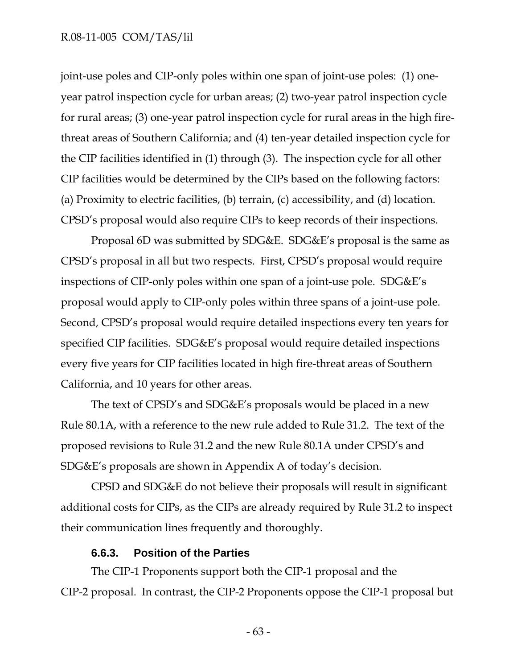joint-use poles and CIP-only poles within one span of joint-use poles: (1) oneyear patrol inspection cycle for urban areas; (2) two-year patrol inspection cycle for rural areas; (3) one-year patrol inspection cycle for rural areas in the high firethreat areas of Southern California; and (4) ten-year detailed inspection cycle for the CIP facilities identified in (1) through (3). The inspection cycle for all other CIP facilities would be determined by the CIPs based on the following factors: (a) Proximity to electric facilities, (b) terrain, (c) accessibility, and (d) location. CPSD's proposal would also require CIPs to keep records of their inspections.

Proposal 6D was submitted by SDG&E. SDG&E's proposal is the same as CPSD's proposal in all but two respects. First, CPSD's proposal would require inspections of CIP-only poles within one span of a joint-use pole. SDG&E's proposal would apply to CIP-only poles within three spans of a joint-use pole. Second, CPSD's proposal would require detailed inspections every ten years for specified CIP facilities. SDG&E's proposal would require detailed inspections every five years for CIP facilities located in high fire-threat areas of Southern California, and 10 years for other areas.

The text of CPSD's and SDG&E's proposals would be placed in a new Rule 80.1A, with a reference to the new rule added to Rule 31.2. The text of the proposed revisions to Rule 31.2 and the new Rule 80.1A under CPSD's and SDG&E's proposals are shown in Appendix A of today's decision.

CPSD and SDG&E do not believe their proposals will result in significant additional costs for CIPs, as the CIPs are already required by Rule 31.2 to inspect their communication lines frequently and thoroughly.

#### **6.6.3. Position of the Parties**

The CIP-1 Proponents support both the CIP-1 proposal and the CIP-2 proposal. In contrast, the CIP-2 Proponents oppose the CIP-1 proposal but

- 63 -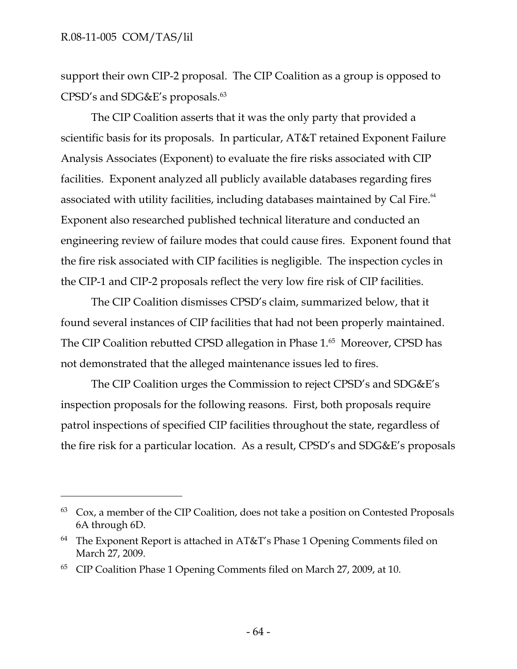-

support their own CIP-2 proposal. The CIP Coalition as a group is opposed to CPSD's and SDG&E's proposals.<sup>63</sup>

The CIP Coalition asserts that it was the only party that provided a scientific basis for its proposals. In particular, AT&T retained Exponent Failure Analysis Associates (Exponent) to evaluate the fire risks associated with CIP facilities. Exponent analyzed all publicly available databases regarding fires associated with utility facilities, including databases maintained by Cal Fire. $64$ Exponent also researched published technical literature and conducted an engineering review of failure modes that could cause fires. Exponent found that the fire risk associated with CIP facilities is negligible. The inspection cycles in the CIP-1 and CIP-2 proposals reflect the very low fire risk of CIP facilities.

The CIP Coalition dismisses CPSD's claim, summarized below, that it found several instances of CIP facilities that had not been properly maintained. The CIP Coalition rebutted CPSD allegation in Phase 1.<sup>65</sup> Moreover, CPSD has not demonstrated that the alleged maintenance issues led to fires.

The CIP Coalition urges the Commission to reject CPSD's and SDG&E's inspection proposals for the following reasons. First, both proposals require patrol inspections of specified CIP facilities throughout the state, regardless of the fire risk for a particular location. As a result, CPSD's and SDG&E's proposals

 $63$  Cox, a member of the CIP Coalition, does not take a position on Contested Proposals 6A through 6D.

<sup>&</sup>lt;sup>64</sup> The Exponent Report is attached in AT&T's Phase 1 Opening Comments filed on March 27, 2009.

<sup>65</sup> CIP Coalition Phase 1 Opening Comments filed on March 27, 2009, at 10.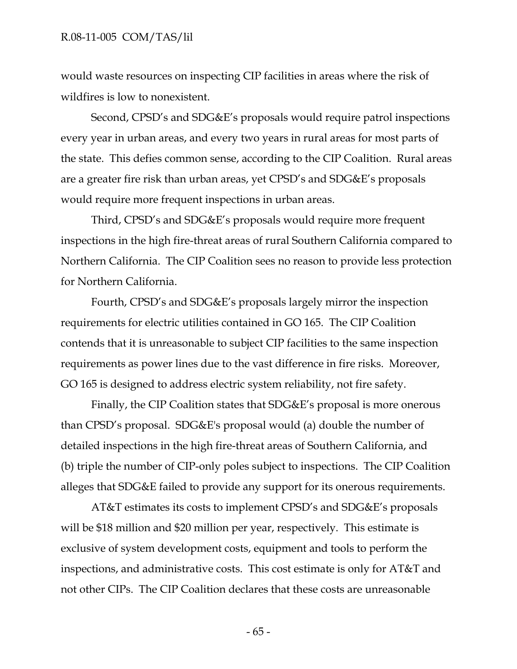would waste resources on inspecting CIP facilities in areas where the risk of wildfires is low to nonexistent.

Second, CPSD's and SDG&E's proposals would require patrol inspections every year in urban areas, and every two years in rural areas for most parts of the state. This defies common sense, according to the CIP Coalition. Rural areas are a greater fire risk than urban areas, yet CPSD's and SDG&E's proposals would require more frequent inspections in urban areas.

Third, CPSD's and SDG&E's proposals would require more frequent inspections in the high fire-threat areas of rural Southern California compared to Northern California. The CIP Coalition sees no reason to provide less protection for Northern California.

Fourth, CPSD's and SDG&E's proposals largely mirror the inspection requirements for electric utilities contained in GO 165. The CIP Coalition contends that it is unreasonable to subject CIP facilities to the same inspection requirements as power lines due to the vast difference in fire risks. Moreover, GO 165 is designed to address electric system reliability, not fire safety.

Finally, the CIP Coalition states that SDG&E's proposal is more onerous than CPSD's proposal. SDG&E's proposal would (a) double the number of detailed inspections in the high fire-threat areas of Southern California, and (b) triple the number of CIP-only poles subject to inspections. The CIP Coalition alleges that SDG&E failed to provide any support for its onerous requirements.

AT&T estimates its costs to implement CPSD's and SDG&E's proposals will be \$18 million and \$20 million per year, respectively. This estimate is exclusive of system development costs, equipment and tools to perform the inspections, and administrative costs. This cost estimate is only for AT&T and not other CIPs. The CIP Coalition declares that these costs are unreasonable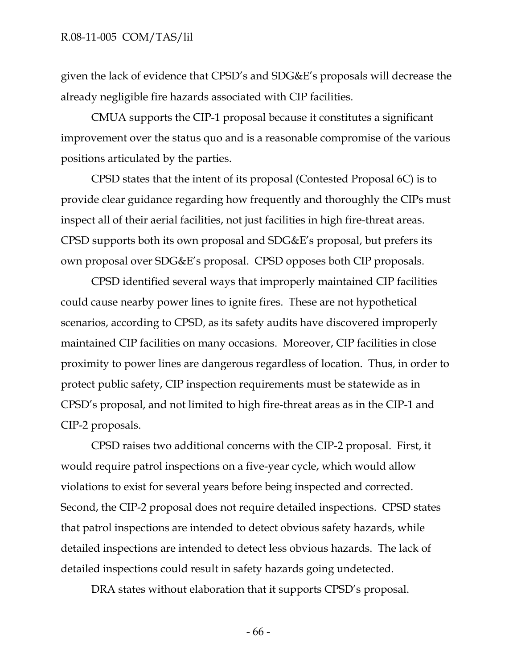given the lack of evidence that CPSD's and SDG&E's proposals will decrease the already negligible fire hazards associated with CIP facilities.

CMUA supports the CIP-1 proposal because it constitutes a significant improvement over the status quo and is a reasonable compromise of the various positions articulated by the parties.

CPSD states that the intent of its proposal (Contested Proposal 6C) is to provide clear guidance regarding how frequently and thoroughly the CIPs must inspect all of their aerial facilities, not just facilities in high fire-threat areas. CPSD supports both its own proposal and SDG&E's proposal, but prefers its own proposal over SDG&E's proposal. CPSD opposes both CIP proposals.

CPSD identified several ways that improperly maintained CIP facilities could cause nearby power lines to ignite fires. These are not hypothetical scenarios, according to CPSD, as its safety audits have discovered improperly maintained CIP facilities on many occasions. Moreover, CIP facilities in close proximity to power lines are dangerous regardless of location. Thus, in order to protect public safety, CIP inspection requirements must be statewide as in CPSD's proposal, and not limited to high fire-threat areas as in the CIP-1 and CIP-2 proposals.

CPSD raises two additional concerns with the CIP-2 proposal. First, it would require patrol inspections on a five-year cycle, which would allow violations to exist for several years before being inspected and corrected. Second, the CIP-2 proposal does not require detailed inspections. CPSD states that patrol inspections are intended to detect obvious safety hazards, while detailed inspections are intended to detect less obvious hazards. The lack of detailed inspections could result in safety hazards going undetected.

DRA states without elaboration that it supports CPSD's proposal.

- 66 -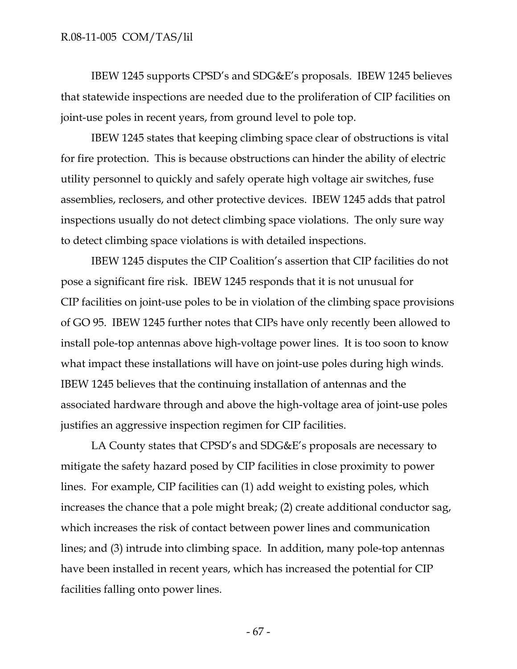IBEW 1245 supports CPSD's and SDG&E's proposals. IBEW 1245 believes that statewide inspections are needed due to the proliferation of CIP facilities on joint-use poles in recent years, from ground level to pole top.

IBEW 1245 states that keeping climbing space clear of obstructions is vital for fire protection. This is because obstructions can hinder the ability of electric utility personnel to quickly and safely operate high voltage air switches, fuse assemblies, reclosers, and other protective devices. IBEW 1245 adds that patrol inspections usually do not detect climbing space violations. The only sure way to detect climbing space violations is with detailed inspections.

IBEW 1245 disputes the CIP Coalition's assertion that CIP facilities do not pose a significant fire risk. IBEW 1245 responds that it is not unusual for CIP facilities on joint-use poles to be in violation of the climbing space provisions of GO 95. IBEW 1245 further notes that CIPs have only recently been allowed to install pole-top antennas above high-voltage power lines. It is too soon to know what impact these installations will have on joint-use poles during high winds. IBEW 1245 believes that the continuing installation of antennas and the associated hardware through and above the high-voltage area of joint-use poles justifies an aggressive inspection regimen for CIP facilities.

LA County states that CPSD's and SDG&E's proposals are necessary to mitigate the safety hazard posed by CIP facilities in close proximity to power lines. For example, CIP facilities can (1) add weight to existing poles, which increases the chance that a pole might break; (2) create additional conductor sag, which increases the risk of contact between power lines and communication lines; and (3) intrude into climbing space. In addition, many pole-top antennas have been installed in recent years, which has increased the potential for CIP facilities falling onto power lines.

- 67 -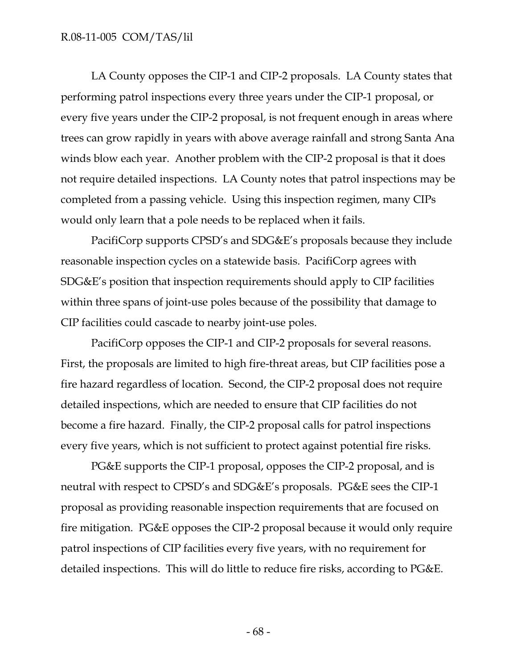LA County opposes the CIP-1 and CIP-2 proposals. LA County states that performing patrol inspections every three years under the CIP-1 proposal, or every five years under the CIP-2 proposal, is not frequent enough in areas where trees can grow rapidly in years with above average rainfall and strong Santa Ana winds blow each year. Another problem with the CIP-2 proposal is that it does not require detailed inspections. LA County notes that patrol inspections may be completed from a passing vehicle. Using this inspection regimen, many CIPs would only learn that a pole needs to be replaced when it fails.

PacifiCorp supports CPSD's and SDG&E's proposals because they include reasonable inspection cycles on a statewide basis. PacifiCorp agrees with SDG&E's position that inspection requirements should apply to CIP facilities within three spans of joint-use poles because of the possibility that damage to CIP facilities could cascade to nearby joint-use poles.

PacifiCorp opposes the CIP-1 and CIP-2 proposals for several reasons. First, the proposals are limited to high fire-threat areas, but CIP facilities pose a fire hazard regardless of location. Second, the CIP-2 proposal does not require detailed inspections, which are needed to ensure that CIP facilities do not become a fire hazard. Finally, the CIP-2 proposal calls for patrol inspections every five years, which is not sufficient to protect against potential fire risks.

PG&E supports the CIP-1 proposal, opposes the CIP-2 proposal, and is neutral with respect to CPSD's and SDG&E's proposals. PG&E sees the CIP-1 proposal as providing reasonable inspection requirements that are focused on fire mitigation. PG&E opposes the CIP-2 proposal because it would only require patrol inspections of CIP facilities every five years, with no requirement for detailed inspections. This will do little to reduce fire risks, according to PG&E.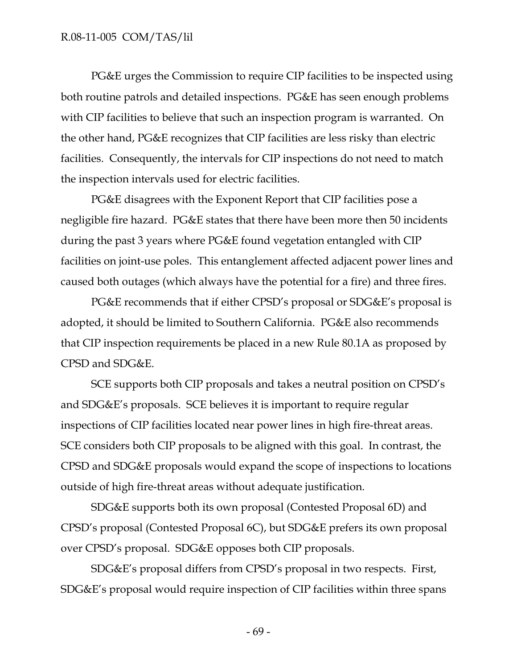PG&E urges the Commission to require CIP facilities to be inspected using both routine patrols and detailed inspections. PG&E has seen enough problems with CIP facilities to believe that such an inspection program is warranted. On the other hand, PG&E recognizes that CIP facilities are less risky than electric facilities. Consequently, the intervals for CIP inspections do not need to match the inspection intervals used for electric facilities.

PG&E disagrees with the Exponent Report that CIP facilities pose a negligible fire hazard. PG&E states that there have been more then 50 incidents during the past 3 years where PG&E found vegetation entangled with CIP facilities on joint-use poles. This entanglement affected adjacent power lines and caused both outages (which always have the potential for a fire) and three fires.

PG&E recommends that if either CPSD's proposal or SDG&E's proposal is adopted, it should be limited to Southern California. PG&E also recommends that CIP inspection requirements be placed in a new Rule 80.1A as proposed by CPSD and SDG&E.

SCE supports both CIP proposals and takes a neutral position on CPSD's and SDG&E's proposals. SCE believes it is important to require regular inspections of CIP facilities located near power lines in high fire-threat areas. SCE considers both CIP proposals to be aligned with this goal. In contrast, the CPSD and SDG&E proposals would expand the scope of inspections to locations outside of high fire-threat areas without adequate justification.

SDG&E supports both its own proposal (Contested Proposal 6D) and CPSD's proposal (Contested Proposal 6C), but SDG&E prefers its own proposal over CPSD's proposal. SDG&E opposes both CIP proposals.

SDG&E's proposal differs from CPSD's proposal in two respects. First, SDG&E's proposal would require inspection of CIP facilities within three spans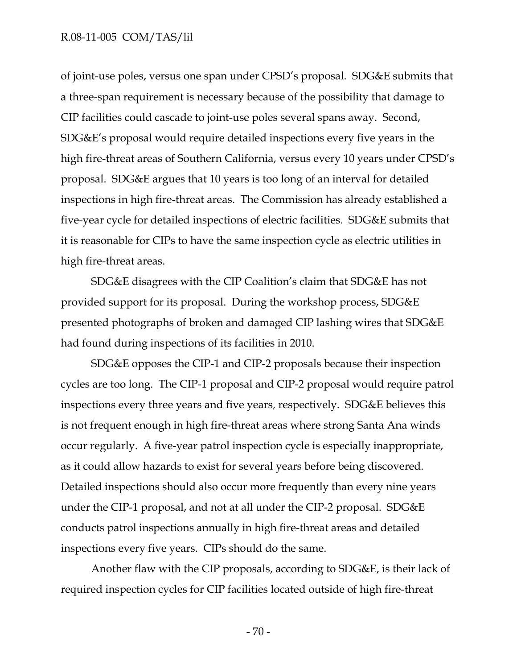of joint-use poles, versus one span under CPSD's proposal. SDG&E submits that a three-span requirement is necessary because of the possibility that damage to CIP facilities could cascade to joint-use poles several spans away. Second, SDG&E's proposal would require detailed inspections every five years in the high fire-threat areas of Southern California, versus every 10 years under CPSD's proposal. SDG&E argues that 10 years is too long of an interval for detailed inspections in high fire-threat areas. The Commission has already established a five-year cycle for detailed inspections of electric facilities. SDG&E submits that it is reasonable for CIPs to have the same inspection cycle as electric utilities in high fire-threat areas.

SDG&E disagrees with the CIP Coalition's claim that SDG&E has not provided support for its proposal. During the workshop process, SDG&E presented photographs of broken and damaged CIP lashing wires that SDG&E had found during inspections of its facilities in 2010.

SDG&E opposes the CIP-1 and CIP-2 proposals because their inspection cycles are too long. The CIP-1 proposal and CIP-2 proposal would require patrol inspections every three years and five years, respectively. SDG&E believes this is not frequent enough in high fire-threat areas where strong Santa Ana winds occur regularly. A five-year patrol inspection cycle is especially inappropriate, as it could allow hazards to exist for several years before being discovered. Detailed inspections should also occur more frequently than every nine years under the CIP-1 proposal, and not at all under the CIP-2 proposal. SDG&E conducts patrol inspections annually in high fire-threat areas and detailed inspections every five years. CIPs should do the same.

Another flaw with the CIP proposals, according to SDG&E, is their lack of required inspection cycles for CIP facilities located outside of high fire-threat

- 70 -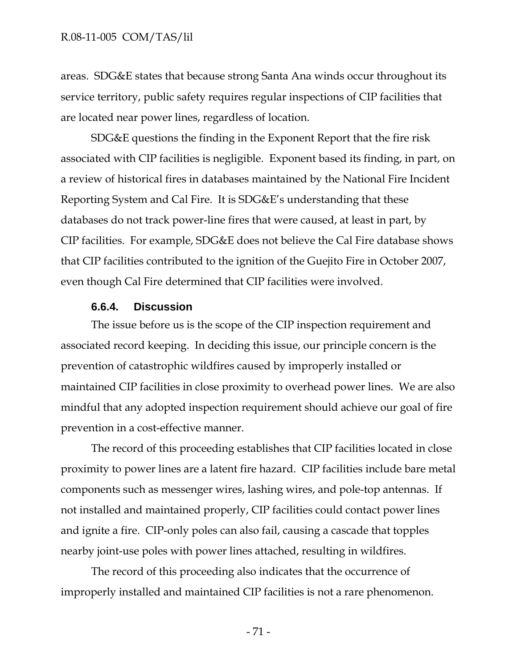areas. SDG&E states that because strong Santa Ana winds occur throughout its service territory, public safety requires regular inspections of CIP facilities that are located near power lines, regardless of location.

SDG&E questions the finding in the Exponent Report that the fire risk associated with CIP facilities is negligible. Exponent based its finding, in part, on a review of historical fires in databases maintained by the National Fire Incident Reporting System and Cal Fire. It is SDG&E's understanding that these databases do not track power-line fires that were caused, at least in part, by CIP facilities. For example, SDG&E does not believe the Cal Fire database shows that CIP facilities contributed to the ignition of the Guejito Fire in October 2007, even though Cal Fire determined that CIP facilities were involved.

### **6.6.4. Discussion**

The issue before us is the scope of the CIP inspection requirement and associated record keeping. In deciding this issue, our principle concern is the prevention of catastrophic wildfires caused by improperly installed or maintained CIP facilities in close proximity to overhead power lines. We are also mindful that any adopted inspection requirement should achieve our goal of fire prevention in a cost-effective manner.

The record of this proceeding establishes that CIP facilities located in close proximity to power lines are a latent fire hazard. CIP facilities include bare metal components such as messenger wires, lashing wires, and pole-top antennas. If not installed and maintained properly, CIP facilities could contact power lines and ignite a fire. CIP-only poles can also fail, causing a cascade that topples nearby joint-use poles with power lines attached, resulting in wildfires.

The record of this proceeding also indicates that the occurrence of improperly installed and maintained CIP facilities is not a rare phenomenon.

- 71 -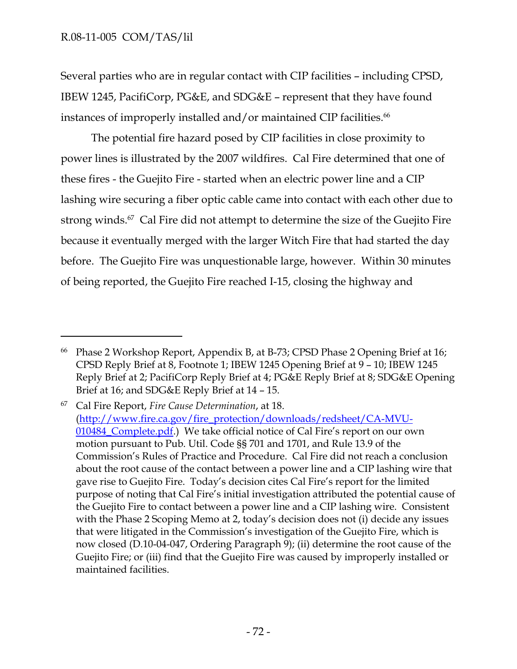Several parties who are in regular contact with CIP facilities – including CPSD, IBEW 1245, PacifiCorp, PG&E, and SDG&E – represent that they have found instances of improperly installed and/or maintained CIP facilities.<sup>66</sup>

The potential fire hazard posed by CIP facilities in close proximity to power lines is illustrated by the 2007 wildfires. Cal Fire determined that one of these fires - the Guejito Fire - started when an electric power line and a CIP lashing wire securing a fiber optic cable came into contact with each other due to strong winds.<sup>67</sup> Cal Fire did not attempt to determine the size of the Guejito Fire because it eventually merged with the larger Witch Fire that had started the day before. The Guejito Fire was unquestionable large, however. Within 30 minutes of being reported, the Guejito Fire reached I-15, closing the highway and

<sup>&</sup>lt;sup>66</sup> Phase 2 Workshop Report, Appendix B, at B-73; CPSD Phase 2 Opening Brief at 16; CPSD Reply Brief at 8, Footnote 1; IBEW 1245 Opening Brief at 9 – 10; IBEW 1245 Reply Brief at 2; PacifiCorp Reply Brief at 4; PG&E Reply Brief at 8; SDG&E Opening Brief at 16; and SDG&E Reply Brief at 14 – 15.

<sup>67</sup> Cal Fire Report, *Fire Cause Determination*, at 18. (http://www.fire.ca.gov/fire\_protection/downloads/redsheet/CA-MVU-010484\_Complete.pdf.) We take official notice of Cal Fire's report on our own motion pursuant to Pub. Util. Code §§ 701 and 1701, and Rule 13.9 of the Commission's Rules of Practice and Procedure. Cal Fire did not reach a conclusion about the root cause of the contact between a power line and a CIP lashing wire that gave rise to Guejito Fire. Today's decision cites Cal Fire's report for the limited purpose of noting that Cal Fire's initial investigation attributed the potential cause of the Guejito Fire to contact between a power line and a CIP lashing wire. Consistent with the Phase 2 Scoping Memo at 2, today's decision does not (i) decide any issues that were litigated in the Commission's investigation of the Guejito Fire, which is now closed (D.10-04-047, Ordering Paragraph 9); (ii) determine the root cause of the Guejito Fire; or (iii) find that the Guejito Fire was caused by improperly installed or maintained facilities.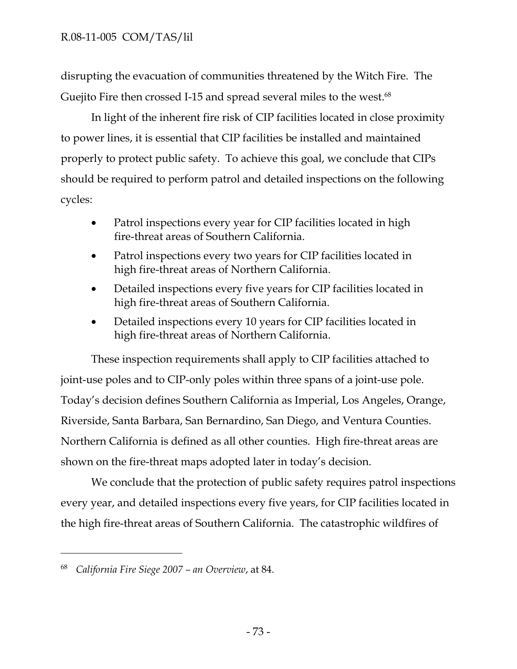disrupting the evacuation of communities threatened by the Witch Fire. The Guejito Fire then crossed I-15 and spread several miles to the west.<sup>68</sup>

In light of the inherent fire risk of CIP facilities located in close proximity to power lines, it is essential that CIP facilities be installed and maintained properly to protect public safety. To achieve this goal, we conclude that CIPs should be required to perform patrol and detailed inspections on the following cycles:

- Patrol inspections every year for CIP facilities located in high fire-threat areas of Southern California.
- Patrol inspections every two years for CIP facilities located in high fire-threat areas of Northern California.
- Detailed inspections every five years for CIP facilities located in high fire-threat areas of Southern California.
- Detailed inspections every 10 years for CIP facilities located in high fire-threat areas of Northern California.

These inspection requirements shall apply to CIP facilities attached to joint-use poles and to CIP-only poles within three spans of a joint-use pole. Today's decision defines Southern California as Imperial, Los Angeles, Orange, Riverside, Santa Barbara, San Bernardino, San Diego, and Ventura Counties. Northern California is defined as all other counties. High fire-threat areas are shown on the fire-threat maps adopted later in today's decision.

We conclude that the protection of public safety requires patrol inspections every year, and detailed inspections every five years, for CIP facilities located in the high fire-threat areas of Southern California. The catastrophic wildfires of

-

<sup>68</sup> *California Fire Siege 2007 – an Overview*, at 84.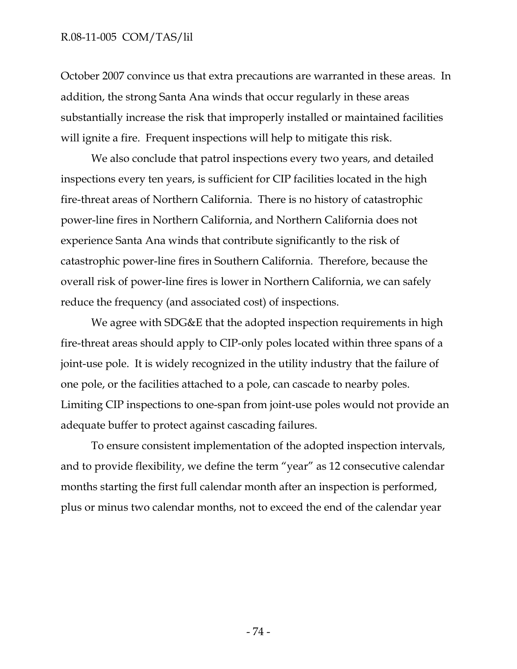### R.08-11-005 COM/TAS/lil

October 2007 convince us that extra precautions are warranted in these areas. In addition, the strong Santa Ana winds that occur regularly in these areas substantially increase the risk that improperly installed or maintained facilities will ignite a fire. Frequent inspections will help to mitigate this risk.

We also conclude that patrol inspections every two years, and detailed inspections every ten years, is sufficient for CIP facilities located in the high fire-threat areas of Northern California. There is no history of catastrophic power-line fires in Northern California, and Northern California does not experience Santa Ana winds that contribute significantly to the risk of catastrophic power-line fires in Southern California. Therefore, because the overall risk of power-line fires is lower in Northern California, we can safely reduce the frequency (and associated cost) of inspections.

We agree with SDG&E that the adopted inspection requirements in high fire-threat areas should apply to CIP-only poles located within three spans of a joint-use pole. It is widely recognized in the utility industry that the failure of one pole, or the facilities attached to a pole, can cascade to nearby poles. Limiting CIP inspections to one-span from joint-use poles would not provide an adequate buffer to protect against cascading failures.

To ensure consistent implementation of the adopted inspection intervals, and to provide flexibility, we define the term "year" as 12 consecutive calendar months starting the first full calendar month after an inspection is performed, plus or minus two calendar months, not to exceed the end of the calendar year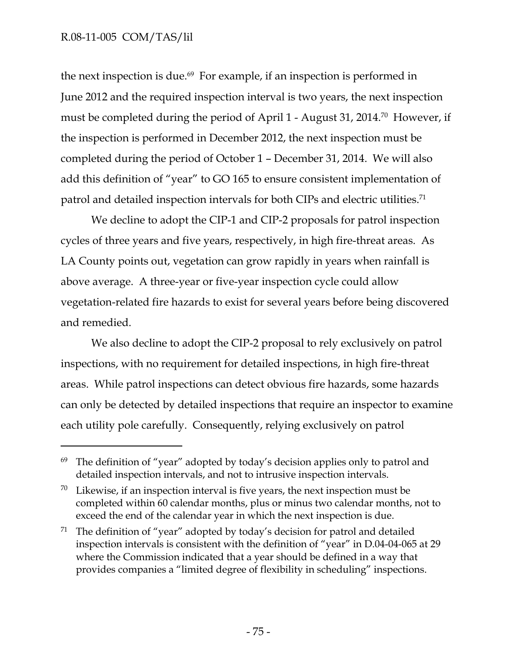$\overline{a}$ 

the next inspection is due. $69$  For example, if an inspection is performed in June 2012 and the required inspection interval is two years, the next inspection must be completed during the period of April 1 - August 31, 2014.<sup>70</sup> However, if the inspection is performed in December 2012, the next inspection must be completed during the period of October 1 – December 31, 2014. We will also add this definition of "year" to GO 165 to ensure consistent implementation of patrol and detailed inspection intervals for both CIPs and electric utilities.71

We decline to adopt the CIP-1 and CIP-2 proposals for patrol inspection cycles of three years and five years, respectively, in high fire-threat areas. As LA County points out, vegetation can grow rapidly in years when rainfall is above average. A three-year or five-year inspection cycle could allow vegetation-related fire hazards to exist for several years before being discovered and remedied.

We also decline to adopt the CIP-2 proposal to rely exclusively on patrol inspections, with no requirement for detailed inspections, in high fire-threat areas. While patrol inspections can detect obvious fire hazards, some hazards can only be detected by detailed inspections that require an inspector to examine each utility pole carefully. Consequently, relying exclusively on patrol

 $69$  The definition of "year" adopted by today's decision applies only to patrol and detailed inspection intervals, and not to intrusive inspection intervals.

 $70$  Likewise, if an inspection interval is five years, the next inspection must be completed within 60 calendar months, plus or minus two calendar months, not to exceed the end of the calendar year in which the next inspection is due.

 $71$  The definition of "year" adopted by today's decision for patrol and detailed inspection intervals is consistent with the definition of "year" in D.04-04-065 at 29 where the Commission indicated that a year should be defined in a way that provides companies a "limited degree of flexibility in scheduling" inspections.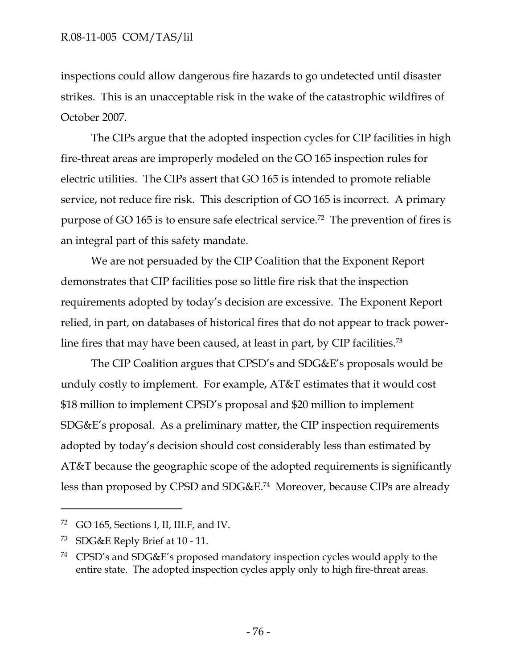inspections could allow dangerous fire hazards to go undetected until disaster strikes. This is an unacceptable risk in the wake of the catastrophic wildfires of October 2007.

The CIPs argue that the adopted inspection cycles for CIP facilities in high fire-threat areas are improperly modeled on the GO 165 inspection rules for electric utilities. The CIPs assert that GO 165 is intended to promote reliable service, not reduce fire risk. This description of GO 165 is incorrect. A primary purpose of GO 165 is to ensure safe electrical service.72 The prevention of fires is an integral part of this safety mandate.

We are not persuaded by the CIP Coalition that the Exponent Report demonstrates that CIP facilities pose so little fire risk that the inspection requirements adopted by today's decision are excessive. The Exponent Report relied, in part, on databases of historical fires that do not appear to track powerline fires that may have been caused, at least in part, by CIP facilities.<sup>73</sup>

The CIP Coalition argues that CPSD's and SDG&E's proposals would be unduly costly to implement. For example, AT&T estimates that it would cost \$18 million to implement CPSD's proposal and \$20 million to implement SDG&E's proposal. As a preliminary matter, the CIP inspection requirements adopted by today's decision should cost considerably less than estimated by AT&T because the geographic scope of the adopted requirements is significantly less than proposed by CPSD and SDG&E.74 Moreover, because CIPs are already

-

 $72$  GO 165, Sections I, II, III.F, and IV.

<sup>&</sup>lt;sup>73</sup> SDG&E Reply Brief at  $10 - 11$ .

<sup>&</sup>lt;sup>74</sup> CPSD's and SDG&E's proposed mandatory inspection cycles would apply to the entire state. The adopted inspection cycles apply only to high fire-threat areas.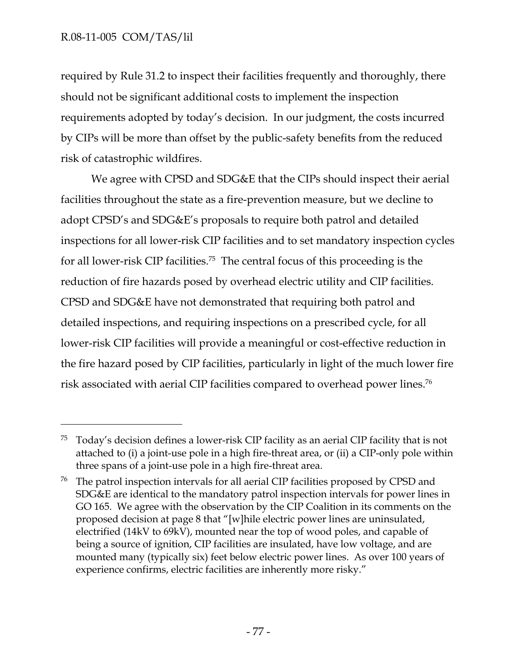$\overline{a}$ 

required by Rule 31.2 to inspect their facilities frequently and thoroughly, there should not be significant additional costs to implement the inspection requirements adopted by today's decision. In our judgment, the costs incurred by CIPs will be more than offset by the public-safety benefits from the reduced risk of catastrophic wildfires.

We agree with CPSD and SDG&E that the CIPs should inspect their aerial facilities throughout the state as a fire-prevention measure, but we decline to adopt CPSD's and SDG&E's proposals to require both patrol and detailed inspections for all lower-risk CIP facilities and to set mandatory inspection cycles for all lower-risk CIP facilities.75 The central focus of this proceeding is the reduction of fire hazards posed by overhead electric utility and CIP facilities. CPSD and SDG&E have not demonstrated that requiring both patrol and detailed inspections, and requiring inspections on a prescribed cycle, for all lower-risk CIP facilities will provide a meaningful or cost-effective reduction in the fire hazard posed by CIP facilities, particularly in light of the much lower fire risk associated with aerial CIP facilities compared to overhead power lines.76

 $75$  Today's decision defines a lower-risk CIP facility as an aerial CIP facility that is not attached to (i) a joint-use pole in a high fire-threat area, or (ii) a CIP-only pole within three spans of a joint-use pole in a high fire-threat area.

<sup>76</sup> The patrol inspection intervals for all aerial CIP facilities proposed by CPSD and SDG&E are identical to the mandatory patrol inspection intervals for power lines in GO 165. We agree with the observation by the CIP Coalition in its comments on the proposed decision at page 8 that "[w]hile electric power lines are uninsulated, electrified (14kV to 69kV), mounted near the top of wood poles, and capable of being a source of ignition, CIP facilities are insulated, have low voltage, and are mounted many (typically six) feet below electric power lines. As over 100 years of experience confirms, electric facilities are inherently more risky."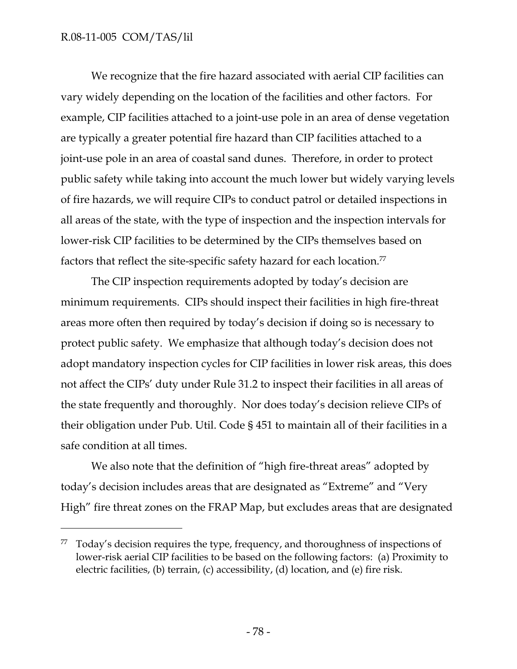We recognize that the fire hazard associated with aerial CIP facilities can vary widely depending on the location of the facilities and other factors. For example, CIP facilities attached to a joint-use pole in an area of dense vegetation are typically a greater potential fire hazard than CIP facilities attached to a joint-use pole in an area of coastal sand dunes. Therefore, in order to protect public safety while taking into account the much lower but widely varying levels of fire hazards, we will require CIPs to conduct patrol or detailed inspections in all areas of the state, with the type of inspection and the inspection intervals for lower-risk CIP facilities to be determined by the CIPs themselves based on factors that reflect the site-specific safety hazard for each location.<sup>77</sup>

The CIP inspection requirements adopted by today's decision are minimum requirements. CIPs should inspect their facilities in high fire-threat areas more often then required by today's decision if doing so is necessary to protect public safety. We emphasize that although today's decision does not adopt mandatory inspection cycles for CIP facilities in lower risk areas, this does not affect the CIPs' duty under Rule 31.2 to inspect their facilities in all areas of the state frequently and thoroughly. Nor does today's decision relieve CIPs of their obligation under Pub. Util. Code § 451 to maintain all of their facilities in a safe condition at all times.

We also note that the definition of "high fire-threat areas" adopted by today's decision includes areas that are designated as "Extreme" and "Very High" fire threat zones on the FRAP Map, but excludes areas that are designated

 $77$  Today's decision requires the type, frequency, and thoroughness of inspections of lower-risk aerial CIP facilities to be based on the following factors: (a) Proximity to electric facilities, (b) terrain, (c) accessibility, (d) location, and (e) fire risk.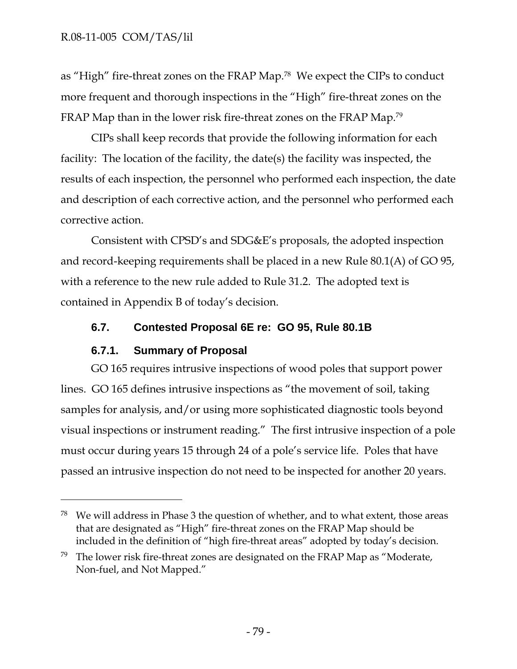as "High" fire-threat zones on the FRAP Map.78 We expect the CIPs to conduct more frequent and thorough inspections in the "High" fire-threat zones on the FRAP Map than in the lower risk fire-threat zones on the FRAP Map.<sup>79</sup>

CIPs shall keep records that provide the following information for each facility: The location of the facility, the date(s) the facility was inspected, the results of each inspection, the personnel who performed each inspection, the date and description of each corrective action, and the personnel who performed each corrective action.

Consistent with CPSD's and SDG&E's proposals, the adopted inspection and record-keeping requirements shall be placed in a new Rule 80.1(A) of GO 95, with a reference to the new rule added to Rule 31.2. The adopted text is contained in Appendix B of today's decision.

# **6.7. Contested Proposal 6E re: GO 95, Rule 80.1B**

# **6.7.1. Summary of Proposal**

-

GO 165 requires intrusive inspections of wood poles that support power lines. GO 165 defines intrusive inspections as "the movement of soil, taking samples for analysis, and/or using more sophisticated diagnostic tools beyond visual inspections or instrument reading." The first intrusive inspection of a pole must occur during years 15 through 24 of a pole's service life. Poles that have passed an intrusive inspection do not need to be inspected for another 20 years.

 $78$  We will address in Phase 3 the question of whether, and to what extent, those areas that are designated as "High" fire-threat zones on the FRAP Map should be included in the definition of "high fire-threat areas" adopted by today's decision.

<sup>&</sup>lt;sup>79</sup> The lower risk fire-threat zones are designated on the FRAP Map as "Moderate, Non-fuel, and Not Mapped."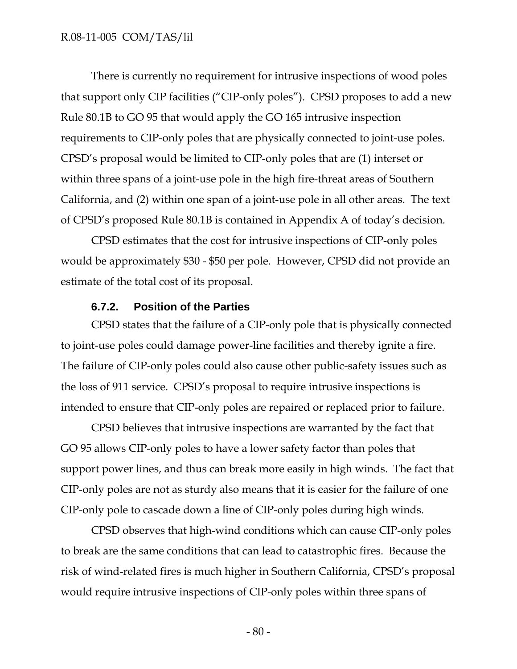There is currently no requirement for intrusive inspections of wood poles that support only CIP facilities ("CIP-only poles"). CPSD proposes to add a new Rule 80.1B to GO 95 that would apply the GO 165 intrusive inspection requirements to CIP-only poles that are physically connected to joint-use poles. CPSD's proposal would be limited to CIP-only poles that are (1) interset or within three spans of a joint-use pole in the high fire-threat areas of Southern California, and (2) within one span of a joint-use pole in all other areas. The text of CPSD's proposed Rule 80.1B is contained in Appendix A of today's decision.

CPSD estimates that the cost for intrusive inspections of CIP-only poles would be approximately \$30 - \$50 per pole. However, CPSD did not provide an estimate of the total cost of its proposal.

### **6.7.2. Position of the Parties**

CPSD states that the failure of a CIP-only pole that is physically connected to joint-use poles could damage power-line facilities and thereby ignite a fire. The failure of CIP-only poles could also cause other public-safety issues such as the loss of 911 service. CPSD's proposal to require intrusive inspections is intended to ensure that CIP-only poles are repaired or replaced prior to failure.

CPSD believes that intrusive inspections are warranted by the fact that GO 95 allows CIP-only poles to have a lower safety factor than poles that support power lines, and thus can break more easily in high winds. The fact that CIP-only poles are not as sturdy also means that it is easier for the failure of one CIP-only pole to cascade down a line of CIP-only poles during high winds.

CPSD observes that high-wind conditions which can cause CIP-only poles to break are the same conditions that can lead to catastrophic fires. Because the risk of wind-related fires is much higher in Southern California, CPSD's proposal would require intrusive inspections of CIP-only poles within three spans of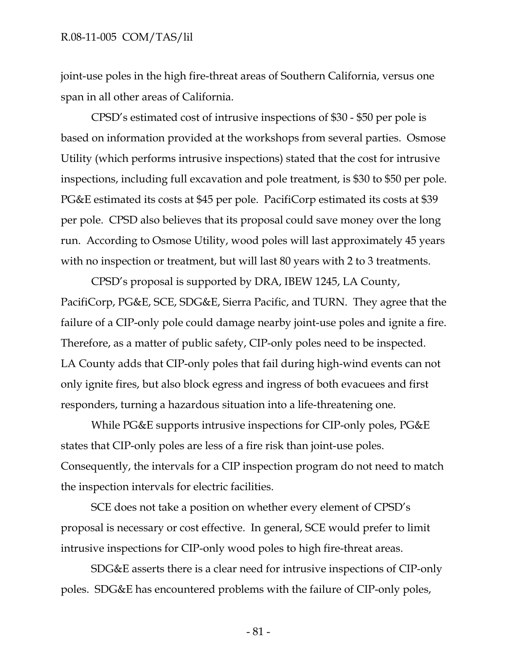joint-use poles in the high fire-threat areas of Southern California, versus one span in all other areas of California.

CPSD's estimated cost of intrusive inspections of \$30 - \$50 per pole is based on information provided at the workshops from several parties. Osmose Utility (which performs intrusive inspections) stated that the cost for intrusive inspections, including full excavation and pole treatment, is \$30 to \$50 per pole. PG&E estimated its costs at \$45 per pole. PacifiCorp estimated its costs at \$39 per pole. CPSD also believes that its proposal could save money over the long run. According to Osmose Utility, wood poles will last approximately 45 years with no inspection or treatment, but will last 80 years with 2 to 3 treatments.

CPSD's proposal is supported by DRA, IBEW 1245, LA County, PacifiCorp, PG&E, SCE, SDG&E, Sierra Pacific, and TURN. They agree that the failure of a CIP-only pole could damage nearby joint-use poles and ignite a fire. Therefore, as a matter of public safety, CIP-only poles need to be inspected. LA County adds that CIP-only poles that fail during high-wind events can not only ignite fires, but also block egress and ingress of both evacuees and first responders, turning a hazardous situation into a life-threatening one.

While PG&E supports intrusive inspections for CIP-only poles, PG&E states that CIP-only poles are less of a fire risk than joint-use poles. Consequently, the intervals for a CIP inspection program do not need to match the inspection intervals for electric facilities.

SCE does not take a position on whether every element of CPSD's proposal is necessary or cost effective. In general, SCE would prefer to limit intrusive inspections for CIP-only wood poles to high fire-threat areas.

SDG&E asserts there is a clear need for intrusive inspections of CIP-only poles. SDG&E has encountered problems with the failure of CIP-only poles,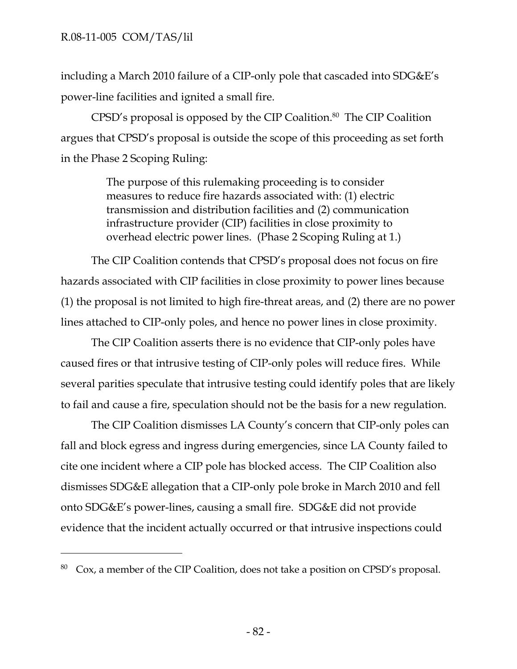-

including a March 2010 failure of a CIP-only pole that cascaded into SDG&E's power-line facilities and ignited a small fire.

CPSD's proposal is opposed by the CIP Coalition.<sup>80</sup> The CIP Coalition argues that CPSD's proposal is outside the scope of this proceeding as set forth in the Phase 2 Scoping Ruling:

> The purpose of this rulemaking proceeding is to consider measures to reduce fire hazards associated with: (1) electric transmission and distribution facilities and (2) communication infrastructure provider (CIP) facilities in close proximity to overhead electric power lines. (Phase 2 Scoping Ruling at 1.)

The CIP Coalition contends that CPSD's proposal does not focus on fire hazards associated with CIP facilities in close proximity to power lines because (1) the proposal is not limited to high fire-threat areas, and (2) there are no power lines attached to CIP-only poles, and hence no power lines in close proximity.

The CIP Coalition asserts there is no evidence that CIP-only poles have caused fires or that intrusive testing of CIP-only poles will reduce fires. While several parities speculate that intrusive testing could identify poles that are likely to fail and cause a fire, speculation should not be the basis for a new regulation.

The CIP Coalition dismisses LA County's concern that CIP-only poles can fall and block egress and ingress during emergencies, since LA County failed to cite one incident where a CIP pole has blocked access. The CIP Coalition also dismisses SDG&E allegation that a CIP-only pole broke in March 2010 and fell onto SDG&E's power-lines, causing a small fire. SDG&E did not provide evidence that the incident actually occurred or that intrusive inspections could

 $80\degree$  Cox, a member of the CIP Coalition, does not take a position on CPSD's proposal.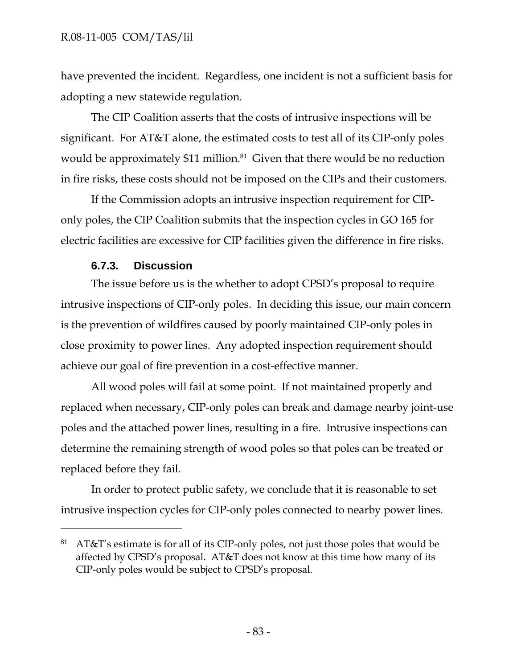have prevented the incident. Regardless, one incident is not a sufficient basis for adopting a new statewide regulation.

The CIP Coalition asserts that the costs of intrusive inspections will be significant. For AT&T alone, the estimated costs to test all of its CIP-only poles would be approximately \$11 million.<sup>81</sup> Given that there would be no reduction in fire risks, these costs should not be imposed on the CIPs and their customers.

If the Commission adopts an intrusive inspection requirement for CIPonly poles, the CIP Coalition submits that the inspection cycles in GO 165 for electric facilities are excessive for CIP facilities given the difference in fire risks.

# **6.7.3. Discussion**

The issue before us is the whether to adopt CPSD's proposal to require intrusive inspections of CIP-only poles. In deciding this issue, our main concern is the prevention of wildfires caused by poorly maintained CIP-only poles in close proximity to power lines. Any adopted inspection requirement should achieve our goal of fire prevention in a cost-effective manner.

All wood poles will fail at some point. If not maintained properly and replaced when necessary, CIP-only poles can break and damage nearby joint-use poles and the attached power lines, resulting in a fire. Intrusive inspections can determine the remaining strength of wood poles so that poles can be treated or replaced before they fail.

In order to protect public safety, we conclude that it is reasonable to set intrusive inspection cycles for CIP-only poles connected to nearby power lines.

 $81$  AT&T's estimate is for all of its CIP-only poles, not just those poles that would be affected by CPSD's proposal. AT&T does not know at this time how many of its CIP-only poles would be subject to CPSD's proposal.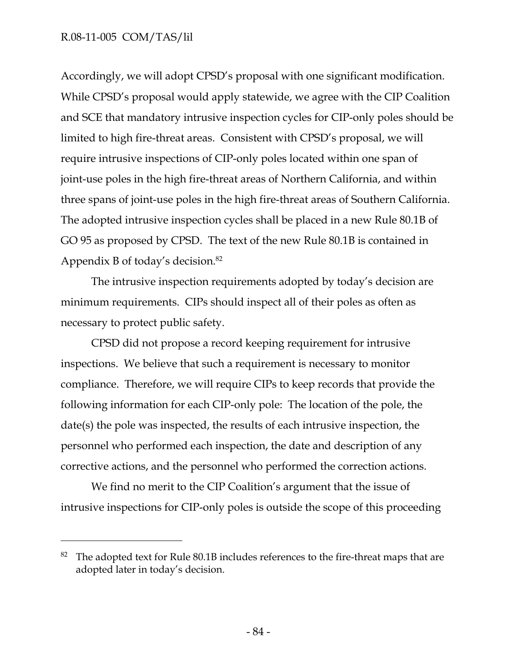-

Accordingly, we will adopt CPSD's proposal with one significant modification. While CPSD's proposal would apply statewide, we agree with the CIP Coalition and SCE that mandatory intrusive inspection cycles for CIP-only poles should be limited to high fire-threat areas. Consistent with CPSD's proposal, we will require intrusive inspections of CIP-only poles located within one span of joint-use poles in the high fire-threat areas of Northern California, and within three spans of joint-use poles in the high fire-threat areas of Southern California. The adopted intrusive inspection cycles shall be placed in a new Rule 80.1B of GO 95 as proposed by CPSD. The text of the new Rule 80.1B is contained in Appendix B of today's decision.82

The intrusive inspection requirements adopted by today's decision are minimum requirements. CIPs should inspect all of their poles as often as necessary to protect public safety.

CPSD did not propose a record keeping requirement for intrusive inspections. We believe that such a requirement is necessary to monitor compliance. Therefore, we will require CIPs to keep records that provide the following information for each CIP-only pole: The location of the pole, the date(s) the pole was inspected, the results of each intrusive inspection, the personnel who performed each inspection, the date and description of any corrective actions, and the personnel who performed the correction actions.

We find no merit to the CIP Coalition's argument that the issue of intrusive inspections for CIP-only poles is outside the scope of this proceeding

 $82$  The adopted text for Rule 80.1B includes references to the fire-threat maps that are adopted later in today's decision.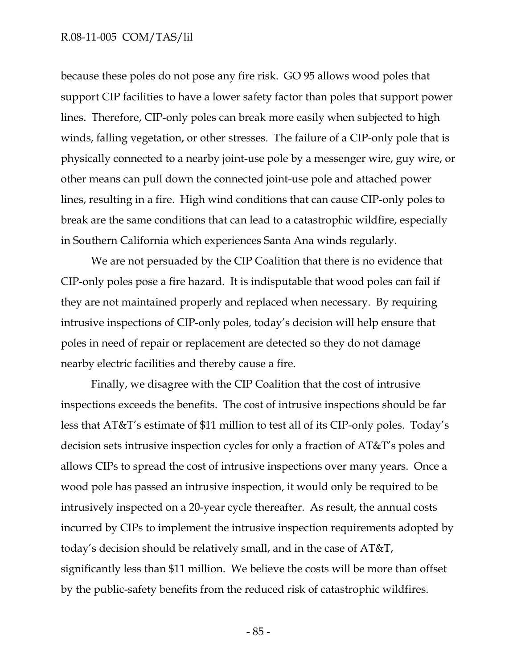#### R.08-11-005 COM/TAS/lil

because these poles do not pose any fire risk. GO 95 allows wood poles that support CIP facilities to have a lower safety factor than poles that support power lines. Therefore, CIP-only poles can break more easily when subjected to high winds, falling vegetation, or other stresses. The failure of a CIP-only pole that is physically connected to a nearby joint-use pole by a messenger wire, guy wire, or other means can pull down the connected joint-use pole and attached power lines, resulting in a fire. High wind conditions that can cause CIP-only poles to break are the same conditions that can lead to a catastrophic wildfire, especially in Southern California which experiences Santa Ana winds regularly.

We are not persuaded by the CIP Coalition that there is no evidence that CIP-only poles pose a fire hazard. It is indisputable that wood poles can fail if they are not maintained properly and replaced when necessary. By requiring intrusive inspections of CIP-only poles, today's decision will help ensure that poles in need of repair or replacement are detected so they do not damage nearby electric facilities and thereby cause a fire.

Finally, we disagree with the CIP Coalition that the cost of intrusive inspections exceeds the benefits. The cost of intrusive inspections should be far less that AT&T's estimate of \$11 million to test all of its CIP-only poles. Today's decision sets intrusive inspection cycles for only a fraction of AT&T's poles and allows CIPs to spread the cost of intrusive inspections over many years. Once a wood pole has passed an intrusive inspection, it would only be required to be intrusively inspected on a 20-year cycle thereafter. As result, the annual costs incurred by CIPs to implement the intrusive inspection requirements adopted by today's decision should be relatively small, and in the case of AT&T, significantly less than \$11 million. We believe the costs will be more than offset by the public-safety benefits from the reduced risk of catastrophic wildfires.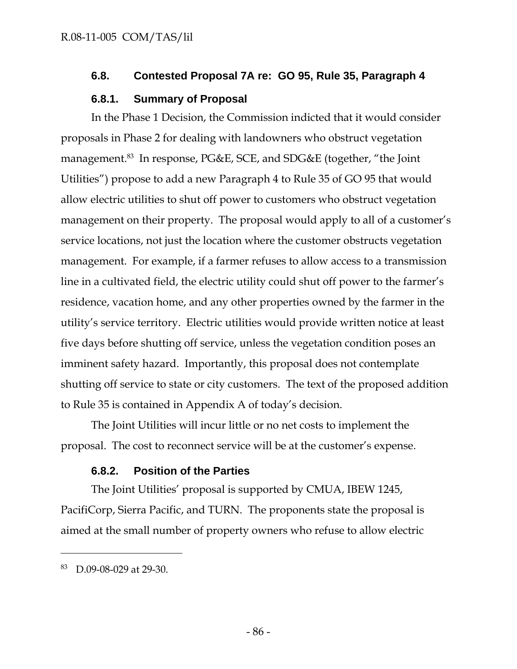## **6.8. Contested Proposal 7A re: GO 95, Rule 35, Paragraph 4**

## **6.8.1. Summary of Proposal**

In the Phase 1 Decision, the Commission indicted that it would consider proposals in Phase 2 for dealing with landowners who obstruct vegetation management.83 In response, PG&E, SCE, and SDG&E (together, "the Joint Utilities") propose to add a new Paragraph 4 to Rule 35 of GO 95 that would allow electric utilities to shut off power to customers who obstruct vegetation management on their property. The proposal would apply to all of a customer's service locations, not just the location where the customer obstructs vegetation management. For example, if a farmer refuses to allow access to a transmission line in a cultivated field, the electric utility could shut off power to the farmer's residence, vacation home, and any other properties owned by the farmer in the utility's service territory. Electric utilities would provide written notice at least five days before shutting off service, unless the vegetation condition poses an imminent safety hazard. Importantly, this proposal does not contemplate shutting off service to state or city customers. The text of the proposed addition to Rule 35 is contained in Appendix A of today's decision.

The Joint Utilities will incur little or no net costs to implement the proposal. The cost to reconnect service will be at the customer's expense.

### **6.8.2. Position of the Parties**

The Joint Utilities' proposal is supported by CMUA, IBEW 1245, PacifiCorp, Sierra Pacific, and TURN. The proponents state the proposal is aimed at the small number of property owners who refuse to allow electric

-

<sup>83</sup> D.09-08-029 at 29-30.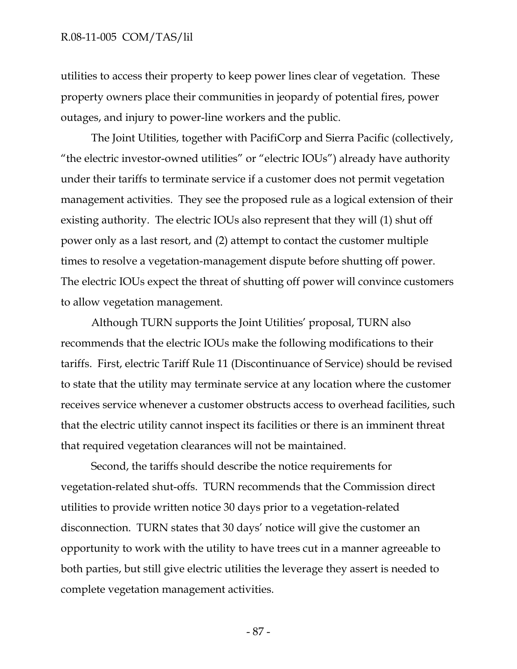utilities to access their property to keep power lines clear of vegetation. These property owners place their communities in jeopardy of potential fires, power outages, and injury to power-line workers and the public.

The Joint Utilities, together with PacifiCorp and Sierra Pacific (collectively, "the electric investor-owned utilities" or "electric IOUs") already have authority under their tariffs to terminate service if a customer does not permit vegetation management activities. They see the proposed rule as a logical extension of their existing authority. The electric IOUs also represent that they will (1) shut off power only as a last resort, and (2) attempt to contact the customer multiple times to resolve a vegetation-management dispute before shutting off power. The electric IOUs expect the threat of shutting off power will convince customers to allow vegetation management.

Although TURN supports the Joint Utilities' proposal, TURN also recommends that the electric IOUs make the following modifications to their tariffs. First, electric Tariff Rule 11 (Discontinuance of Service) should be revised to state that the utility may terminate service at any location where the customer receives service whenever a customer obstructs access to overhead facilities, such that the electric utility cannot inspect its facilities or there is an imminent threat that required vegetation clearances will not be maintained.

Second, the tariffs should describe the notice requirements for vegetation-related shut-offs. TURN recommends that the Commission direct utilities to provide written notice 30 days prior to a vegetation-related disconnection. TURN states that 30 days' notice will give the customer an opportunity to work with the utility to have trees cut in a manner agreeable to both parties, but still give electric utilities the leverage they assert is needed to complete vegetation management activities.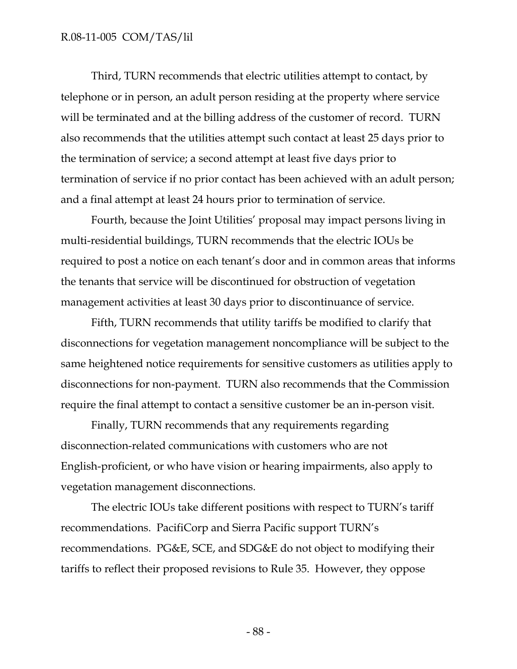Third, TURN recommends that electric utilities attempt to contact, by telephone or in person, an adult person residing at the property where service will be terminated and at the billing address of the customer of record. TURN also recommends that the utilities attempt such contact at least 25 days prior to the termination of service; a second attempt at least five days prior to termination of service if no prior contact has been achieved with an adult person; and a final attempt at least 24 hours prior to termination of service.

Fourth, because the Joint Utilities' proposal may impact persons living in multi-residential buildings, TURN recommends that the electric IOUs be required to post a notice on each tenant's door and in common areas that informs the tenants that service will be discontinued for obstruction of vegetation management activities at least 30 days prior to discontinuance of service.

Fifth, TURN recommends that utility tariffs be modified to clarify that disconnections for vegetation management noncompliance will be subject to the same heightened notice requirements for sensitive customers as utilities apply to disconnections for non-payment. TURN also recommends that the Commission require the final attempt to contact a sensitive customer be an in-person visit.

Finally, TURN recommends that any requirements regarding disconnection-related communications with customers who are not English-proficient, or who have vision or hearing impairments, also apply to vegetation management disconnections.

The electric IOUs take different positions with respect to TURN's tariff recommendations. PacifiCorp and Sierra Pacific support TURN's recommendations. PG&E, SCE, and SDG&E do not object to modifying their tariffs to reflect their proposed revisions to Rule 35. However, they oppose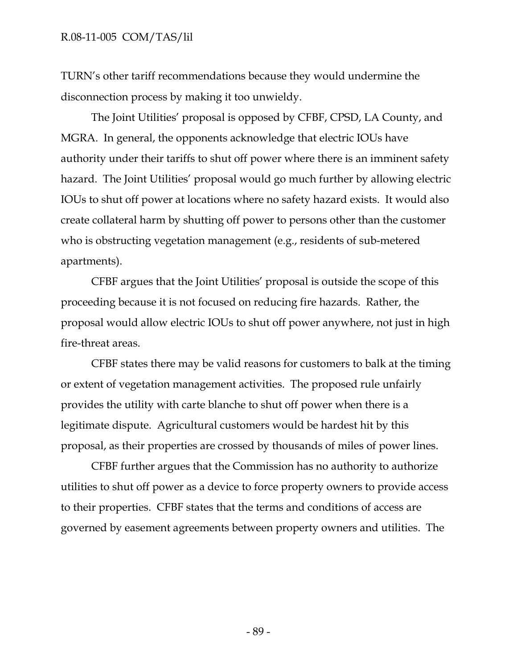TURN's other tariff recommendations because they would undermine the disconnection process by making it too unwieldy.

The Joint Utilities' proposal is opposed by CFBF, CPSD, LA County, and MGRA. In general, the opponents acknowledge that electric IOUs have authority under their tariffs to shut off power where there is an imminent safety hazard. The Joint Utilities' proposal would go much further by allowing electric IOUs to shut off power at locations where no safety hazard exists. It would also create collateral harm by shutting off power to persons other than the customer who is obstructing vegetation management (e.g., residents of sub-metered apartments).

CFBF argues that the Joint Utilities' proposal is outside the scope of this proceeding because it is not focused on reducing fire hazards. Rather, the proposal would allow electric IOUs to shut off power anywhere, not just in high fire-threat areas.

CFBF states there may be valid reasons for customers to balk at the timing or extent of vegetation management activities. The proposed rule unfairly provides the utility with carte blanche to shut off power when there is a legitimate dispute. Agricultural customers would be hardest hit by this proposal, as their properties are crossed by thousands of miles of power lines.

CFBF further argues that the Commission has no authority to authorize utilities to shut off power as a device to force property owners to provide access to their properties. CFBF states that the terms and conditions of access are governed by easement agreements between property owners and utilities. The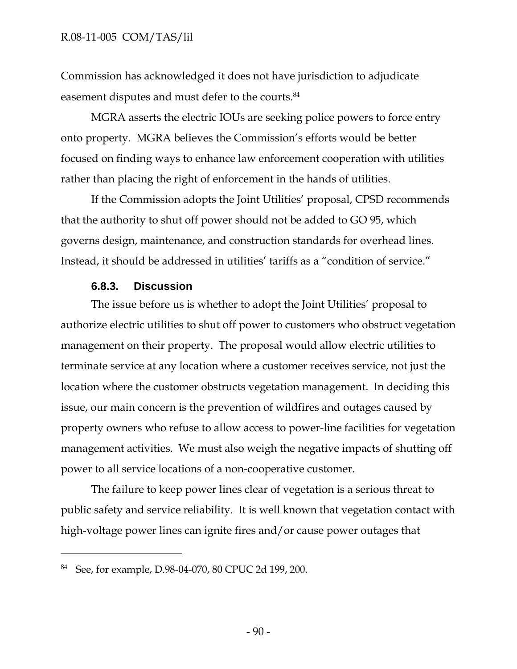Commission has acknowledged it does not have jurisdiction to adjudicate easement disputes and must defer to the courts.<sup>84</sup>

MGRA asserts the electric IOUs are seeking police powers to force entry onto property. MGRA believes the Commission's efforts would be better focused on finding ways to enhance law enforcement cooperation with utilities rather than placing the right of enforcement in the hands of utilities.

If the Commission adopts the Joint Utilities' proposal, CPSD recommends that the authority to shut off power should not be added to GO 95, which governs design, maintenance, and construction standards for overhead lines. Instead, it should be addressed in utilities' tariffs as a "condition of service."

### **6.8.3. Discussion**

The issue before us is whether to adopt the Joint Utilities' proposal to authorize electric utilities to shut off power to customers who obstruct vegetation management on their property. The proposal would allow electric utilities to terminate service at any location where a customer receives service, not just the location where the customer obstructs vegetation management. In deciding this issue, our main concern is the prevention of wildfires and outages caused by property owners who refuse to allow access to power-line facilities for vegetation management activities. We must also weigh the negative impacts of shutting off power to all service locations of a non-cooperative customer.

The failure to keep power lines clear of vegetation is a serious threat to public safety and service reliability. It is well known that vegetation contact with high-voltage power lines can ignite fires and/or cause power outages that

 $\overline{a}$ 

<sup>84</sup> See, for example, D.98-04-070, 80 CPUC 2d 199, 200.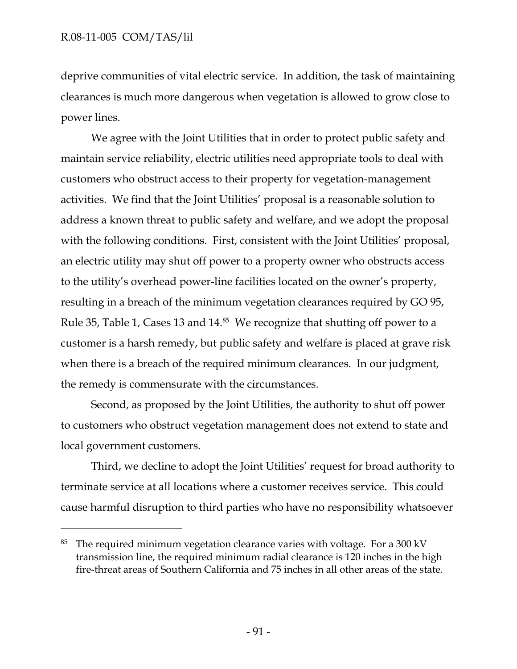deprive communities of vital electric service. In addition, the task of maintaining clearances is much more dangerous when vegetation is allowed to grow close to power lines.

We agree with the Joint Utilities that in order to protect public safety and maintain service reliability, electric utilities need appropriate tools to deal with customers who obstruct access to their property for vegetation-management activities. We find that the Joint Utilities' proposal is a reasonable solution to address a known threat to public safety and welfare, and we adopt the proposal with the following conditions. First, consistent with the Joint Utilities' proposal, an electric utility may shut off power to a property owner who obstructs access to the utility's overhead power-line facilities located on the owner's property, resulting in a breach of the minimum vegetation clearances required by GO 95, Rule 35, Table 1, Cases 13 and 14.<sup>85</sup> We recognize that shutting off power to a customer is a harsh remedy, but public safety and welfare is placed at grave risk when there is a breach of the required minimum clearances. In our judgment, the remedy is commensurate with the circumstances.

Second, as proposed by the Joint Utilities, the authority to shut off power to customers who obstruct vegetation management does not extend to state and local government customers.

Third, we decline to adopt the Joint Utilities' request for broad authority to terminate service at all locations where a customer receives service. This could cause harmful disruption to third parties who have no responsibility whatsoever

<sup>&</sup>lt;sup>85</sup> The required minimum vegetation clearance varies with voltage. For a 300 kV transmission line, the required minimum radial clearance is 120 inches in the high fire-threat areas of Southern California and 75 inches in all other areas of the state.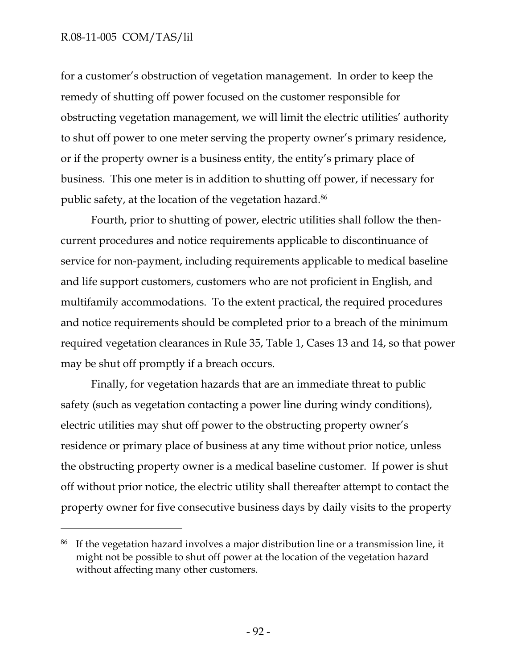## R.08-11-005 COM/TAS/lil

-

for a customer's obstruction of vegetation management. In order to keep the remedy of shutting off power focused on the customer responsible for obstructing vegetation management, we will limit the electric utilities' authority to shut off power to one meter serving the property owner's primary residence, or if the property owner is a business entity, the entity's primary place of business. This one meter is in addition to shutting off power, if necessary for public safety, at the location of the vegetation hazard.<sup>86</sup>

Fourth, prior to shutting of power, electric utilities shall follow the thencurrent procedures and notice requirements applicable to discontinuance of service for non-payment, including requirements applicable to medical baseline and life support customers, customers who are not proficient in English, and multifamily accommodations. To the extent practical, the required procedures and notice requirements should be completed prior to a breach of the minimum required vegetation clearances in Rule 35, Table 1, Cases 13 and 14, so that power may be shut off promptly if a breach occurs.

Finally, for vegetation hazards that are an immediate threat to public safety (such as vegetation contacting a power line during windy conditions), electric utilities may shut off power to the obstructing property owner's residence or primary place of business at any time without prior notice, unless the obstructing property owner is a medical baseline customer. If power is shut off without prior notice, the electric utility shall thereafter attempt to contact the property owner for five consecutive business days by daily visits to the property

<sup>86</sup> If the vegetation hazard involves a major distribution line or a transmission line, it might not be possible to shut off power at the location of the vegetation hazard without affecting many other customers.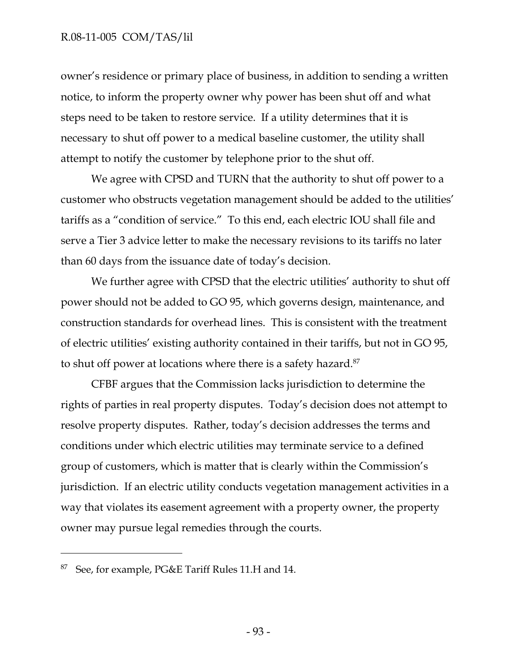owner's residence or primary place of business, in addition to sending a written notice, to inform the property owner why power has been shut off and what steps need to be taken to restore service. If a utility determines that it is necessary to shut off power to a medical baseline customer, the utility shall attempt to notify the customer by telephone prior to the shut off.

We agree with CPSD and TURN that the authority to shut off power to a customer who obstructs vegetation management should be added to the utilities' tariffs as a "condition of service." To this end, each electric IOU shall file and serve a Tier 3 advice letter to make the necessary revisions to its tariffs no later than 60 days from the issuance date of today's decision.

We further agree with CPSD that the electric utilities' authority to shut off power should not be added to GO 95, which governs design, maintenance, and construction standards for overhead lines. This is consistent with the treatment of electric utilities' existing authority contained in their tariffs, but not in GO 95, to shut off power at locations where there is a safety hazard.<sup>87</sup>

CFBF argues that the Commission lacks jurisdiction to determine the rights of parties in real property disputes. Today's decision does not attempt to resolve property disputes. Rather, today's decision addresses the terms and conditions under which electric utilities may terminate service to a defined group of customers, which is matter that is clearly within the Commission's jurisdiction. If an electric utility conducts vegetation management activities in a way that violates its easement agreement with a property owner, the property owner may pursue legal remedies through the courts.

-

<sup>87</sup> See, for example, PG&E Tariff Rules 11.H and 14.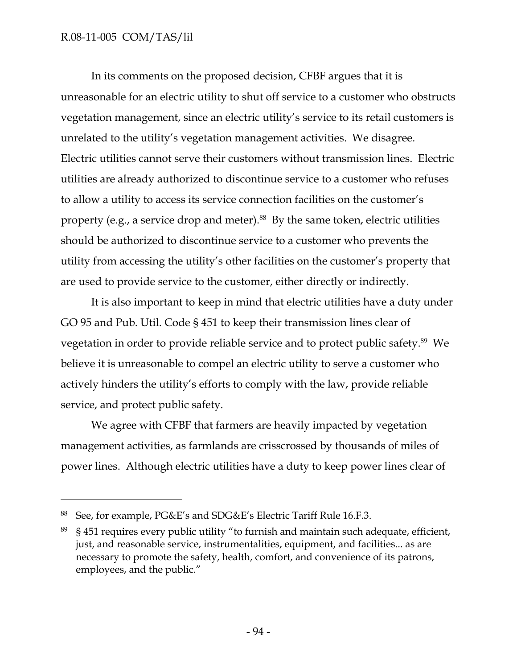In its comments on the proposed decision, CFBF argues that it is unreasonable for an electric utility to shut off service to a customer who obstructs vegetation management, since an electric utility's service to its retail customers is unrelated to the utility's vegetation management activities. We disagree. Electric utilities cannot serve their customers without transmission lines. Electric utilities are already authorized to discontinue service to a customer who refuses to allow a utility to access its service connection facilities on the customer's property (e.g., a service drop and meter).<sup>88</sup> By the same token, electric utilities should be authorized to discontinue service to a customer who prevents the utility from accessing the utility's other facilities on the customer's property that are used to provide service to the customer, either directly or indirectly.

It is also important to keep in mind that electric utilities have a duty under GO 95 and Pub. Util. Code § 451 to keep their transmission lines clear of vegetation in order to provide reliable service and to protect public safety.89 We believe it is unreasonable to compel an electric utility to serve a customer who actively hinders the utility's efforts to comply with the law, provide reliable service, and protect public safety.

We agree with CFBF that farmers are heavily impacted by vegetation management activities, as farmlands are crisscrossed by thousands of miles of power lines. Although electric utilities have a duty to keep power lines clear of

<sup>88</sup> See, for example, PG&E's and SDG&E's Electric Tariff Rule 16.F.3.

<sup>89 § 451</sup> requires every public utility "to furnish and maintain such adequate, efficient, just, and reasonable service, instrumentalities, equipment, and facilities... as are necessary to promote the safety, health, comfort, and convenience of its patrons, employees, and the public."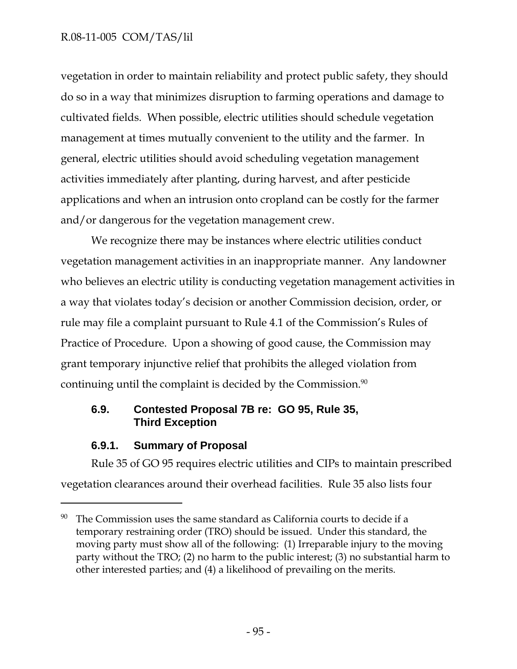# R.08-11-005 COM/TAS/lil

vegetation in order to maintain reliability and protect public safety, they should do so in a way that minimizes disruption to farming operations and damage to cultivated fields. When possible, electric utilities should schedule vegetation management at times mutually convenient to the utility and the farmer. In general, electric utilities should avoid scheduling vegetation management activities immediately after planting, during harvest, and after pesticide applications and when an intrusion onto cropland can be costly for the farmer and/or dangerous for the vegetation management crew.

We recognize there may be instances where electric utilities conduct vegetation management activities in an inappropriate manner. Any landowner who believes an electric utility is conducting vegetation management activities in a way that violates today's decision or another Commission decision, order, or rule may file a complaint pursuant to Rule 4.1 of the Commission's Rules of Practice of Procedure. Upon a showing of good cause, the Commission may grant temporary injunctive relief that prohibits the alleged violation from continuing until the complaint is decided by the Commission. $90$ 

# **6.9. Contested Proposal 7B re: GO 95, Rule 35, Third Exception**

# **6.9.1. Summary of Proposal**

-

Rule 35 of GO 95 requires electric utilities and CIPs to maintain prescribed vegetation clearances around their overhead facilities. Rule 35 also lists four

 $90$  The Commission uses the same standard as California courts to decide if a temporary restraining order (TRO) should be issued. Under this standard, the moving party must show all of the following: (1) Irreparable injury to the moving party without the TRO; (2) no harm to the public interest; (3) no substantial harm to other interested parties; and (4) a likelihood of prevailing on the merits.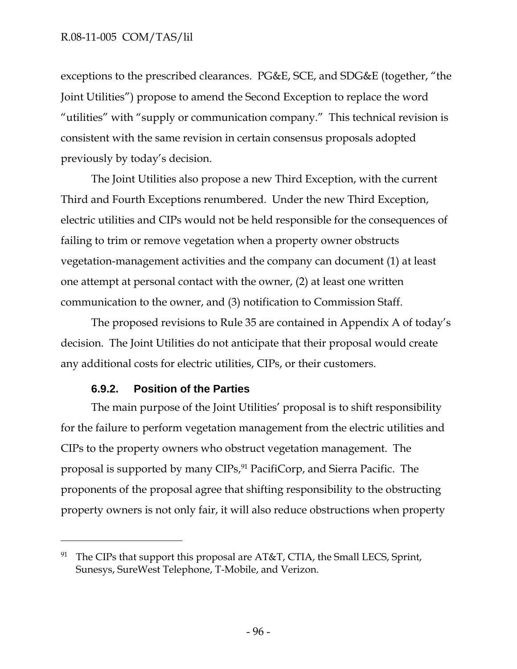exceptions to the prescribed clearances. PG&E, SCE, and SDG&E (together, "the Joint Utilities") propose to amend the Second Exception to replace the word "utilities" with "supply or communication company." This technical revision is consistent with the same revision in certain consensus proposals adopted previously by today's decision.

The Joint Utilities also propose a new Third Exception, with the current Third and Fourth Exceptions renumbered. Under the new Third Exception, electric utilities and CIPs would not be held responsible for the consequences of failing to trim or remove vegetation when a property owner obstructs vegetation-management activities and the company can document (1) at least one attempt at personal contact with the owner, (2) at least one written communication to the owner, and (3) notification to Commission Staff.

The proposed revisions to Rule 35 are contained in Appendix A of today's decision. The Joint Utilities do not anticipate that their proposal would create any additional costs for electric utilities, CIPs, or their customers.

# **6.9.2. Position of the Parties**

 $\overline{a}$ 

The main purpose of the Joint Utilities' proposal is to shift responsibility for the failure to perform vegetation management from the electric utilities and CIPs to the property owners who obstruct vegetation management. The proposal is supported by many CIPs,<sup>91</sup> PacifiCorp, and Sierra Pacific. The proponents of the proposal agree that shifting responsibility to the obstructing property owners is not only fair, it will also reduce obstructions when property

<sup>&</sup>lt;sup>91</sup> The CIPs that support this proposal are AT&T, CTIA, the Small LECS, Sprint, Sunesys, SureWest Telephone, T-Mobile, and Verizon.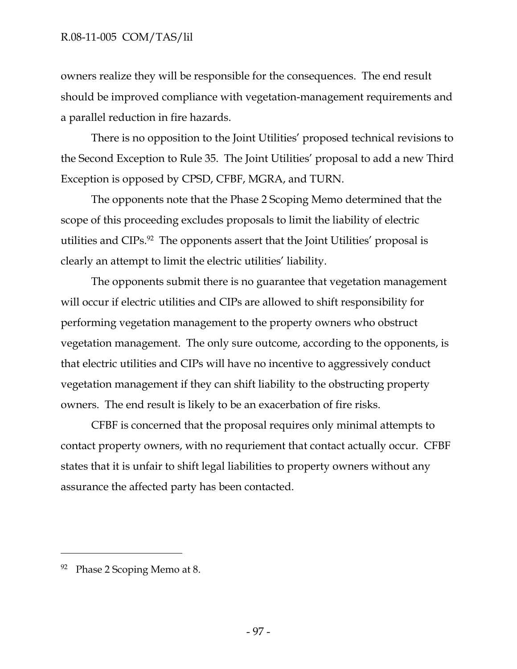owners realize they will be responsible for the consequences. The end result should be improved compliance with vegetation-management requirements and a parallel reduction in fire hazards.

There is no opposition to the Joint Utilities' proposed technical revisions to the Second Exception to Rule 35. The Joint Utilities' proposal to add a new Third Exception is opposed by CPSD, CFBF, MGRA, and TURN.

The opponents note that the Phase 2 Scoping Memo determined that the scope of this proceeding excludes proposals to limit the liability of electric utilities and CIPs.92 The opponents assert that the Joint Utilities' proposal is clearly an attempt to limit the electric utilities' liability.

The opponents submit there is no guarantee that vegetation management will occur if electric utilities and CIPs are allowed to shift responsibility for performing vegetation management to the property owners who obstruct vegetation management. The only sure outcome, according to the opponents, is that electric utilities and CIPs will have no incentive to aggressively conduct vegetation management if they can shift liability to the obstructing property owners. The end result is likely to be an exacerbation of fire risks.

CFBF is concerned that the proposal requires only minimal attempts to contact property owners, with no requriement that contact actually occur. CFBF states that it is unfair to shift legal liabilities to property owners without any assurance the affected party has been contacted.

 $\overline{a}$ 

<sup>&</sup>lt;sup>92</sup> Phase 2 Scoping Memo at 8.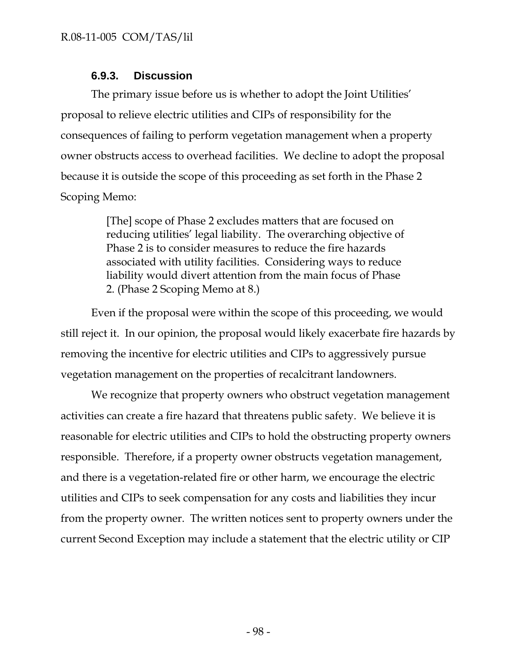## **6.9.3. Discussion**

The primary issue before us is whether to adopt the Joint Utilities' proposal to relieve electric utilities and CIPs of responsibility for the consequences of failing to perform vegetation management when a property owner obstructs access to overhead facilities. We decline to adopt the proposal because it is outside the scope of this proceeding as set forth in the Phase 2 Scoping Memo:

> [The] scope of Phase 2 excludes matters that are focused on reducing utilities' legal liability. The overarching objective of Phase 2 is to consider measures to reduce the fire hazards associated with utility facilities. Considering ways to reduce liability would divert attention from the main focus of Phase 2. (Phase 2 Scoping Memo at 8.)

Even if the proposal were within the scope of this proceeding, we would still reject it. In our opinion, the proposal would likely exacerbate fire hazards by removing the incentive for electric utilities and CIPs to aggressively pursue vegetation management on the properties of recalcitrant landowners.

We recognize that property owners who obstruct vegetation management activities can create a fire hazard that threatens public safety. We believe it is reasonable for electric utilities and CIPs to hold the obstructing property owners responsible. Therefore, if a property owner obstructs vegetation management, and there is a vegetation-related fire or other harm, we encourage the electric utilities and CIPs to seek compensation for any costs and liabilities they incur from the property owner. The written notices sent to property owners under the current Second Exception may include a statement that the electric utility or CIP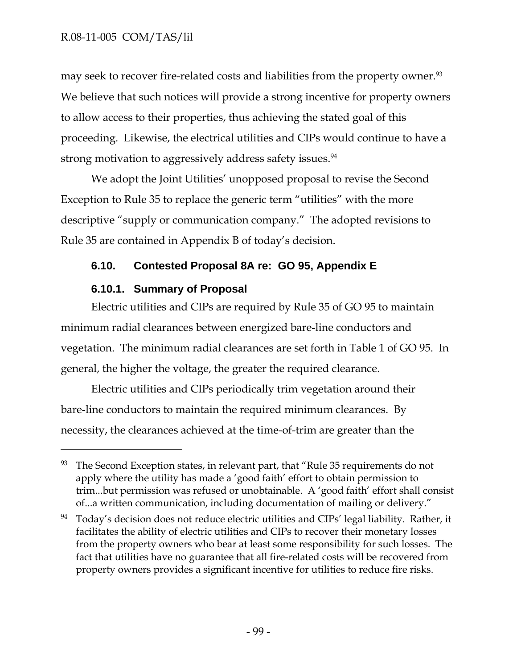may seek to recover fire-related costs and liabilities from the property owner.<sup>93</sup> We believe that such notices will provide a strong incentive for property owners to allow access to their properties, thus achieving the stated goal of this proceeding. Likewise, the electrical utilities and CIPs would continue to have a strong motivation to aggressively address safety issues.<sup>94</sup>

We adopt the Joint Utilities' unopposed proposal to revise the Second Exception to Rule 35 to replace the generic term "utilities" with the more descriptive "supply or communication company." The adopted revisions to Rule 35 are contained in Appendix B of today's decision.

# **6.10. Contested Proposal 8A re: GO 95, Appendix E**

# **6.10.1. Summary of Proposal**

-

Electric utilities and CIPs are required by Rule 35 of GO 95 to maintain minimum radial clearances between energized bare-line conductors and vegetation. The minimum radial clearances are set forth in Table 1 of GO 95. In general, the higher the voltage, the greater the required clearance.

Electric utilities and CIPs periodically trim vegetation around their bare-line conductors to maintain the required minimum clearances. By necessity, the clearances achieved at the time-of-trim are greater than the

 $93$  The Second Exception states, in relevant part, that "Rule 35 requirements do not apply where the utility has made a 'good faith' effort to obtain permission to trim...but permission was refused or unobtainable. A 'good faith' effort shall consist of...a written communication, including documentation of mailing or delivery."

Today's decision does not reduce electric utilities and CIPs' legal liability. Rather, it facilitates the ability of electric utilities and CIPs to recover their monetary losses from the property owners who bear at least some responsibility for such losses. The fact that utilities have no guarantee that all fire-related costs will be recovered from property owners provides a significant incentive for utilities to reduce fire risks.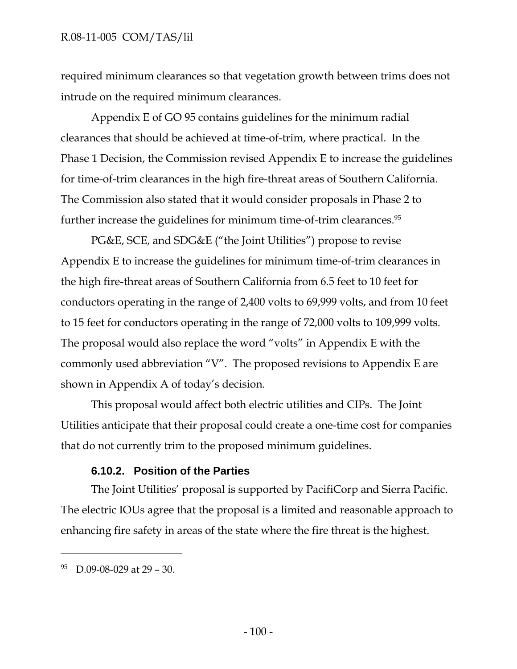required minimum clearances so that vegetation growth between trims does not intrude on the required minimum clearances.

Appendix E of GO 95 contains guidelines for the minimum radial clearances that should be achieved at time-of-trim, where practical. In the Phase 1 Decision, the Commission revised Appendix E to increase the guidelines for time-of-trim clearances in the high fire-threat areas of Southern California. The Commission also stated that it would consider proposals in Phase 2 to further increase the guidelines for minimum time-of-trim clearances.<sup>95</sup>

PG&E, SCE, and SDG&E ("the Joint Utilities") propose to revise Appendix E to increase the guidelines for minimum time-of-trim clearances in the high fire-threat areas of Southern California from 6.5 feet to 10 feet for conductors operating in the range of 2,400 volts to 69,999 volts, and from 10 feet to 15 feet for conductors operating in the range of 72,000 volts to 109,999 volts. The proposal would also replace the word "volts" in Appendix E with the commonly used abbreviation "V". The proposed revisions to Appendix E are shown in Appendix A of today's decision.

This proposal would affect both electric utilities and CIPs. The Joint Utilities anticipate that their proposal could create a one-time cost for companies that do not currently trim to the proposed minimum guidelines.

## **6.10.2. Position of the Parties**

The Joint Utilities' proposal is supported by PacifiCorp and Sierra Pacific. The electric IOUs agree that the proposal is a limited and reasonable approach to enhancing fire safety in areas of the state where the fire threat is the highest.

-

 $95$  D.09-08-029 at 29 – 30.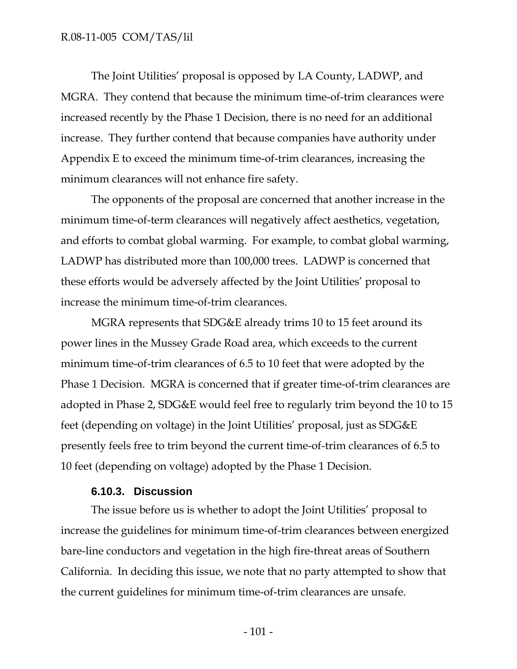The Joint Utilities' proposal is opposed by LA County, LADWP, and MGRA. They contend that because the minimum time-of-trim clearances were increased recently by the Phase 1 Decision, there is no need for an additional increase. They further contend that because companies have authority under Appendix E to exceed the minimum time-of-trim clearances, increasing the minimum clearances will not enhance fire safety.

The opponents of the proposal are concerned that another increase in the minimum time-of-term clearances will negatively affect aesthetics, vegetation, and efforts to combat global warming. For example, to combat global warming, LADWP has distributed more than 100,000 trees. LADWP is concerned that these efforts would be adversely affected by the Joint Utilities' proposal to increase the minimum time-of-trim clearances.

MGRA represents that SDG&E already trims 10 to 15 feet around its power lines in the Mussey Grade Road area, which exceeds to the current minimum time-of-trim clearances of 6.5 to 10 feet that were adopted by the Phase 1 Decision. MGRA is concerned that if greater time-of-trim clearances are adopted in Phase 2, SDG&E would feel free to regularly trim beyond the 10 to 15 feet (depending on voltage) in the Joint Utilities' proposal, just as SDG&E presently feels free to trim beyond the current time-of-trim clearances of 6.5 to 10 feet (depending on voltage) adopted by the Phase 1 Decision.

#### **6.10.3. Discussion**

The issue before us is whether to adopt the Joint Utilities' proposal to increase the guidelines for minimum time-of-trim clearances between energized bare-line conductors and vegetation in the high fire-threat areas of Southern California. In deciding this issue, we note that no party attempted to show that the current guidelines for minimum time-of-trim clearances are unsafe.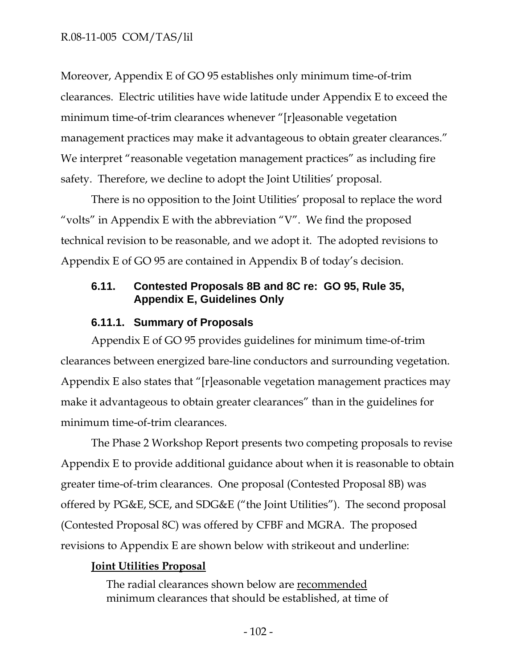Moreover, Appendix E of GO 95 establishes only minimum time-of-trim clearances. Electric utilities have wide latitude under Appendix E to exceed the minimum time-of-trim clearances whenever "[r]easonable vegetation management practices may make it advantageous to obtain greater clearances." We interpret "reasonable vegetation management practices" as including fire safety. Therefore, we decline to adopt the Joint Utilities' proposal.

There is no opposition to the Joint Utilities' proposal to replace the word "volts" in Appendix E with the abbreviation "V". We find the proposed technical revision to be reasonable, and we adopt it. The adopted revisions to Appendix E of GO 95 are contained in Appendix B of today's decision.

# **6.11. Contested Proposals 8B and 8C re: GO 95, Rule 35, Appendix E, Guidelines Only**

# **6.11.1. Summary of Proposals**

Appendix E of GO 95 provides guidelines for minimum time-of-trim clearances between energized bare-line conductors and surrounding vegetation. Appendix E also states that "[r]easonable vegetation management practices may make it advantageous to obtain greater clearances" than in the guidelines for minimum time-of-trim clearances.

The Phase 2 Workshop Report presents two competing proposals to revise Appendix E to provide additional guidance about when it is reasonable to obtain greater time-of-trim clearances. One proposal (Contested Proposal 8B) was offered by PG&E, SCE, and SDG&E ("the Joint Utilities"). The second proposal (Contested Proposal 8C) was offered by CFBF and MGRA. The proposed revisions to Appendix E are shown below with strikeout and underline:

# **Joint Utilities Proposal**

The radial clearances shown below are recommended minimum clearances that should be established, at time of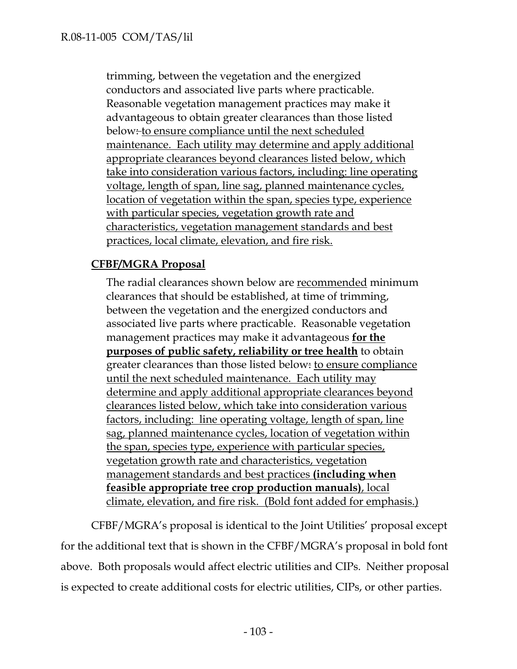trimming, between the vegetation and the energized conductors and associated live parts where practicable. Reasonable vegetation management practices may make it advantageous to obtain greater clearances than those listed below: to ensure compliance until the next scheduled maintenance. Each utility may determine and apply additional appropriate clearances beyond clearances listed below, which take into consideration various factors, including: line operating voltage, length of span, line sag, planned maintenance cycles, location of vegetation within the span, species type, experience with particular species, vegetation growth rate and characteristics, vegetation management standards and best practices, local climate, elevation, and fire risk.

# **CFBF/MGRA Proposal**

The radial clearances shown below are recommended minimum clearances that should be established, at time of trimming, between the vegetation and the energized conductors and associated live parts where practicable. Reasonable vegetation management practices may make it advantageous **for the purposes of public safety, reliability or tree health** to obtain greater clearances than those listed below: to ensure compliance until the next scheduled maintenance. Each utility may determine and apply additional appropriate clearances beyond clearances listed below, which take into consideration various factors, including: line operating voltage, length of span, line sag, planned maintenance cycles, location of vegetation within the span, species type, experience with particular species, vegetation growth rate and characteristics, vegetation management standards and best practices **(including when feasible appropriate tree crop production manuals)**, local climate, elevation, and fire risk. (Bold font added for emphasis.)

CFBF/MGRA's proposal is identical to the Joint Utilities' proposal except for the additional text that is shown in the CFBF/MGRA's proposal in bold font above. Both proposals would affect electric utilities and CIPs. Neither proposal is expected to create additional costs for electric utilities, CIPs, or other parties.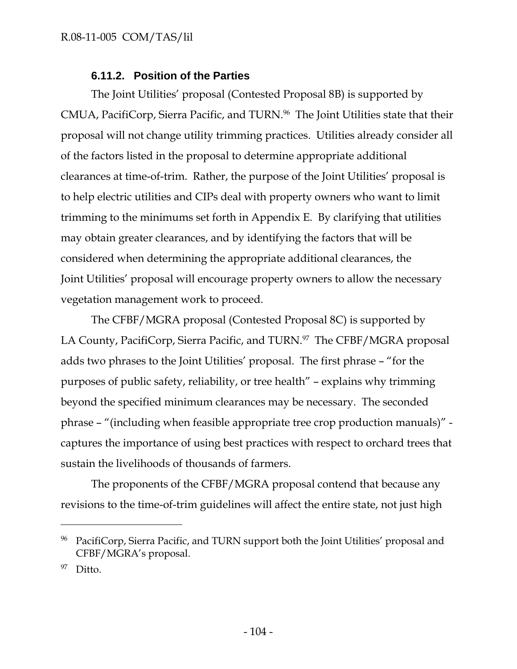### **6.11.2. Position of the Parties**

The Joint Utilities' proposal (Contested Proposal 8B) is supported by CMUA, PacifiCorp, Sierra Pacific, and TURN.<sup>96</sup> The Joint Utilities state that their proposal will not change utility trimming practices. Utilities already consider all of the factors listed in the proposal to determine appropriate additional clearances at time-of-trim. Rather, the purpose of the Joint Utilities' proposal is to help electric utilities and CIPs deal with property owners who want to limit trimming to the minimums set forth in Appendix E. By clarifying that utilities may obtain greater clearances, and by identifying the factors that will be considered when determining the appropriate additional clearances, the Joint Utilities' proposal will encourage property owners to allow the necessary vegetation management work to proceed.

The CFBF/MGRA proposal (Contested Proposal 8C) is supported by LA County, PacifiCorp, Sierra Pacific, and TURN.<sup>97</sup> The CFBF/MGRA proposal adds two phrases to the Joint Utilities' proposal. The first phrase – "for the purposes of public safety, reliability, or tree health" – explains why trimming beyond the specified minimum clearances may be necessary. The seconded phrase – "(including when feasible appropriate tree crop production manuals)" captures the importance of using best practices with respect to orchard trees that sustain the livelihoods of thousands of farmers.

The proponents of the CFBF/MGRA proposal contend that because any revisions to the time-of-trim guidelines will affect the entire state, not just high

-

<sup>&</sup>lt;sup>96</sup> PacifiCorp, Sierra Pacific, and TURN support both the Joint Utilities' proposal and CFBF/MGRA's proposal.

<sup>97</sup> Ditto.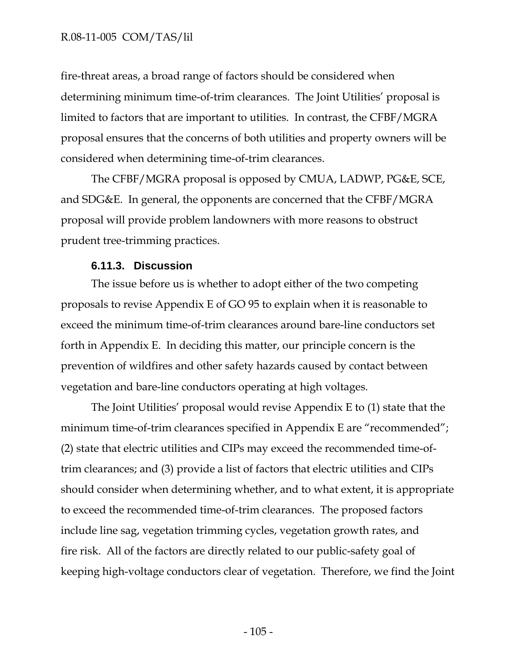fire-threat areas, a broad range of factors should be considered when determining minimum time-of-trim clearances. The Joint Utilities' proposal is limited to factors that are important to utilities. In contrast, the CFBF/MGRA proposal ensures that the concerns of both utilities and property owners will be considered when determining time-of-trim clearances.

The CFBF/MGRA proposal is opposed by CMUA, LADWP, PG&E, SCE, and SDG&E. In general, the opponents are concerned that the CFBF/MGRA proposal will provide problem landowners with more reasons to obstruct prudent tree-trimming practices.

### **6.11.3. Discussion**

The issue before us is whether to adopt either of the two competing proposals to revise Appendix E of GO 95 to explain when it is reasonable to exceed the minimum time-of-trim clearances around bare-line conductors set forth in Appendix E. In deciding this matter, our principle concern is the prevention of wildfires and other safety hazards caused by contact between vegetation and bare-line conductors operating at high voltages.

The Joint Utilities' proposal would revise Appendix E to (1) state that the minimum time-of-trim clearances specified in Appendix E are "recommended"; (2) state that electric utilities and CIPs may exceed the recommended time-oftrim clearances; and (3) provide a list of factors that electric utilities and CIPs should consider when determining whether, and to what extent, it is appropriate to exceed the recommended time-of-trim clearances. The proposed factors include line sag, vegetation trimming cycles, vegetation growth rates, and fire risk. All of the factors are directly related to our public-safety goal of keeping high-voltage conductors clear of vegetation. Therefore, we find the Joint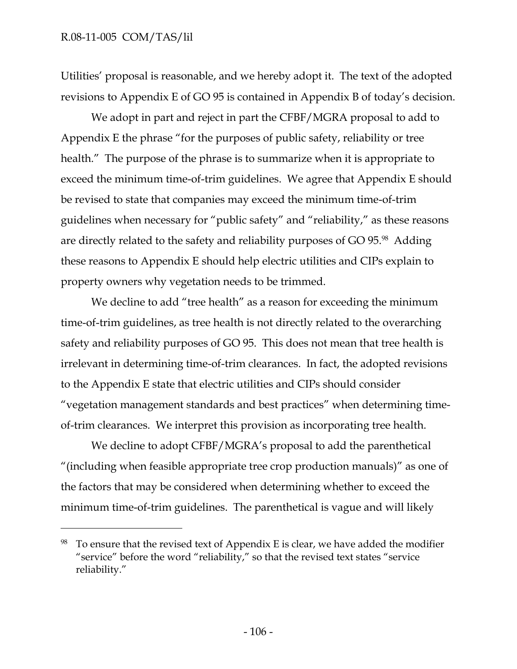-

Utilities' proposal is reasonable, and we hereby adopt it. The text of the adopted revisions to Appendix E of GO 95 is contained in Appendix B of today's decision.

We adopt in part and reject in part the CFBF/MGRA proposal to add to Appendix E the phrase "for the purposes of public safety, reliability or tree health." The purpose of the phrase is to summarize when it is appropriate to exceed the minimum time-of-trim guidelines. We agree that Appendix E should be revised to state that companies may exceed the minimum time-of-trim guidelines when necessary for "public safety" and "reliability," as these reasons are directly related to the safety and reliability purposes of GO 95.<sup>98</sup> Adding these reasons to Appendix E should help electric utilities and CIPs explain to property owners why vegetation needs to be trimmed.

We decline to add "tree health" as a reason for exceeding the minimum time-of-trim guidelines, as tree health is not directly related to the overarching safety and reliability purposes of GO 95. This does not mean that tree health is irrelevant in determining time-of-trim clearances. In fact, the adopted revisions to the Appendix E state that electric utilities and CIPs should consider "vegetation management standards and best practices" when determining timeof-trim clearances. We interpret this provision as incorporating tree health.

We decline to adopt CFBF/MGRA's proposal to add the parenthetical "(including when feasible appropriate tree crop production manuals)" as one of the factors that may be considered when determining whether to exceed the minimum time-of-trim guidelines. The parenthetical is vague and will likely

To ensure that the revised text of Appendix E is clear, we have added the modifier "service" before the word "reliability," so that the revised text states "service reliability."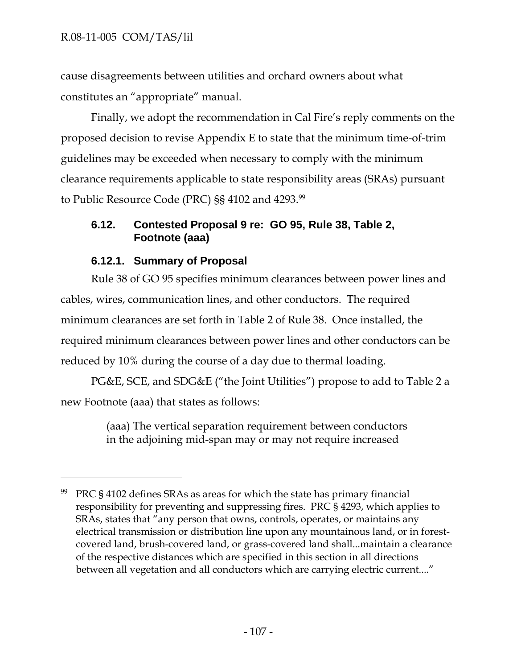cause disagreements between utilities and orchard owners about what constitutes an "appropriate" manual.

Finally, we adopt the recommendation in Cal Fire's reply comments on the proposed decision to revise Appendix E to state that the minimum time-of-trim guidelines may be exceeded when necessary to comply with the minimum clearance requirements applicable to state responsibility areas (SRAs) pursuant to Public Resource Code (PRC) §§ 4102 and 4293.<sup>99</sup>

# **6.12. Contested Proposal 9 re: GO 95, Rule 38, Table 2, Footnote (aaa)**

# **6.12.1. Summary of Proposal**

-

Rule 38 of GO 95 specifies minimum clearances between power lines and cables, wires, communication lines, and other conductors. The required minimum clearances are set forth in Table 2 of Rule 38. Once installed, the required minimum clearances between power lines and other conductors can be reduced by 10% during the course of a day due to thermal loading.

PG&E, SCE, and SDG&E ("the Joint Utilities") propose to add to Table 2 a new Footnote (aaa) that states as follows:

> (aaa) The vertical separation requirement between conductors in the adjoining mid-span may or may not require increased

 $99$  PRC § 4102 defines SRAs as areas for which the state has primary financial responsibility for preventing and suppressing fires. PRC § 4293, which applies to SRAs, states that "any person that owns, controls, operates, or maintains any electrical transmission or distribution line upon any mountainous land, or in forestcovered land, brush-covered land, or grass-covered land shall...maintain a clearance of the respective distances which are specified in this section in all directions between all vegetation and all conductors which are carrying electric current...."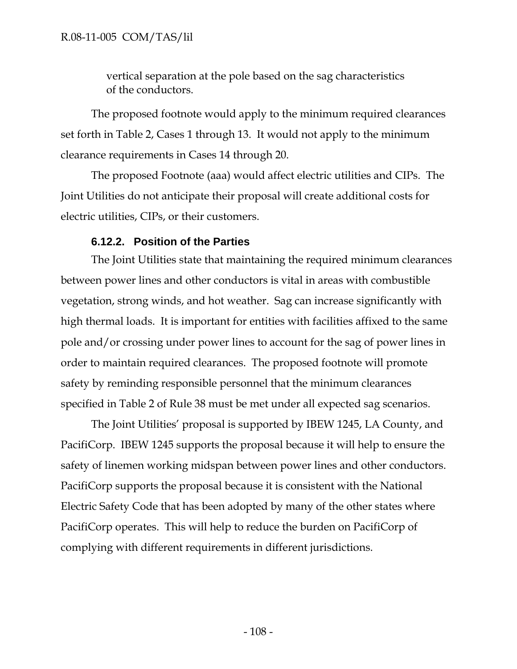vertical separation at the pole based on the sag characteristics of the conductors.

The proposed footnote would apply to the minimum required clearances set forth in Table 2, Cases 1 through 13. It would not apply to the minimum clearance requirements in Cases 14 through 20.

The proposed Footnote (aaa) would affect electric utilities and CIPs. The Joint Utilities do not anticipate their proposal will create additional costs for electric utilities, CIPs, or their customers.

## **6.12.2. Position of the Parties**

The Joint Utilities state that maintaining the required minimum clearances between power lines and other conductors is vital in areas with combustible vegetation, strong winds, and hot weather. Sag can increase significantly with high thermal loads. It is important for entities with facilities affixed to the same pole and/or crossing under power lines to account for the sag of power lines in order to maintain required clearances. The proposed footnote will promote safety by reminding responsible personnel that the minimum clearances specified in Table 2 of Rule 38 must be met under all expected sag scenarios.

The Joint Utilities' proposal is supported by IBEW 1245, LA County, and PacifiCorp. IBEW 1245 supports the proposal because it will help to ensure the safety of linemen working midspan between power lines and other conductors. PacifiCorp supports the proposal because it is consistent with the National Electric Safety Code that has been adopted by many of the other states where PacifiCorp operates. This will help to reduce the burden on PacifiCorp of complying with different requirements in different jurisdictions.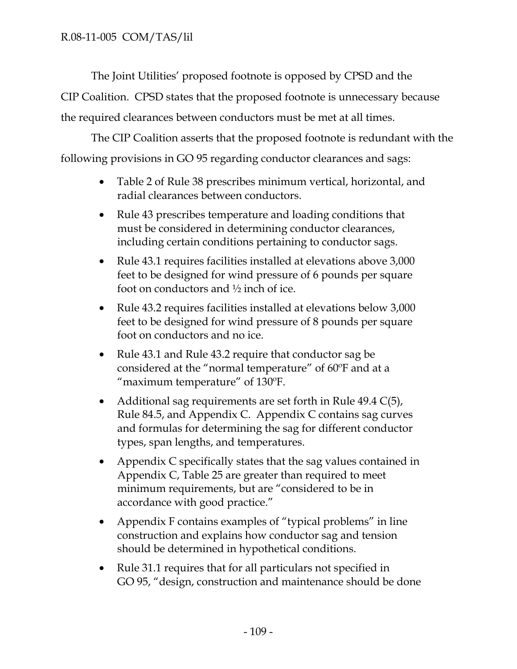The Joint Utilities' proposed footnote is opposed by CPSD and the CIP Coalition. CPSD states that the proposed footnote is unnecessary because the required clearances between conductors must be met at all times.

The CIP Coalition asserts that the proposed footnote is redundant with the following provisions in GO 95 regarding conductor clearances and sags:

- Table 2 of Rule 38 prescribes minimum vertical, horizontal, and radial clearances between conductors.
- Rule 43 prescribes temperature and loading conditions that must be considered in determining conductor clearances, including certain conditions pertaining to conductor sags.
- Rule 43.1 requires facilities installed at elevations above 3,000 feet to be designed for wind pressure of 6 pounds per square foot on conductors and  $\frac{1}{2}$  inch of ice.
- Rule 43.2 requires facilities installed at elevations below 3,000 feet to be designed for wind pressure of 8 pounds per square foot on conductors and no ice.
- Rule 43.1 and Rule 43.2 require that conductor sag be considered at the "normal temperature" of 60ºF and at a "maximum temperature" of 130ºF.
- Additional sag requirements are set forth in Rule 49.4 C(5), Rule 84.5, and Appendix C. Appendix C contains sag curves and formulas for determining the sag for different conductor types, span lengths, and temperatures.
- Appendix C specifically states that the sag values contained in Appendix C, Table 25 are greater than required to meet minimum requirements, but are "considered to be in accordance with good practice."
- Appendix F contains examples of "typical problems" in line construction and explains how conductor sag and tension should be determined in hypothetical conditions.
- Rule 31.1 requires that for all particulars not specified in GO 95, "design, construction and maintenance should be done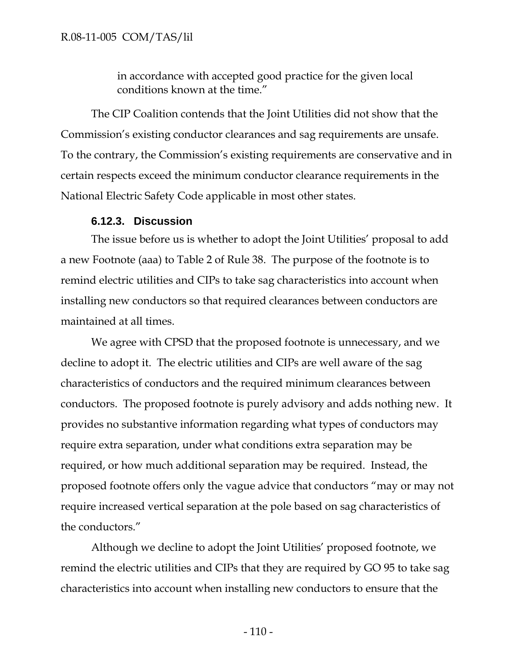in accordance with accepted good practice for the given local conditions known at the time."

The CIP Coalition contends that the Joint Utilities did not show that the Commission's existing conductor clearances and sag requirements are unsafe. To the contrary, the Commission's existing requirements are conservative and in certain respects exceed the minimum conductor clearance requirements in the National Electric Safety Code applicable in most other states.

#### **6.12.3. Discussion**

The issue before us is whether to adopt the Joint Utilities' proposal to add a new Footnote (aaa) to Table 2 of Rule 38. The purpose of the footnote is to remind electric utilities and CIPs to take sag characteristics into account when installing new conductors so that required clearances between conductors are maintained at all times.

We agree with CPSD that the proposed footnote is unnecessary, and we decline to adopt it. The electric utilities and CIPs are well aware of the sag characteristics of conductors and the required minimum clearances between conductors. The proposed footnote is purely advisory and adds nothing new. It provides no substantive information regarding what types of conductors may require extra separation, under what conditions extra separation may be required, or how much additional separation may be required. Instead, the proposed footnote offers only the vague advice that conductors "may or may not require increased vertical separation at the pole based on sag characteristics of the conductors."

Although we decline to adopt the Joint Utilities' proposed footnote, we remind the electric utilities and CIPs that they are required by GO 95 to take sag characteristics into account when installing new conductors to ensure that the

- 110 -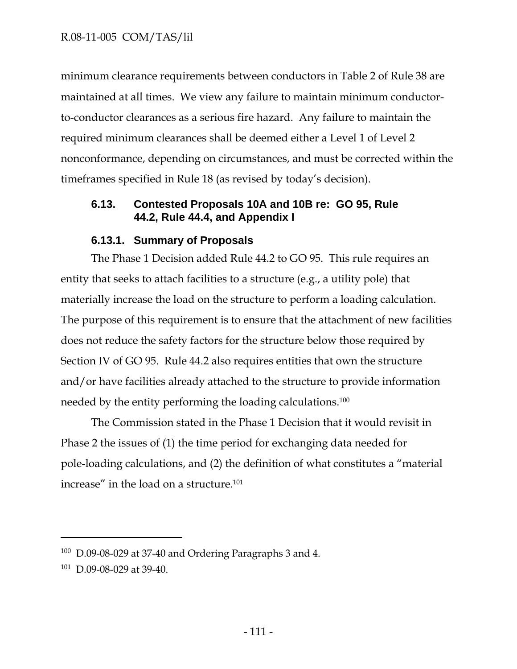## R.08-11-005 COM/TAS/lil

minimum clearance requirements between conductors in Table 2 of Rule 38 are maintained at all times. We view any failure to maintain minimum conductorto-conductor clearances as a serious fire hazard. Any failure to maintain the required minimum clearances shall be deemed either a Level 1 of Level 2 nonconformance, depending on circumstances, and must be corrected within the timeframes specified in Rule 18 (as revised by today's decision).

## **6.13. Contested Proposals 10A and 10B re: GO 95, Rule 44.2, Rule 44.4, and Appendix I**

### **6.13.1. Summary of Proposals**

The Phase 1 Decision added Rule 44.2 to GO 95. This rule requires an entity that seeks to attach facilities to a structure (e.g., a utility pole) that materially increase the load on the structure to perform a loading calculation. The purpose of this requirement is to ensure that the attachment of new facilities does not reduce the safety factors for the structure below those required by Section IV of GO 95. Rule 44.2 also requires entities that own the structure and/or have facilities already attached to the structure to provide information needed by the entity performing the loading calculations.100

The Commission stated in the Phase 1 Decision that it would revisit in Phase 2 the issues of (1) the time period for exchanging data needed for pole-loading calculations, and (2) the definition of what constitutes a "material increase" in the load on a structure.<sup>101</sup>

-

 $100$  D.09-08-029 at 37-40 and Ordering Paragraphs 3 and 4.

<sup>101</sup> D.09-08-029 at 39-40.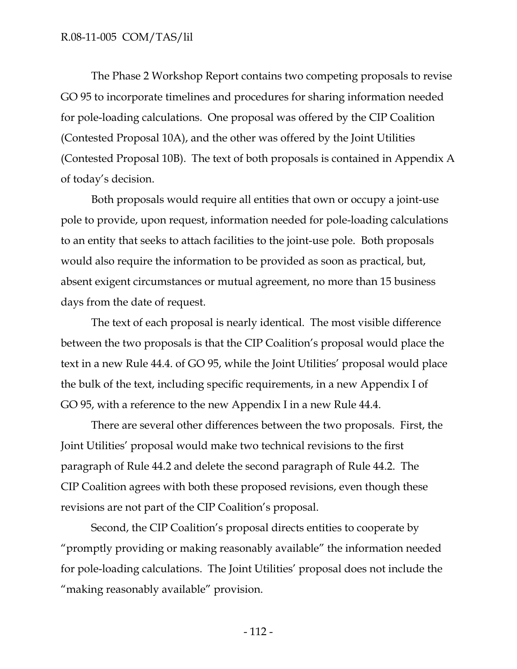The Phase 2 Workshop Report contains two competing proposals to revise GO 95 to incorporate timelines and procedures for sharing information needed for pole-loading calculations. One proposal was offered by the CIP Coalition (Contested Proposal 10A), and the other was offered by the Joint Utilities (Contested Proposal 10B). The text of both proposals is contained in Appendix A of today's decision.

Both proposals would require all entities that own or occupy a joint-use pole to provide, upon request, information needed for pole-loading calculations to an entity that seeks to attach facilities to the joint-use pole. Both proposals would also require the information to be provided as soon as practical, but, absent exigent circumstances or mutual agreement, no more than 15 business days from the date of request.

The text of each proposal is nearly identical. The most visible difference between the two proposals is that the CIP Coalition's proposal would place the text in a new Rule 44.4. of GO 95, while the Joint Utilities' proposal would place the bulk of the text, including specific requirements, in a new Appendix I of GO 95, with a reference to the new Appendix I in a new Rule 44.4.

There are several other differences between the two proposals. First, the Joint Utilities' proposal would make two technical revisions to the first paragraph of Rule 44.2 and delete the second paragraph of Rule 44.2. The CIP Coalition agrees with both these proposed revisions, even though these revisions are not part of the CIP Coalition's proposal.

Second, the CIP Coalition's proposal directs entities to cooperate by "promptly providing or making reasonably available" the information needed for pole-loading calculations. The Joint Utilities' proposal does not include the "making reasonably available" provision.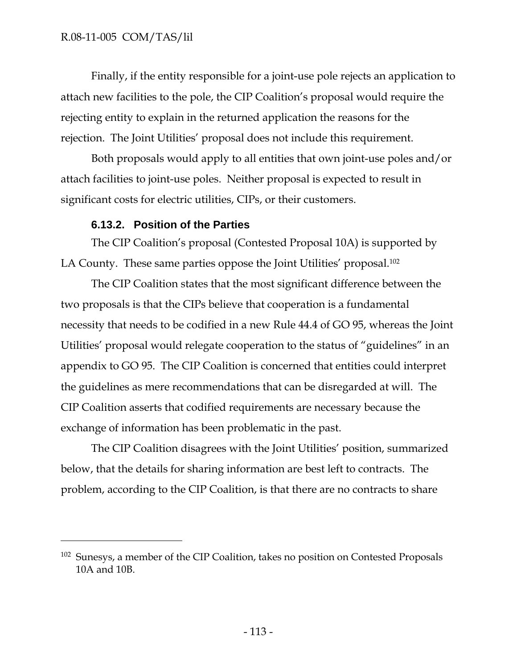$\overline{a}$ 

Finally, if the entity responsible for a joint-use pole rejects an application to attach new facilities to the pole, the CIP Coalition's proposal would require the rejecting entity to explain in the returned application the reasons for the rejection. The Joint Utilities' proposal does not include this requirement.

Both proposals would apply to all entities that own joint-use poles and/or attach facilities to joint-use poles. Neither proposal is expected to result in significant costs for electric utilities, CIPs, or their customers.

## **6.13.2. Position of the Parties**

The CIP Coalition's proposal (Contested Proposal 10A) is supported by LA County. These same parties oppose the Joint Utilities' proposal.<sup>102</sup>

The CIP Coalition states that the most significant difference between the two proposals is that the CIPs believe that cooperation is a fundamental necessity that needs to be codified in a new Rule 44.4 of GO 95, whereas the Joint Utilities' proposal would relegate cooperation to the status of "guidelines" in an appendix to GO 95. The CIP Coalition is concerned that entities could interpret the guidelines as mere recommendations that can be disregarded at will. The CIP Coalition asserts that codified requirements are necessary because the exchange of information has been problematic in the past.

The CIP Coalition disagrees with the Joint Utilities' position, summarized below, that the details for sharing information are best left to contracts. The problem, according to the CIP Coalition, is that there are no contracts to share

<sup>102</sup> Sunesys, a member of the CIP Coalition, takes no position on Contested Proposals 10A and 10B.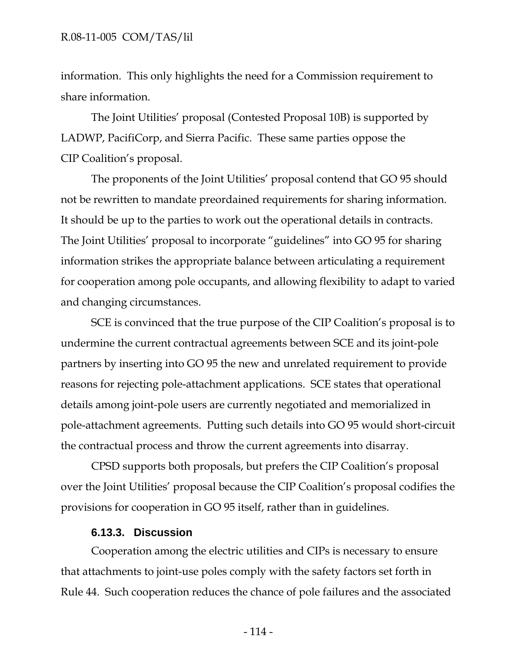information. This only highlights the need for a Commission requirement to share information.

The Joint Utilities' proposal (Contested Proposal 10B) is supported by LADWP, PacifiCorp, and Sierra Pacific. These same parties oppose the CIP Coalition's proposal.

The proponents of the Joint Utilities' proposal contend that GO 95 should not be rewritten to mandate preordained requirements for sharing information. It should be up to the parties to work out the operational details in contracts. The Joint Utilities' proposal to incorporate "guidelines" into GO 95 for sharing information strikes the appropriate balance between articulating a requirement for cooperation among pole occupants, and allowing flexibility to adapt to varied and changing circumstances.

SCE is convinced that the true purpose of the CIP Coalition's proposal is to undermine the current contractual agreements between SCE and its joint-pole partners by inserting into GO 95 the new and unrelated requirement to provide reasons for rejecting pole-attachment applications. SCE states that operational details among joint-pole users are currently negotiated and memorialized in pole-attachment agreements. Putting such details into GO 95 would short-circuit the contractual process and throw the current agreements into disarray.

CPSD supports both proposals, but prefers the CIP Coalition's proposal over the Joint Utilities' proposal because the CIP Coalition's proposal codifies the provisions for cooperation in GO 95 itself, rather than in guidelines.

#### **6.13.3. Discussion**

Cooperation among the electric utilities and CIPs is necessary to ensure that attachments to joint-use poles comply with the safety factors set forth in Rule 44. Such cooperation reduces the chance of pole failures and the associated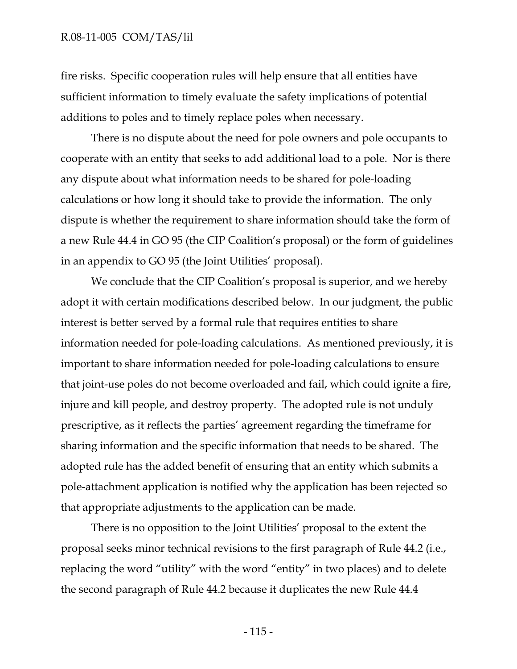fire risks. Specific cooperation rules will help ensure that all entities have sufficient information to timely evaluate the safety implications of potential additions to poles and to timely replace poles when necessary.

There is no dispute about the need for pole owners and pole occupants to cooperate with an entity that seeks to add additional load to a pole. Nor is there any dispute about what information needs to be shared for pole-loading calculations or how long it should take to provide the information. The only dispute is whether the requirement to share information should take the form of a new Rule 44.4 in GO 95 (the CIP Coalition's proposal) or the form of guidelines in an appendix to GO 95 (the Joint Utilities' proposal).

We conclude that the CIP Coalition's proposal is superior, and we hereby adopt it with certain modifications described below. In our judgment, the public interest is better served by a formal rule that requires entities to share information needed for pole-loading calculations. As mentioned previously, it is important to share information needed for pole-loading calculations to ensure that joint-use poles do not become overloaded and fail, which could ignite a fire, injure and kill people, and destroy property. The adopted rule is not unduly prescriptive, as it reflects the parties' agreement regarding the timeframe for sharing information and the specific information that needs to be shared. The adopted rule has the added benefit of ensuring that an entity which submits a pole-attachment application is notified why the application has been rejected so that appropriate adjustments to the application can be made.

There is no opposition to the Joint Utilities' proposal to the extent the proposal seeks minor technical revisions to the first paragraph of Rule 44.2 (i.e., replacing the word "utility" with the word "entity" in two places) and to delete the second paragraph of Rule 44.2 because it duplicates the new Rule 44.4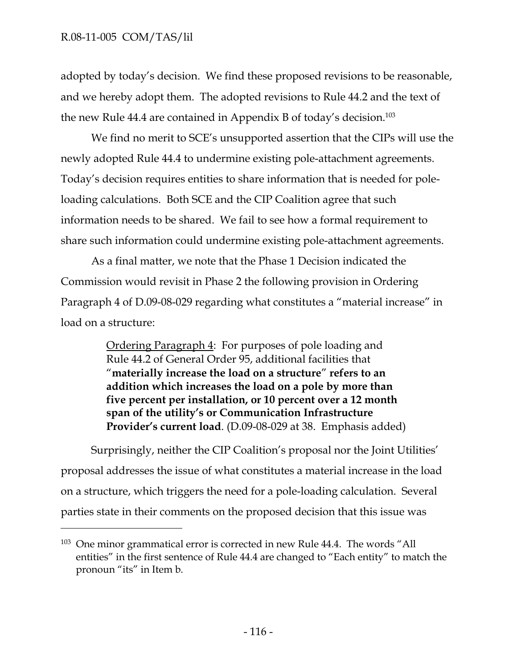-

adopted by today's decision. We find these proposed revisions to be reasonable, and we hereby adopt them. The adopted revisions to Rule 44.2 and the text of the new Rule 44.4 are contained in Appendix B of today's decision.103

We find no merit to SCE's unsupported assertion that the CIPs will use the newly adopted Rule 44.4 to undermine existing pole-attachment agreements. Today's decision requires entities to share information that is needed for poleloading calculations. Both SCE and the CIP Coalition agree that such information needs to be shared. We fail to see how a formal requirement to share such information could undermine existing pole-attachment agreements.

As a final matter, we note that the Phase 1 Decision indicated the Commission would revisit in Phase 2 the following provision in Ordering Paragraph 4 of D.09-08-029 regarding what constitutes a "material increase" in load on a structure:

> Ordering Paragraph 4: For purposes of pole loading and Rule 44.2 of General Order 95, additional facilities that "**materially increase the load on a structure**" **refers to an addition which increases the load on a pole by more than five percent per installation, or 10 percent over a 12 month span of the utility's or Communication Infrastructure Provider's current load**. (D.09-08-029 at 38. Emphasis added)

Surprisingly, neither the CIP Coalition's proposal nor the Joint Utilities' proposal addresses the issue of what constitutes a material increase in the load on a structure, which triggers the need for a pole-loading calculation. Several parties state in their comments on the proposed decision that this issue was

<sup>&</sup>lt;sup>103</sup> One minor grammatical error is corrected in new Rule 44.4. The words "All entities" in the first sentence of Rule 44.4 are changed to "Each entity" to match the pronoun "its" in Item b.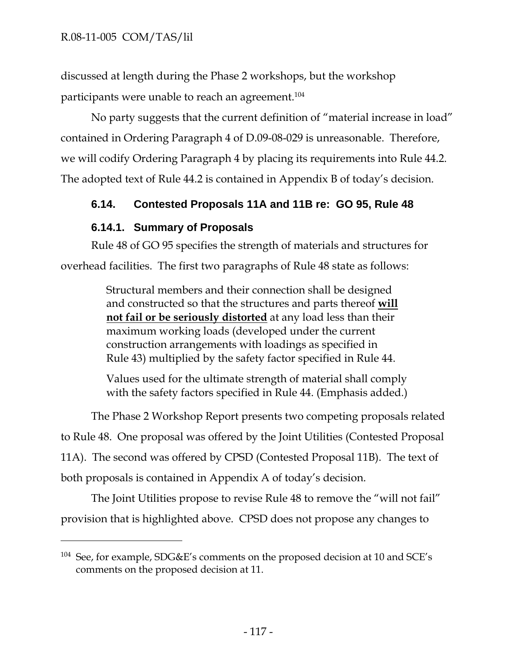-

discussed at length during the Phase 2 workshops, but the workshop participants were unable to reach an agreement.<sup>104</sup>

No party suggests that the current definition of "material increase in load" contained in Ordering Paragraph 4 of D.09-08-029 is unreasonable. Therefore, we will codify Ordering Paragraph 4 by placing its requirements into Rule 44.2. The adopted text of Rule 44.2 is contained in Appendix B of today's decision.

# **6.14. Contested Proposals 11A and 11B re: GO 95, Rule 48**

# **6.14.1. Summary of Proposals**

Rule 48 of GO 95 specifies the strength of materials and structures for overhead facilities. The first two paragraphs of Rule 48 state as follows:

> Structural members and their connection shall be designed and constructed so that the structures and parts thereof **will not fail or be seriously distorted** at any load less than their maximum working loads (developed under the current construction arrangements with loadings as specified in Rule 43) multiplied by the safety factor specified in Rule 44.

Values used for the ultimate strength of material shall comply with the safety factors specified in Rule 44. (Emphasis added.)

The Phase 2 Workshop Report presents two competing proposals related to Rule 48. One proposal was offered by the Joint Utilities (Contested Proposal 11A). The second was offered by CPSD (Contested Proposal 11B). The text of both proposals is contained in Appendix A of today's decision.

The Joint Utilities propose to revise Rule 48 to remove the "will not fail" provision that is highlighted above. CPSD does not propose any changes to

<sup>104</sup> See, for example, SDG&E's comments on the proposed decision at 10 and SCE's comments on the proposed decision at 11.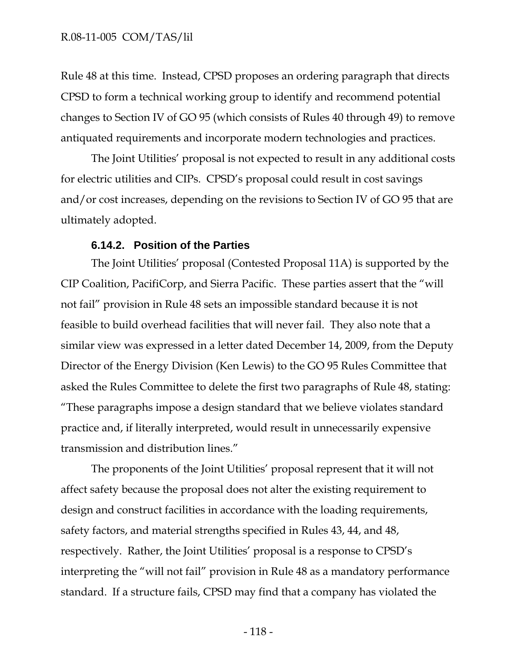Rule 48 at this time. Instead, CPSD proposes an ordering paragraph that directs CPSD to form a technical working group to identify and recommend potential changes to Section IV of GO 95 (which consists of Rules 40 through 49) to remove antiquated requirements and incorporate modern technologies and practices.

The Joint Utilities' proposal is not expected to result in any additional costs for electric utilities and CIPs. CPSD's proposal could result in cost savings and/or cost increases, depending on the revisions to Section IV of GO 95 that are ultimately adopted.

#### **6.14.2. Position of the Parties**

The Joint Utilities' proposal (Contested Proposal 11A) is supported by the CIP Coalition, PacifiCorp, and Sierra Pacific. These parties assert that the "will not fail" provision in Rule 48 sets an impossible standard because it is not feasible to build overhead facilities that will never fail. They also note that a similar view was expressed in a letter dated December 14, 2009, from the Deputy Director of the Energy Division (Ken Lewis) to the GO 95 Rules Committee that asked the Rules Committee to delete the first two paragraphs of Rule 48, stating: "These paragraphs impose a design standard that we believe violates standard practice and, if literally interpreted, would result in unnecessarily expensive transmission and distribution lines."

The proponents of the Joint Utilities' proposal represent that it will not affect safety because the proposal does not alter the existing requirement to design and construct facilities in accordance with the loading requirements, safety factors, and material strengths specified in Rules 43, 44, and 48, respectively. Rather, the Joint Utilities' proposal is a response to CPSD's interpreting the "will not fail" provision in Rule 48 as a mandatory performance standard. If a structure fails, CPSD may find that a company has violated the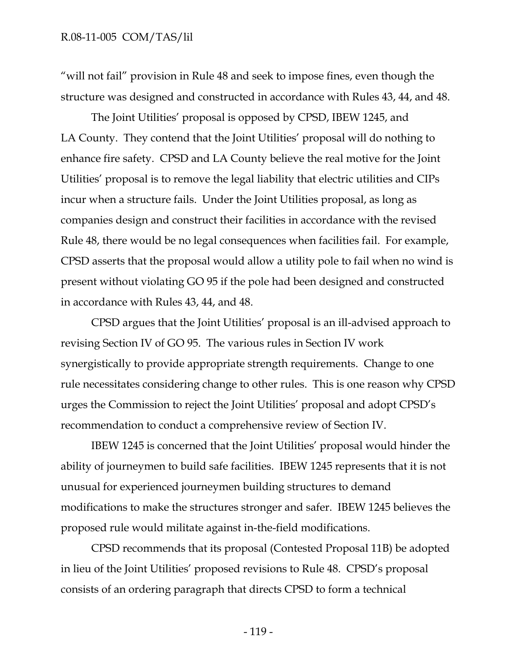"will not fail" provision in Rule 48 and seek to impose fines, even though the structure was designed and constructed in accordance with Rules 43, 44, and 48.

The Joint Utilities' proposal is opposed by CPSD, IBEW 1245, and LA County. They contend that the Joint Utilities' proposal will do nothing to enhance fire safety. CPSD and LA County believe the real motive for the Joint Utilities' proposal is to remove the legal liability that electric utilities and CIPs incur when a structure fails. Under the Joint Utilities proposal, as long as companies design and construct their facilities in accordance with the revised Rule 48, there would be no legal consequences when facilities fail. For example, CPSD asserts that the proposal would allow a utility pole to fail when no wind is present without violating GO 95 if the pole had been designed and constructed in accordance with Rules 43, 44, and 48.

CPSD argues that the Joint Utilities' proposal is an ill-advised approach to revising Section IV of GO 95. The various rules in Section IV work synergistically to provide appropriate strength requirements. Change to one rule necessitates considering change to other rules. This is one reason why CPSD urges the Commission to reject the Joint Utilities' proposal and adopt CPSD's recommendation to conduct a comprehensive review of Section IV.

IBEW 1245 is concerned that the Joint Utilities' proposal would hinder the ability of journeymen to build safe facilities. IBEW 1245 represents that it is not unusual for experienced journeymen building structures to demand modifications to make the structures stronger and safer. IBEW 1245 believes the proposed rule would militate against in-the-field modifications.

CPSD recommends that its proposal (Contested Proposal 11B) be adopted in lieu of the Joint Utilities' proposed revisions to Rule 48. CPSD's proposal consists of an ordering paragraph that directs CPSD to form a technical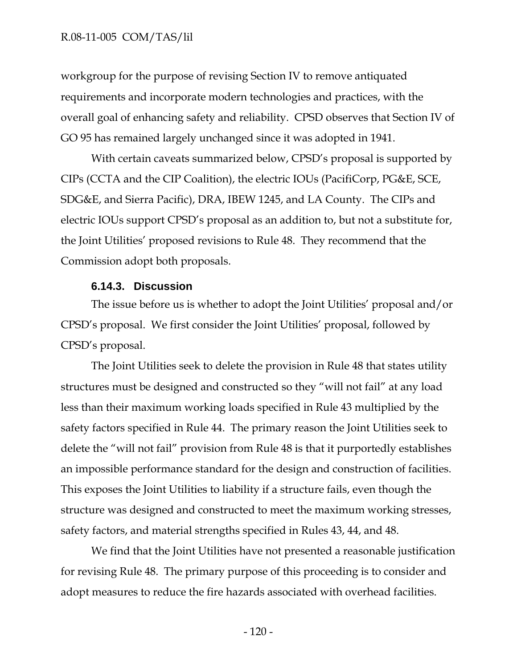workgroup for the purpose of revising Section IV to remove antiquated requirements and incorporate modern technologies and practices, with the overall goal of enhancing safety and reliability. CPSD observes that Section IV of GO 95 has remained largely unchanged since it was adopted in 1941.

With certain caveats summarized below, CPSD's proposal is supported by CIPs (CCTA and the CIP Coalition), the electric IOUs (PacifiCorp, PG&E, SCE, SDG&E, and Sierra Pacific), DRA, IBEW 1245, and LA County. The CIPs and electric IOUs support CPSD's proposal as an addition to, but not a substitute for, the Joint Utilities' proposed revisions to Rule 48. They recommend that the Commission adopt both proposals.

### **6.14.3. Discussion**

The issue before us is whether to adopt the Joint Utilities' proposal and/or CPSD's proposal. We first consider the Joint Utilities' proposal, followed by CPSD's proposal.

The Joint Utilities seek to delete the provision in Rule 48 that states utility structures must be designed and constructed so they "will not fail" at any load less than their maximum working loads specified in Rule 43 multiplied by the safety factors specified in Rule 44. The primary reason the Joint Utilities seek to delete the "will not fail" provision from Rule 48 is that it purportedly establishes an impossible performance standard for the design and construction of facilities. This exposes the Joint Utilities to liability if a structure fails, even though the structure was designed and constructed to meet the maximum working stresses, safety factors, and material strengths specified in Rules 43, 44, and 48.

We find that the Joint Utilities have not presented a reasonable justification for revising Rule 48. The primary purpose of this proceeding is to consider and adopt measures to reduce the fire hazards associated with overhead facilities.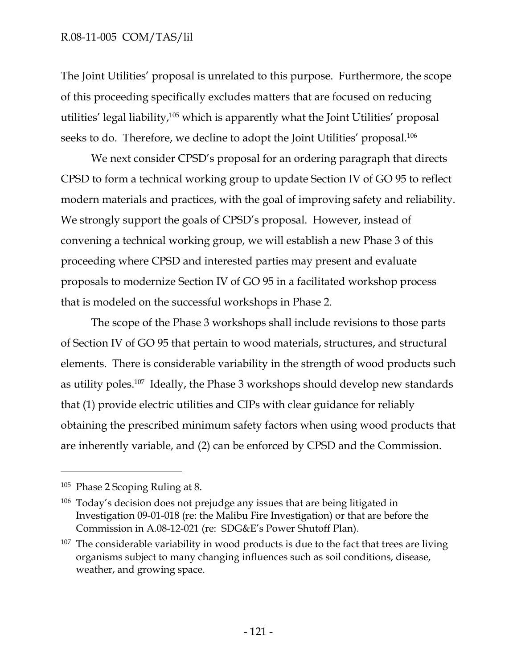The Joint Utilities' proposal is unrelated to this purpose. Furthermore, the scope of this proceeding specifically excludes matters that are focused on reducing utilities' legal liability,105 which is apparently what the Joint Utilities' proposal seeks to do. Therefore, we decline to adopt the Joint Utilities' proposal.<sup>106</sup>

We next consider CPSD's proposal for an ordering paragraph that directs CPSD to form a technical working group to update Section IV of GO 95 to reflect modern materials and practices, with the goal of improving safety and reliability. We strongly support the goals of CPSD's proposal. However, instead of convening a technical working group, we will establish a new Phase 3 of this proceeding where CPSD and interested parties may present and evaluate proposals to modernize Section IV of GO 95 in a facilitated workshop process that is modeled on the successful workshops in Phase 2.

The scope of the Phase 3 workshops shall include revisions to those parts of Section IV of GO 95 that pertain to wood materials, structures, and structural elements. There is considerable variability in the strength of wood products such as utility poles.107 Ideally, the Phase 3 workshops should develop new standards that (1) provide electric utilities and CIPs with clear guidance for reliably obtaining the prescribed minimum safety factors when using wood products that are inherently variable, and (2) can be enforced by CPSD and the Commission.

 $\overline{a}$ 

 $105$  Phase 2 Scoping Ruling at 8.

<sup>&</sup>lt;sup>106</sup> Today's decision does not prejudge any issues that are being litigated in Investigation 09-01-018 (re: the Malibu Fire Investigation) or that are before the Commission in A.08-12-021 (re: SDG&E's Power Shutoff Plan).

 $107$  The considerable variability in wood products is due to the fact that trees are living organisms subject to many changing influences such as soil conditions, disease, weather, and growing space.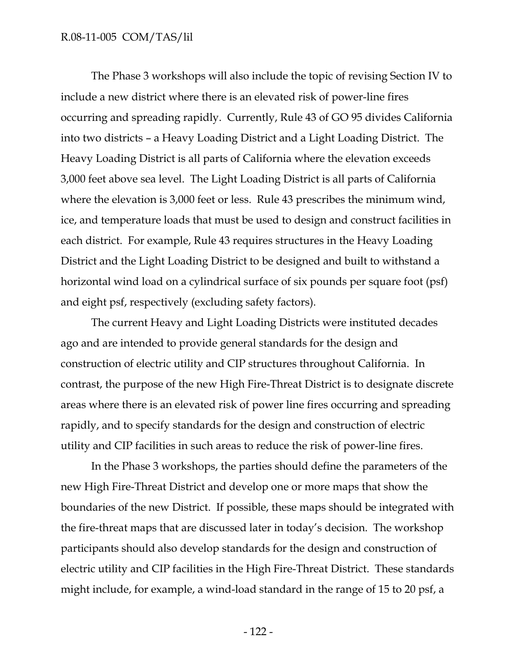#### R.08-11-005 COM/TAS/lil

The Phase 3 workshops will also include the topic of revising Section IV to include a new district where there is an elevated risk of power-line fires occurring and spreading rapidly. Currently, Rule 43 of GO 95 divides California into two districts – a Heavy Loading District and a Light Loading District. The Heavy Loading District is all parts of California where the elevation exceeds 3,000 feet above sea level. The Light Loading District is all parts of California where the elevation is 3,000 feet or less. Rule 43 prescribes the minimum wind, ice, and temperature loads that must be used to design and construct facilities in each district. For example, Rule 43 requires structures in the Heavy Loading District and the Light Loading District to be designed and built to withstand a horizontal wind load on a cylindrical surface of six pounds per square foot (psf) and eight psf, respectively (excluding safety factors).

The current Heavy and Light Loading Districts were instituted decades ago and are intended to provide general standards for the design and construction of electric utility and CIP structures throughout California. In contrast, the purpose of the new High Fire-Threat District is to designate discrete areas where there is an elevated risk of power line fires occurring and spreading rapidly, and to specify standards for the design and construction of electric utility and CIP facilities in such areas to reduce the risk of power-line fires.

In the Phase 3 workshops, the parties should define the parameters of the new High Fire-Threat District and develop one or more maps that show the boundaries of the new District. If possible, these maps should be integrated with the fire-threat maps that are discussed later in today's decision. The workshop participants should also develop standards for the design and construction of electric utility and CIP facilities in the High Fire-Threat District. These standards might include, for example, a wind-load standard in the range of 15 to 20 psf, a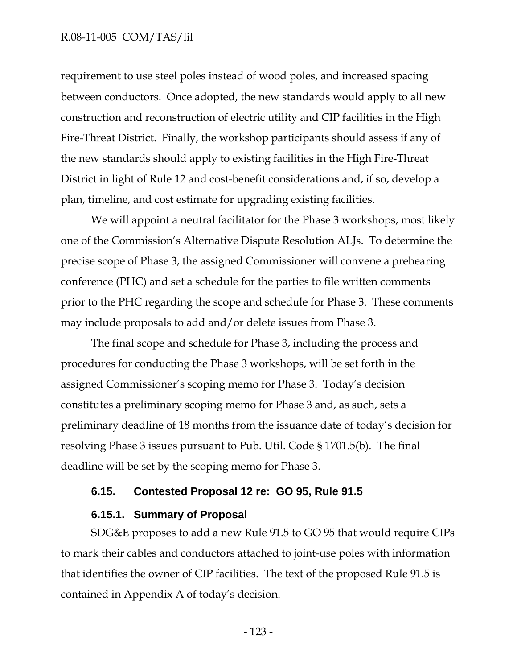#### R.08-11-005 COM/TAS/lil

requirement to use steel poles instead of wood poles, and increased spacing between conductors. Once adopted, the new standards would apply to all new construction and reconstruction of electric utility and CIP facilities in the High Fire-Threat District. Finally, the workshop participants should assess if any of the new standards should apply to existing facilities in the High Fire-Threat District in light of Rule 12 and cost-benefit considerations and, if so, develop a plan, timeline, and cost estimate for upgrading existing facilities.

We will appoint a neutral facilitator for the Phase 3 workshops, most likely one of the Commission's Alternative Dispute Resolution ALJs. To determine the precise scope of Phase 3, the assigned Commissioner will convene a prehearing conference (PHC) and set a schedule for the parties to file written comments prior to the PHC regarding the scope and schedule for Phase 3. These comments may include proposals to add and/or delete issues from Phase 3.

The final scope and schedule for Phase 3, including the process and procedures for conducting the Phase 3 workshops, will be set forth in the assigned Commissioner's scoping memo for Phase 3. Today's decision constitutes a preliminary scoping memo for Phase 3 and, as such, sets a preliminary deadline of 18 months from the issuance date of today's decision for resolving Phase 3 issues pursuant to Pub. Util. Code § 1701.5(b). The final deadline will be set by the scoping memo for Phase 3.

### **6.15. Contested Proposal 12 re: GO 95, Rule 91.5**

#### **6.15.1. Summary of Proposal**

SDG&E proposes to add a new Rule 91.5 to GO 95 that would require CIPs to mark their cables and conductors attached to joint-use poles with information that identifies the owner of CIP facilities. The text of the proposed Rule 91.5 is contained in Appendix A of today's decision.

- 123 -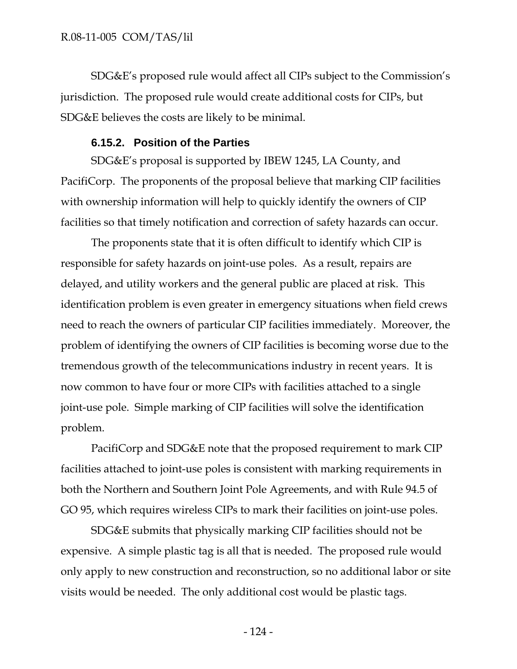SDG&E's proposed rule would affect all CIPs subject to the Commission's jurisdiction. The proposed rule would create additional costs for CIPs, but SDG&E believes the costs are likely to be minimal.

### **6.15.2. Position of the Parties**

SDG&E's proposal is supported by IBEW 1245, LA County, and PacifiCorp. The proponents of the proposal believe that marking CIP facilities with ownership information will help to quickly identify the owners of CIP facilities so that timely notification and correction of safety hazards can occur.

The proponents state that it is often difficult to identify which CIP is responsible for safety hazards on joint-use poles. As a result, repairs are delayed, and utility workers and the general public are placed at risk. This identification problem is even greater in emergency situations when field crews need to reach the owners of particular CIP facilities immediately. Moreover, the problem of identifying the owners of CIP facilities is becoming worse due to the tremendous growth of the telecommunications industry in recent years. It is now common to have four or more CIPs with facilities attached to a single joint-use pole. Simple marking of CIP facilities will solve the identification problem.

PacifiCorp and SDG&E note that the proposed requirement to mark CIP facilities attached to joint-use poles is consistent with marking requirements in both the Northern and Southern Joint Pole Agreements, and with Rule 94.5 of GO 95, which requires wireless CIPs to mark their facilities on joint-use poles.

SDG&E submits that physically marking CIP facilities should not be expensive. A simple plastic tag is all that is needed. The proposed rule would only apply to new construction and reconstruction, so no additional labor or site visits would be needed. The only additional cost would be plastic tags.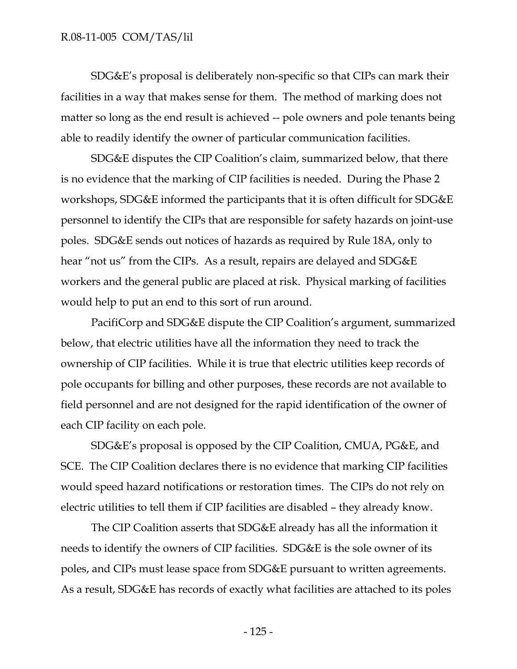SDG&E's proposal is deliberately non-specific so that CIPs can mark their facilities in a way that makes sense for them. The method of marking does not matter so long as the end result is achieved -- pole owners and pole tenants being able to readily identify the owner of particular communication facilities.

SDG&E disputes the CIP Coalition's claim, summarized below, that there is no evidence that the marking of CIP facilities is needed. During the Phase 2 workshops, SDG&E informed the participants that it is often difficult for SDG&E personnel to identify the CIPs that are responsible for safety hazards on joint-use poles. SDG&E sends out notices of hazards as required by Rule 18A, only to hear "not us" from the CIPs. As a result, repairs are delayed and SDG&E workers and the general public are placed at risk. Physical marking of facilities would help to put an end to this sort of run around.

PacifiCorp and SDG&E dispute the CIP Coalition's argument, summarized below, that electric utilities have all the information they need to track the ownership of CIP facilities. While it is true that electric utilities keep records of pole occupants for billing and other purposes, these records are not available to field personnel and are not designed for the rapid identification of the owner of each CIP facility on each pole.

SDG&E's proposal is opposed by the CIP Coalition, CMUA, PG&E, and SCE. The CIP Coalition declares there is no evidence that marking CIP facilities would speed hazard notifications or restoration times. The CIPs do not rely on electric utilities to tell them if CIP facilities are disabled – they already know.

The CIP Coalition asserts that SDG&E already has all the information it needs to identify the owners of CIP facilities. SDG&E is the sole owner of its poles, and CIPs must lease space from SDG&E pursuant to written agreements. As a result, SDG&E has records of exactly what facilities are attached to its poles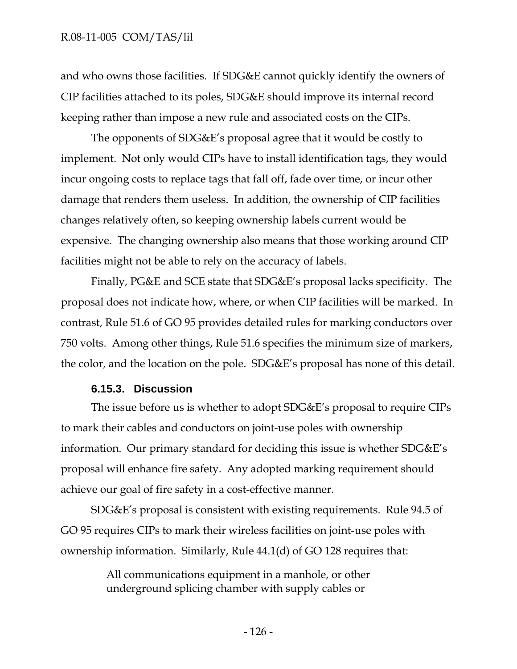and who owns those facilities. If SDG&E cannot quickly identify the owners of CIP facilities attached to its poles, SDG&E should improve its internal record keeping rather than impose a new rule and associated costs on the CIPs.

The opponents of SDG&E's proposal agree that it would be costly to implement. Not only would CIPs have to install identification tags, they would incur ongoing costs to replace tags that fall off, fade over time, or incur other damage that renders them useless. In addition, the ownership of CIP facilities changes relatively often, so keeping ownership labels current would be expensive. The changing ownership also means that those working around CIP facilities might not be able to rely on the accuracy of labels.

Finally, PG&E and SCE state that SDG&E's proposal lacks specificity. The proposal does not indicate how, where, or when CIP facilities will be marked. In contrast, Rule 51.6 of GO 95 provides detailed rules for marking conductors over 750 volts. Among other things, Rule 51.6 specifies the minimum size of markers, the color, and the location on the pole. SDG&E's proposal has none of this detail.

### **6.15.3. Discussion**

The issue before us is whether to adopt SDG&E's proposal to require CIPs to mark their cables and conductors on joint-use poles with ownership information. Our primary standard for deciding this issue is whether SDG&E's proposal will enhance fire safety. Any adopted marking requirement should achieve our goal of fire safety in a cost-effective manner.

SDG&E's proposal is consistent with existing requirements. Rule 94.5 of GO 95 requires CIPs to mark their wireless facilities on joint-use poles with ownership information. Similarly, Rule 44.1(d) of GO 128 requires that:

> All communications equipment in a manhole, or other underground splicing chamber with supply cables or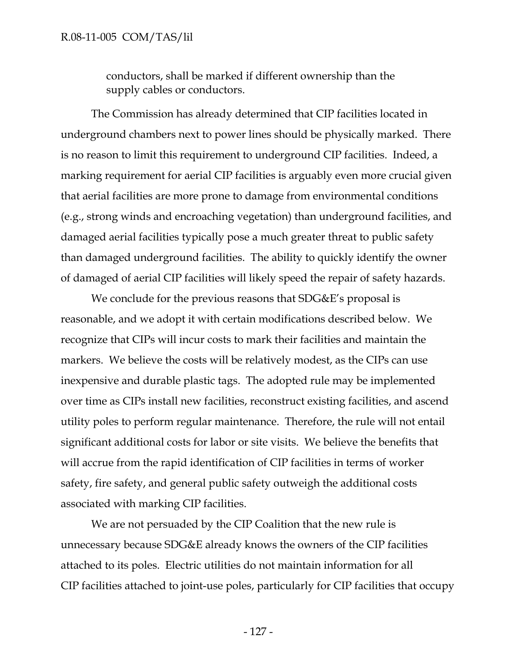conductors, shall be marked if different ownership than the supply cables or conductors.

The Commission has already determined that CIP facilities located in underground chambers next to power lines should be physically marked. There is no reason to limit this requirement to underground CIP facilities. Indeed, a marking requirement for aerial CIP facilities is arguably even more crucial given that aerial facilities are more prone to damage from environmental conditions (e.g., strong winds and encroaching vegetation) than underground facilities, and damaged aerial facilities typically pose a much greater threat to public safety than damaged underground facilities. The ability to quickly identify the owner of damaged of aerial CIP facilities will likely speed the repair of safety hazards.

We conclude for the previous reasons that SDG&E's proposal is reasonable, and we adopt it with certain modifications described below. We recognize that CIPs will incur costs to mark their facilities and maintain the markers. We believe the costs will be relatively modest, as the CIPs can use inexpensive and durable plastic tags. The adopted rule may be implemented over time as CIPs install new facilities, reconstruct existing facilities, and ascend utility poles to perform regular maintenance. Therefore, the rule will not entail significant additional costs for labor or site visits. We believe the benefits that will accrue from the rapid identification of CIP facilities in terms of worker safety, fire safety, and general public safety outweigh the additional costs associated with marking CIP facilities.

We are not persuaded by the CIP Coalition that the new rule is unnecessary because SDG&E already knows the owners of the CIP facilities attached to its poles. Electric utilities do not maintain information for all CIP facilities attached to joint-use poles, particularly for CIP facilities that occupy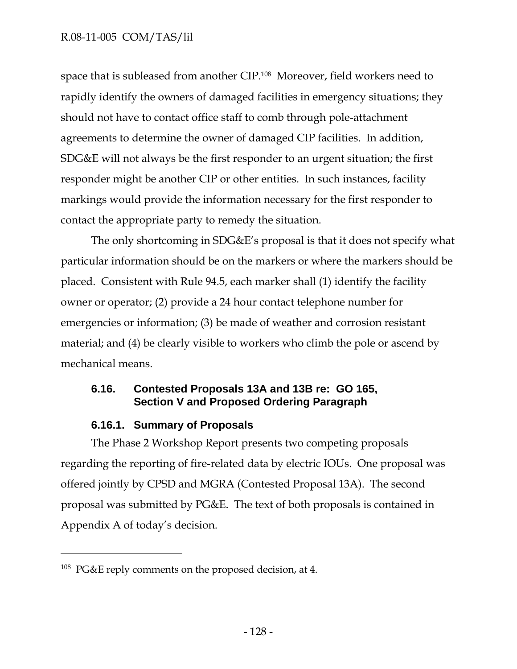space that is subleased from another CIP.108 Moreover, field workers need to rapidly identify the owners of damaged facilities in emergency situations; they should not have to contact office staff to comb through pole-attachment agreements to determine the owner of damaged CIP facilities. In addition, SDG&E will not always be the first responder to an urgent situation; the first responder might be another CIP or other entities. In such instances, facility markings would provide the information necessary for the first responder to contact the appropriate party to remedy the situation.

The only shortcoming in SDG&E's proposal is that it does not specify what particular information should be on the markers or where the markers should be placed. Consistent with Rule 94.5, each marker shall (1) identify the facility owner or operator; (2) provide a 24 hour contact telephone number for emergencies or information; (3) be made of weather and corrosion resistant material; and (4) be clearly visible to workers who climb the pole or ascend by mechanical means.

# **6.16. Contested Proposals 13A and 13B re: GO 165, Section V and Proposed Ordering Paragraph**

# **6.16.1. Summary of Proposals**

The Phase 2 Workshop Report presents two competing proposals regarding the reporting of fire-related data by electric IOUs. One proposal was offered jointly by CPSD and MGRA (Contested Proposal 13A). The second proposal was submitted by PG&E. The text of both proposals is contained in Appendix A of today's decision.

-

<sup>&</sup>lt;sup>108</sup> PG&E reply comments on the proposed decision, at 4.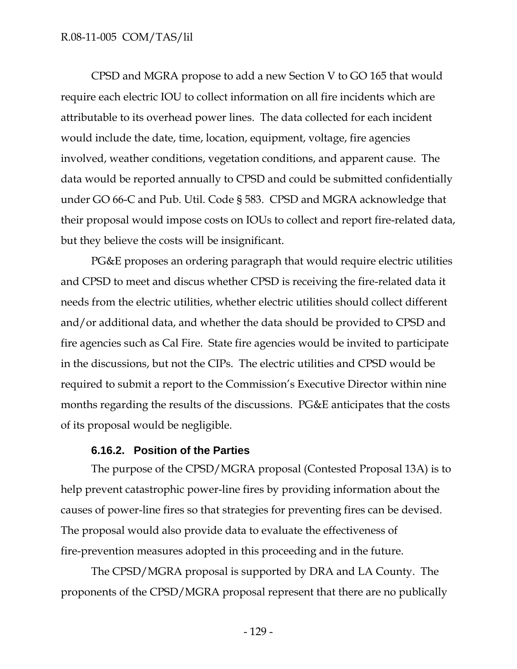CPSD and MGRA propose to add a new Section V to GO 165 that would require each electric IOU to collect information on all fire incidents which are attributable to its overhead power lines. The data collected for each incident would include the date, time, location, equipment, voltage, fire agencies involved, weather conditions, vegetation conditions, and apparent cause. The data would be reported annually to CPSD and could be submitted confidentially under GO 66-C and Pub. Util. Code § 583. CPSD and MGRA acknowledge that their proposal would impose costs on IOUs to collect and report fire-related data, but they believe the costs will be insignificant.

PG&E proposes an ordering paragraph that would require electric utilities and CPSD to meet and discus whether CPSD is receiving the fire-related data it needs from the electric utilities, whether electric utilities should collect different and/or additional data, and whether the data should be provided to CPSD and fire agencies such as Cal Fire. State fire agencies would be invited to participate in the discussions, but not the CIPs. The electric utilities and CPSD would be required to submit a report to the Commission's Executive Director within nine months regarding the results of the discussions. PG&E anticipates that the costs of its proposal would be negligible.

### **6.16.2. Position of the Parties**

The purpose of the CPSD/MGRA proposal (Contested Proposal 13A) is to help prevent catastrophic power-line fires by providing information about the causes of power-line fires so that strategies for preventing fires can be devised. The proposal would also provide data to evaluate the effectiveness of fire-prevention measures adopted in this proceeding and in the future.

The CPSD/MGRA proposal is supported by DRA and LA County. The proponents of the CPSD/MGRA proposal represent that there are no publically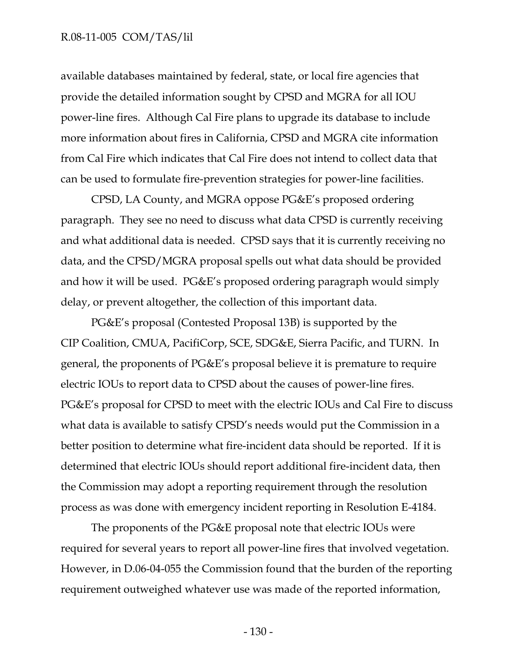### R.08-11-005 COM/TAS/lil

available databases maintained by federal, state, or local fire agencies that provide the detailed information sought by CPSD and MGRA for all IOU power-line fires. Although Cal Fire plans to upgrade its database to include more information about fires in California, CPSD and MGRA cite information from Cal Fire which indicates that Cal Fire does not intend to collect data that can be used to formulate fire-prevention strategies for power-line facilities.

CPSD, LA County, and MGRA oppose PG&E's proposed ordering paragraph. They see no need to discuss what data CPSD is currently receiving and what additional data is needed. CPSD says that it is currently receiving no data, and the CPSD/MGRA proposal spells out what data should be provided and how it will be used. PG&E's proposed ordering paragraph would simply delay, or prevent altogether, the collection of this important data.

PG&E's proposal (Contested Proposal 13B) is supported by the CIP Coalition, CMUA, PacifiCorp, SCE, SDG&E, Sierra Pacific, and TURN. In general, the proponents of PG&E's proposal believe it is premature to require electric IOUs to report data to CPSD about the causes of power-line fires. PG&E's proposal for CPSD to meet with the electric IOUs and Cal Fire to discuss what data is available to satisfy CPSD's needs would put the Commission in a better position to determine what fire-incident data should be reported. If it is determined that electric IOUs should report additional fire-incident data, then the Commission may adopt a reporting requirement through the resolution process as was done with emergency incident reporting in Resolution E-4184.

The proponents of the PG&E proposal note that electric IOUs were required for several years to report all power-line fires that involved vegetation. However, in D.06-04-055 the Commission found that the burden of the reporting requirement outweighed whatever use was made of the reported information,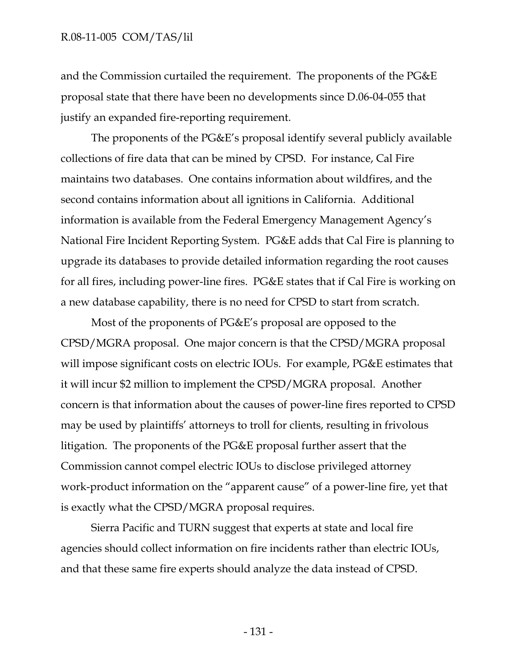and the Commission curtailed the requirement. The proponents of the PG&E proposal state that there have been no developments since D.06-04-055 that justify an expanded fire-reporting requirement.

The proponents of the PG&E's proposal identify several publicly available collections of fire data that can be mined by CPSD. For instance, Cal Fire maintains two databases. One contains information about wildfires, and the second contains information about all ignitions in California. Additional information is available from the Federal Emergency Management Agency's National Fire Incident Reporting System. PG&E adds that Cal Fire is planning to upgrade its databases to provide detailed information regarding the root causes for all fires, including power-line fires. PG&E states that if Cal Fire is working on a new database capability, there is no need for CPSD to start from scratch.

Most of the proponents of PG&E's proposal are opposed to the CPSD/MGRA proposal. One major concern is that the CPSD/MGRA proposal will impose significant costs on electric IOUs. For example, PG&E estimates that it will incur \$2 million to implement the CPSD/MGRA proposal. Another concern is that information about the causes of power-line fires reported to CPSD may be used by plaintiffs' attorneys to troll for clients, resulting in frivolous litigation. The proponents of the PG&E proposal further assert that the Commission cannot compel electric IOUs to disclose privileged attorney work-product information on the "apparent cause" of a power-line fire, yet that is exactly what the CPSD/MGRA proposal requires.

Sierra Pacific and TURN suggest that experts at state and local fire agencies should collect information on fire incidents rather than electric IOUs, and that these same fire experts should analyze the data instead of CPSD.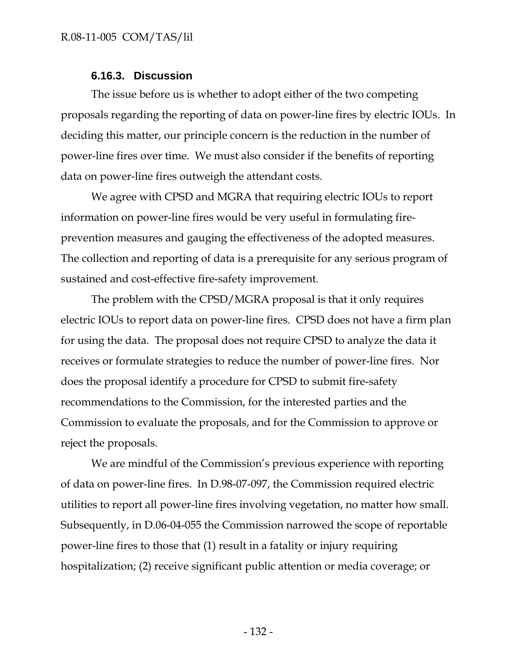#### **6.16.3. Discussion**

The issue before us is whether to adopt either of the two competing proposals regarding the reporting of data on power-line fires by electric IOUs. In deciding this matter, our principle concern is the reduction in the number of power-line fires over time. We must also consider if the benefits of reporting data on power-line fires outweigh the attendant costs.

We agree with CPSD and MGRA that requiring electric IOUs to report information on power-line fires would be very useful in formulating fireprevention measures and gauging the effectiveness of the adopted measures. The collection and reporting of data is a prerequisite for any serious program of sustained and cost-effective fire-safety improvement.

The problem with the CPSD/MGRA proposal is that it only requires electric IOUs to report data on power-line fires. CPSD does not have a firm plan for using the data. The proposal does not require CPSD to analyze the data it receives or formulate strategies to reduce the number of power-line fires. Nor does the proposal identify a procedure for CPSD to submit fire-safety recommendations to the Commission, for the interested parties and the Commission to evaluate the proposals, and for the Commission to approve or reject the proposals.

We are mindful of the Commission's previous experience with reporting of data on power-line fires. In D.98-07-097, the Commission required electric utilities to report all power-line fires involving vegetation, no matter how small. Subsequently, in D.06-04-055 the Commission narrowed the scope of reportable power-line fires to those that (1) result in a fatality or injury requiring hospitalization; (2) receive significant public attention or media coverage; or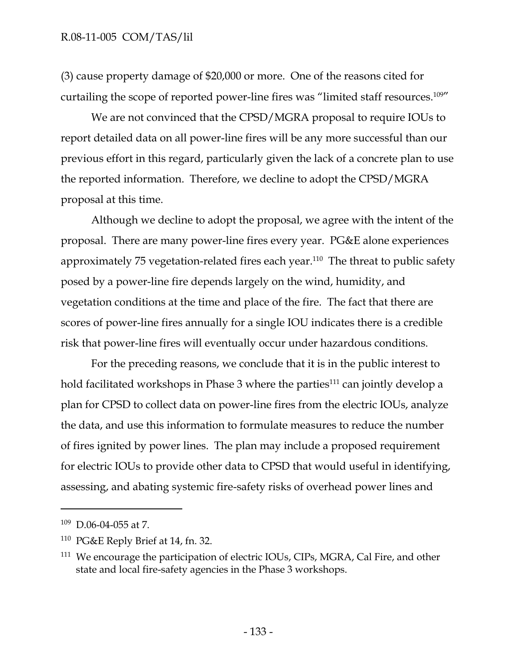(3) cause property damage of \$20,000 or more. One of the reasons cited for curtailing the scope of reported power-line fires was "limited staff resources.<sup>109"</sup>

We are not convinced that the CPSD/MGRA proposal to require IOUs to report detailed data on all power-line fires will be any more successful than our previous effort in this regard, particularly given the lack of a concrete plan to use the reported information. Therefore, we decline to adopt the CPSD/MGRA proposal at this time.

Although we decline to adopt the proposal, we agree with the intent of the proposal. There are many power-line fires every year. PG&E alone experiences approximately 75 vegetation-related fires each year.<sup>110</sup> The threat to public safety posed by a power-line fire depends largely on the wind, humidity, and vegetation conditions at the time and place of the fire. The fact that there are scores of power-line fires annually for a single IOU indicates there is a credible risk that power-line fires will eventually occur under hazardous conditions.

For the preceding reasons, we conclude that it is in the public interest to hold facilitated workshops in Phase 3 where the parties<sup>111</sup> can jointly develop a plan for CPSD to collect data on power-line fires from the electric IOUs, analyze the data, and use this information to formulate measures to reduce the number of fires ignited by power lines. The plan may include a proposed requirement for electric IOUs to provide other data to CPSD that would useful in identifying, assessing, and abating systemic fire-safety risks of overhead power lines and

-

<sup>109</sup> D.06-04-055 at 7.

<sup>110</sup> PG&E Reply Brief at 14, fn. 32.

<sup>&</sup>lt;sup>111</sup> We encourage the participation of electric IOUs, CIPs, MGRA, Cal Fire, and other state and local fire-safety agencies in the Phase 3 workshops.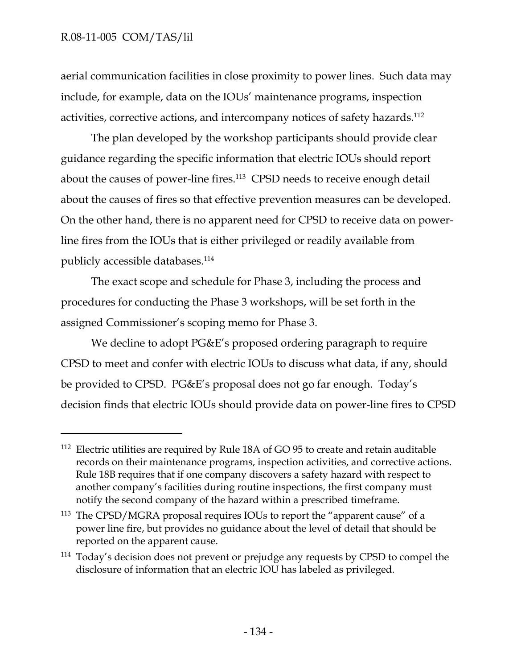$\overline{a}$ 

aerial communication facilities in close proximity to power lines. Such data may include, for example, data on the IOUs' maintenance programs, inspection activities, corrective actions, and intercompany notices of safety hazards.<sup>112</sup>

The plan developed by the workshop participants should provide clear guidance regarding the specific information that electric IOUs should report about the causes of power-line fires.<sup>113</sup> CPSD needs to receive enough detail about the causes of fires so that effective prevention measures can be developed. On the other hand, there is no apparent need for CPSD to receive data on powerline fires from the IOUs that is either privileged or readily available from publicly accessible databases.<sup>114</sup>

The exact scope and schedule for Phase 3, including the process and procedures for conducting the Phase 3 workshops, will be set forth in the assigned Commissioner's scoping memo for Phase 3.

We decline to adopt PG&E's proposed ordering paragraph to require CPSD to meet and confer with electric IOUs to discuss what data, if any, should be provided to CPSD. PG&E's proposal does not go far enough. Today's decision finds that electric IOUs should provide data on power-line fires to CPSD

 $112$  Electric utilities are required by Rule 18A of GO 95 to create and retain auditable records on their maintenance programs, inspection activities, and corrective actions. Rule 18B requires that if one company discovers a safety hazard with respect to another company's facilities during routine inspections, the first company must notify the second company of the hazard within a prescribed timeframe.

<sup>&</sup>lt;sup>113</sup> The CPSD/MGRA proposal requires IOUs to report the "apparent cause" of a power line fire, but provides no guidance about the level of detail that should be reported on the apparent cause.

<sup>114</sup> Today's decision does not prevent or prejudge any requests by CPSD to compel the disclosure of information that an electric IOU has labeled as privileged.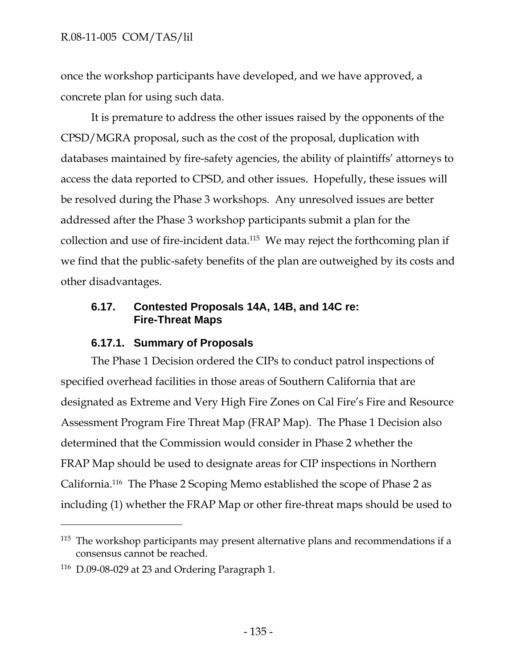once the workshop participants have developed, and we have approved, a concrete plan for using such data.

It is premature to address the other issues raised by the opponents of the CPSD/MGRA proposal, such as the cost of the proposal, duplication with databases maintained by fire-safety agencies, the ability of plaintiffs' attorneys to access the data reported to CPSD, and other issues. Hopefully, these issues will be resolved during the Phase 3 workshops. Any unresolved issues are better addressed after the Phase 3 workshop participants submit a plan for the collection and use of fire-incident data.115 We may reject the forthcoming plan if we find that the public-safety benefits of the plan are outweighed by its costs and other disadvantages.

## **6.17. Contested Proposals 14A, 14B, and 14C re: Fire-Threat Maps**

## **6.17.1. Summary of Proposals**

The Phase 1 Decision ordered the CIPs to conduct patrol inspections of specified overhead facilities in those areas of Southern California that are designated as Extreme and Very High Fire Zones on Cal Fire's Fire and Resource Assessment Program Fire Threat Map (FRAP Map). The Phase 1 Decision also determined that the Commission would consider in Phase 2 whether the FRAP Map should be used to designate areas for CIP inspections in Northern California.116 The Phase 2 Scoping Memo established the scope of Phase 2 as including (1) whether the FRAP Map or other fire-threat maps should be used to

 $\overline{a}$ 

<sup>&</sup>lt;sup>115</sup> The workshop participants may present alternative plans and recommendations if a consensus cannot be reached.

<sup>116</sup> D.09-08-029 at 23 and Ordering Paragraph 1.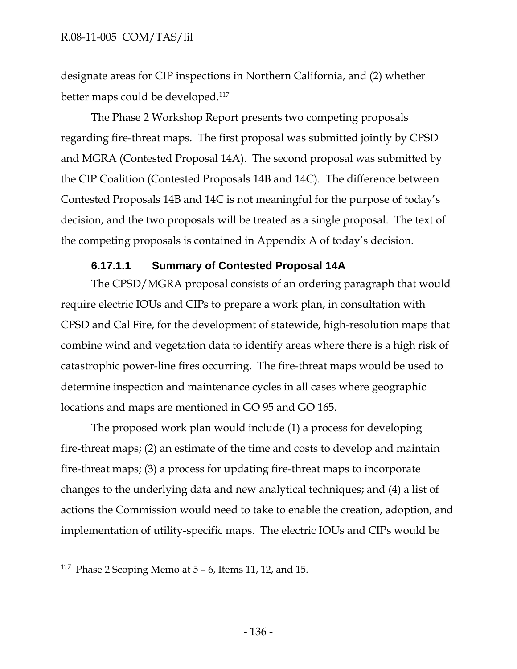designate areas for CIP inspections in Northern California, and (2) whether better maps could be developed.117

The Phase 2 Workshop Report presents two competing proposals regarding fire-threat maps. The first proposal was submitted jointly by CPSD and MGRA (Contested Proposal 14A). The second proposal was submitted by the CIP Coalition (Contested Proposals 14B and 14C). The difference between Contested Proposals 14B and 14C is not meaningful for the purpose of today's decision, and the two proposals will be treated as a single proposal. The text of the competing proposals is contained in Appendix A of today's decision.

## **6.17.1.1 Summary of Contested Proposal 14A**

The CPSD/MGRA proposal consists of an ordering paragraph that would require electric IOUs and CIPs to prepare a work plan, in consultation with CPSD and Cal Fire, for the development of statewide, high-resolution maps that combine wind and vegetation data to identify areas where there is a high risk of catastrophic power-line fires occurring. The fire-threat maps would be used to determine inspection and maintenance cycles in all cases where geographic locations and maps are mentioned in GO 95 and GO 165.

The proposed work plan would include (1) a process for developing fire-threat maps; (2) an estimate of the time and costs to develop and maintain fire-threat maps; (3) a process for updating fire-threat maps to incorporate changes to the underlying data and new analytical techniques; and (4) a list of actions the Commission would need to take to enable the creation, adoption, and implementation of utility-specific maps. The electric IOUs and CIPs would be

-

<sup>&</sup>lt;sup>117</sup> Phase 2 Scoping Memo at  $5 - 6$ , Items 11, 12, and 15.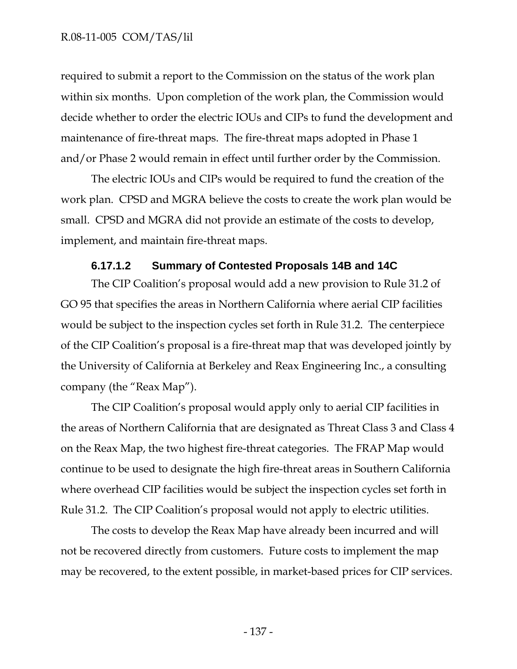required to submit a report to the Commission on the status of the work plan within six months. Upon completion of the work plan, the Commission would decide whether to order the electric IOUs and CIPs to fund the development and maintenance of fire-threat maps. The fire-threat maps adopted in Phase 1 and/or Phase 2 would remain in effect until further order by the Commission.

The electric IOUs and CIPs would be required to fund the creation of the work plan. CPSD and MGRA believe the costs to create the work plan would be small. CPSD and MGRA did not provide an estimate of the costs to develop, implement, and maintain fire-threat maps.

## **6.17.1.2 Summary of Contested Proposals 14B and 14C**

The CIP Coalition's proposal would add a new provision to Rule 31.2 of GO 95 that specifies the areas in Northern California where aerial CIP facilities would be subject to the inspection cycles set forth in Rule 31.2. The centerpiece of the CIP Coalition's proposal is a fire-threat map that was developed jointly by the University of California at Berkeley and Reax Engineering Inc., a consulting company (the "Reax Map").

The CIP Coalition's proposal would apply only to aerial CIP facilities in the areas of Northern California that are designated as Threat Class 3 and Class 4 on the Reax Map, the two highest fire-threat categories. The FRAP Map would continue to be used to designate the high fire-threat areas in Southern California where overhead CIP facilities would be subject the inspection cycles set forth in Rule 31.2. The CIP Coalition's proposal would not apply to electric utilities.

The costs to develop the Reax Map have already been incurred and will not be recovered directly from customers. Future costs to implement the map may be recovered, to the extent possible, in market-based prices for CIP services.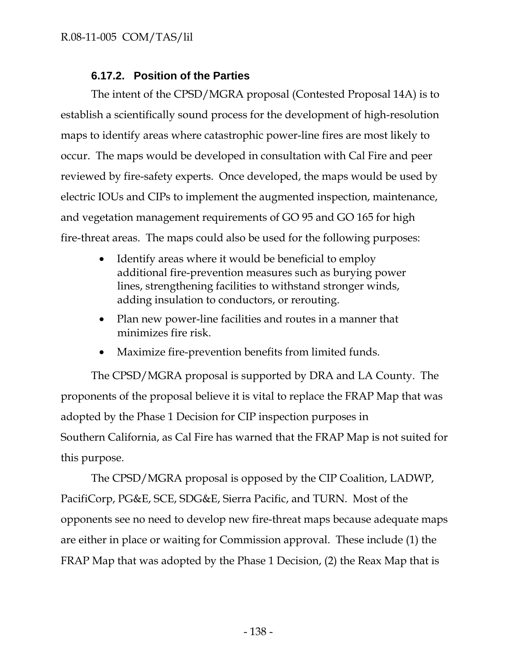## **6.17.2. Position of the Parties**

The intent of the CPSD/MGRA proposal (Contested Proposal 14A) is to establish a scientifically sound process for the development of high-resolution maps to identify areas where catastrophic power-line fires are most likely to occur. The maps would be developed in consultation with Cal Fire and peer reviewed by fire-safety experts. Once developed, the maps would be used by electric IOUs and CIPs to implement the augmented inspection, maintenance, and vegetation management requirements of GO 95 and GO 165 for high fire-threat areas. The maps could also be used for the following purposes:

- Identify areas where it would be beneficial to employ additional fire-prevention measures such as burying power lines, strengthening facilities to withstand stronger winds, adding insulation to conductors, or rerouting.
- Plan new power-line facilities and routes in a manner that minimizes fire risk.
- Maximize fire-prevention benefits from limited funds.

The CPSD/MGRA proposal is supported by DRA and LA County. The proponents of the proposal believe it is vital to replace the FRAP Map that was adopted by the Phase 1 Decision for CIP inspection purposes in Southern California, as Cal Fire has warned that the FRAP Map is not suited for this purpose.

The CPSD/MGRA proposal is opposed by the CIP Coalition, LADWP, PacifiCorp, PG&E, SCE, SDG&E, Sierra Pacific, and TURN. Most of the opponents see no need to develop new fire-threat maps because adequate maps are either in place or waiting for Commission approval. These include (1) the FRAP Map that was adopted by the Phase 1 Decision, (2) the Reax Map that is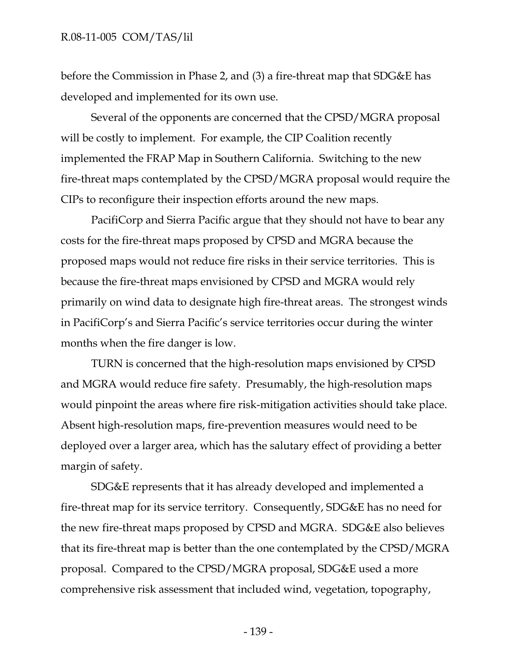before the Commission in Phase 2, and (3) a fire-threat map that SDG&E has developed and implemented for its own use.

Several of the opponents are concerned that the CPSD/MGRA proposal will be costly to implement. For example, the CIP Coalition recently implemented the FRAP Map in Southern California. Switching to the new fire-threat maps contemplated by the CPSD/MGRA proposal would require the CIPs to reconfigure their inspection efforts around the new maps.

PacifiCorp and Sierra Pacific argue that they should not have to bear any costs for the fire-threat maps proposed by CPSD and MGRA because the proposed maps would not reduce fire risks in their service territories. This is because the fire-threat maps envisioned by CPSD and MGRA would rely primarily on wind data to designate high fire-threat areas. The strongest winds in PacifiCorp's and Sierra Pacific's service territories occur during the winter months when the fire danger is low.

TURN is concerned that the high-resolution maps envisioned by CPSD and MGRA would reduce fire safety. Presumably, the high-resolution maps would pinpoint the areas where fire risk-mitigation activities should take place. Absent high-resolution maps, fire-prevention measures would need to be deployed over a larger area, which has the salutary effect of providing a better margin of safety.

SDG&E represents that it has already developed and implemented a fire-threat map for its service territory. Consequently, SDG&E has no need for the new fire-threat maps proposed by CPSD and MGRA. SDG&E also believes that its fire-threat map is better than the one contemplated by the CPSD/MGRA proposal. Compared to the CPSD/MGRA proposal, SDG&E used a more comprehensive risk assessment that included wind, vegetation, topography,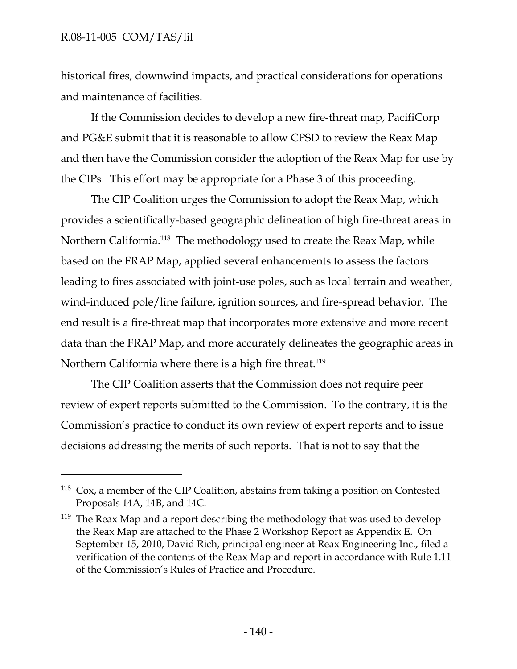### R.08-11-005 COM/TAS/lil

-

historical fires, downwind impacts, and practical considerations for operations and maintenance of facilities.

If the Commission decides to develop a new fire-threat map, PacifiCorp and PG&E submit that it is reasonable to allow CPSD to review the Reax Map and then have the Commission consider the adoption of the Reax Map for use by the CIPs. This effort may be appropriate for a Phase 3 of this proceeding.

The CIP Coalition urges the Commission to adopt the Reax Map, which provides a scientifically-based geographic delineation of high fire-threat areas in Northern California.118 The methodology used to create the Reax Map, while based on the FRAP Map, applied several enhancements to assess the factors leading to fires associated with joint-use poles, such as local terrain and weather, wind-induced pole/line failure, ignition sources, and fire-spread behavior. The end result is a fire-threat map that incorporates more extensive and more recent data than the FRAP Map, and more accurately delineates the geographic areas in Northern California where there is a high fire threat.119

The CIP Coalition asserts that the Commission does not require peer review of expert reports submitted to the Commission. To the contrary, it is the Commission's practice to conduct its own review of expert reports and to issue decisions addressing the merits of such reports. That is not to say that the

<sup>118</sup> Cox, a member of the CIP Coalition, abstains from taking a position on Contested Proposals 14A, 14B, and 14C.

<sup>&</sup>lt;sup>119</sup> The Reax Map and a report describing the methodology that was used to develop the Reax Map are attached to the Phase 2 Workshop Report as Appendix E. On September 15, 2010, David Rich, principal engineer at Reax Engineering Inc., filed a verification of the contents of the Reax Map and report in accordance with Rule 1.11 of the Commission's Rules of Practice and Procedure.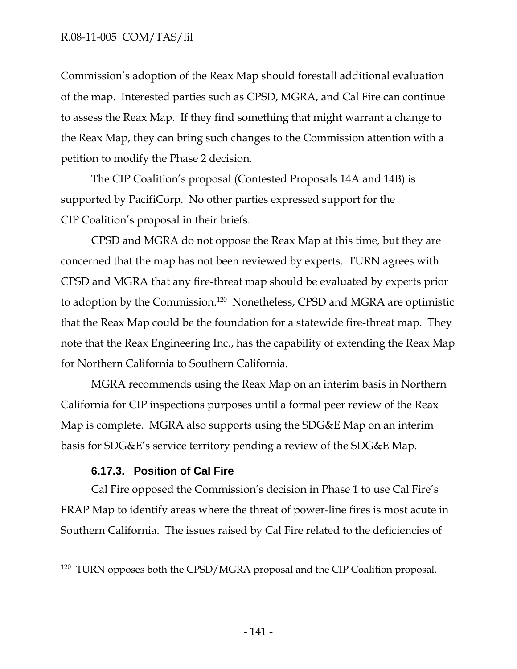### R.08-11-005 COM/TAS/lil

Commission's adoption of the Reax Map should forestall additional evaluation of the map. Interested parties such as CPSD, MGRA, and Cal Fire can continue to assess the Reax Map. If they find something that might warrant a change to the Reax Map, they can bring such changes to the Commission attention with a petition to modify the Phase 2 decision.

The CIP Coalition's proposal (Contested Proposals 14A and 14B) is supported by PacifiCorp. No other parties expressed support for the CIP Coalition's proposal in their briefs.

CPSD and MGRA do not oppose the Reax Map at this time, but they are concerned that the map has not been reviewed by experts. TURN agrees with CPSD and MGRA that any fire-threat map should be evaluated by experts prior to adoption by the Commission.120 Nonetheless, CPSD and MGRA are optimistic that the Reax Map could be the foundation for a statewide fire-threat map. They note that the Reax Engineering Inc., has the capability of extending the Reax Map for Northern California to Southern California.

MGRA recommends using the Reax Map on an interim basis in Northern California for CIP inspections purposes until a formal peer review of the Reax Map is complete. MGRA also supports using the SDG&E Map on an interim basis for SDG&E's service territory pending a review of the SDG&E Map.

#### **6.17.3. Position of Cal Fire**

 $\overline{a}$ 

Cal Fire opposed the Commission's decision in Phase 1 to use Cal Fire's FRAP Map to identify areas where the threat of power-line fires is most acute in Southern California. The issues raised by Cal Fire related to the deficiencies of

<sup>120</sup> TURN opposes both the CPSD/MGRA proposal and the CIP Coalition proposal.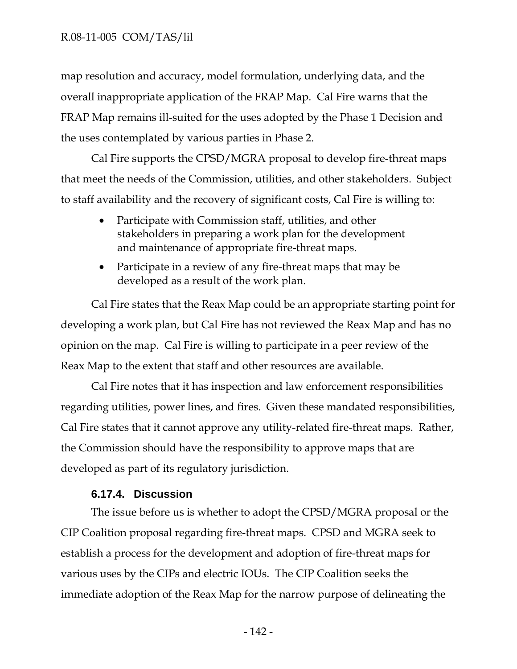map resolution and accuracy, model formulation, underlying data, and the overall inappropriate application of the FRAP Map. Cal Fire warns that the FRAP Map remains ill-suited for the uses adopted by the Phase 1 Decision and the uses contemplated by various parties in Phase 2.

Cal Fire supports the CPSD/MGRA proposal to develop fire-threat maps that meet the needs of the Commission, utilities, and other stakeholders. Subject to staff availability and the recovery of significant costs, Cal Fire is willing to:

- Participate with Commission staff, utilities, and other stakeholders in preparing a work plan for the development and maintenance of appropriate fire-threat maps.
- Participate in a review of any fire-threat maps that may be developed as a result of the work plan.

Cal Fire states that the Reax Map could be an appropriate starting point for developing a work plan, but Cal Fire has not reviewed the Reax Map and has no opinion on the map. Cal Fire is willing to participate in a peer review of the Reax Map to the extent that staff and other resources are available.

Cal Fire notes that it has inspection and law enforcement responsibilities regarding utilities, power lines, and fires. Given these mandated responsibilities, Cal Fire states that it cannot approve any utility-related fire-threat maps. Rather, the Commission should have the responsibility to approve maps that are developed as part of its regulatory jurisdiction.

### **6.17.4. Discussion**

The issue before us is whether to adopt the CPSD/MGRA proposal or the CIP Coalition proposal regarding fire-threat maps. CPSD and MGRA seek to establish a process for the development and adoption of fire-threat maps for various uses by the CIPs and electric IOUs. The CIP Coalition seeks the immediate adoption of the Reax Map for the narrow purpose of delineating the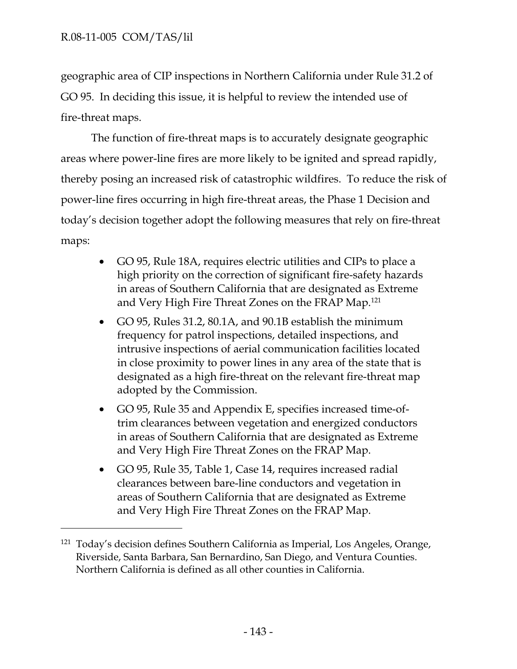-

geographic area of CIP inspections in Northern California under Rule 31.2 of GO 95. In deciding this issue, it is helpful to review the intended use of fire-threat maps.

The function of fire-threat maps is to accurately designate geographic areas where power-line fires are more likely to be ignited and spread rapidly, thereby posing an increased risk of catastrophic wildfires. To reduce the risk of power-line fires occurring in high fire-threat areas, the Phase 1 Decision and today's decision together adopt the following measures that rely on fire-threat maps:

- GO 95, Rule 18A, requires electric utilities and CIPs to place a high priority on the correction of significant fire-safety hazards in areas of Southern California that are designated as Extreme and Very High Fire Threat Zones on the FRAP Map.121
- GO 95, Rules 31.2, 80.1A, and 90.1B establish the minimum frequency for patrol inspections, detailed inspections, and intrusive inspections of aerial communication facilities located in close proximity to power lines in any area of the state that is designated as a high fire-threat on the relevant fire-threat map adopted by the Commission.
- GO 95, Rule 35 and Appendix E, specifies increased time-oftrim clearances between vegetation and energized conductors in areas of Southern California that are designated as Extreme and Very High Fire Threat Zones on the FRAP Map.
- GO 95, Rule 35, Table 1, Case 14, requires increased radial clearances between bare-line conductors and vegetation in areas of Southern California that are designated as Extreme and Very High Fire Threat Zones on the FRAP Map.

<sup>121</sup> Today's decision defines Southern California as Imperial, Los Angeles, Orange, Riverside, Santa Barbara, San Bernardino, San Diego, and Ventura Counties. Northern California is defined as all other counties in California.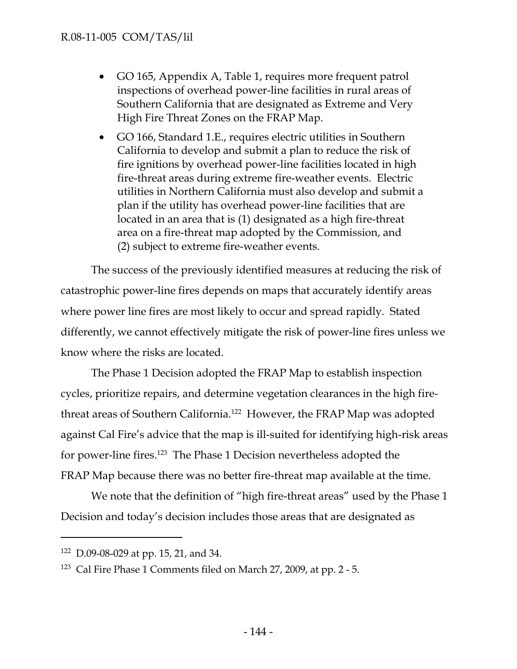- GO 165, Appendix A, Table 1, requires more frequent patrol inspections of overhead power-line facilities in rural areas of Southern California that are designated as Extreme and Very High Fire Threat Zones on the FRAP Map.
- GO 166, Standard 1.E., requires electric utilities in Southern California to develop and submit a plan to reduce the risk of fire ignitions by overhead power-line facilities located in high fire-threat areas during extreme fire-weather events. Electric utilities in Northern California must also develop and submit a plan if the utility has overhead power-line facilities that are located in an area that is (1) designated as a high fire-threat area on a fire-threat map adopted by the Commission, and (2) subject to extreme fire-weather events.

The success of the previously identified measures at reducing the risk of catastrophic power-line fires depends on maps that accurately identify areas where power line fires are most likely to occur and spread rapidly. Stated differently, we cannot effectively mitigate the risk of power-line fires unless we know where the risks are located.

The Phase 1 Decision adopted the FRAP Map to establish inspection cycles, prioritize repairs, and determine vegetation clearances in the high firethreat areas of Southern California.122 However, the FRAP Map was adopted against Cal Fire's advice that the map is ill-suited for identifying high-risk areas for power-line fires.123 The Phase 1 Decision nevertheless adopted the FRAP Map because there was no better fire-threat map available at the time.

We note that the definition of "high fire-threat areas" used by the Phase 1 Decision and today's decision includes those areas that are designated as

<sup>122</sup> D.09-08-029 at pp. 15, 21, and 34.

<sup>123</sup> Cal Fire Phase 1 Comments filed on March 27, 2009, at pp. 2 - 5.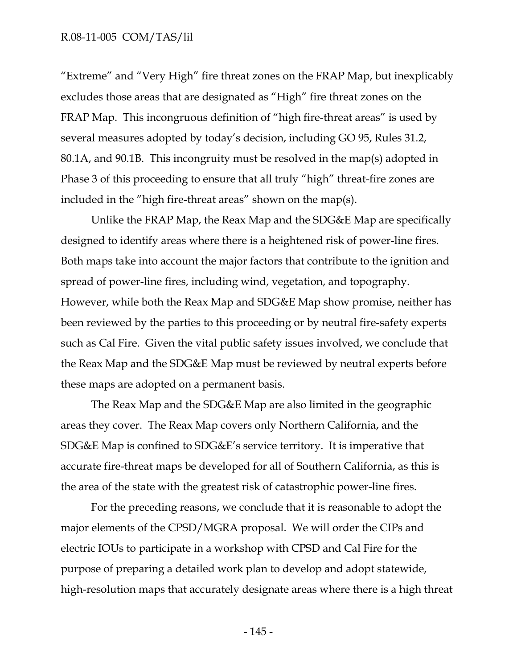#### R.08-11-005 COM/TAS/lil

"Extreme" and "Very High" fire threat zones on the FRAP Map, but inexplicably excludes those areas that are designated as "High" fire threat zones on the FRAP Map. This incongruous definition of "high fire-threat areas" is used by several measures adopted by today's decision, including GO 95, Rules 31.2, 80.1A, and 90.1B. This incongruity must be resolved in the map(s) adopted in Phase 3 of this proceeding to ensure that all truly "high" threat-fire zones are included in the "high fire-threat areas" shown on the map(s).

Unlike the FRAP Map, the Reax Map and the SDG&E Map are specifically designed to identify areas where there is a heightened risk of power-line fires. Both maps take into account the major factors that contribute to the ignition and spread of power-line fires, including wind, vegetation, and topography. However, while both the Reax Map and SDG&E Map show promise, neither has been reviewed by the parties to this proceeding or by neutral fire-safety experts such as Cal Fire. Given the vital public safety issues involved, we conclude that the Reax Map and the SDG&E Map must be reviewed by neutral experts before these maps are adopted on a permanent basis.

The Reax Map and the SDG&E Map are also limited in the geographic areas they cover. The Reax Map covers only Northern California, and the SDG&E Map is confined to SDG&E's service territory. It is imperative that accurate fire-threat maps be developed for all of Southern California, as this is the area of the state with the greatest risk of catastrophic power-line fires.

For the preceding reasons, we conclude that it is reasonable to adopt the major elements of the CPSD/MGRA proposal. We will order the CIPs and electric IOUs to participate in a workshop with CPSD and Cal Fire for the purpose of preparing a detailed work plan to develop and adopt statewide, high-resolution maps that accurately designate areas where there is a high threat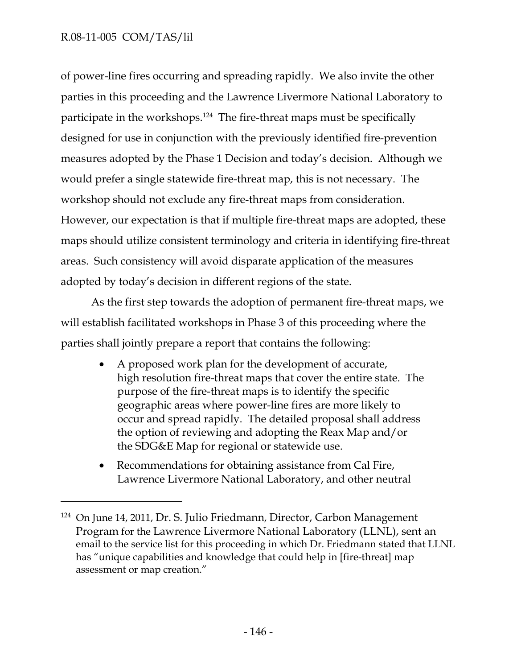-

of power-line fires occurring and spreading rapidly. We also invite the other parties in this proceeding and the Lawrence Livermore National Laboratory to participate in the workshops.124 The fire-threat maps must be specifically designed for use in conjunction with the previously identified fire-prevention measures adopted by the Phase 1 Decision and today's decision. Although we would prefer a single statewide fire-threat map, this is not necessary. The workshop should not exclude any fire-threat maps from consideration. However, our expectation is that if multiple fire-threat maps are adopted, these maps should utilize consistent terminology and criteria in identifying fire-threat areas. Such consistency will avoid disparate application of the measures adopted by today's decision in different regions of the state.

As the first step towards the adoption of permanent fire-threat maps, we will establish facilitated workshops in Phase 3 of this proceeding where the parties shall jointly prepare a report that contains the following:

- A proposed work plan for the development of accurate, high resolution fire-threat maps that cover the entire state. The purpose of the fire-threat maps is to identify the specific geographic areas where power-line fires are more likely to occur and spread rapidly. The detailed proposal shall address the option of reviewing and adopting the Reax Map and/or the SDG&E Map for regional or statewide use.
- Recommendations for obtaining assistance from Cal Fire, Lawrence Livermore National Laboratory, and other neutral

<sup>124</sup> On June 14, 2011, Dr. S. Julio Friedmann, Director, Carbon Management Program for the Lawrence Livermore National Laboratory (LLNL), sent an email to the service list for this proceeding in which Dr. Friedmann stated that LLNL has "unique capabilities and knowledge that could help in [fire-threat] map assessment or map creation."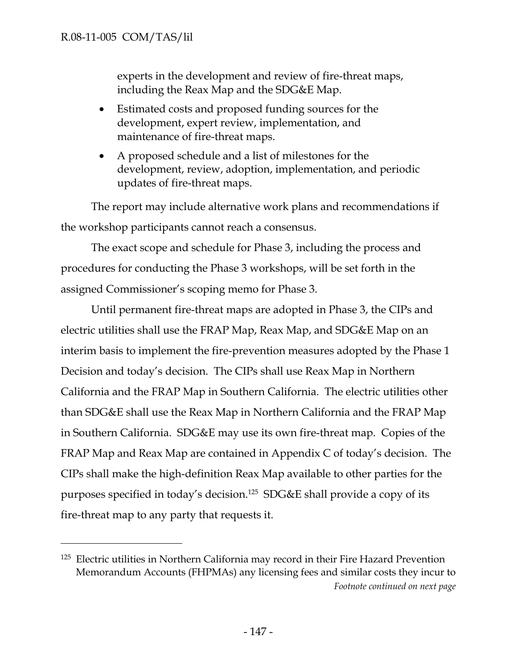$\overline{a}$ 

experts in the development and review of fire-threat maps, including the Reax Map and the SDG&E Map.

- Estimated costs and proposed funding sources for the development, expert review, implementation, and maintenance of fire-threat maps.
- A proposed schedule and a list of milestones for the development, review, adoption, implementation, and periodic updates of fire-threat maps.

The report may include alternative work plans and recommendations if the workshop participants cannot reach a consensus.

The exact scope and schedule for Phase 3, including the process and procedures for conducting the Phase 3 workshops, will be set forth in the assigned Commissioner's scoping memo for Phase 3.

Until permanent fire-threat maps are adopted in Phase 3, the CIPs and electric utilities shall use the FRAP Map, Reax Map, and SDG&E Map on an interim basis to implement the fire-prevention measures adopted by the Phase 1 Decision and today's decision. The CIPs shall use Reax Map in Northern California and the FRAP Map in Southern California. The electric utilities other than SDG&E shall use the Reax Map in Northern California and the FRAP Map in Southern California. SDG&E may use its own fire-threat map. Copies of the FRAP Map and Reax Map are contained in Appendix C of today's decision. The CIPs shall make the high-definition Reax Map available to other parties for the purposes specified in today's decision.125 SDG&E shall provide a copy of its fire-threat map to any party that requests it.

<sup>&</sup>lt;sup>125</sup> Electric utilities in Northern California may record in their Fire Hazard Prevention Memorandum Accounts (FHPMAs) any licensing fees and similar costs they incur to *Footnote continued on next page*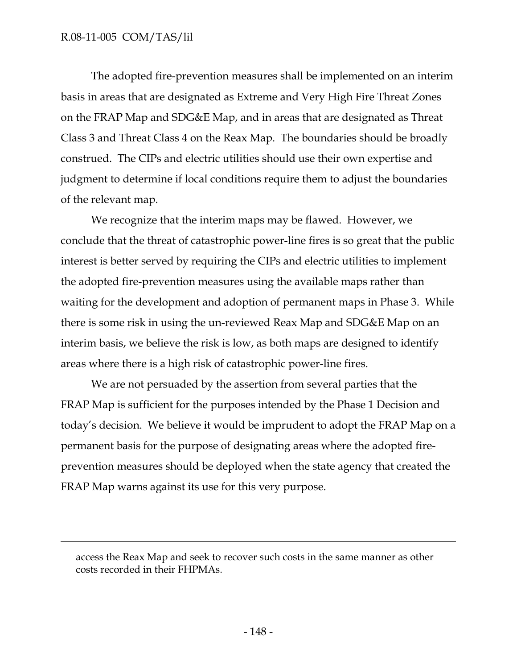-

The adopted fire-prevention measures shall be implemented on an interim basis in areas that are designated as Extreme and Very High Fire Threat Zones on the FRAP Map and SDG&E Map, and in areas that are designated as Threat Class 3 and Threat Class 4 on the Reax Map. The boundaries should be broadly construed. The CIPs and electric utilities should use their own expertise and judgment to determine if local conditions require them to adjust the boundaries of the relevant map.

We recognize that the interim maps may be flawed. However, we conclude that the threat of catastrophic power-line fires is so great that the public interest is better served by requiring the CIPs and electric utilities to implement the adopted fire-prevention measures using the available maps rather than waiting for the development and adoption of permanent maps in Phase 3. While there is some risk in using the un-reviewed Reax Map and SDG&E Map on an interim basis, we believe the risk is low, as both maps are designed to identify areas where there is a high risk of catastrophic power-line fires.

We are not persuaded by the assertion from several parties that the FRAP Map is sufficient for the purposes intended by the Phase 1 Decision and today's decision. We believe it would be imprudent to adopt the FRAP Map on a permanent basis for the purpose of designating areas where the adopted fireprevention measures should be deployed when the state agency that created the FRAP Map warns against its use for this very purpose.

access the Reax Map and seek to recover such costs in the same manner as other costs recorded in their FHPMAs.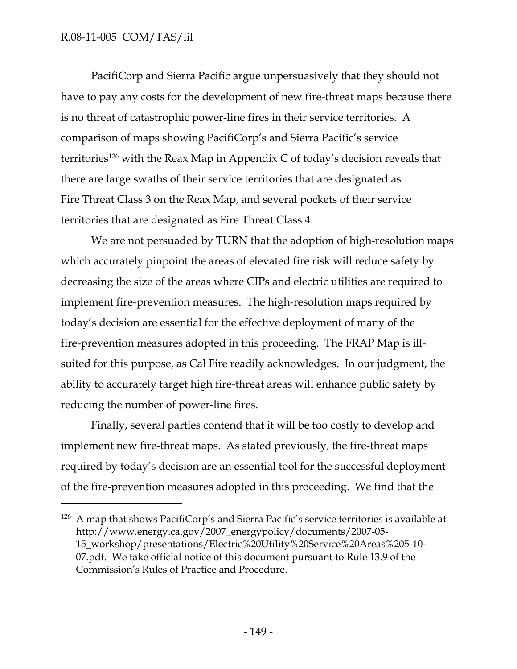### R.08-11-005 COM/TAS/lil

-

PacifiCorp and Sierra Pacific argue unpersuasively that they should not have to pay any costs for the development of new fire-threat maps because there is no threat of catastrophic power-line fires in their service territories. A comparison of maps showing PacifiCorp's and Sierra Pacific's service territories<sup>126</sup> with the Reax Map in Appendix C of today's decision reveals that there are large swaths of their service territories that are designated as Fire Threat Class 3 on the Reax Map, and several pockets of their service territories that are designated as Fire Threat Class 4.

We are not persuaded by TURN that the adoption of high-resolution maps which accurately pinpoint the areas of elevated fire risk will reduce safety by decreasing the size of the areas where CIPs and electric utilities are required to implement fire-prevention measures. The high-resolution maps required by today's decision are essential for the effective deployment of many of the fire-prevention measures adopted in this proceeding. The FRAP Map is illsuited for this purpose, as Cal Fire readily acknowledges. In our judgment, the ability to accurately target high fire-threat areas will enhance public safety by reducing the number of power-line fires.

Finally, several parties contend that it will be too costly to develop and implement new fire-threat maps. As stated previously, the fire-threat maps required by today's decision are an essential tool for the successful deployment of the fire-prevention measures adopted in this proceeding. We find that the

<sup>&</sup>lt;sup>126</sup> A map that shows PacifiCorp's and Sierra Pacific's service territories is available at http://www.energy.ca.gov/2007\_energypolicy/documents/2007-05- 15\_workshop/presentations/Electric%20Utility%20Service%20Areas%205-10- 07.pdf. We take official notice of this document pursuant to Rule 13.9 of the Commission's Rules of Practice and Procedure.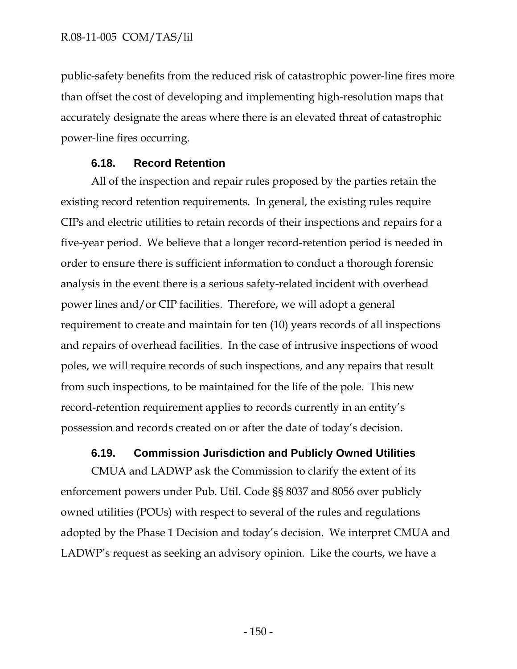public-safety benefits from the reduced risk of catastrophic power-line fires more than offset the cost of developing and implementing high-resolution maps that accurately designate the areas where there is an elevated threat of catastrophic power-line fires occurring.

### **6.18. Record Retention**

All of the inspection and repair rules proposed by the parties retain the existing record retention requirements. In general, the existing rules require CIPs and electric utilities to retain records of their inspections and repairs for a five-year period. We believe that a longer record-retention period is needed in order to ensure there is sufficient information to conduct a thorough forensic analysis in the event there is a serious safety-related incident with overhead power lines and/or CIP facilities. Therefore, we will adopt a general requirement to create and maintain for ten (10) years records of all inspections and repairs of overhead facilities. In the case of intrusive inspections of wood poles, we will require records of such inspections, and any repairs that result from such inspections, to be maintained for the life of the pole. This new record-retention requirement applies to records currently in an entity's possession and records created on or after the date of today's decision.

### **6.19. Commission Jurisdiction and Publicly Owned Utilities**

CMUA and LADWP ask the Commission to clarify the extent of its enforcement powers under Pub. Util. Code §§ 8037 and 8056 over publicly owned utilities (POUs) with respect to several of the rules and regulations adopted by the Phase 1 Decision and today's decision. We interpret CMUA and LADWP's request as seeking an advisory opinion. Like the courts, we have a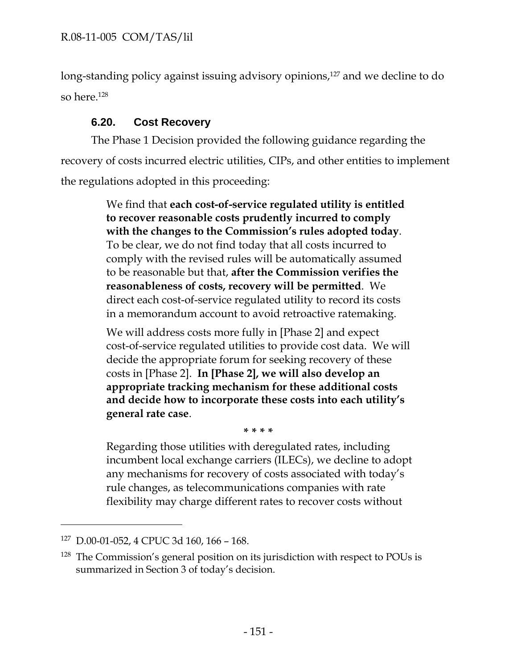long-standing policy against issuing advisory opinions,<sup>127</sup> and we decline to do so here.128

# **6.20. Cost Recovery**

The Phase 1 Decision provided the following guidance regarding the recovery of costs incurred electric utilities, CIPs, and other entities to implement the regulations adopted in this proceeding:

> We find that **each cost-of-service regulated utility is entitled to recover reasonable costs prudently incurred to comply with the changes to the Commission's rules adopted today**. To be clear, we do not find today that all costs incurred to comply with the revised rules will be automatically assumed to be reasonable but that, **after the Commission verifies the reasonableness of costs, recovery will be permitted**. We direct each cost-of-service regulated utility to record its costs in a memorandum account to avoid retroactive ratemaking.

We will address costs more fully in [Phase 2] and expect cost-of-service regulated utilities to provide cost data. We will decide the appropriate forum for seeking recovery of these costs in [Phase 2]. **In [Phase 2], we will also develop an appropriate tracking mechanism for these additional costs and decide how to incorporate these costs into each utility's general rate case**.

**\* \* \* \*** 

Regarding those utilities with deregulated rates, including incumbent local exchange carriers (ILECs), we decline to adopt any mechanisms for recovery of costs associated with today's rule changes, as telecommunications companies with rate flexibility may charge different rates to recover costs without

-

<sup>127</sup> D.00-01-052, 4 CPUC 3d 160, 166 – 168.

<sup>&</sup>lt;sup>128</sup> The Commission's general position on its jurisdiction with respect to POUs is summarized in Section 3 of today's decision.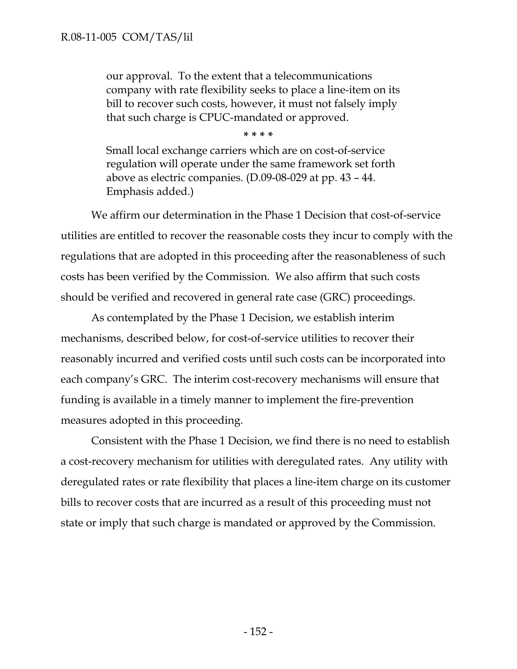our approval. To the extent that a telecommunications company with rate flexibility seeks to place a line-item on its bill to recover such costs, however, it must not falsely imply that such charge is CPUC-mandated or approved.

**\* \* \* \*** 

Small local exchange carriers which are on cost-of-service regulation will operate under the same framework set forth above as electric companies. (D.09-08-029 at pp. 43 – 44. Emphasis added.)

We affirm our determination in the Phase 1 Decision that cost-of-service utilities are entitled to recover the reasonable costs they incur to comply with the regulations that are adopted in this proceeding after the reasonableness of such costs has been verified by the Commission. We also affirm that such costs should be verified and recovered in general rate case (GRC) proceedings.

As contemplated by the Phase 1 Decision, we establish interim mechanisms, described below, for cost-of-service utilities to recover their reasonably incurred and verified costs until such costs can be incorporated into each company's GRC. The interim cost-recovery mechanisms will ensure that funding is available in a timely manner to implement the fire-prevention measures adopted in this proceeding.

Consistent with the Phase 1 Decision, we find there is no need to establish a cost-recovery mechanism for utilities with deregulated rates. Any utility with deregulated rates or rate flexibility that places a line-item charge on its customer bills to recover costs that are incurred as a result of this proceeding must not state or imply that such charge is mandated or approved by the Commission.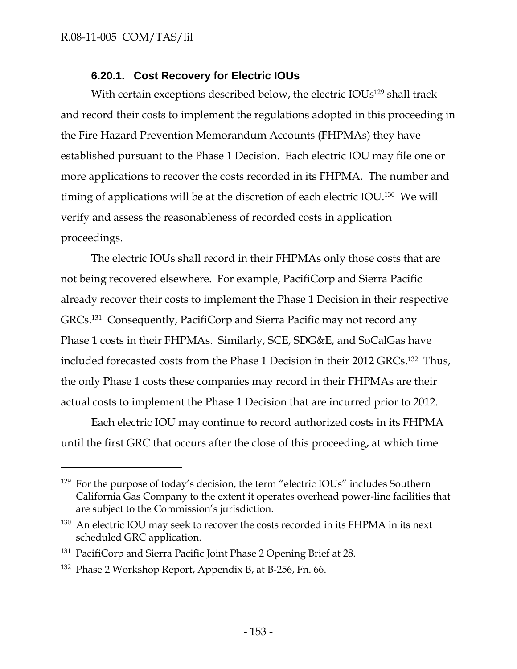$\overline{a}$ 

### **6.20.1. Cost Recovery for Electric IOUs**

With certain exceptions described below, the electric IOUs<sup>129</sup> shall track and record their costs to implement the regulations adopted in this proceeding in the Fire Hazard Prevention Memorandum Accounts (FHPMAs) they have established pursuant to the Phase 1 Decision. Each electric IOU may file one or more applications to recover the costs recorded in its FHPMA. The number and timing of applications will be at the discretion of each electric IOU.<sup>130</sup> We will verify and assess the reasonableness of recorded costs in application proceedings.

The electric IOUs shall record in their FHPMAs only those costs that are not being recovered elsewhere. For example, PacifiCorp and Sierra Pacific already recover their costs to implement the Phase 1 Decision in their respective GRCs.131 Consequently, PacifiCorp and Sierra Pacific may not record any Phase 1 costs in their FHPMAs. Similarly, SCE, SDG&E, and SoCalGas have included forecasted costs from the Phase 1 Decision in their 2012 GRCs.<sup>132</sup> Thus, the only Phase 1 costs these companies may record in their FHPMAs are their actual costs to implement the Phase 1 Decision that are incurred prior to 2012.

Each electric IOU may continue to record authorized costs in its FHPMA until the first GRC that occurs after the close of this proceeding, at which time

<sup>129</sup> For the purpose of today's decision, the term "electric IOUs" includes Southern California Gas Company to the extent it operates overhead power-line facilities that are subject to the Commission's jurisdiction.

<sup>&</sup>lt;sup>130</sup> An electric IOU may seek to recover the costs recorded in its FHPMA in its next scheduled GRC application.

<sup>&</sup>lt;sup>131</sup> PacifiCorp and Sierra Pacific Joint Phase 2 Opening Brief at 28.

<sup>132</sup> Phase 2 Workshop Report, Appendix B, at B-256, Fn. 66.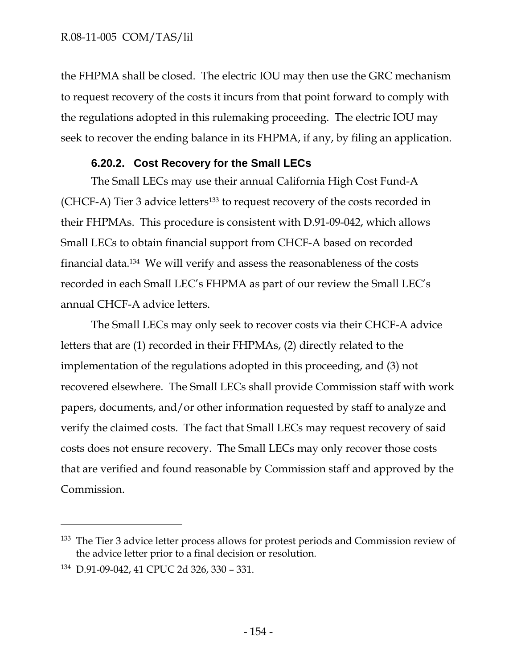the FHPMA shall be closed. The electric IOU may then use the GRC mechanism to request recovery of the costs it incurs from that point forward to comply with the regulations adopted in this rulemaking proceeding. The electric IOU may seek to recover the ending balance in its FHPMA, if any, by filing an application.

## **6.20.2. Cost Recovery for the Small LECs**

The Small LECs may use their annual California High Cost Fund-A (CHCF-A) Tier 3 advice letters<sup>133</sup> to request recovery of the costs recorded in their FHPMAs. This procedure is consistent with D.91-09-042, which allows Small LECs to obtain financial support from CHCF-A based on recorded financial data.134 We will verify and assess the reasonableness of the costs recorded in each Small LEC's FHPMA as part of our review the Small LEC's annual CHCF-A advice letters.

The Small LECs may only seek to recover costs via their CHCF-A advice letters that are (1) recorded in their FHPMAs, (2) directly related to the implementation of the regulations adopted in this proceeding, and (3) not recovered elsewhere. The Small LECs shall provide Commission staff with work papers, documents, and/or other information requested by staff to analyze and verify the claimed costs. The fact that Small LECs may request recovery of said costs does not ensure recovery. The Small LECs may only recover those costs that are verified and found reasonable by Commission staff and approved by the Commission.

 $\overline{a}$ 

<sup>&</sup>lt;sup>133</sup> The Tier 3 advice letter process allows for protest periods and Commission review of the advice letter prior to a final decision or resolution.

<sup>134</sup> D.91-09-042, 41 CPUC 2d 326, 330 – 331.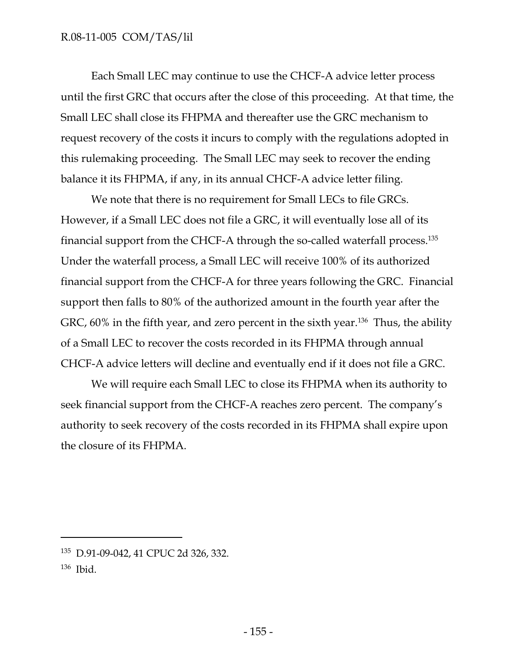Each Small LEC may continue to use the CHCF-A advice letter process until the first GRC that occurs after the close of this proceeding. At that time, the Small LEC shall close its FHPMA and thereafter use the GRC mechanism to request recovery of the costs it incurs to comply with the regulations adopted in this rulemaking proceeding. The Small LEC may seek to recover the ending balance it its FHPMA, if any, in its annual CHCF-A advice letter filing.

We note that there is no requirement for Small LECs to file GRCs. However, if a Small LEC does not file a GRC, it will eventually lose all of its financial support from the CHCF-A through the so-called waterfall process.135 Under the waterfall process, a Small LEC will receive 100% of its authorized financial support from the CHCF-A for three years following the GRC. Financial support then falls to 80% of the authorized amount in the fourth year after the GRC,  $60\%$  in the fifth year, and zero percent in the sixth year.<sup>136</sup> Thus, the ability of a Small LEC to recover the costs recorded in its FHPMA through annual CHCF-A advice letters will decline and eventually end if it does not file a GRC.

We will require each Small LEC to close its FHPMA when its authority to seek financial support from the CHCF-A reaches zero percent. The company's authority to seek recovery of the costs recorded in its FHPMA shall expire upon the closure of its FHPMA.

<sup>135</sup> D.91-09-042, 41 CPUC 2d 326, 332. 136 Ibid.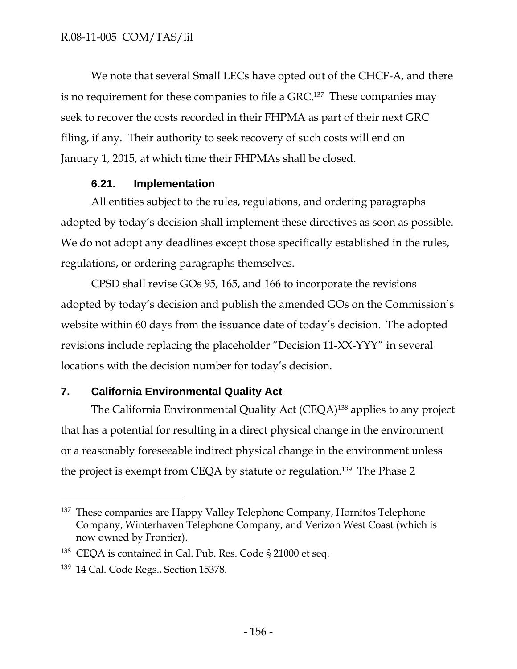We note that several Small LECs have opted out of the CHCF-A, and there is no requirement for these companies to file a GRC.<sup>137</sup> These companies may seek to recover the costs recorded in their FHPMA as part of their next GRC filing, if any. Their authority to seek recovery of such costs will end on January 1, 2015, at which time their FHPMAs shall be closed.

## **6.21. Implementation**

All entities subject to the rules, regulations, and ordering paragraphs adopted by today's decision shall implement these directives as soon as possible. We do not adopt any deadlines except those specifically established in the rules, regulations, or ordering paragraphs themselves.

CPSD shall revise GOs 95, 165, and 166 to incorporate the revisions adopted by today's decision and publish the amended GOs on the Commission's website within 60 days from the issuance date of today's decision. The adopted revisions include replacing the placeholder "Decision 11-XX-YYY" in several locations with the decision number for today's decision.

# **7. California Environmental Quality Act**

The California Environmental Quality Act (CEQA)<sup>138</sup> applies to any project that has a potential for resulting in a direct physical change in the environment or a reasonably foreseeable indirect physical change in the environment unless the project is exempt from CEQA by statute or regulation.<sup>139</sup> The Phase 2

-

<sup>&</sup>lt;sup>137</sup> These companies are Happy Valley Telephone Company, Hornitos Telephone Company, Winterhaven Telephone Company, and Verizon West Coast (which is now owned by Frontier).

<sup>&</sup>lt;sup>138</sup> CEQA is contained in Cal. Pub. Res. Code § 21000 et seq.

<sup>139 14</sup> Cal. Code Regs., Section 15378.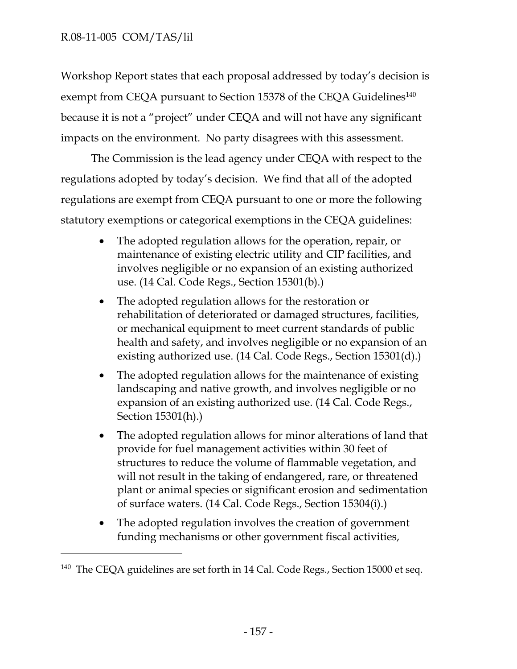-

Workshop Report states that each proposal addressed by today's decision is exempt from CEQA pursuant to Section 15378 of the CEQA Guidelines<sup>140</sup> because it is not a "project" under CEQA and will not have any significant impacts on the environment. No party disagrees with this assessment.

The Commission is the lead agency under CEQA with respect to the regulations adopted by today's decision. We find that all of the adopted regulations are exempt from CEQA pursuant to one or more the following statutory exemptions or categorical exemptions in the CEQA guidelines:

- The adopted regulation allows for the operation, repair, or maintenance of existing electric utility and CIP facilities, and involves negligible or no expansion of an existing authorized use. (14 Cal. Code Regs., Section 15301(b).)
- The adopted regulation allows for the restoration or rehabilitation of deteriorated or damaged structures, facilities, or mechanical equipment to meet current standards of public health and safety, and involves negligible or no expansion of an existing authorized use. (14 Cal. Code Regs., Section 15301(d).)
- The adopted regulation allows for the maintenance of existing landscaping and native growth, and involves negligible or no expansion of an existing authorized use. (14 Cal. Code Regs., Section 15301(h).)
- The adopted regulation allows for minor alterations of land that provide for fuel management activities within 30 feet of structures to reduce the volume of flammable vegetation, and will not result in the taking of endangered, rare, or threatened plant or animal species or significant erosion and sedimentation of surface waters. (14 Cal. Code Regs., Section 15304(i).)
- The adopted regulation involves the creation of government funding mechanisms or other government fiscal activities,

<sup>&</sup>lt;sup>140</sup> The CEQA guidelines are set forth in 14 Cal. Code Regs., Section 15000 et seq.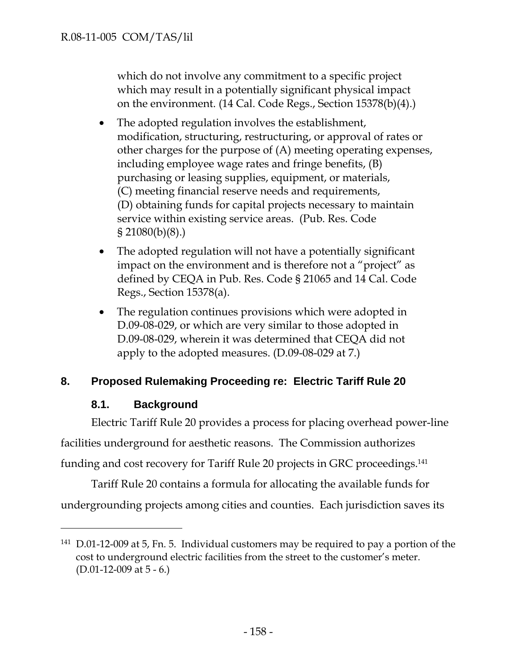which do not involve any commitment to a specific project which may result in a potentially significant physical impact on the environment. (14 Cal. Code Regs., Section 15378(b)(4).)

- The adopted regulation involves the establishment, modification, structuring, restructuring, or approval of rates or other charges for the purpose of (A) meeting operating expenses, including employee wage rates and fringe benefits, (B) purchasing or leasing supplies, equipment, or materials, (C) meeting financial reserve needs and requirements, (D) obtaining funds for capital projects necessary to maintain service within existing service areas. (Pub. Res. Code  $$21080(b)(8).$
- The adopted regulation will not have a potentially significant impact on the environment and is therefore not a "project" as defined by CEQA in Pub. Res. Code § 21065 and 14 Cal. Code Regs., Section 15378(a).
- The regulation continues provisions which were adopted in D.09-08-029, or which are very similar to those adopted in D.09-08-029, wherein it was determined that CEQA did not apply to the adopted measures. (D.09-08-029 at 7.)

# **8. Proposed Rulemaking Proceeding re: Electric Tariff Rule 20**

### **8.1. Background**

-

Electric Tariff Rule 20 provides a process for placing overhead power-line facilities underground for aesthetic reasons. The Commission authorizes funding and cost recovery for Tariff Rule 20 projects in GRC proceedings.141

Tariff Rule 20 contains a formula for allocating the available funds for undergrounding projects among cities and counties. Each jurisdiction saves its

<sup>&</sup>lt;sup>141</sup> D.01-12-009 at 5, Fn. 5. Individual customers may be required to pay a portion of the cost to underground electric facilities from the street to the customer's meter.  $(D.01-12-009$  at  $5 - 6$ .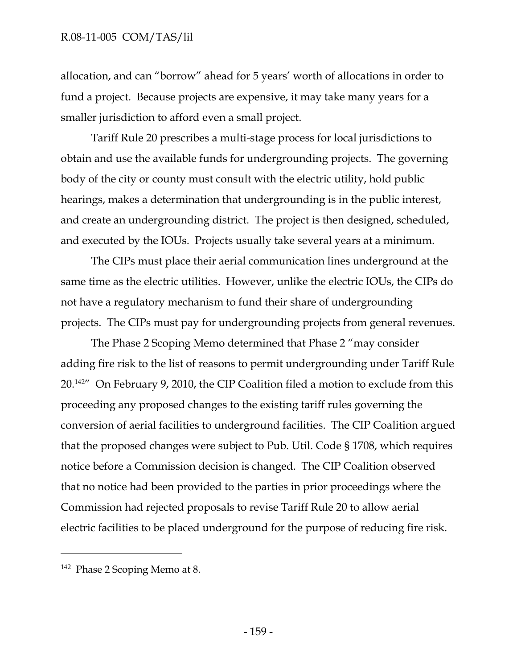allocation, and can "borrow" ahead for 5 years' worth of allocations in order to fund a project. Because projects are expensive, it may take many years for a smaller jurisdiction to afford even a small project.

Tariff Rule 20 prescribes a multi-stage process for local jurisdictions to obtain and use the available funds for undergrounding projects. The governing body of the city or county must consult with the electric utility, hold public hearings, makes a determination that undergrounding is in the public interest, and create an undergrounding district. The project is then designed, scheduled, and executed by the IOUs. Projects usually take several years at a minimum.

The CIPs must place their aerial communication lines underground at the same time as the electric utilities. However, unlike the electric IOUs, the CIPs do not have a regulatory mechanism to fund their share of undergrounding projects. The CIPs must pay for undergrounding projects from general revenues.

The Phase 2 Scoping Memo determined that Phase 2 "may consider adding fire risk to the list of reasons to permit undergrounding under Tariff Rule 20.142" On February 9, 2010, the CIP Coalition filed a motion to exclude from this proceeding any proposed changes to the existing tariff rules governing the conversion of aerial facilities to underground facilities. The CIP Coalition argued that the proposed changes were subject to Pub. Util. Code § 1708, which requires notice before a Commission decision is changed. The CIP Coalition observed that no notice had been provided to the parties in prior proceedings where the Commission had rejected proposals to revise Tariff Rule 20 to allow aerial electric facilities to be placed underground for the purpose of reducing fire risk.

 $\overline{a}$ 

<sup>142</sup> Phase 2 Scoping Memo at 8.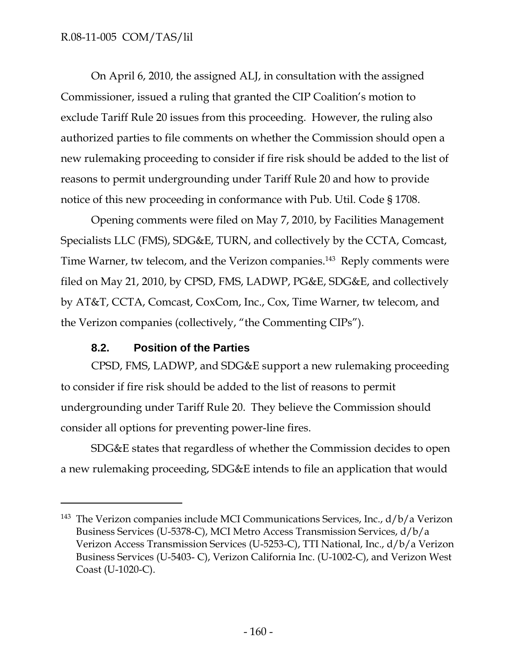On April 6, 2010, the assigned ALJ, in consultation with the assigned Commissioner, issued a ruling that granted the CIP Coalition's motion to exclude Tariff Rule 20 issues from this proceeding. However, the ruling also authorized parties to file comments on whether the Commission should open a new rulemaking proceeding to consider if fire risk should be added to the list of reasons to permit undergrounding under Tariff Rule 20 and how to provide notice of this new proceeding in conformance with Pub. Util. Code § 1708.

Opening comments were filed on May 7, 2010, by Facilities Management Specialists LLC (FMS), SDG&E, TURN, and collectively by the CCTA, Comcast, Time Warner, tw telecom, and the Verizon companies.<sup>143</sup> Reply comments were filed on May 21, 2010, by CPSD, FMS, LADWP, PG&E, SDG&E, and collectively by AT&T, CCTA, Comcast, CoxCom, Inc., Cox, Time Warner, tw telecom, and the Verizon companies (collectively, "the Commenting CIPs").

# **8.2. Position of the Parties**

-

CPSD, FMS, LADWP, and SDG&E support a new rulemaking proceeding to consider if fire risk should be added to the list of reasons to permit undergrounding under Tariff Rule 20. They believe the Commission should consider all options for preventing power-line fires.

SDG&E states that regardless of whether the Commission decides to open a new rulemaking proceeding, SDG&E intends to file an application that would

<sup>&</sup>lt;sup>143</sup> The Verizon companies include MCI Communications Services, Inc.,  $d/b/a$  Verizon Business Services (U-5378-C), MCI Metro Access Transmission Services, d/b/a Verizon Access Transmission Services (U-5253-C), TTI National, Inc., d/b/a Verizon Business Services (U-5403- C), Verizon California Inc. (U-1002-C), and Verizon West Coast (U-1020-C).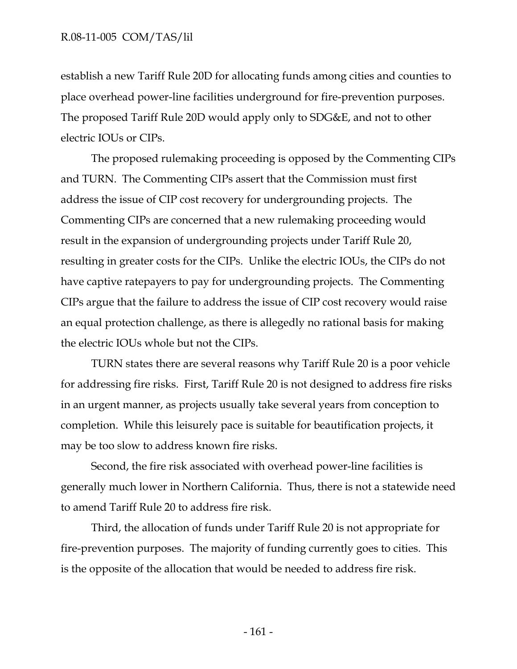establish a new Tariff Rule 20D for allocating funds among cities and counties to place overhead power-line facilities underground for fire-prevention purposes. The proposed Tariff Rule 20D would apply only to SDG&E, and not to other electric IOUs or CIPs.

The proposed rulemaking proceeding is opposed by the Commenting CIPs and TURN. The Commenting CIPs assert that the Commission must first address the issue of CIP cost recovery for undergrounding projects. The Commenting CIPs are concerned that a new rulemaking proceeding would result in the expansion of undergrounding projects under Tariff Rule 20, resulting in greater costs for the CIPs. Unlike the electric IOUs, the CIPs do not have captive ratepayers to pay for undergrounding projects. The Commenting CIPs argue that the failure to address the issue of CIP cost recovery would raise an equal protection challenge, as there is allegedly no rational basis for making the electric IOUs whole but not the CIPs.

TURN states there are several reasons why Tariff Rule 20 is a poor vehicle for addressing fire risks. First, Tariff Rule 20 is not designed to address fire risks in an urgent manner, as projects usually take several years from conception to completion. While this leisurely pace is suitable for beautification projects, it may be too slow to address known fire risks.

Second, the fire risk associated with overhead power-line facilities is generally much lower in Northern California. Thus, there is not a statewide need to amend Tariff Rule 20 to address fire risk.

Third, the allocation of funds under Tariff Rule 20 is not appropriate for fire-prevention purposes. The majority of funding currently goes to cities. This is the opposite of the allocation that would be needed to address fire risk.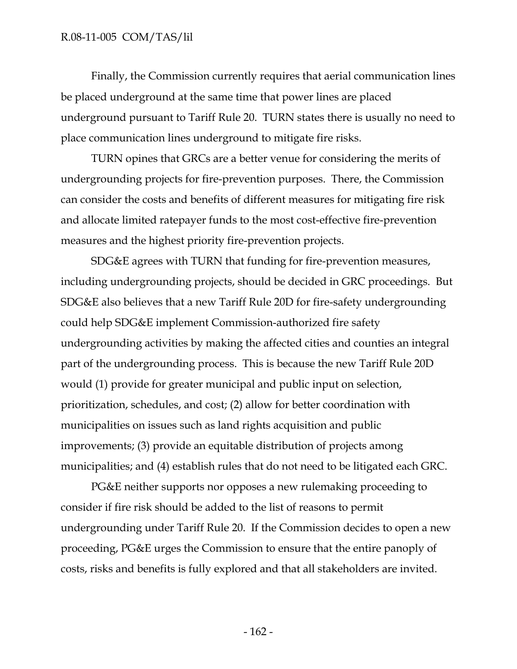Finally, the Commission currently requires that aerial communication lines be placed underground at the same time that power lines are placed underground pursuant to Tariff Rule 20. TURN states there is usually no need to place communication lines underground to mitigate fire risks.

TURN opines that GRCs are a better venue for considering the merits of undergrounding projects for fire-prevention purposes. There, the Commission can consider the costs and benefits of different measures for mitigating fire risk and allocate limited ratepayer funds to the most cost-effective fire-prevention measures and the highest priority fire-prevention projects.

SDG&E agrees with TURN that funding for fire-prevention measures, including undergrounding projects, should be decided in GRC proceedings. But SDG&E also believes that a new Tariff Rule 20D for fire-safety undergrounding could help SDG&E implement Commission-authorized fire safety undergrounding activities by making the affected cities and counties an integral part of the undergrounding process. This is because the new Tariff Rule 20D would (1) provide for greater municipal and public input on selection, prioritization, schedules, and cost; (2) allow for better coordination with municipalities on issues such as land rights acquisition and public improvements; (3) provide an equitable distribution of projects among municipalities; and (4) establish rules that do not need to be litigated each GRC.

PG&E neither supports nor opposes a new rulemaking proceeding to consider if fire risk should be added to the list of reasons to permit undergrounding under Tariff Rule 20. If the Commission decides to open a new proceeding, PG&E urges the Commission to ensure that the entire panoply of costs, risks and benefits is fully explored and that all stakeholders are invited.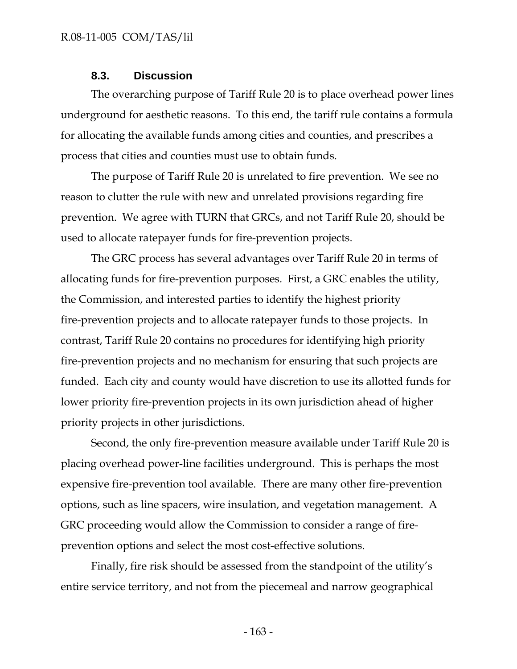#### **8.3. Discussion**

The overarching purpose of Tariff Rule 20 is to place overhead power lines underground for aesthetic reasons. To this end, the tariff rule contains a formula for allocating the available funds among cities and counties, and prescribes a process that cities and counties must use to obtain funds.

The purpose of Tariff Rule 20 is unrelated to fire prevention. We see no reason to clutter the rule with new and unrelated provisions regarding fire prevention. We agree with TURN that GRCs, and not Tariff Rule 20, should be used to allocate ratepayer funds for fire-prevention projects.

The GRC process has several advantages over Tariff Rule 20 in terms of allocating funds for fire-prevention purposes. First, a GRC enables the utility, the Commission, and interested parties to identify the highest priority fire-prevention projects and to allocate ratepayer funds to those projects. In contrast, Tariff Rule 20 contains no procedures for identifying high priority fire-prevention projects and no mechanism for ensuring that such projects are funded. Each city and county would have discretion to use its allotted funds for lower priority fire-prevention projects in its own jurisdiction ahead of higher priority projects in other jurisdictions.

Second, the only fire-prevention measure available under Tariff Rule 20 is placing overhead power-line facilities underground. This is perhaps the most expensive fire-prevention tool available. There are many other fire-prevention options, such as line spacers, wire insulation, and vegetation management. A GRC proceeding would allow the Commission to consider a range of fireprevention options and select the most cost-effective solutions.

Finally, fire risk should be assessed from the standpoint of the utility's entire service territory, and not from the piecemeal and narrow geographical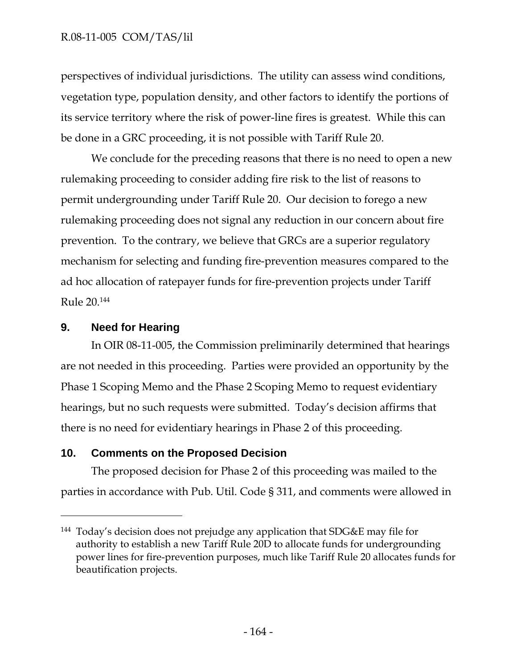perspectives of individual jurisdictions. The utility can assess wind conditions, vegetation type, population density, and other factors to identify the portions of its service territory where the risk of power-line fires is greatest. While this can be done in a GRC proceeding, it is not possible with Tariff Rule 20.

We conclude for the preceding reasons that there is no need to open a new rulemaking proceeding to consider adding fire risk to the list of reasons to permit undergrounding under Tariff Rule 20. Our decision to forego a new rulemaking proceeding does not signal any reduction in our concern about fire prevention. To the contrary, we believe that GRCs are a superior regulatory mechanism for selecting and funding fire-prevention measures compared to the ad hoc allocation of ratepayer funds for fire-prevention projects under Tariff Rule 20.144

## **9. Need for Hearing**

 $\overline{a}$ 

In OIR 08-11-005, the Commission preliminarily determined that hearings are not needed in this proceeding. Parties were provided an opportunity by the Phase 1 Scoping Memo and the Phase 2 Scoping Memo to request evidentiary hearings, but no such requests were submitted. Today's decision affirms that there is no need for evidentiary hearings in Phase 2 of this proceeding.

# **10. Comments on the Proposed Decision**

The proposed decision for Phase 2 of this proceeding was mailed to the parties in accordance with Pub. Util. Code § 311, and comments were allowed in

<sup>144</sup> Today's decision does not prejudge any application that SDG&E may file for authority to establish a new Tariff Rule 20D to allocate funds for undergrounding power lines for fire-prevention purposes, much like Tariff Rule 20 allocates funds for beautification projects.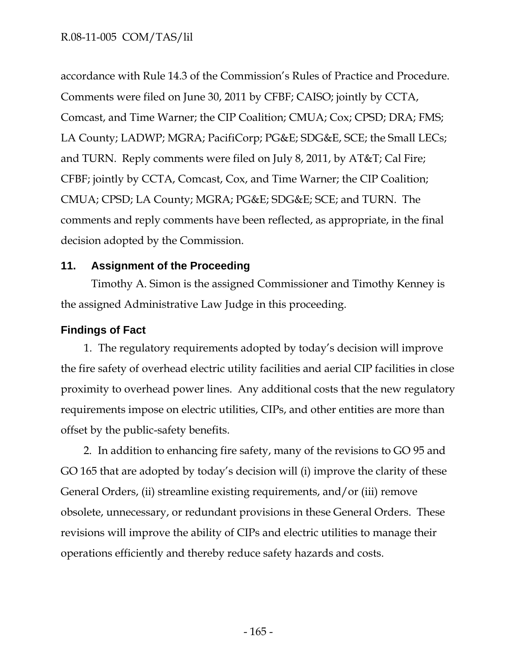accordance with Rule 14.3 of the Commission's Rules of Practice and Procedure. Comments were filed on June 30, 2011 by CFBF; CAISO; jointly by CCTA, Comcast, and Time Warner; the CIP Coalition; CMUA; Cox; CPSD; DRA; FMS; LA County; LADWP; MGRA; PacifiCorp; PG&E; SDG&E, SCE; the Small LECs; and TURN. Reply comments were filed on July 8, 2011, by AT&T; Cal Fire; CFBF; jointly by CCTA, Comcast, Cox, and Time Warner; the CIP Coalition; CMUA; CPSD; LA County; MGRA; PG&E; SDG&E; SCE; and TURN. The comments and reply comments have been reflected, as appropriate, in the final decision adopted by the Commission.

## **11. Assignment of the Proceeding**

Timothy A. Simon is the assigned Commissioner and Timothy Kenney is the assigned Administrative Law Judge in this proceeding.

## **Findings of Fact**

1. The regulatory requirements adopted by today's decision will improve the fire safety of overhead electric utility facilities and aerial CIP facilities in close proximity to overhead power lines. Any additional costs that the new regulatory requirements impose on electric utilities, CIPs, and other entities are more than offset by the public-safety benefits.

2. In addition to enhancing fire safety, many of the revisions to GO 95 and GO 165 that are adopted by today's decision will (i) improve the clarity of these General Orders, (ii) streamline existing requirements, and/or (iii) remove obsolete, unnecessary, or redundant provisions in these General Orders. These revisions will improve the ability of CIPs and electric utilities to manage their operations efficiently and thereby reduce safety hazards and costs.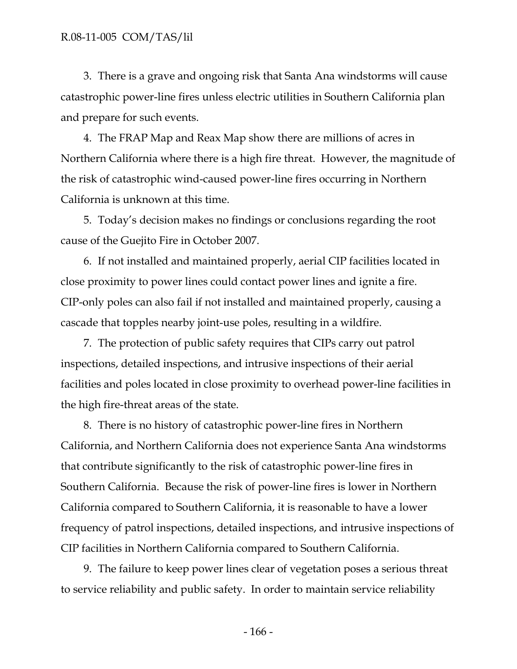3. There is a grave and ongoing risk that Santa Ana windstorms will cause catastrophic power-line fires unless electric utilities in Southern California plan and prepare for such events.

4. The FRAP Map and Reax Map show there are millions of acres in Northern California where there is a high fire threat. However, the magnitude of the risk of catastrophic wind-caused power-line fires occurring in Northern California is unknown at this time.

5. Today's decision makes no findings or conclusions regarding the root cause of the Guejito Fire in October 2007.

6. If not installed and maintained properly, aerial CIP facilities located in close proximity to power lines could contact power lines and ignite a fire. CIP-only poles can also fail if not installed and maintained properly, causing a cascade that topples nearby joint-use poles, resulting in a wildfire.

7. The protection of public safety requires that CIPs carry out patrol inspections, detailed inspections, and intrusive inspections of their aerial facilities and poles located in close proximity to overhead power-line facilities in the high fire-threat areas of the state.

8. There is no history of catastrophic power-line fires in Northern California, and Northern California does not experience Santa Ana windstorms that contribute significantly to the risk of catastrophic power-line fires in Southern California. Because the risk of power-line fires is lower in Northern California compared to Southern California, it is reasonable to have a lower frequency of patrol inspections, detailed inspections, and intrusive inspections of CIP facilities in Northern California compared to Southern California.

9. The failure to keep power lines clear of vegetation poses a serious threat to service reliability and public safety. In order to maintain service reliability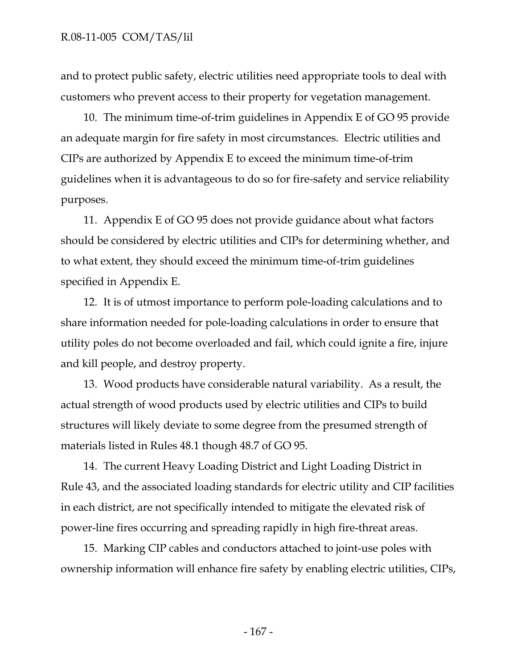and to protect public safety, electric utilities need appropriate tools to deal with customers who prevent access to their property for vegetation management.

10. The minimum time-of-trim guidelines in Appendix E of GO 95 provide an adequate margin for fire safety in most circumstances. Electric utilities and CIPs are authorized by Appendix E to exceed the minimum time-of-trim guidelines when it is advantageous to do so for fire-safety and service reliability purposes.

11. Appendix E of GO 95 does not provide guidance about what factors should be considered by electric utilities and CIPs for determining whether, and to what extent, they should exceed the minimum time-of-trim guidelines specified in Appendix E.

12. It is of utmost importance to perform pole-loading calculations and to share information needed for pole-loading calculations in order to ensure that utility poles do not become overloaded and fail, which could ignite a fire, injure and kill people, and destroy property.

13. Wood products have considerable natural variability. As a result, the actual strength of wood products used by electric utilities and CIPs to build structures will likely deviate to some degree from the presumed strength of materials listed in Rules 48.1 though 48.7 of GO 95.

14. The current Heavy Loading District and Light Loading District in Rule 43, and the associated loading standards for electric utility and CIP facilities in each district, are not specifically intended to mitigate the elevated risk of power-line fires occurring and spreading rapidly in high fire-threat areas.

15. Marking CIP cables and conductors attached to joint-use poles with ownership information will enhance fire safety by enabling electric utilities, CIPs,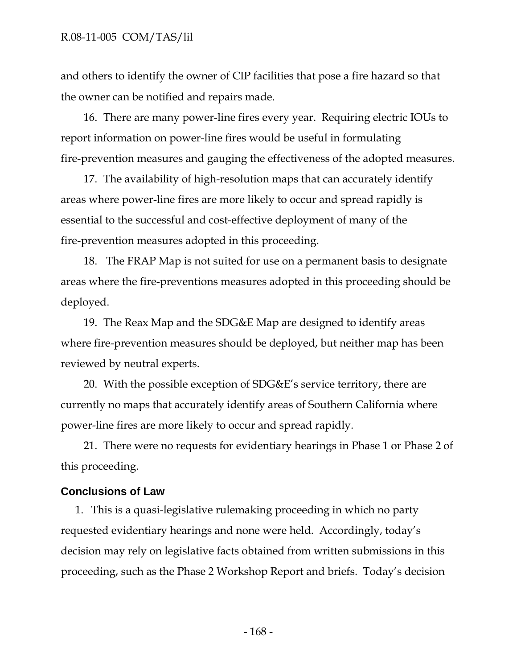and others to identify the owner of CIP facilities that pose a fire hazard so that the owner can be notified and repairs made.

16. There are many power-line fires every year. Requiring electric IOUs to report information on power-line fires would be useful in formulating fire-prevention measures and gauging the effectiveness of the adopted measures.

17. The availability of high-resolution maps that can accurately identify areas where power-line fires are more likely to occur and spread rapidly is essential to the successful and cost-effective deployment of many of the fire-prevention measures adopted in this proceeding.

18. The FRAP Map is not suited for use on a permanent basis to designate areas where the fire-preventions measures adopted in this proceeding should be deployed.

19. The Reax Map and the SDG&E Map are designed to identify areas where fire-prevention measures should be deployed, but neither map has been reviewed by neutral experts.

20. With the possible exception of SDG&E's service territory, there are currently no maps that accurately identify areas of Southern California where power-line fires are more likely to occur and spread rapidly.

21. There were no requests for evidentiary hearings in Phase 1 or Phase 2 of this proceeding.

#### **Conclusions of Law**

1. This is a quasi-legislative rulemaking proceeding in which no party requested evidentiary hearings and none were held. Accordingly, today's decision may rely on legislative facts obtained from written submissions in this proceeding, such as the Phase 2 Workshop Report and briefs. Today's decision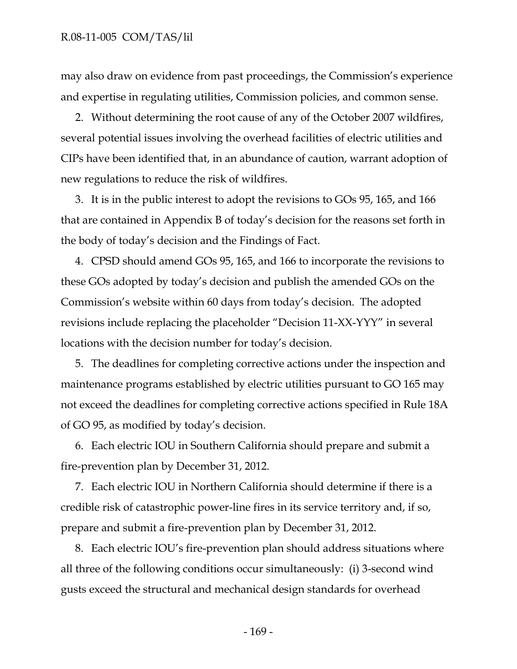#### R.08-11-005 COM/TAS/lil

may also draw on evidence from past proceedings, the Commission's experience and expertise in regulating utilities, Commission policies, and common sense.

2. Without determining the root cause of any of the October 2007 wildfires, several potential issues involving the overhead facilities of electric utilities and CIPs have been identified that, in an abundance of caution, warrant adoption of new regulations to reduce the risk of wildfires.

3. It is in the public interest to adopt the revisions to GOs 95, 165, and 166 that are contained in Appendix B of today's decision for the reasons set forth in the body of today's decision and the Findings of Fact.

4. CPSD should amend GOs 95, 165, and 166 to incorporate the revisions to these GOs adopted by today's decision and publish the amended GOs on the Commission's website within 60 days from today's decision. The adopted revisions include replacing the placeholder "Decision 11-XX-YYY" in several locations with the decision number for today's decision.

5. The deadlines for completing corrective actions under the inspection and maintenance programs established by electric utilities pursuant to GO 165 may not exceed the deadlines for completing corrective actions specified in Rule 18A of GO 95, as modified by today's decision.

6. Each electric IOU in Southern California should prepare and submit a fire-prevention plan by December 31, 2012.

7. Each electric IOU in Northern California should determine if there is a credible risk of catastrophic power-line fires in its service territory and, if so, prepare and submit a fire-prevention plan by December 31, 2012.

8. Each electric IOU's fire-prevention plan should address situations where all three of the following conditions occur simultaneously: (i) 3-second wind gusts exceed the structural and mechanical design standards for overhead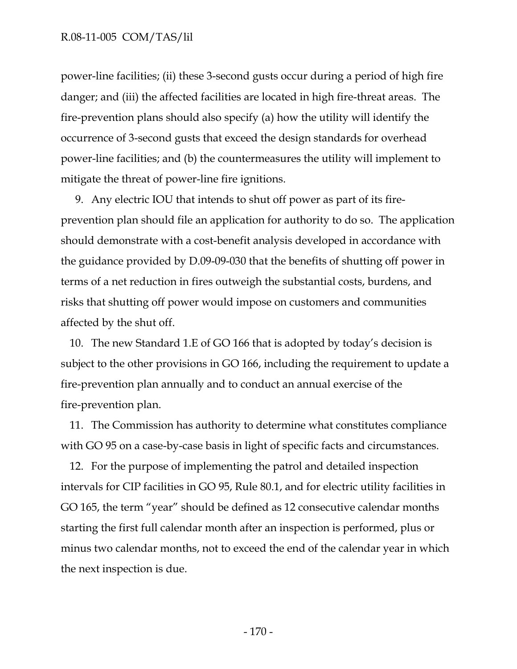#### R.08-11-005 COM/TAS/lil

power-line facilities; (ii) these 3-second gusts occur during a period of high fire danger; and (iii) the affected facilities are located in high fire-threat areas. The fire-prevention plans should also specify (a) how the utility will identify the occurrence of 3-second gusts that exceed the design standards for overhead power-line facilities; and (b) the countermeasures the utility will implement to mitigate the threat of power-line fire ignitions.

9. Any electric IOU that intends to shut off power as part of its fireprevention plan should file an application for authority to do so. The application should demonstrate with a cost-benefit analysis developed in accordance with the guidance provided by D.09-09-030 that the benefits of shutting off power in terms of a net reduction in fires outweigh the substantial costs, burdens, and risks that shutting off power would impose on customers and communities affected by the shut off.

10. The new Standard 1.E of GO 166 that is adopted by today's decision is subject to the other provisions in GO 166, including the requirement to update a fire-prevention plan annually and to conduct an annual exercise of the fire-prevention plan.

11. The Commission has authority to determine what constitutes compliance with GO 95 on a case-by-case basis in light of specific facts and circumstances.

12. For the purpose of implementing the patrol and detailed inspection intervals for CIP facilities in GO 95, Rule 80.1, and for electric utility facilities in GO 165, the term "year" should be defined as 12 consecutive calendar months starting the first full calendar month after an inspection is performed, plus or minus two calendar months, not to exceed the end of the calendar year in which the next inspection is due.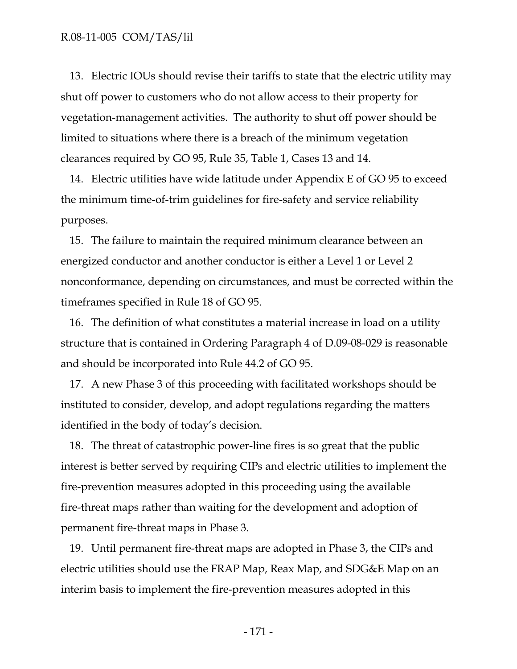13. Electric IOUs should revise their tariffs to state that the electric utility may shut off power to customers who do not allow access to their property for vegetation-management activities. The authority to shut off power should be limited to situations where there is a breach of the minimum vegetation clearances required by GO 95, Rule 35, Table 1, Cases 13 and 14.

14. Electric utilities have wide latitude under Appendix E of GO 95 to exceed the minimum time-of-trim guidelines for fire-safety and service reliability purposes.

15. The failure to maintain the required minimum clearance between an energized conductor and another conductor is either a Level 1 or Level 2 nonconformance, depending on circumstances, and must be corrected within the timeframes specified in Rule 18 of GO 95.

16. The definition of what constitutes a material increase in load on a utility structure that is contained in Ordering Paragraph 4 of D.09-08-029 is reasonable and should be incorporated into Rule 44.2 of GO 95.

17. A new Phase 3 of this proceeding with facilitated workshops should be instituted to consider, develop, and adopt regulations regarding the matters identified in the body of today's decision.

18. The threat of catastrophic power-line fires is so great that the public interest is better served by requiring CIPs and electric utilities to implement the fire-prevention measures adopted in this proceeding using the available fire-threat maps rather than waiting for the development and adoption of permanent fire-threat maps in Phase 3.

19. Until permanent fire-threat maps are adopted in Phase 3, the CIPs and electric utilities should use the FRAP Map, Reax Map, and SDG&E Map on an interim basis to implement the fire-prevention measures adopted in this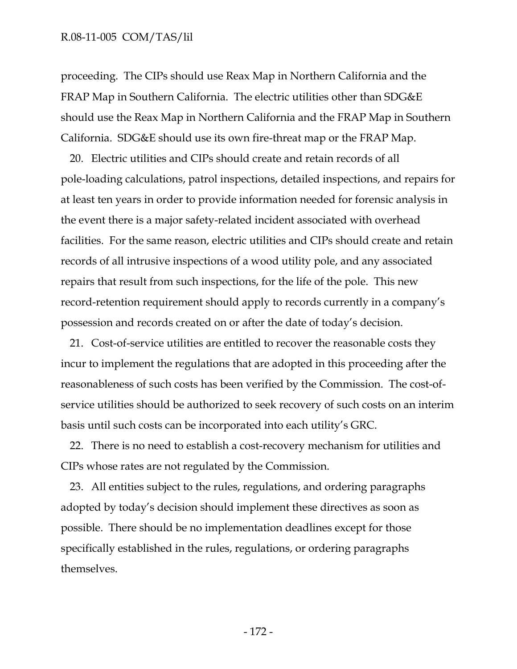proceeding. The CIPs should use Reax Map in Northern California and the FRAP Map in Southern California. The electric utilities other than SDG&E should use the Reax Map in Northern California and the FRAP Map in Southern California. SDG&E should use its own fire-threat map or the FRAP Map.

20. Electric utilities and CIPs should create and retain records of all pole-loading calculations, patrol inspections, detailed inspections, and repairs for at least ten years in order to provide information needed for forensic analysis in the event there is a major safety-related incident associated with overhead facilities. For the same reason, electric utilities and CIPs should create and retain records of all intrusive inspections of a wood utility pole, and any associated repairs that result from such inspections, for the life of the pole. This new record-retention requirement should apply to records currently in a company's possession and records created on or after the date of today's decision.

21. Cost-of-service utilities are entitled to recover the reasonable costs they incur to implement the regulations that are adopted in this proceeding after the reasonableness of such costs has been verified by the Commission. The cost-ofservice utilities should be authorized to seek recovery of such costs on an interim basis until such costs can be incorporated into each utility's GRC.

22. There is no need to establish a cost-recovery mechanism for utilities and CIPs whose rates are not regulated by the Commission.

23. All entities subject to the rules, regulations, and ordering paragraphs adopted by today's decision should implement these directives as soon as possible. There should be no implementation deadlines except for those specifically established in the rules, regulations, or ordering paragraphs themselves.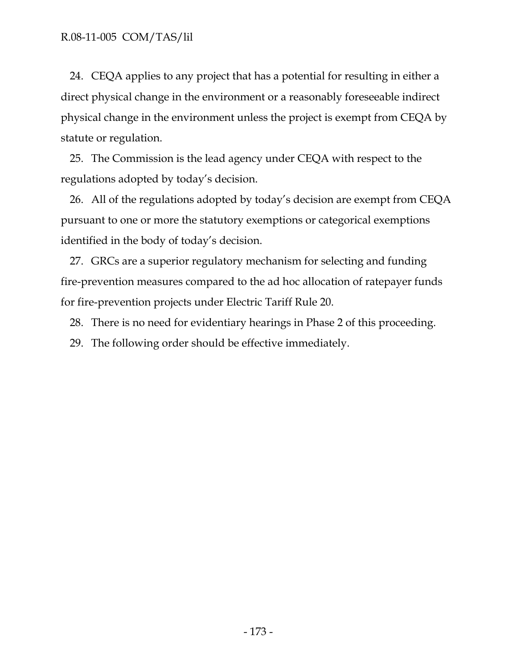24. CEQA applies to any project that has a potential for resulting in either a direct physical change in the environment or a reasonably foreseeable indirect physical change in the environment unless the project is exempt from CEQA by statute or regulation.

25. The Commission is the lead agency under CEQA with respect to the regulations adopted by today's decision.

26. All of the regulations adopted by today's decision are exempt from CEQA pursuant to one or more the statutory exemptions or categorical exemptions identified in the body of today's decision.

27. GRCs are a superior regulatory mechanism for selecting and funding fire-prevention measures compared to the ad hoc allocation of ratepayer funds for fire-prevention projects under Electric Tariff Rule 20.

28. There is no need for evidentiary hearings in Phase 2 of this proceeding.

29. The following order should be effective immediately.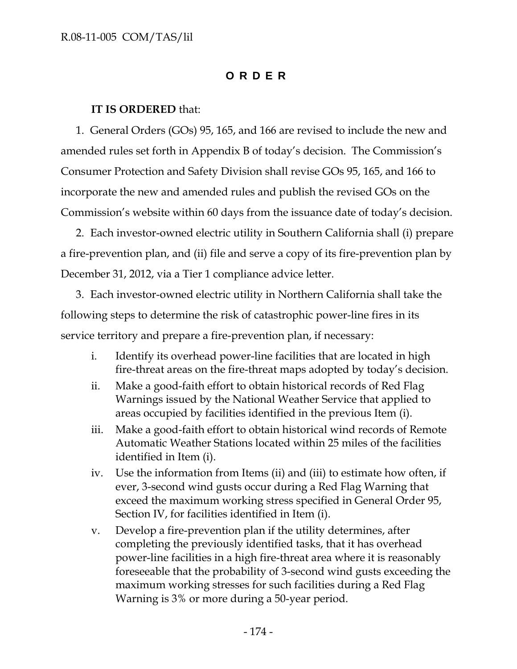## **ORDER**

### **IT IS ORDERED** that:

1. General Orders (GOs) 95, 165, and 166 are revised to include the new and amended rules set forth in Appendix B of today's decision. The Commission's Consumer Protection and Safety Division shall revise GOs 95, 165, and 166 to incorporate the new and amended rules and publish the revised GOs on the Commission's website within 60 days from the issuance date of today's decision.

2. Each investor-owned electric utility in Southern California shall (i) prepare a fire-prevention plan, and (ii) file and serve a copy of its fire-prevention plan by December 31, 2012, via a Tier 1 compliance advice letter.

3. Each investor-owned electric utility in Northern California shall take the following steps to determine the risk of catastrophic power-line fires in its service territory and prepare a fire-prevention plan, if necessary:

- i. Identify its overhead power-line facilities that are located in high fire-threat areas on the fire-threat maps adopted by today's decision.
- ii. Make a good-faith effort to obtain historical records of Red Flag Warnings issued by the National Weather Service that applied to areas occupied by facilities identified in the previous Item (i).
- iii. Make a good-faith effort to obtain historical wind records of Remote Automatic Weather Stations located within 25 miles of the facilities identified in Item (i).
- iv. Use the information from Items (ii) and (iii) to estimate how often, if ever, 3-second wind gusts occur during a Red Flag Warning that exceed the maximum working stress specified in General Order 95, Section IV, for facilities identified in Item (i).
- v. Develop a fire-prevention plan if the utility determines, after completing the previously identified tasks, that it has overhead power-line facilities in a high fire-threat area where it is reasonably foreseeable that the probability of 3-second wind gusts exceeding the maximum working stresses for such facilities during a Red Flag Warning is 3% or more during a 50-year period.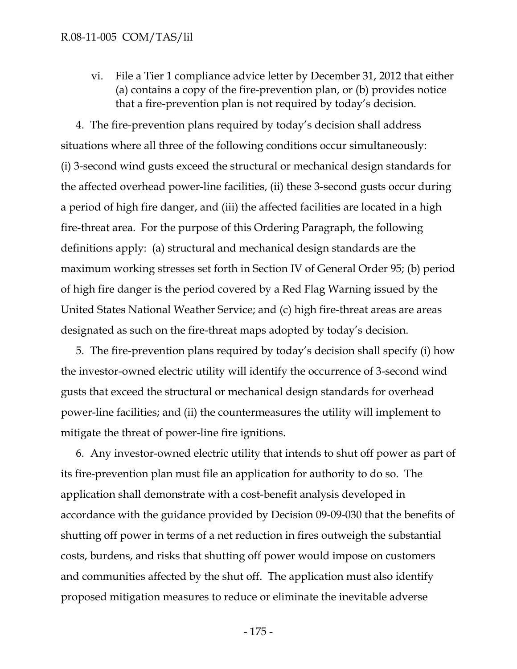vi. File a Tier 1 compliance advice letter by December 31, 2012 that either (a) contains a copy of the fire-prevention plan, or (b) provides notice that a fire-prevention plan is not required by today's decision.

4. The fire-prevention plans required by today's decision shall address situations where all three of the following conditions occur simultaneously: (i) 3-second wind gusts exceed the structural or mechanical design standards for the affected overhead power-line facilities, (ii) these 3-second gusts occur during a period of high fire danger, and (iii) the affected facilities are located in a high fire-threat area. For the purpose of this Ordering Paragraph, the following definitions apply: (a) structural and mechanical design standards are the maximum working stresses set forth in Section IV of General Order 95; (b) period of high fire danger is the period covered by a Red Flag Warning issued by the United States National Weather Service; and (c) high fire-threat areas are areas designated as such on the fire-threat maps adopted by today's decision.

5. The fire-prevention plans required by today's decision shall specify (i) how the investor-owned electric utility will identify the occurrence of 3-second wind gusts that exceed the structural or mechanical design standards for overhead power-line facilities; and (ii) the countermeasures the utility will implement to mitigate the threat of power-line fire ignitions.

6. Any investor-owned electric utility that intends to shut off power as part of its fire-prevention plan must file an application for authority to do so. The application shall demonstrate with a cost-benefit analysis developed in accordance with the guidance provided by Decision 09-09-030 that the benefits of shutting off power in terms of a net reduction in fires outweigh the substantial costs, burdens, and risks that shutting off power would impose on customers and communities affected by the shut off. The application must also identify proposed mitigation measures to reduce or eliminate the inevitable adverse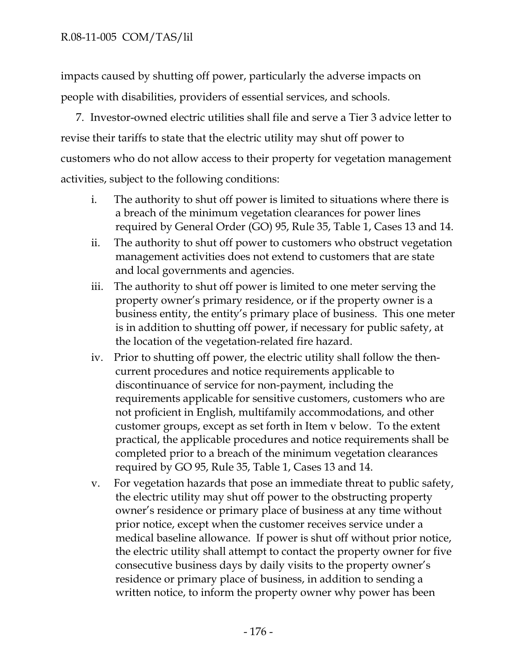impacts caused by shutting off power, particularly the adverse impacts on people with disabilities, providers of essential services, and schools.

7. Investor-owned electric utilities shall file and serve a Tier 3 advice letter to revise their tariffs to state that the electric utility may shut off power to customers who do not allow access to their property for vegetation management activities, subject to the following conditions:

- i. The authority to shut off power is limited to situations where there is a breach of the minimum vegetation clearances for power lines required by General Order (GO) 95, Rule 35, Table 1, Cases 13 and 14.
- ii. The authority to shut off power to customers who obstruct vegetation management activities does not extend to customers that are state and local governments and agencies.
- iii. The authority to shut off power is limited to one meter serving the property owner's primary residence, or if the property owner is a business entity, the entity's primary place of business. This one meter is in addition to shutting off power, if necessary for public safety, at the location of the vegetation-related fire hazard.
- iv. Prior to shutting off power, the electric utility shall follow the thencurrent procedures and notice requirements applicable to discontinuance of service for non-payment, including the requirements applicable for sensitive customers, customers who are not proficient in English, multifamily accommodations, and other customer groups, except as set forth in Item v below. To the extent practical, the applicable procedures and notice requirements shall be completed prior to a breach of the minimum vegetation clearances required by GO 95, Rule 35, Table 1, Cases 13 and 14.
- v. For vegetation hazards that pose an immediate threat to public safety, the electric utility may shut off power to the obstructing property owner's residence or primary place of business at any time without prior notice, except when the customer receives service under a medical baseline allowance. If power is shut off without prior notice, the electric utility shall attempt to contact the property owner for five consecutive business days by daily visits to the property owner's residence or primary place of business, in addition to sending a written notice, to inform the property owner why power has been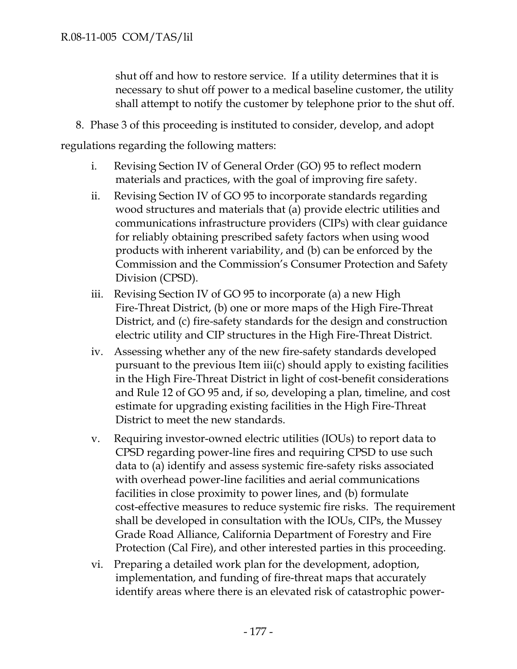shut off and how to restore service. If a utility determines that it is necessary to shut off power to a medical baseline customer, the utility shall attempt to notify the customer by telephone prior to the shut off.

8. Phase 3 of this proceeding is instituted to consider, develop, and adopt regulations regarding the following matters:

- i. Revising Section IV of General Order (GO) 95 to reflect modern materials and practices, with the goal of improving fire safety.
- ii. Revising Section IV of GO 95 to incorporate standards regarding wood structures and materials that (a) provide electric utilities and communications infrastructure providers (CIPs) with clear guidance for reliably obtaining prescribed safety factors when using wood products with inherent variability, and (b) can be enforced by the Commission and the Commission's Consumer Protection and Safety Division (CPSD).
- iii. Revising Section IV of GO 95 to incorporate (a) a new High Fire-Threat District, (b) one or more maps of the High Fire-Threat District, and (c) fire-safety standards for the design and construction electric utility and CIP structures in the High Fire-Threat District.
- iv. Assessing whether any of the new fire-safety standards developed pursuant to the previous Item iii(c) should apply to existing facilities in the High Fire-Threat District in light of cost-benefit considerations and Rule 12 of GO 95 and, if so, developing a plan, timeline, and cost estimate for upgrading existing facilities in the High Fire-Threat District to meet the new standards.
- v. Requiring investor-owned electric utilities (IOUs) to report data to CPSD regarding power-line fires and requiring CPSD to use such data to (a) identify and assess systemic fire-safety risks associated with overhead power-line facilities and aerial communications facilities in close proximity to power lines, and (b) formulate cost-effective measures to reduce systemic fire risks. The requirement shall be developed in consultation with the IOUs, CIPs, the Mussey Grade Road Alliance, California Department of Forestry and Fire Protection (Cal Fire), and other interested parties in this proceeding.
- vi. Preparing a detailed work plan for the development, adoption, implementation, and funding of fire-threat maps that accurately identify areas where there is an elevated risk of catastrophic power-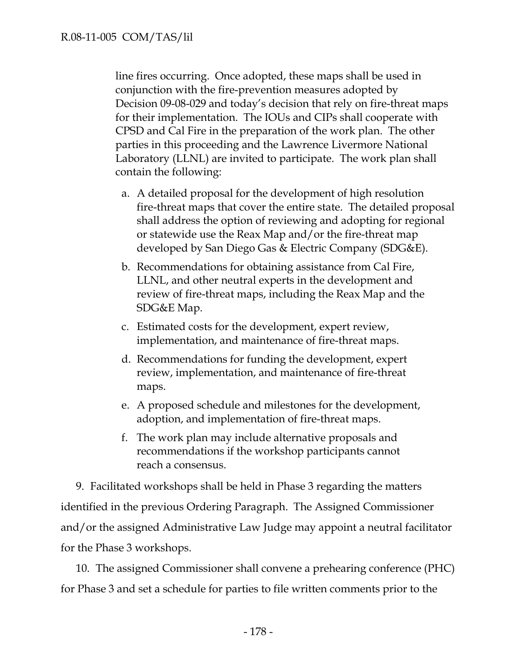line fires occurring. Once adopted, these maps shall be used in conjunction with the fire-prevention measures adopted by Decision 09-08-029 and today's decision that rely on fire-threat maps for their implementation. The IOUs and CIPs shall cooperate with CPSD and Cal Fire in the preparation of the work plan. The other parties in this proceeding and the Lawrence Livermore National Laboratory (LLNL) are invited to participate. The work plan shall contain the following:

- a. A detailed proposal for the development of high resolution fire-threat maps that cover the entire state. The detailed proposal shall address the option of reviewing and adopting for regional or statewide use the Reax Map and/or the fire-threat map developed by San Diego Gas & Electric Company (SDG&E).
- b. Recommendations for obtaining assistance from Cal Fire, LLNL, and other neutral experts in the development and review of fire-threat maps, including the Reax Map and the SDG&E Map.
- c. Estimated costs for the development, expert review, implementation, and maintenance of fire-threat maps.
- d. Recommendations for funding the development, expert review, implementation, and maintenance of fire-threat maps.
- e. A proposed schedule and milestones for the development, adoption, and implementation of fire-threat maps.
- f. The work plan may include alternative proposals and recommendations if the workshop participants cannot reach a consensus.

9. Facilitated workshops shall be held in Phase 3 regarding the matters identified in the previous Ordering Paragraph. The Assigned Commissioner and/or the assigned Administrative Law Judge may appoint a neutral facilitator for the Phase 3 workshops.

10. The assigned Commissioner shall convene a prehearing conference (PHC) for Phase 3 and set a schedule for parties to file written comments prior to the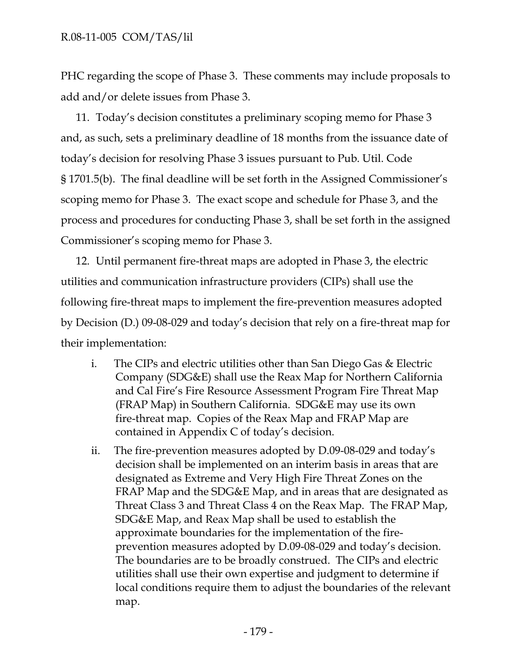PHC regarding the scope of Phase 3. These comments may include proposals to add and/or delete issues from Phase 3.

11. Today's decision constitutes a preliminary scoping memo for Phase 3 and, as such, sets a preliminary deadline of 18 months from the issuance date of today's decision for resolving Phase 3 issues pursuant to Pub. Util. Code § 1701.5(b). The final deadline will be set forth in the Assigned Commissioner's scoping memo for Phase 3. The exact scope and schedule for Phase 3, and the process and procedures for conducting Phase 3, shall be set forth in the assigned Commissioner's scoping memo for Phase 3.

12. Until permanent fire-threat maps are adopted in Phase 3, the electric utilities and communication infrastructure providers (CIPs) shall use the following fire-threat maps to implement the fire-prevention measures adopted by Decision (D.) 09-08-029 and today's decision that rely on a fire-threat map for their implementation:

- i. The CIPs and electric utilities other than San Diego Gas & Electric Company (SDG&E) shall use the Reax Map for Northern California and Cal Fire's Fire Resource Assessment Program Fire Threat Map (FRAP Map) in Southern California. SDG&E may use its own fire-threat map. Copies of the Reax Map and FRAP Map are contained in Appendix C of today's decision.
- ii. The fire-prevention measures adopted by D.09-08-029 and today's decision shall be implemented on an interim basis in areas that are designated as Extreme and Very High Fire Threat Zones on the FRAP Map and the SDG&E Map, and in areas that are designated as Threat Class 3 and Threat Class 4 on the Reax Map. The FRAP Map, SDG&E Map, and Reax Map shall be used to establish the approximate boundaries for the implementation of the fireprevention measures adopted by D.09-08-029 and today's decision. The boundaries are to be broadly construed. The CIPs and electric utilities shall use their own expertise and judgment to determine if local conditions require them to adjust the boundaries of the relevant map.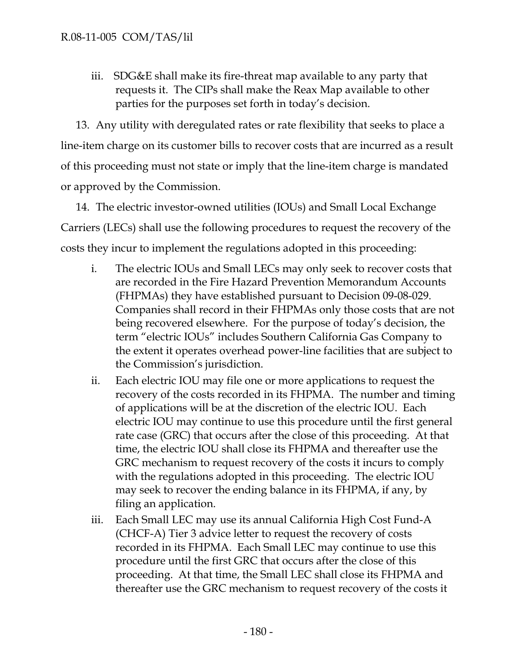iii. SDG&E shall make its fire-threat map available to any party that requests it. The CIPs shall make the Reax Map available to other parties for the purposes set forth in today's decision.

13. Any utility with deregulated rates or rate flexibility that seeks to place a line-item charge on its customer bills to recover costs that are incurred as a result of this proceeding must not state or imply that the line-item charge is mandated or approved by the Commission.

14. The electric investor-owned utilities (IOUs) and Small Local Exchange Carriers (LECs) shall use the following procedures to request the recovery of the costs they incur to implement the regulations adopted in this proceeding:

- i. The electric IOUs and Small LECs may only seek to recover costs that are recorded in the Fire Hazard Prevention Memorandum Accounts (FHPMAs) they have established pursuant to Decision 09-08-029. Companies shall record in their FHPMAs only those costs that are not being recovered elsewhere. For the purpose of today's decision, the term "electric IOUs" includes Southern California Gas Company to the extent it operates overhead power-line facilities that are subject to the Commission's jurisdiction.
- ii. Each electric IOU may file one or more applications to request the recovery of the costs recorded in its FHPMA. The number and timing of applications will be at the discretion of the electric IOU. Each electric IOU may continue to use this procedure until the first general rate case (GRC) that occurs after the close of this proceeding. At that time, the electric IOU shall close its FHPMA and thereafter use the GRC mechanism to request recovery of the costs it incurs to comply with the regulations adopted in this proceeding. The electric IOU may seek to recover the ending balance in its FHPMA, if any, by filing an application.
- iii. Each Small LEC may use its annual California High Cost Fund-A (CHCF-A) Tier 3 advice letter to request the recovery of costs recorded in its FHPMA. Each Small LEC may continue to use this procedure until the first GRC that occurs after the close of this proceeding. At that time, the Small LEC shall close its FHPMA and thereafter use the GRC mechanism to request recovery of the costs it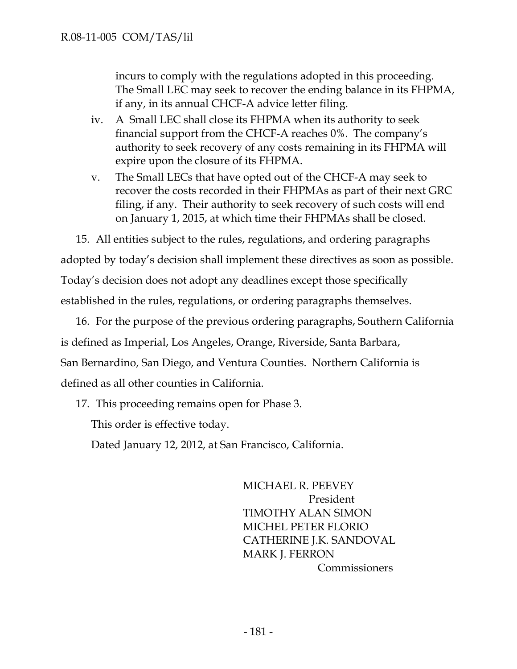incurs to comply with the regulations adopted in this proceeding. The Small LEC may seek to recover the ending balance in its FHPMA, if any, in its annual CHCF-A advice letter filing.

- iv. A Small LEC shall close its FHPMA when its authority to seek financial support from the CHCF-A reaches 0%. The company's authority to seek recovery of any costs remaining in its FHPMA will expire upon the closure of its FHPMA.
- v. The Small LECs that have opted out of the CHCF-A may seek to recover the costs recorded in their FHPMAs as part of their next GRC filing, if any. Their authority to seek recovery of such costs will end on January 1, 2015, at which time their FHPMAs shall be closed.

15. All entities subject to the rules, regulations, and ordering paragraphs adopted by today's decision shall implement these directives as soon as possible. Today's decision does not adopt any deadlines except those specifically established in the rules, regulations, or ordering paragraphs themselves.

16. For the purpose of the previous ordering paragraphs, Southern California is defined as Imperial, Los Angeles, Orange, Riverside, Santa Barbara, San Bernardino, San Diego, and Ventura Counties. Northern California is defined as all other counties in California.

17. This proceeding remains open for Phase 3.

This order is effective today.

Dated January 12, 2012, at San Francisco, California.

MICHAEL R. PEEVEY President TIMOTHY ALAN SIMON MICHEL PETER FLORIO CATHERINE J.K. SANDOVAL MARK J. FERRON Commissioners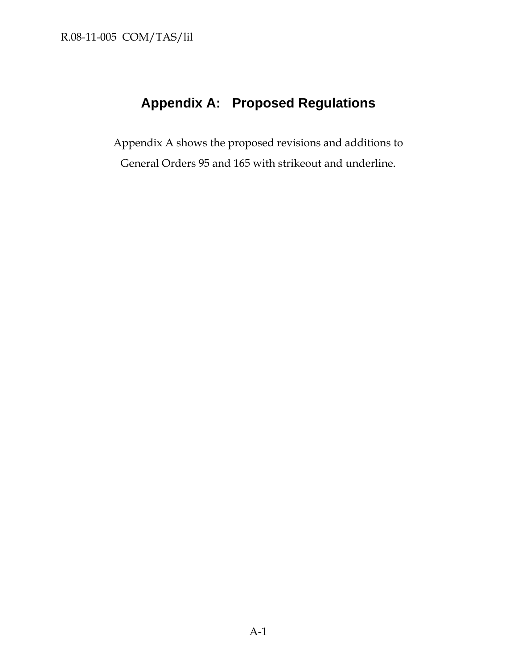# **Appendix A: Proposed Regulations**

Appendix A shows the proposed revisions and additions to General Orders 95 and 165 with strikeout and underline.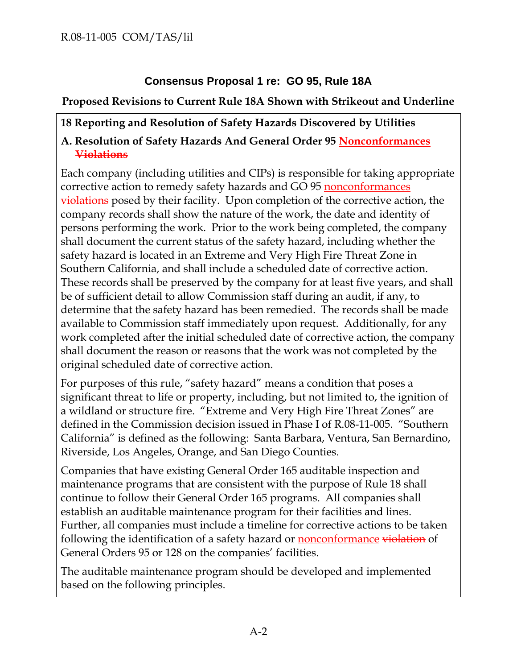### **Consensus Proposal 1 re: GO 95, Rule 18A**

### **Proposed Revisions to Current Rule 18A Shown with Strikeout and Underline**

#### **18 Reporting and Resolution of Safety Hazards Discovered by Utilities**

#### **A. Resolution of Safety Hazards And General Order 95 Nonconformances Violations**

Each company (including utilities and CIPs) is responsible for taking appropriate corrective action to remedy safety hazards and GO 95 nonconformances **violations** posed by their facility. Upon completion of the corrective action, the company records shall show the nature of the work, the date and identity of persons performing the work. Prior to the work being completed, the company shall document the current status of the safety hazard, including whether the safety hazard is located in an Extreme and Very High Fire Threat Zone in Southern California, and shall include a scheduled date of corrective action. These records shall be preserved by the company for at least five years, and shall be of sufficient detail to allow Commission staff during an audit, if any, to determine that the safety hazard has been remedied. The records shall be made available to Commission staff immediately upon request. Additionally, for any work completed after the initial scheduled date of corrective action, the company shall document the reason or reasons that the work was not completed by the original scheduled date of corrective action.

For purposes of this rule, "safety hazard" means a condition that poses a significant threat to life or property, including, but not limited to, the ignition of a wildland or structure fire. "Extreme and Very High Fire Threat Zones" are defined in the Commission decision issued in Phase I of R.08-11-005. "Southern California" is defined as the following: Santa Barbara, Ventura, San Bernardino, Riverside, Los Angeles, Orange, and San Diego Counties.

Companies that have existing General Order 165 auditable inspection and maintenance programs that are consistent with the purpose of Rule 18 shall continue to follow their General Order 165 programs. All companies shall establish an auditable maintenance program for their facilities and lines. Further, all companies must include a timeline for corrective actions to be taken following the identification of a safety hazard or **nonconformance** violation of General Orders 95 or 128 on the companies' facilities.

The auditable maintenance program should be developed and implemented based on the following principles.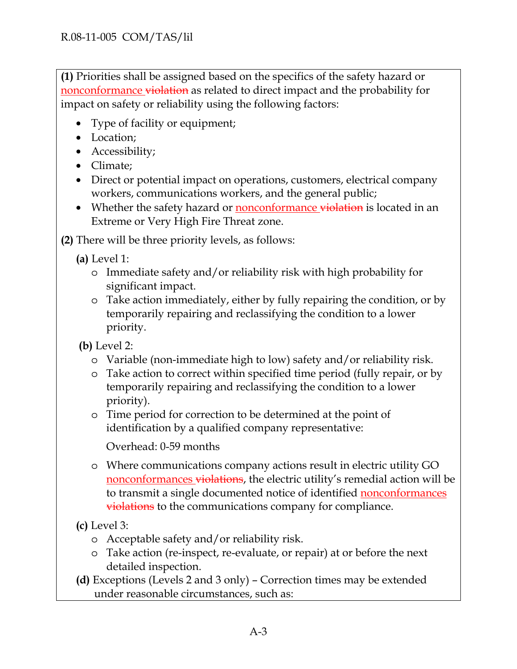**(1)** Priorities shall be assigned based on the specifics of the safety hazard or nonconformance violation as related to direct impact and the probability for impact on safety or reliability using the following factors:

- Type of facility or equipment;
- Location;
- Accessibility;
- Climate;
- Direct or potential impact on operations, customers, electrical company workers, communications workers, and the general public;
- Whether the safety hazard or **nonconformance** violation is located in an Extreme or Very High Fire Threat zone.

**(2)** There will be three priority levels, as follows:

**(a)** Level 1:

- o Immediate safety and/or reliability risk with high probability for significant impact.
- o Take action immediately, either by fully repairing the condition, or by temporarily repairing and reclassifying the condition to a lower priority.

 **(b)** Level 2:

- o Variable (non-immediate high to low) safety and/or reliability risk.
- o Take action to correct within specified time period (fully repair, or by temporarily repairing and reclassifying the condition to a lower priority).
- o Time period for correction to be determined at the point of identification by a qualified company representative:

Overhead: 0-59 months

o Where communications company actions result in electric utility GO nonconformances violations, the electric utility's remedial action will be to transmit a single documented notice of identified **nonconformances** violations to the communications company for compliance.

**(c)** Level 3:

- o Acceptable safety and/or reliability risk.
- o Take action (re-inspect, re-evaluate, or repair) at or before the next detailed inspection.
- **(d)** Exceptions (Levels 2 and 3 only) Correction times may be extended under reasonable circumstances, such as: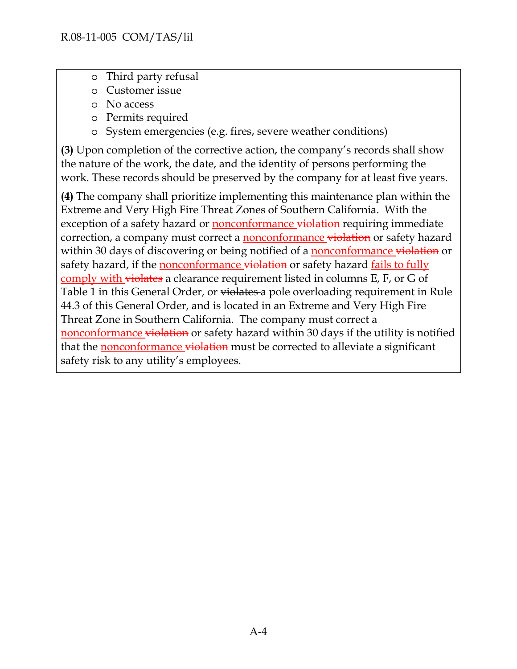- o Third party refusal
- o Customer issue
- o No access
- o Permits required
- o System emergencies (e.g. fires, severe weather conditions)

**(3)** Upon completion of the corrective action, the company's records shall show the nature of the work, the date, and the identity of persons performing the work. These records should be preserved by the company for at least five years.

**(4)** The company shall prioritize implementing this maintenance plan within the Extreme and Very High Fire Threat Zones of Southern California. With the exception of a safety hazard or **nonconformance** violation requiring immediate correction, a company must correct a nonconformance violation or safety hazard within 30 days of discovering or being notified of a **nonconformance** violation or safety hazard, if the nonconformance violation or safety hazard fails to fully comply with violates a clearance requirement listed in columns E, F, or G of Table 1 in this General Order, or violates a pole overloading requirement in Rule 44.3 of this General Order, and is located in an Extreme and Very High Fire Threat Zone in Southern California. The company must correct a nonconformance violation or safety hazard within 30 days if the utility is notified that the **nonconformance violation** must be corrected to alleviate a significant safety risk to any utility's employees.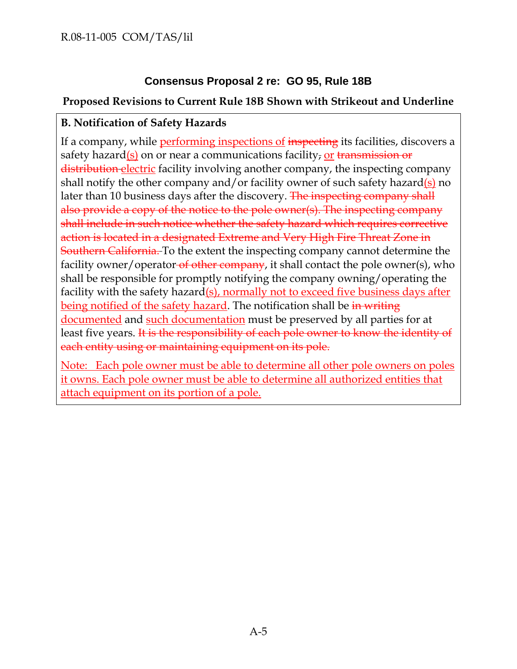#### **Consensus Proposal 2 re: GO 95, Rule 18B**

#### **Proposed Revisions to Current Rule 18B Shown with Strikeout and Underline**

#### **B. Notification of Safety Hazards**

If a company, while **performing inspections of inspecting** its facilities, discovers a safety hazard(s) on or near a communications facility, or transmission or distribution electric facility involving another company, the inspecting company shall notify the other company and/or facility owner of such safety hazard(s) no later than 10 business days after the discovery. The inspecting company shall also provide a copy of the notice to the pole owner(s). The inspecting company shall include in such notice whether the safety hazard which requires corrective action is located in a designated Extreme and Very High Fire Threat Zone in Southern California. To the extent the inspecting company cannot determine the facility owner/operator of other company, it shall contact the pole owner(s), who shall be responsible for promptly notifying the company owning/operating the facility with the safety hazard $(s)$ , normally not to exceed five business days after being notified of the safety hazard. The notification shall be in writing documented and such documentation must be preserved by all parties for at least five years. It is the responsibility of each pole owner to know the identity of each entity using or maintaining equipment on its pole.

Note: Each pole owner must be able to determine all other pole owners on poles it owns. Each pole owner must be able to determine all authorized entities that attach equipment on its portion of a pole.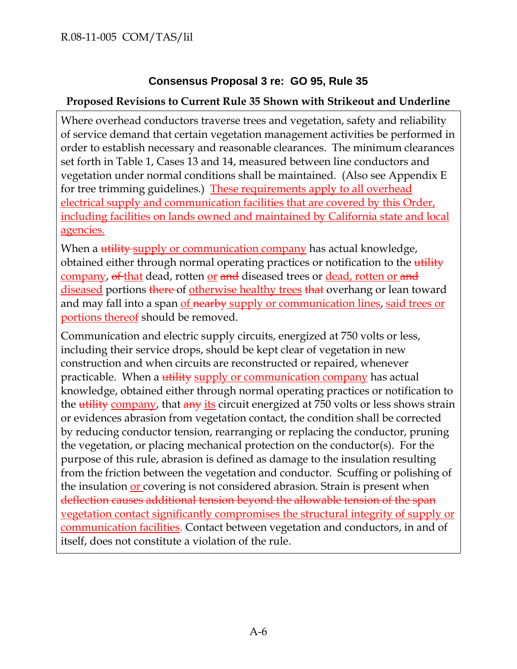## **Consensus Proposal 3 re: GO 95, Rule 35**

#### **Proposed Revisions to Current Rule 35 Shown with Strikeout and Underline**

Where overhead conductors traverse trees and vegetation, safety and reliability of service demand that certain vegetation management activities be performed in order to establish necessary and reasonable clearances. The minimum clearances set forth in Table 1, Cases 13 and 14, measured between line conductors and vegetation under normal conditions shall be maintained. (Also see Appendix E for tree trimming guidelines.) These requirements apply to all overhead electrical supply and communication facilities that are covered by this Order, including facilities on lands owned and maintained by California state and local agencies.

When a *utility-supply or communication company* has actual knowledge, obtained either through normal operating practices or notification to the utility company, of that dead, rotten or and diseased trees or dead, rotten or and diseased portions there of otherwise healthy trees that overhang or lean toward and may fall into a span of nearby supply or communication lines, said trees or portions thereof should be removed.

Communication and electric supply circuits, energized at 750 volts or less, including their service drops, should be kept clear of vegetation in new construction and when circuits are reconstructed or repaired, whenever practicable. When a *utility supply or communication company* has actual knowledge, obtained either through normal operating practices or notification to the *utility company*, that any *its* circuit energized at 750 volts or less shows strain or evidences abrasion from vegetation contact, the condition shall be corrected by reducing conductor tension, rearranging or replacing the conductor, pruning the vegetation, or placing mechanical protection on the conductor(s). For the purpose of this rule, abrasion is defined as damage to the insulation resulting from the friction between the vegetation and conductor. Scuffing or polishing of the insulation <u>or</u> covering is not considered abrasion. Strain is present when deflection causes additional tension beyond the allowable tension of the span vegetation contact significantly compromises the structural integrity of supply or communication facilities. Contact between vegetation and conductors, in and of itself, does not constitute a violation of the rule.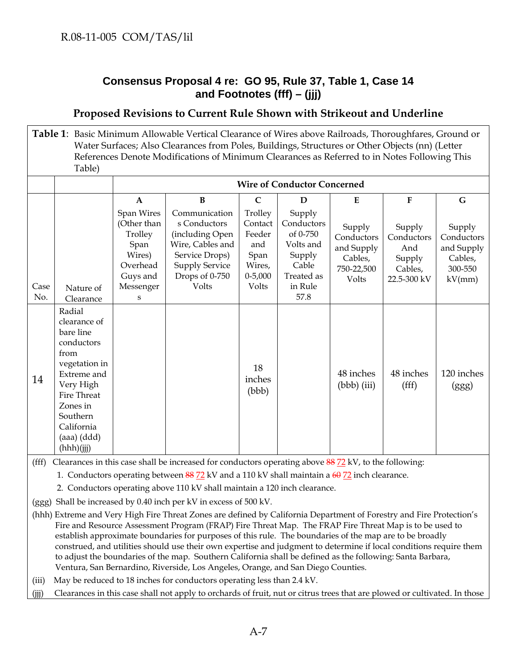#### **Consensus Proposal 4 re: GO 95, Rule 37, Table 1, Case 14 and Footnotes (fff) – (jjj)**

#### **Proposed Revisions to Current Rule Shown with Strikeout and Underline**

**Table 1**: Basic Minimum Allowable Vertical Clearance of Wires above Railroads, Thoroughfares, Ground or Water Surfaces; Also Clearances from Poles, Buildings, Structures or Other Objects (nn) (Letter References Denote Modifications of Minimum Clearances as Referred to in Notes Following This Table)

|      |                                                                                                                                                                                           | <b>Wire of Conductor Concerned</b>                                                          |                                                                                                                                            |                                                                               |                                                                                           |                                                                      |                                                                 |                                                                       |  |
|------|-------------------------------------------------------------------------------------------------------------------------------------------------------------------------------------------|---------------------------------------------------------------------------------------------|--------------------------------------------------------------------------------------------------------------------------------------------|-------------------------------------------------------------------------------|-------------------------------------------------------------------------------------------|----------------------------------------------------------------------|-----------------------------------------------------------------|-----------------------------------------------------------------------|--|
|      |                                                                                                                                                                                           | $\mathbf A$                                                                                 | $\bf{B}$                                                                                                                                   | $\mathsf{C}$                                                                  | D                                                                                         | E                                                                    | ${\bf F}$                                                       | G                                                                     |  |
| Case | Nature of                                                                                                                                                                                 | Span Wires<br>(Other than<br>Trolley<br>Span<br>Wires)<br>Overhead<br>Guys and<br>Messenger | Communication<br>s Conductors<br>(including Open<br>Wire, Cables and<br>Service Drops)<br><b>Supply Service</b><br>Drops of 0-750<br>Volts | Trolley<br>Contact<br>Feeder<br>and<br>Span<br>Wires,<br>$0 - 5,000$<br>Volts | Supply<br>Conductors<br>of 0-750<br>Volts and<br>Supply<br>Cable<br>Treated as<br>in Rule | Supply<br>Conductors<br>and Supply<br>Cables,<br>750-22,500<br>Volts | Supply<br>Conductors<br>And<br>Supply<br>Cables,<br>22.5-300 kV | Supply<br>Conductors<br>and Supply<br>Cables,<br>300-550<br>$kV$ (mm) |  |
| No.  | Clearance                                                                                                                                                                                 | s                                                                                           |                                                                                                                                            |                                                                               | 57.8                                                                                      |                                                                      |                                                                 |                                                                       |  |
| 14   | Radial<br>clearance of<br>bare line<br>conductors<br>from<br>vegetation in<br>Extreme and<br>Very High<br>Fire Threat<br>Zones in<br>Southern<br>California<br>(aaa) (ddd)<br>(hhh)(jjjj) |                                                                                             |                                                                                                                                            | 18<br>inches<br>(bbb)                                                         |                                                                                           | 48 inches<br>$(bbb)$ (iii)                                           | 48 inches<br>$(f\hat{f}f)$                                      | 120 inches<br>(ggg)                                                   |  |

(fff) Clearances in this case shall be increased for conductors operating above  $\frac{8872}{2}$  kV, to the following:

1. Conductors operating between 88 72 kV and a 110 kV shall maintain a 60 72 inch clearance.

2. Conductors operating above 110 kV shall maintain a 120 inch clearance.

(ggg) Shall be increased by 0.40 inch per kV in excess of 500 kV.

(hhh) Extreme and Very High Fire Threat Zones are defined by California Department of Forestry and Fire Protection's Fire and Resource Assessment Program (FRAP) Fire Threat Map. The FRAP Fire Threat Map is to be used to establish approximate boundaries for purposes of this rule. The boundaries of the map are to be broadly construed, and utilities should use their own expertise and judgment to determine if local conditions require them to adjust the boundaries of the map. Southern California shall be defined as the following: Santa Barbara, Ventura, San Bernardino, Riverside, Los Angeles, Orange, and San Diego Counties.

(iii) May be reduced to 18 inches for conductors operating less than 2.4 kV.

(jjj) Clearances in this case shall not apply to orchards of fruit, nut or citrus trees that are plowed or cultivated. In those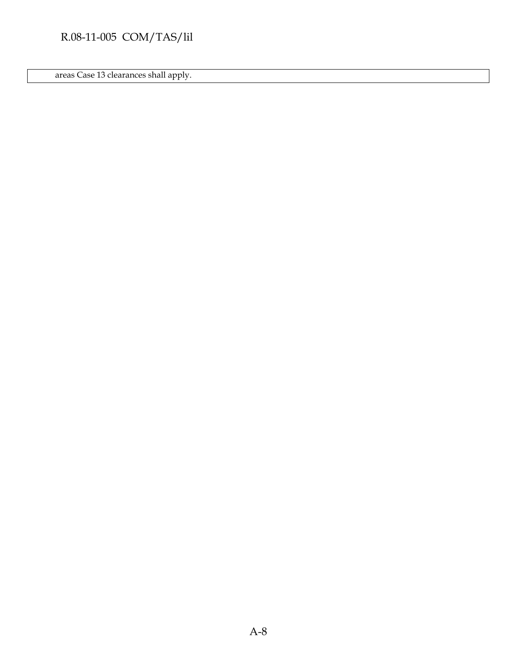## R.08-11-005 COM/TAS/lil

areas Case 13 clearances shall apply.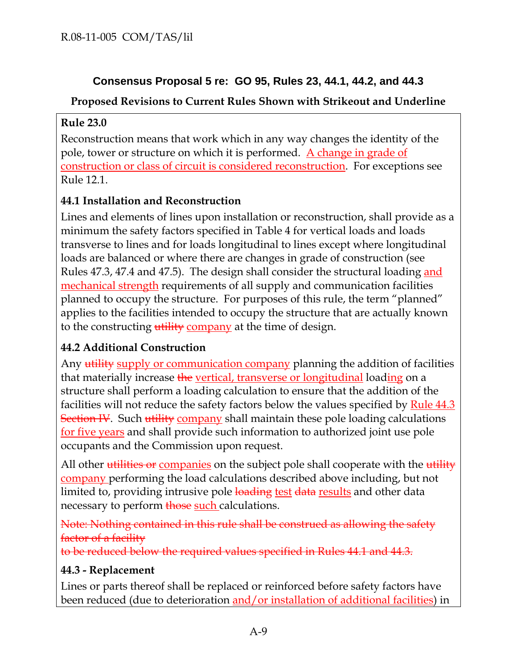## **Consensus Proposal 5 re: GO 95, Rules 23, 44.1, 44.2, and 44.3**

## **Proposed Revisions to Current Rules Shown with Strikeout and Underline**

## **Rule 23.0**

Reconstruction means that work which in any way changes the identity of the pole, tower or structure on which it is performed. A change in grade of construction or class of circuit is considered reconstruction. For exceptions see Rule 12.1.

## **44.1 Installation and Reconstruction**

Lines and elements of lines upon installation or reconstruction, shall provide as a minimum the safety factors specified in Table 4 for vertical loads and loads transverse to lines and for loads longitudinal to lines except where longitudinal loads are balanced or where there are changes in grade of construction (see Rules 47.3, 47.4 and 47.5). The design shall consider the structural loading and mechanical strength requirements of all supply and communication facilities planned to occupy the structure. For purposes of this rule, the term "planned" applies to the facilities intended to occupy the structure that are actually known to the constructing *utility* company at the time of design.

## **44.2 Additional Construction**

Any utility supply or communication company planning the addition of facilities that materially increase the vertical, transverse or longitudinal loading on a structure shall perform a loading calculation to ensure that the addition of the facilities will not reduce the safety factors below the values specified by Rule 44.3 Section IV. Such utility company shall maintain these pole loading calculations for five years and shall provide such information to authorized joint use pole occupants and the Commission upon request.

All other utilities or companies on the subject pole shall cooperate with the utility company performing the load calculations described above including, but not limited to, providing intrusive pole loading test data results and other data necessary to perform those such calculations.

Note: Nothing contained in this rule shall be construed as allowing the safety factor of a facility

to be reduced below the required values specified in Rules 44.1 and 44.3.

## **44.3 - Replacement**

Lines or parts thereof shall be replaced or reinforced before safety factors have been reduced (due to deterioration <u>and/or installation of additional facilities</u>) in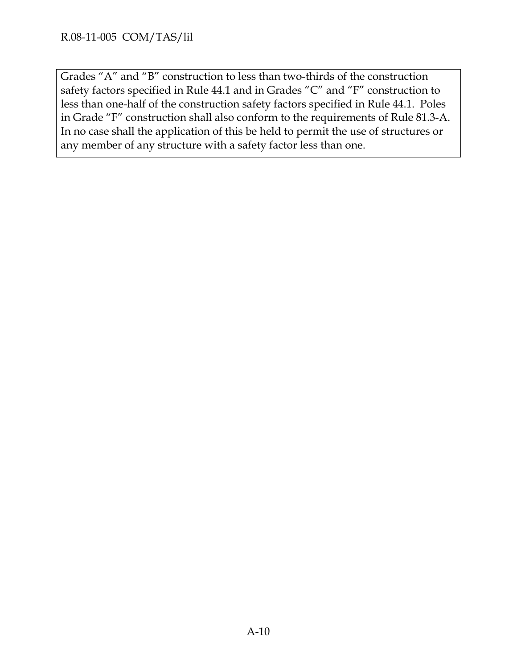Grades "A" and "B" construction to less than two-thirds of the construction safety factors specified in Rule 44.1 and in Grades "C" and "F" construction to less than one-half of the construction safety factors specified in Rule 44.1. Poles in Grade "F" construction shall also conform to the requirements of Rule 81.3-A. In no case shall the application of this be held to permit the use of structures or any member of any structure with a safety factor less than one.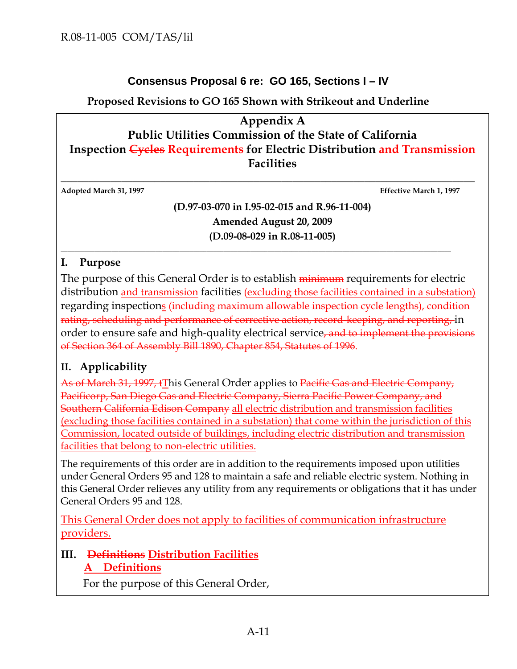#### **Consensus Proposal 6 re: GO 165, Sections I – IV**

**Proposed Revisions to GO 165 Shown with Strikeout and Underline** 

**Appendix A Public Utilities Commission of the State of California Inspection Cycles Requirements for Electric Distribution and Transmission Facilities \_\_\_\_\_\_\_\_\_\_\_\_\_\_\_\_\_\_\_\_\_\_\_\_\_\_\_\_\_\_\_\_\_\_\_\_\_\_\_\_\_\_\_\_\_\_\_\_\_\_\_\_\_\_\_\_\_\_\_\_\_\_\_\_\_\_\_\_\_\_\_\_\_\_\_** 

**Adopted March 31, 1997 Effective March 1, 1997** 

## **(D.97-03-070 in I.95-02-015 and R.96-11-004) Amended August 20, 2009 (D.09-08-029 in R.08-11-005)**

**\_\_\_\_\_\_\_\_\_\_\_\_\_\_\_\_\_\_\_\_\_\_\_\_\_\_\_\_\_\_\_\_\_\_\_\_\_\_\_\_\_\_\_\_\_\_\_\_\_\_\_\_\_\_\_\_\_\_\_\_\_\_\_\_\_\_\_\_\_\_\_\_\_\_\_\_\_\_\_\_\_\_\_\_\_\_\_\_\_\_\_\_\_\_\_\_\_\_\_\_\_\_\_\_\_\_\_\_\_\_\_\_\_\_\_** 

#### **I. Purpose**

The purpose of this General Order is to establish minimum requirements for electric distribution and transmission facilities (excluding those facilities contained in a substation) regarding inspections (including maximum allowable inspection cycle lengths), condition rating, scheduling and performance of corrective action, record-keeping, and reporting, in order to ensure safe and high-quality electrical service, and to implement the provisions of Section 364 of Assembly Bill 1890, Chapter 854, Statutes of 1996.

#### **II. Applicability**

As of March 31, 1997, tThis General Order applies to Pacific Gas and Electric Company, Pacificorp, San Diego Gas and Electric Company, Sierra Pacific Power Company, and Southern California Edison Company all electric distribution and transmission facilities (excluding those facilities contained in a substation) that come within the jurisdiction of this Commission, located outside of buildings, including electric distribution and transmission facilities that belong to non-electric utilities.

The requirements of this order are in addition to the requirements imposed upon utilities under General Orders 95 and 128 to maintain a safe and reliable electric system. Nothing in this General Order relieves any utility from any requirements or obligations that it has under General Orders 95 and 128.

This General Order does not apply to facilities of communication infrastructure providers.

**III. Definitions Distribution Facilities A Definitions** 

For the purpose of this General Order,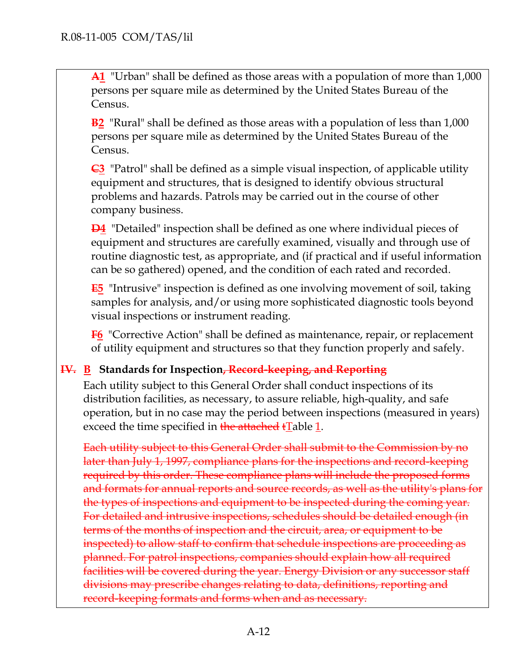**A1** "Urban" shall be defined as those areas with a population of more than 1,000 persons per square mile as determined by the United States Bureau of the Census.

**B2** "Rural" shall be defined as those areas with a population of less than 1,000 persons per square mile as determined by the United States Bureau of the Census.

**C3** "Patrol" shall be defined as a simple visual inspection, of applicable utility equipment and structures, that is designed to identify obvious structural problems and hazards. Patrols may be carried out in the course of other company business.

**D4** "Detailed" inspection shall be defined as one where individual pieces of equipment and structures are carefully examined, visually and through use of routine diagnostic test, as appropriate, and (if practical and if useful information can be so gathered) opened, and the condition of each rated and recorded.

**E5** "Intrusive" inspection is defined as one involving movement of soil, taking samples for analysis, and/or using more sophisticated diagnostic tools beyond visual inspections or instrument reading.

**F6** "Corrective Action" shall be defined as maintenance, repair, or replacement of utility equipment and structures so that they function properly and safely.

## **IV. B Standards for Inspection, Record-keeping, and Reporting**

Each utility subject to this General Order shall conduct inspections of its distribution facilities, as necessary, to assure reliable, high-quality, and safe operation, but in no case may the period between inspections (measured in years) exceed the time specified in the attached  $tT$ able 1.

Each utility subject to this General Order shall submit to the Commission by no later than July 1, 1997, compliance plans for the inspections and record-keeping required by this order. These compliance plans will include the proposed forms and formats for annual reports and source records, as well as the utility's plans for the types of inspections and equipment to be inspected during the coming year. For detailed and intrusive inspections, schedules should be detailed enough (in terms of the months of inspection and the circuit, area, or equipment to be inspected) to allow staff to confirm that schedule inspections are proceeding as planned. For patrol inspections, companies should explain how all required facilities will be covered during the year. Energy Division or any successor staff divisions may prescribe changes relating to data, definitions, reporting and record-keeping formats and forms when and as necessary.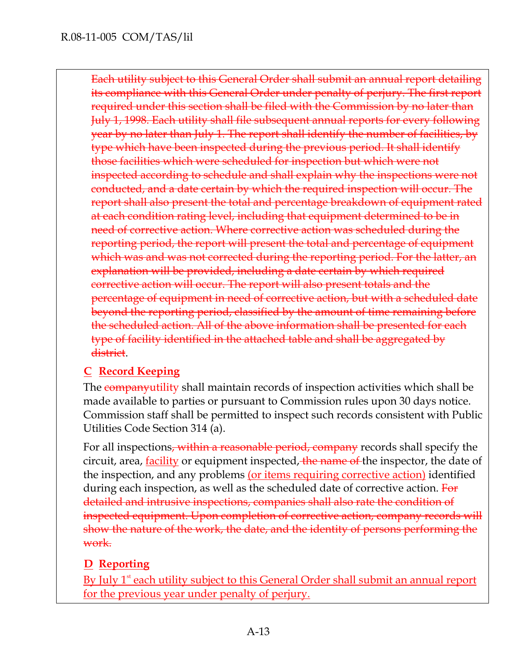Each utility subject to this General Order shall submit an annual report detailing its compliance with this General Order under penalty of perjury. The first report required under this section shall be filed with the Commission by no later than July 1, 1998. Each utility shall file subsequent annual reports for every following year by no later than July 1. The report shall identify the number of facilities, by type which have been inspected during the previous period. It shall identify those facilities which were scheduled for inspection but which were not inspected according to schedule and shall explain why the inspections were not conducted, and a date certain by which the required inspection will occur. The report shall also present the total and percentage breakdown of equipment rated at each condition rating level, including that equipment determined to be in need of corrective action. Where corrective action was scheduled during the reporting period, the report will present the total and percentage of equipment which was and was not corrected during the reporting period. For the latter, an explanation will be provided, including a date certain by which required corrective action will occur. The report will also present totals and the percentage of equipment in need of corrective action, but with a scheduled date beyond the reporting period, classified by the amount of time remaining before the scheduled action. All of the above information shall be presented for each type of facility identified in the attached table and shall be aggregated by district.

## **C Record Keeping**

The companyutility shall maintain records of inspection activities which shall be made available to parties or pursuant to Commission rules upon 30 days notice. Commission staff shall be permitted to inspect such records consistent with Public Utilities Code Section 314 (a).

For all inspections, within a reasonable period, company records shall specify the circuit, area, facility or equipment inspected, the name of the inspector, the date of the inspection, and any problems (or items requiring corrective action) identified during each inspection, as well as the scheduled date of corrective action. For detailed and intrusive inspections, companies shall also rate the condition of inspected equipment. Upon completion of corrective action, company records will show the nature of the work, the date, and the identity of persons performing the work.

## **D Reporting**

By July 1<sup>st</sup> each utility subject to this General Order shall submit an annual report for the previous year under penalty of perjury.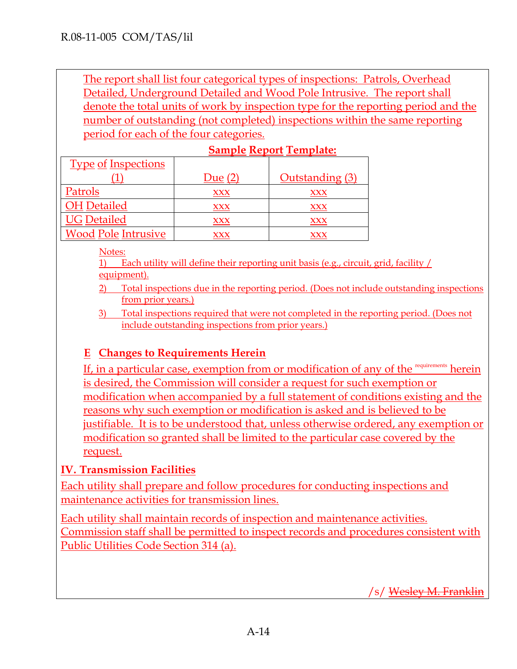The report shall list four categorical types of inspections: Patrols, Overhead Detailed, Underground Detailed and Wood Pole Intrusive. The report shall denote the total units of work by inspection type for the reporting period and the number of outstanding (not completed) inspections within the same reporting period for each of the four categories.

| <b>Type of Inspections</b> |                      |                 |
|----------------------------|----------------------|-----------------|
|                            | Due (2)              | Outstanding (3) |
| Patrols                    | <b>XXX</b>           | <b>XXX</b>      |
| <b>OH</b> Detailed         | <b>XXX</b>           | <b>XXX</b>      |
| <b>UG Detailed</b>         | $\chi$ $\chi$ $\chi$ | <u>XXX</u>      |
| <b>Wood Pole Intrusive</b> | XXX                  | xxx             |

### **Sample Report Template:**

Notes:

1) Each utility will define their reporting unit basis (e.g., circuit, grid, facility / equipment).

- 2) Total inspections due in the reporting period. (Does not include outstanding inspections from prior years.)
- 3) Total inspections required that were not completed in the reporting period. (Does not include outstanding inspections from prior years.)

## **E Changes to Requirements Herein**

If, in a particular case, exemption from or modification of any of the requirements herein is desired, the Commission will consider a request for such exemption or modification when accompanied by a full statement of conditions existing and the reasons why such exemption or modification is asked and is believed to be justifiable. It is to be understood that, unless otherwise ordered, any exemption or modification so granted shall be limited to the particular case covered by the request.

#### **IV. Transmission Facilities**

Each utility shall prepare and follow procedures for conducting inspections and maintenance activities for transmission lines.

Each utility shall maintain records of inspection and maintenance activities. Commission staff shall be permitted to inspect records and procedures consistent with Public Utilities Code Section 314 (a).

/s/ Wesley M. Franklin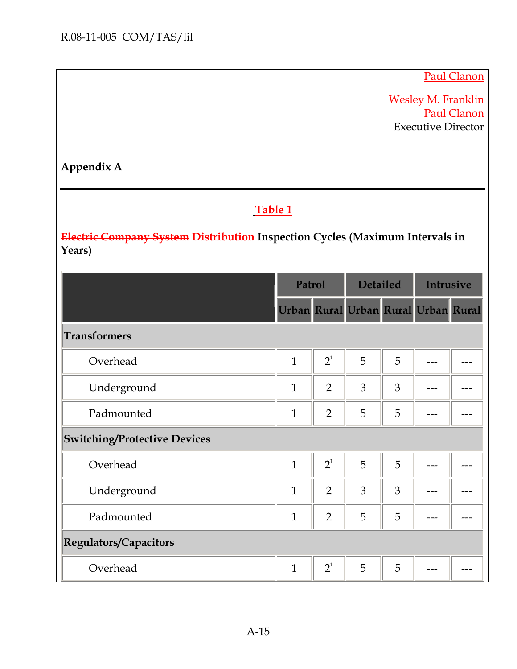Paul Clanon

Wesley M. Franklin Paul Clanon Executive Director

**Appendix A** 

## **Table 1**

**Electric Company System Distribution Inspection Cycles (Maximum Intervals in Years)**

|                                     | Patrol       |                | <b>Detailed</b> |   | <b>Intrusive</b>                    |  |  |
|-------------------------------------|--------------|----------------|-----------------|---|-------------------------------------|--|--|
|                                     |              |                |                 |   | Urban Rural Urban Rural Urban Rural |  |  |
| <b>Transformers</b>                 |              |                |                 |   |                                     |  |  |
| Overhead                            | $\mathbf{1}$ | $2^1$          | 5               | 5 |                                     |  |  |
| Underground                         | $\mathbf{1}$ | $\overline{2}$ | 3               | 3 |                                     |  |  |
| Padmounted                          | $\mathbf{1}$ | $\overline{2}$ | 5               | 5 |                                     |  |  |
| <b>Switching/Protective Devices</b> |              |                |                 |   |                                     |  |  |
| Overhead                            | $\mathbf{1}$ | $2^1$          | 5               | 5 |                                     |  |  |
| Underground                         | $\mathbf{1}$ | $\overline{2}$ | 3               | 3 |                                     |  |  |
| Padmounted                          | $\mathbf{1}$ | $\overline{2}$ | 5               | 5 |                                     |  |  |
| Regulators/Capacitors               |              |                |                 |   |                                     |  |  |
| Overhead                            | $\mathbf{1}$ | $2^1$          | 5               | 5 |                                     |  |  |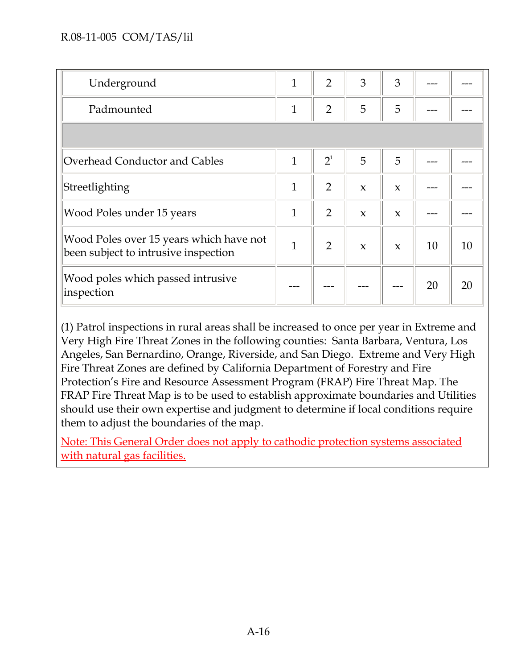| Underground                                                                     | $\mathbf{1}$ | $\overline{2}$ | 3                   | 3                   |    |    |
|---------------------------------------------------------------------------------|--------------|----------------|---------------------|---------------------|----|----|
| Padmounted                                                                      | $\mathbf{1}$ | $\overline{2}$ | 5                   | 5                   |    |    |
|                                                                                 |              |                |                     |                     |    |    |
| Overhead Conductor and Cables                                                   | $\mathbf{1}$ | $2^1$          | 5                   | 5                   |    |    |
| Streetlighting                                                                  | 1            | $\overline{2}$ | $\boldsymbol{\chi}$ | $\boldsymbol{\chi}$ |    |    |
| Wood Poles under 15 years                                                       | $\mathbf 1$  | $\overline{2}$ | $\boldsymbol{\chi}$ | $\boldsymbol{\chi}$ |    |    |
| Wood Poles over 15 years which have not<br>been subject to intrusive inspection | $\mathbf{1}$ | $\overline{2}$ | $\boldsymbol{\chi}$ | $\boldsymbol{\chi}$ | 10 | 10 |
| Wood poles which passed intrusive<br>inspection                                 |              |                |                     |                     | 20 | 20 |

(1) Patrol inspections in rural areas shall be increased to once per year in Extreme and Very High Fire Threat Zones in the following counties: Santa Barbara, Ventura, Los Angeles, San Bernardino, Orange, Riverside, and San Diego. Extreme and Very High Fire Threat Zones are defined by California Department of Forestry and Fire Protection's Fire and Resource Assessment Program (FRAP) Fire Threat Map. The FRAP Fire Threat Map is to be used to establish approximate boundaries and Utilities should use their own expertise and judgment to determine if local conditions require them to adjust the boundaries of the map.

Note: This General Order does not apply to cathodic protection systems associated with natural gas facilities.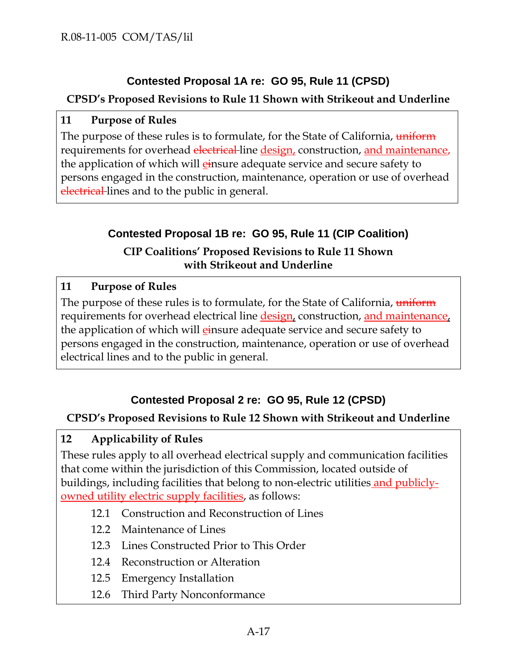## **Contested Proposal 1A re: GO 95, Rule 11 (CPSD)**

### **CPSD's Proposed Revisions to Rule 11 Shown with Strikeout and Underline**

#### **11 Purpose of Rules**

The purpose of these rules is to formulate, for the State of California, uniform requirements for overhead electrical-line design, construction, and maintenance, the application of which will einsure adequate service and secure safety to persons engaged in the construction, maintenance, operation or use of overhead electrical lines and to the public in general.

## **Contested Proposal 1B re: GO 95, Rule 11 (CIP Coalition) CIP Coalitions' Proposed Revisions to Rule 11 Shown with Strikeout and Underline**

#### **11 Purpose of Rules**

The purpose of these rules is to formulate, for the State of California, uniform requirements for overhead electrical line <u>design</u>, construction, and maintenance, the application of which will einsure adequate service and secure safety to persons engaged in the construction, maintenance, operation or use of overhead electrical lines and to the public in general.

## **Contested Proposal 2 re: GO 95, Rule 12 (CPSD)**

#### **CPSD's Proposed Revisions to Rule 12 Shown with Strikeout and Underline**

## **12 Applicability of Rules**

These rules apply to all overhead electrical supply and communication facilities that come within the jurisdiction of this Commission, located outside of buildings, including facilities that belong to non-electric utilities and publiclyowned utility electric supply facilities, as follows:

- 12.1 Construction and Reconstruction of Lines
- 12.2 Maintenance of Lines
- 12.3 Lines Constructed Prior to This Order
- 12.4 Reconstruction or Alteration
- 12.5 Emergency Installation
- 12.6 Third Party Nonconformance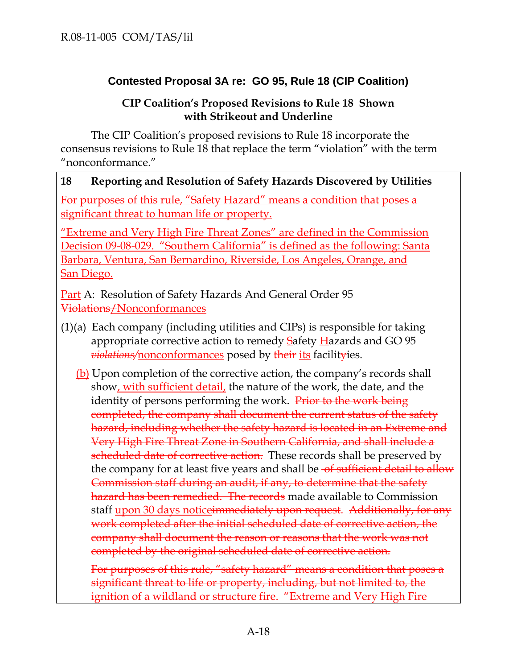## **Contested Proposal 3A re: GO 95, Rule 18 (CIP Coalition)**

#### **CIP Coalition's Proposed Revisions to Rule 18 Shown with Strikeout and Underline**

The CIP Coalition's proposed revisions to Rule 18 incorporate the consensus revisions to Rule 18 that replace the term "violation" with the term "nonconformance."

#### **18 Reporting and Resolution of Safety Hazards Discovered by Utilities**

For purposes of this rule, "Safety Hazard" means a condition that poses a significant threat to human life or property.

"Extreme and Very High Fire Threat Zones" are defined in the Commission Decision 09-08-029. "Southern California" is defined as the following: Santa Barbara, Ventura, San Bernardino, Riverside, Los Angeles, Orange, and San Diego.

Part A: Resolution of Safety Hazards And General Order 95 Violations/Nonconformances

- (1)(a) Each company (including utilities and CIPs) is responsible for taking appropriate corrective action to remedy Safety Hazards and GO 95 *violations*/nonconformances posed by their its facility ies.
	- (b) Upon completion of the corrective action, the company's records shall show, with sufficient detail, the nature of the work, the date, and the identity of persons performing the work. Prior to the work being completed, the company shall document the current status of the safety hazard, including whether the safety hazard is located in an Extreme and Very High Fire Threat Zone in Southern California, and shall include a scheduled date of corrective action. These records shall be preserved by the company for at least five years and shall be of sufficient detail to allow Commission staff during an audit, if any, to determine that the safety hazard has been remedied. The records made available to Commission staff upon 30 days notice immediately upon request. Additionally, for any work completed after the initial scheduled date of corrective action, the company shall document the reason or reasons that the work was not completed by the original scheduled date of corrective action.

For purposes of this rule, "safety hazard" means a condition that poses a significant threat to life or property, including, but not limited to, the ignition of a wildland or structure fire. "Extreme and Very High Fire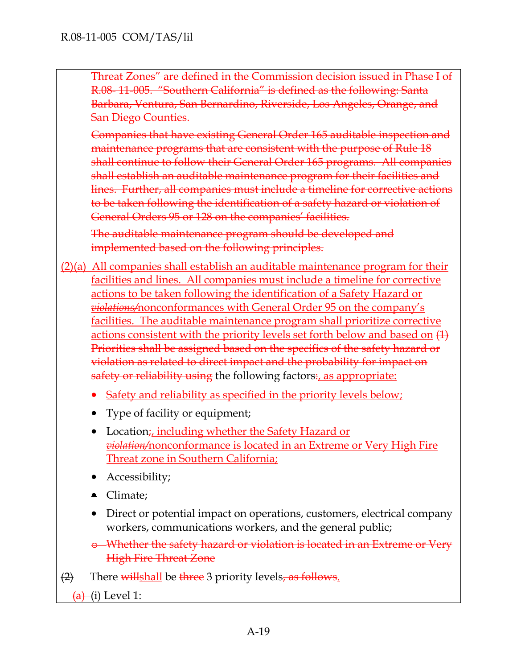Threat Zones" are defined in the Commission decision issued in Phase I of R.08- 11-005. "Southern California" is defined as the following: Santa Barbara, Ventura, San Bernardino, Riverside, Los Angeles, Orange, and San Diego Counties.

Companies that have existing General Order 165 auditable inspection and maintenance programs that are consistent with the purpose of Rule 18 shall continue to follow their General Order 165 programs. All companies shall establish an auditable maintenance program for their facilities and lines. Further, all companies must include a timeline for corrective actions to be taken following the identification of a safety hazard or violation of General Orders 95 or 128 on the companies' facilities.

The auditable maintenance program should be developed and implemented based on the following principles.

- (2)(a) All companies shall establish an auditable maintenance program for their facilities and lines. All companies must include a timeline for corrective actions to be taken following the identification of a Safety Hazard or *violations/*nonconformances with General Order 95 on the company's facilities. The auditable maintenance program shall prioritize corrective actions consistent with the priority levels set forth below and based on  $(1)$ Priorities shall be assigned based on the specifics of the safety hazard or violation as related to direct impact and the probability for impact on safety or reliability using the following factors:, as appropriate:
	- Safety and reliability as specified in the priority levels below;
	- Type of facility or equipment;
	- Location<sub>*;*</sub> including whether the Safety Hazard or *violation/*nonconformance is located in an Extreme or Very High Fire Threat zone in Southern California;
	- Accessibility;
	- Climate;
	- Direct or potential impact on operations, customers, electrical company workers, communications workers, and the general public;
	- o Whether the safety hazard or violation is located in an Extreme or Very High Fire Threat Zone
- $\left(2\right)$  There willshall be three 3 priority levels, as follows.

 $(a)$  (i) Level 1: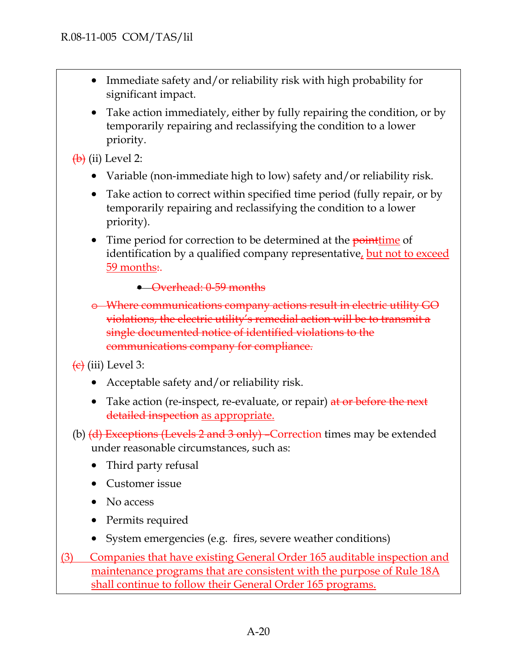- Immediate safety and/or reliability risk with high probability for significant impact.
- Take action immediately, either by fully repairing the condition, or by temporarily repairing and reclassifying the condition to a lower priority.

 $\left(\frac{1}{b}\right)$  (ii) Level 2:

- Variable (non-immediate high to low) safety and/or reliability risk.
- Take action to correct within specified time period (fully repair, or by temporarily repairing and reclassifying the condition to a lower priority).
- Time period for correction to be determined at the **pointly** position identification by a qualified company representative, but not to exceed 59 months<del>:</del>.

• Overhead: 0-59 months

o Where communications company actions result in electric utility GO violations, the electric utility's remedial action will be to transmit a single documented notice of identified violations to the communications company for compliance.

 $\left(\text{e}\right)$  (iii) Level 3:

- Acceptable safety and/or reliability risk.
- Take action (re-inspect, re-evaluate, or repair) at or before the next detailed inspection as appropriate.
- (b)  $(d)$  Exceptions (Levels 2 and 3 only) Correction times may be extended under reasonable circumstances, such as:
	- Third party refusal
	- Customer issue
	- No access
	- Permits required
	- System emergencies (e.g. fires, severe weather conditions)

(3) Companies that have existing General Order 165 auditable inspection and maintenance programs that are consistent with the purpose of Rule 18A shall continue to follow their General Order 165 programs.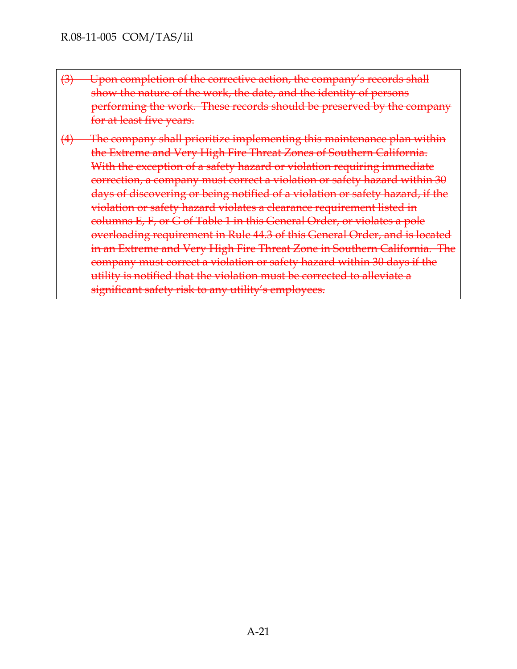- (3) Upon completion of the corrective action, the company's records shall show the nature of the work, the date, and the identity of persons performing the work. These records should be preserved by the company for at least five years.
- (4) The company shall prioritize implementing this maintenance plan within the Extreme and Very High Fire Threat Zones of Southern California. With the exception of a safety hazard or violation requiring immediate correction, a company must correct a violation or safety hazard within 30 days of discovering or being notified of a violation or safety hazard, if the violation or safety hazard violates a clearance requirement listed in columns E, F, or G of Table 1 in this General Order, or violates a pole overloading requirement in Rule 44.3 of this General Order, and is located in an Extreme and Very High Fire Threat Zone in Southern California. The company must correct a violation or safety hazard within 30 days if the utility is notified that the violation must be corrected to alleviate a significant safety risk to any utility's employees.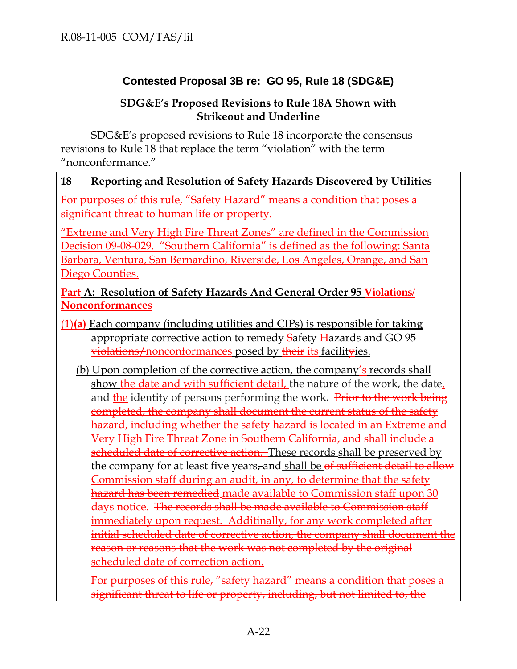### **Contested Proposal 3B re: GO 95, Rule 18 (SDG&E)**

#### **SDG&E's Proposed Revisions to Rule 18A Shown with Strikeout and Underline**

SDG&E's proposed revisions to Rule 18 incorporate the consensus revisions to Rule 18 that replace the term "violation" with the term "nonconformance."

#### **18 Reporting and Resolution of Safety Hazards Discovered by Utilities**

For purposes of this rule, "Safety Hazard" means a condition that poses a significant threat to human life or property.

"Extreme and Very High Fire Threat Zones" are defined in the Commission Decision 09-08-029. "Southern California" is defined as the following: Santa Barbara, Ventura, San Bernardino, Riverside, Los Angeles, Orange, and San Diego Counties.

#### **Part A: Resolution of Safety Hazards And General Order 95 Violations/ Nonconformances**

- (1)**(a)** Each company (including utilities and CIPs) is responsible for taking appropriate corrective action to remedy Safety Hazards and GO 95 violations/nonconformances posed by their its facilityies.
	- (b) Upon completion of the corrective action, the company's records shall show the date and with sufficient detail, the nature of the work, the date, and the identity of persons performing the work**.** Prior to the work being completed, the company shall document the current status of the safety hazard, including whether the safety hazard is located in an Extreme and Very High Fire Threat Zone in Southern California, and shall include a scheduled date of corrective action. These records shall be preserved by the company for at least five years, and shall be of sufficient detail to allow Commission staff during an audit, in any, to determine that the safety hazard has been remedied made available to Commission staff upon 30 days notice. The records shall be made available to Commission staff immediately upon request. Additinally, for any work completed after initial scheduled date of corrective action, the company shall document the reason or reasons that the work was not completed by the original scheduled date of correction action.

For purposes of this rule, "safety hazard" means a condition that poses a significant threat to life or property, including, but not limited to, the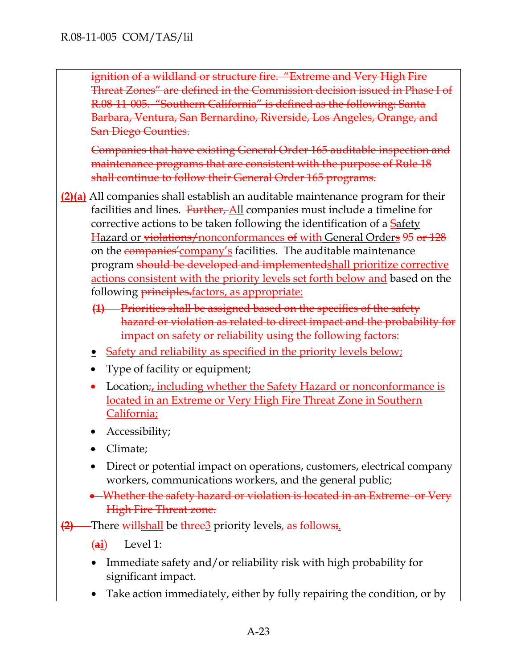ignition of a wildland or structure fire. "Extreme and Very High Fire Threat Zones" are defined in the Commission decision issued in Phase I of R.08-11-005. "Southern California" is defined as the following: Santa Barbara, Ventura, San Bernardino, Riverside, Los Angeles, Orange, and San Diego Counties.

Companies that have existing General Order 165 auditable inspection and maintenance programs that are consistent with the purpose of Rule 18 shall continue to follow their General Order 165 programs.

**(2)(a)** All companies shall establish an auditable maintenance program for their facilities and lines. Further,  $All$  companies must include a timeline for corrective actions to be taken following the identification of a Safety Hazard or violations/nonconformances of with General Orders 95 or 128 on the companies' company's facilities. The auditable maintenance program should be developed and implementedshall prioritize corrective actions consistent with the priority levels set forth below and based on the following principles**.**factors, as appropriate:

**(1)** Priorities shall be assigned based on the specifics of the safety hazard or violation as related to direct impact and the probability for impact on safety or reliability using the following factors:

- Safety and reliability as specified in the priority levels below;
- Type of facility or equipment;
- Location<sub>;</sub> including whether the Safety Hazard or nonconformance is located in an Extreme or Very High Fire Threat Zone in Southern California;
- Accessibility;
- Climate;
- Direct or potential impact on operations, customers, electrical company workers, communications workers, and the general public;
- Whether the safety hazard or violation is located in an Extreme or Very High Fire Threat zone.
- **(2)** There willshall be three3 priority levels, as follows**:**.

(**ai**) Level 1:

- Immediate safety and/or reliability risk with high probability for significant impact.
- Take action immediately, either by fully repairing the condition, or by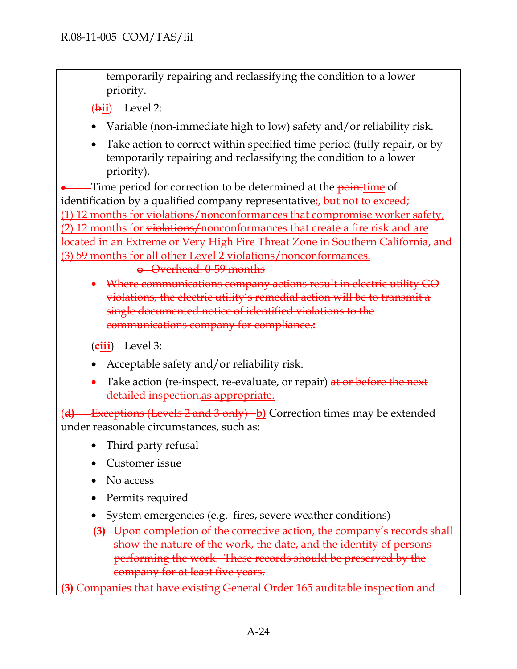temporarily repairing and reclassifying the condition to a lower priority.

(**bii**) Level 2:

- Variable (non-immediate high to low) safety and/or reliability risk.
- Take action to correct within specified time period (fully repair, or by temporarily repairing and reclassifying the condition to a lower priority).

–Time period for correction to be determined at the <del>point</del>time of identification by a qualified company representative**:**, but not to exceed; (1) 12 months for violations/nonconformances that compromise worker safety, (2) 12 months for violations/nonconformances that create a fire risk and are located in an Extreme or Very High Fire Threat Zone in Southern California, and (3) 59 months for all other Level  $2$  violations/nonconformances.

**o** Overhead: 0-59 months

• Where communications company actions result in electric utility GO violations, the electric utility's remedial action will be to transmit a single documented notice of identified violations to the communications company for compliance.**:**

(**ciii**) Level 3:

- Acceptable safety and/or reliability risk.
- Take action (re-inspect, re-evaluate, or repair) at or before the next detailed inspection.as appropriate.

(**d)** Exceptions (Levels 2 and 3 only) –**b)** Correction times may be extended under reasonable circumstances, such as:

- Third party refusal
- Customer issue
- No access
- Permits required
- System emergencies (e.g. fires, severe weather conditions)
- **(3)** Upon completion of the corrective action, the company's records shall show the nature of the work, the date, and the identity of persons performing the work. These records should be preserved by the company for at least five years.

**(3)** Companies that have existing General Order 165 auditable inspection and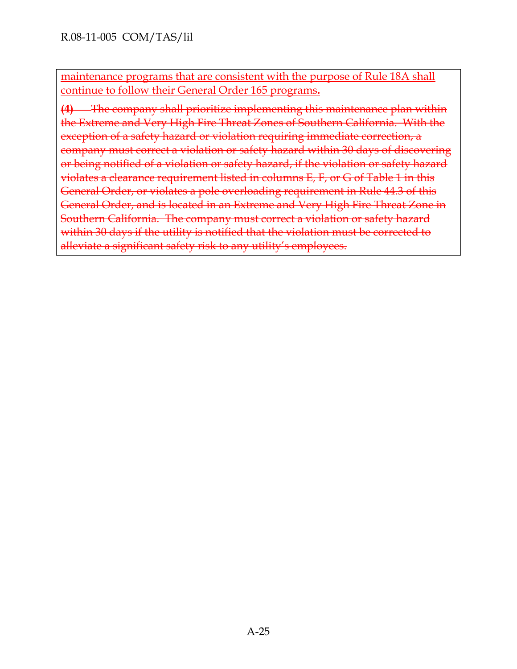maintenance programs that are consistent with the purpose of Rule 18A shall continue to follow their General Order 165 programs**.**

**(4)** The company shall prioritize implementing this maintenance plan within the Extreme and Very High Fire Threat Zones of Southern California. With the exception of a safety hazard or violation requiring immediate correction, a company must correct a violation or safety hazard within 30 days of discovering or being notified of a violation or safety hazard, if the violation or safety hazard violates a clearance requirement listed in columns E, F, or G of Table 1 in this General Order, or violates a pole overloading requirement in Rule 44.3 of this General Order, and is located in an Extreme and Very High Fire Threat Zone in Southern California. The company must correct a violation or safety hazard within 30 days if the utility is notified that the violation must be corrected to alleviate a significant safety risk to any utility's employees.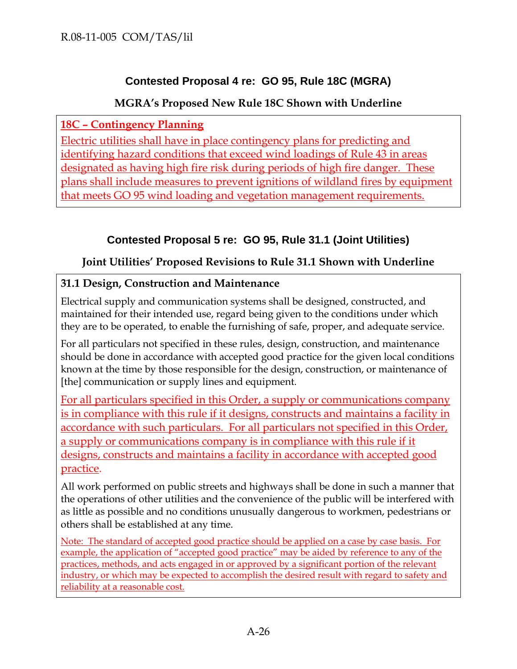### **Contested Proposal 4 re: GO 95, Rule 18C (MGRA)**

#### **MGRA's Proposed New Rule 18C Shown with Underline**

#### **18C – Contingency Planning**

Electric utilities shall have in place contingency plans for predicting and identifying hazard conditions that exceed wind loadings of Rule 43 in areas designated as having high fire risk during periods of high fire danger. These plans shall include measures to prevent ignitions of wildland fires by equipment that meets GO 95 wind loading and vegetation management requirements.

## **Contested Proposal 5 re: GO 95, Rule 31.1 (Joint Utilities)**

#### **Joint Utilities' Proposed Revisions to Rule 31.1 Shown with Underline**

#### **31.1 Design, Construction and Maintenance**

Electrical supply and communication systems shall be designed, constructed, and maintained for their intended use, regard being given to the conditions under which they are to be operated, to enable the furnishing of safe, proper, and adequate service.

For all particulars not specified in these rules, design, construction, and maintenance should be done in accordance with accepted good practice for the given local conditions known at the time by those responsible for the design, construction, or maintenance of [the] communication or supply lines and equipment.

For all particulars specified in this Order, a supply or communications company is in compliance with this rule if it designs, constructs and maintains a facility in accordance with such particulars. For all particulars not specified in this Order, a supply or communications company is in compliance with this rule if it designs, constructs and maintains a facility in accordance with accepted good practice.

All work performed on public streets and highways shall be done in such a manner that the operations of other utilities and the convenience of the public will be interfered with as little as possible and no conditions unusually dangerous to workmen, pedestrians or others shall be established at any time.

Note: The standard of accepted good practice should be applied on a case by case basis. For example, the application of "accepted good practice" may be aided by reference to any of the practices, methods, and acts engaged in or approved by a significant portion of the relevant industry, or which may be expected to accomplish the desired result with regard to safety and reliability at a reasonable cost.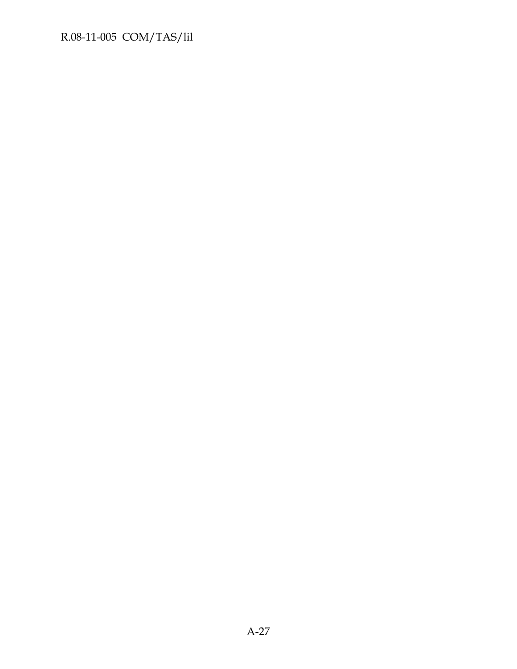## R.08-11-005 COM/TAS/lil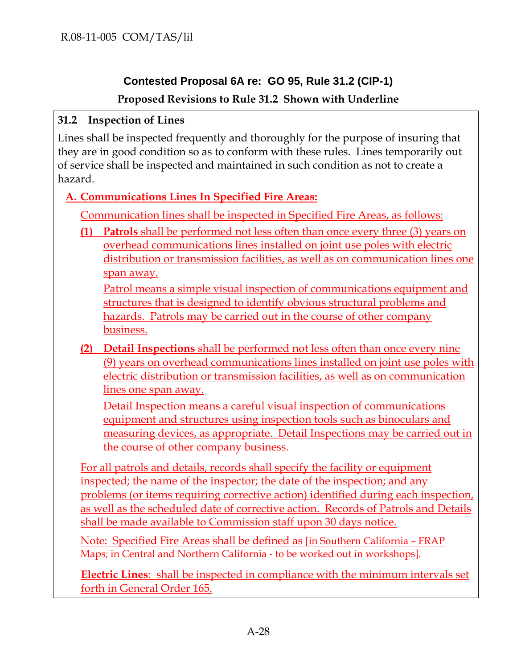## **Contested Proposal 6A re: GO 95, Rule 31.2 (CIP-1) Proposed Revisions to Rule 31.2 Shown with Underline**

#### **31.2 Inspection of Lines**

Lines shall be inspected frequently and thoroughly for the purpose of insuring that they are in good condition so as to conform with these rules. Lines temporarily out of service shall be inspected and maintained in such condition as not to create a hazard.

#### **A. Communications Lines In Specified Fire Areas:**

Communication lines shall be inspected in Specified Fire Areas, as follows:

**(1) Patrols** shall be performed not less often than once every three (3) years on overhead communications lines installed on joint use poles with electric distribution or transmission facilities, as well as on communication lines one span away.

Patrol means a simple visual inspection of communications equipment and structures that is designed to identify obvious structural problems and hazards. Patrols may be carried out in the course of other company business.

**(2) Detail Inspections** shall be performed not less often than once every nine (9) years on overhead communications lines installed on joint use poles with electric distribution or transmission facilities, as well as on communication lines one span away.

Detail Inspection means a careful visual inspection of communications equipment and structures using inspection tools such as binoculars and measuring devices, as appropriate. Detail Inspections may be carried out in the course of other company business.

For all patrols and details, records shall specify the facility or equipment inspected; the name of the inspector; the date of the inspection; and any problems (or items requiring corrective action) identified during each inspection, as well as the scheduled date of corrective action. Records of Patrols and Details shall be made available to Commission staff upon 30 days notice.

Note: Specified Fire Areas shall be defined as [in Southern California – FRAP Maps; in Central and Northern California - to be worked out in workshops].

**Electric Lines**: shall be inspected in compliance with the minimum intervals set forth in General Order 165.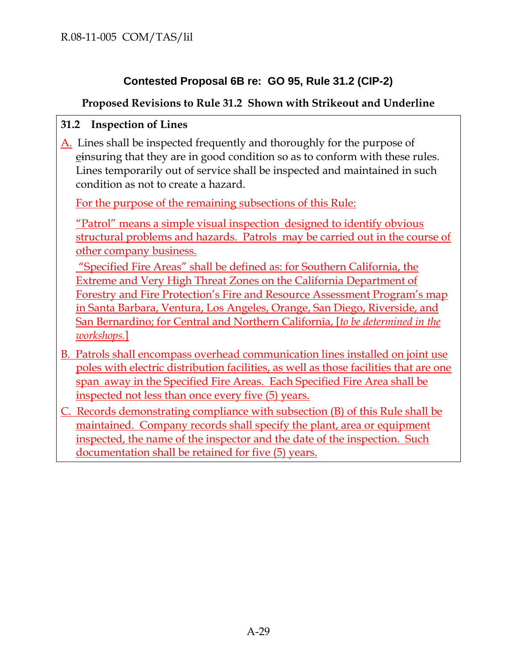## **Contested Proposal 6B re: GO 95, Rule 31.2 (CIP-2)**

#### **Proposed Revisions to Rule 31.2 Shown with Strikeout and Underline**

#### **31.2 Inspection of Lines**

A. Lines shall be inspected frequently and thoroughly for the purpose of einsuring that they are in good condition so as to conform with these rules. Lines temporarily out of service shall be inspected and maintained in such condition as not to create a hazard.

For the purpose of the remaining subsections of this Rule:

"Patrol" means a simple visual inspection designed to identify obvious structural problems and hazards. Patrols may be carried out in the course of other company business.

 "Specified Fire Areas" shall be defined as: for Southern California, the Extreme and Very High Threat Zones on the California Department of Forestry and Fire Protection's Fire and Resource Assessment Program's map in Santa Barbara, Ventura, Los Angeles, Orange, San Diego, Riverside, and San Bernardino; for Central and Northern California, [*to be determined in the workshops.*]

- B. Patrols shall encompass overhead communication lines installed on joint use poles with electric distribution facilities, as well as those facilities that are one span away in the Specified Fire Areas. Each Specified Fire Area shall be inspected not less than once every five (5) years.
- C. Records demonstrating compliance with subsection (B) of this Rule shall be maintained. Company records shall specify the plant, area or equipment inspected, the name of the inspector and the date of the inspection. Such documentation shall be retained for five (5) years.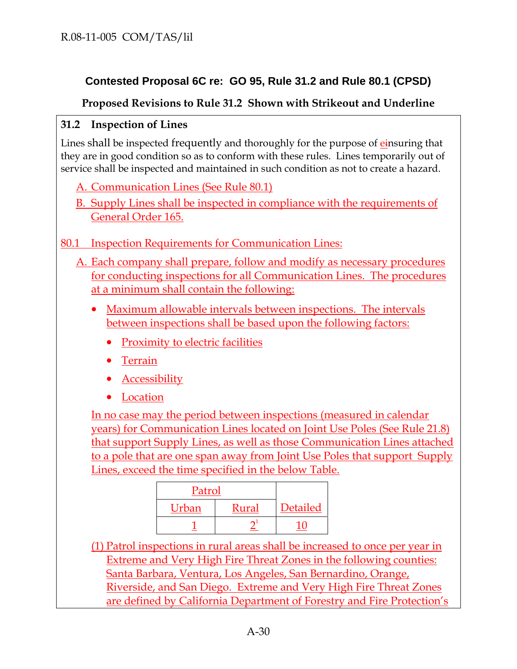# **Contested Proposal 6C re: GO 95, Rule 31.2 and Rule 80.1 (CPSD)**

#### **Proposed Revisions to Rule 31.2 Shown with Strikeout and Underline**

#### **31.2 Inspection of Lines**

Lines shall be inspected frequently and thoroughly for the purpose of einsuring that they are in good condition so as to conform with these rules. Lines temporarily out of service shall be inspected and maintained in such condition as not to create a hazard.

- A. Communication Lines (See Rule 80.1)
- B. Supply Lines shall be inspected in compliance with the requirements of General Order 165.

80.1 Inspection Requirements for Communication Lines:

- A. Each company shall prepare, follow and modify as necessary procedures for conducting inspections for all Communication Lines. The procedures at a minimum shall contain the following:
	- Maximum allowable intervals between inspections. The intervals between inspections shall be based upon the following factors:
		- Proximity to electric facilities
		- Terrain
		- **Accessibility**
		- Location

In no case may the period between inspections (measured in calendar years) for Communication Lines located on Joint Use Poles (See Rule 21.8) that support Supply Lines, as well as those Communication Lines attached to a pole that are one span away from Joint Use Poles that support Supply Lines, exceed the time specified in the below Table.

| Patrol |       |                 |
|--------|-------|-----------------|
| Urban  | Rural | <b>Detailed</b> |
|        |       |                 |

(1) Patrol inspections in rural areas shall be increased to once per year in Extreme and Very High Fire Threat Zones in the following counties: Santa Barbara, Ventura, Los Angeles, San Bernardino, Orange, Riverside, and San Diego. Extreme and Very High Fire Threat Zones are defined by California Department of Forestry and Fire Protection's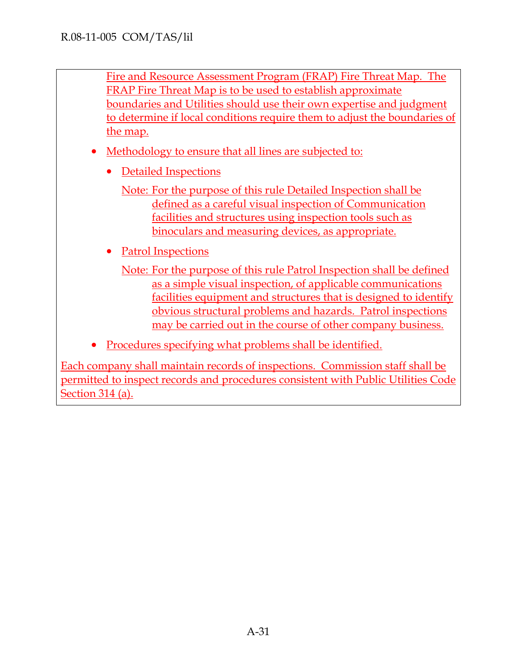Fire and Resource Assessment Program (FRAP) Fire Threat Map. The FRAP Fire Threat Map is to be used to establish approximate boundaries and Utilities should use their own expertise and judgment to determine if local conditions require them to adjust the boundaries of the map.

- Methodology to ensure that all lines are subjected to:
	- Detailed Inspections
		- Note: For the purpose of this rule Detailed Inspection shall be defined as a careful visual inspection of Communication facilities and structures using inspection tools such as binoculars and measuring devices, as appropriate.
	- Patrol Inspections
		- Note: For the purpose of this rule Patrol Inspection shall be defined as a simple visual inspection, of applicable communications facilities equipment and structures that is designed to identify obvious structural problems and hazards. Patrol inspections may be carried out in the course of other company business.
- Procedures specifying what problems shall be identified.

Each company shall maintain records of inspections. Commission staff shall be permitted to inspect records and procedures consistent with Public Utilities Code Section 314 (a).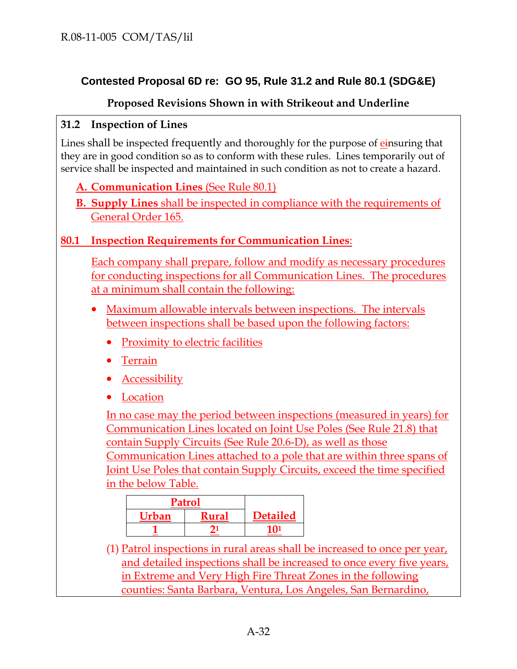# **Contested Proposal 6D re: GO 95, Rule 31.2 and Rule 80.1 (SDG&E)**

#### **Proposed Revisions Shown in with Strikeout and Underline**

#### **31.2 Inspection of Lines**

Lines shall be inspected frequently and thoroughly for the purpose of einsuring that they are in good condition so as to conform with these rules. Lines temporarily out of service shall be inspected and maintained in such condition as not to create a hazard.

- **A. Communication Lines** (See Rule 80.1)
- **B. Supply Lines** shall be inspected in compliance with the requirements of General Order 165.

#### **80.1 Inspection Requirements for Communication Lines**:

Each company shall prepare, follow and modify as necessary procedures for conducting inspections for all Communication Lines. The procedures at a minimum shall contain the following:

- Maximum allowable intervals between inspections. The intervals between inspections shall be based upon the following factors:
	- Proximity to electric facilities
	- Terrain
	- **Accessibility**
	- Location

In no case may the period between inspections (measured in years) for Communication Lines located on Joint Use Poles (See Rule 21.8) that contain Supply Circuits (See Rule 20.6-D), as well as those Communication Lines attached to a pole that are within three spans of Joint Use Poles that contain Supply Circuits, exceed the time specified in the below Table.

| Patrol         |  |                 |
|----------------|--|-----------------|
| Urban<br>Rural |  | <b>Detailed</b> |
|                |  |                 |

(1) Patrol inspections in rural areas shall be increased to once per year, and detailed inspections shall be increased to once every five years, in Extreme and Very High Fire Threat Zones in the following counties: Santa Barbara, Ventura, Los Angeles, San Bernardino,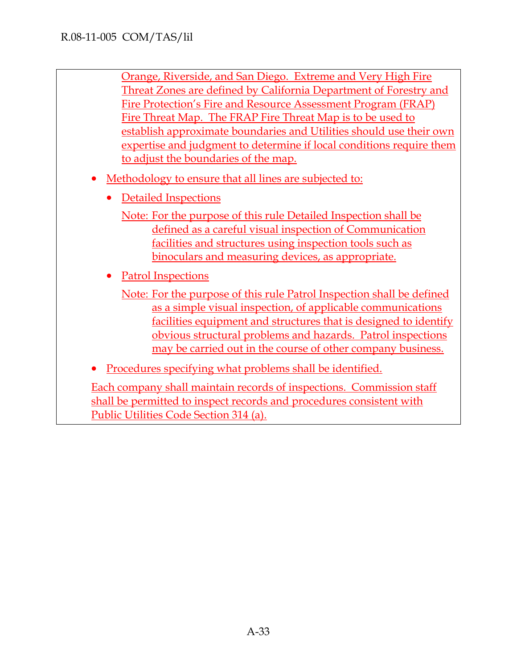Orange, Riverside, and San Diego. Extreme and Very High Fire Threat Zones are defined by California Department of Forestry and Fire Protection's Fire and Resource Assessment Program (FRAP) Fire Threat Map. The FRAP Fire Threat Map is to be used to establish approximate boundaries and Utilities should use their own expertise and judgment to determine if local conditions require them to adjust the boundaries of the map.

- Methodology to ensure that all lines are subjected to:
	- Detailed Inspections
		- Note: For the purpose of this rule Detailed Inspection shall be defined as a careful visual inspection of Communication facilities and structures using inspection tools such as binoculars and measuring devices, as appropriate.
	- Patrol Inspections
		- Note: For the purpose of this rule Patrol Inspection shall be defined as a simple visual inspection, of applicable communications facilities equipment and structures that is designed to identify obvious structural problems and hazards. Patrol inspections may be carried out in the course of other company business.
- Procedures specifying what problems shall be identified.

Each company shall maintain records of inspections. Commission staff shall be permitted to inspect records and procedures consistent with Public Utilities Code Section 314 (a).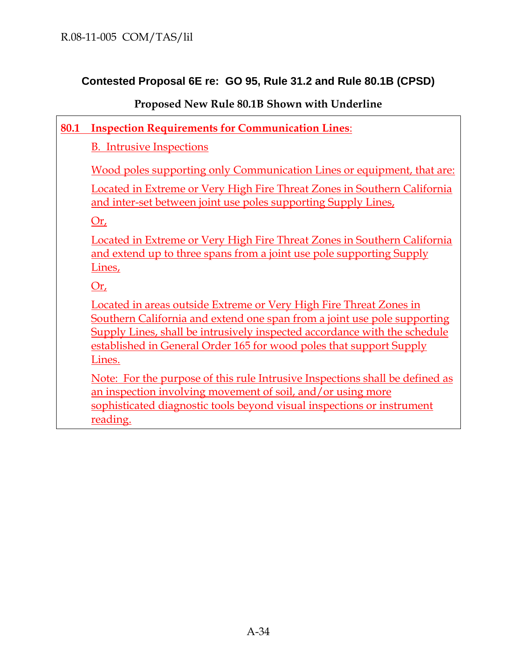# **Contested Proposal 6E re: GO 95, Rule 31.2 and Rule 80.1B (CPSD)**

# **Proposed New Rule 80.1B Shown with Underline**

| 80.1 | <b>Inspection Requirements for Communication Lines:</b>                                                                                                                                                                                                                                                      |
|------|--------------------------------------------------------------------------------------------------------------------------------------------------------------------------------------------------------------------------------------------------------------------------------------------------------------|
|      | <b>B.</b> Intrusive Inspections                                                                                                                                                                                                                                                                              |
|      | Wood poles supporting only Communication Lines or equipment, that are:                                                                                                                                                                                                                                       |
|      | Located in Extreme or Very High Fire Threat Zones in Southern California<br>and inter-set between joint use poles supporting Supply Lines,                                                                                                                                                                   |
|      | Or,                                                                                                                                                                                                                                                                                                          |
|      | Located in Extreme or Very High Fire Threat Zones in Southern California<br>and extend up to three spans from a joint use pole supporting Supply<br>Lines,                                                                                                                                                   |
|      | Or,                                                                                                                                                                                                                                                                                                          |
|      | Located in areas outside Extreme or Very High Fire Threat Zones in<br>Southern California and extend one span from a joint use pole supporting<br>Supply Lines, shall be intrusively inspected accordance with the schedule<br>established in General Order 165 for wood poles that support Supply<br>Lines. |
|      | <u>Note: For the purpose of this rule Intrusive Inspections shall be defined as</u><br>an inspection involving movement of soil, and/or using more<br>sophisticated diagnostic tools beyond visual inspections or instrument<br><u>reading.</u>                                                              |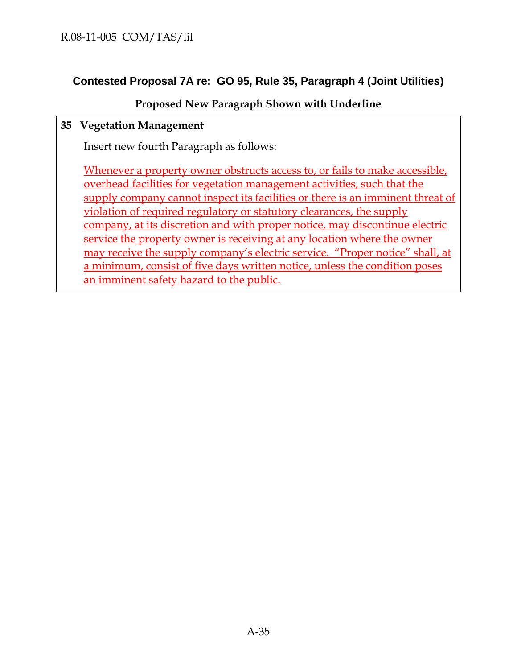## **Contested Proposal 7A re: GO 95, Rule 35, Paragraph 4 (Joint Utilities)**

#### **Proposed New Paragraph Shown with Underline**

#### **35 Vegetation Management**

Insert new fourth Paragraph as follows:

Whenever a property owner obstructs access to, or fails to make accessible, overhead facilities for vegetation management activities, such that the supply company cannot inspect its facilities or there is an imminent threat of violation of required regulatory or statutory clearances, the supply company, at its discretion and with proper notice, may discontinue electric service the property owner is receiving at any location where the owner may receive the supply company's electric service. "Proper notice" shall, at a minimum, consist of five days written notice, unless the condition poses an imminent safety hazard to the public.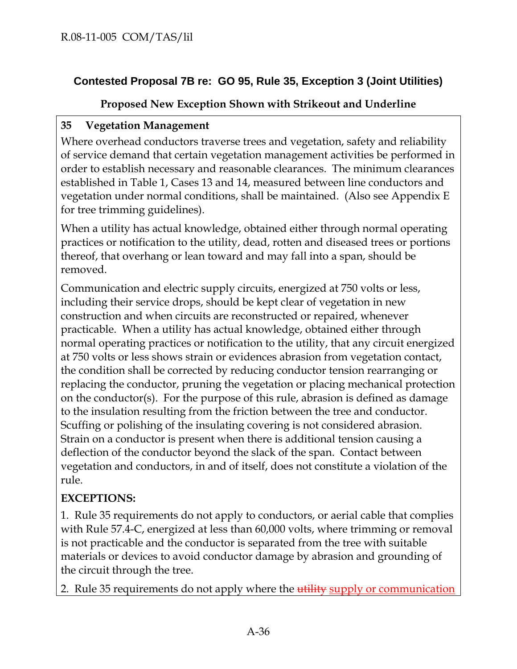# **Contested Proposal 7B re: GO 95, Rule 35, Exception 3 (Joint Utilities)**

## **Proposed New Exception Shown with Strikeout and Underline**

#### **35 Vegetation Management**

Where overhead conductors traverse trees and vegetation, safety and reliability of service demand that certain vegetation management activities be performed in order to establish necessary and reasonable clearances. The minimum clearances established in Table 1, Cases 13 and 14, measured between line conductors and vegetation under normal conditions, shall be maintained. (Also see Appendix E for tree trimming guidelines).

When a utility has actual knowledge, obtained either through normal operating practices or notification to the utility, dead, rotten and diseased trees or portions thereof, that overhang or lean toward and may fall into a span, should be removed.

Communication and electric supply circuits, energized at 750 volts or less, including their service drops, should be kept clear of vegetation in new construction and when circuits are reconstructed or repaired, whenever practicable. When a utility has actual knowledge, obtained either through normal operating practices or notification to the utility, that any circuit energized at 750 volts or less shows strain or evidences abrasion from vegetation contact, the condition shall be corrected by reducing conductor tension rearranging or replacing the conductor, pruning the vegetation or placing mechanical protection on the conductor(s). For the purpose of this rule, abrasion is defined as damage to the insulation resulting from the friction between the tree and conductor. Scuffing or polishing of the insulating covering is not considered abrasion. Strain on a conductor is present when there is additional tension causing a deflection of the conductor beyond the slack of the span. Contact between vegetation and conductors, in and of itself, does not constitute a violation of the rule.

# **EXCEPTIONS:**

1. Rule 35 requirements do not apply to conductors, or aerial cable that complies with Rule 57.4-C, energized at less than 60,000 volts, where trimming or removal is not practicable and the conductor is separated from the tree with suitable materials or devices to avoid conductor damage by abrasion and grounding of the circuit through the tree.

2. Rule 35 requirements do not apply where the *utility* supply or communication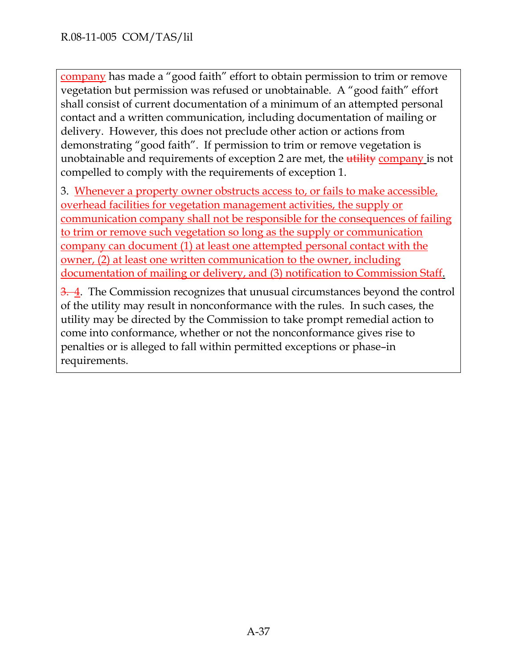company has made a "good faith" effort to obtain permission to trim or remove vegetation but permission was refused or unobtainable. A "good faith" effort shall consist of current documentation of a minimum of an attempted personal contact and a written communication, including documentation of mailing or delivery. However, this does not preclude other action or actions from demonstrating "good faith". If permission to trim or remove vegetation is unobtainable and requirements of exception 2 are met, the *utility company* is not compelled to comply with the requirements of exception 1.

3. Whenever a property owner obstructs access to, or fails to make accessible, overhead facilities for vegetation management activities, the supply or communication company shall not be responsible for the consequences of failing to trim or remove such vegetation so long as the supply or communication company can document (1) at least one attempted personal contact with the owner, (2) at least one written communication to the owner, including documentation of mailing or delivery, and (3) notification to Commission Staff.

3. 4. The Commission recognizes that unusual circumstances beyond the control of the utility may result in nonconformance with the rules. In such cases, the utility may be directed by the Commission to take prompt remedial action to come into conformance, whether or not the nonconformance gives rise to penalties or is alleged to fall within permitted exceptions or phase–in requirements.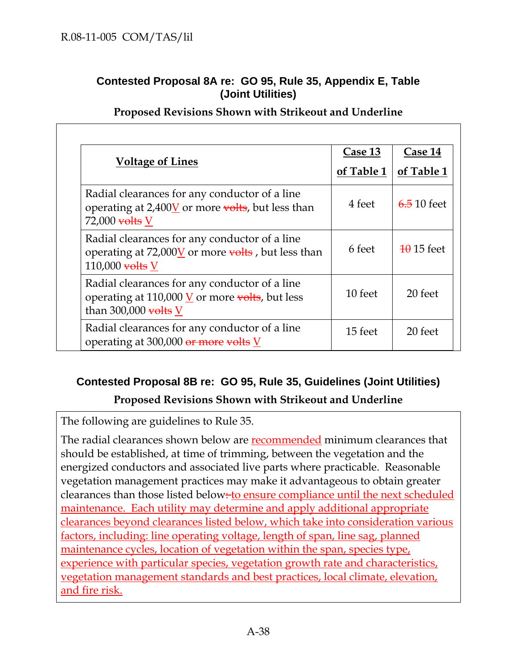#### **Contested Proposal 8A re: GO 95, Rule 35, Appendix E, Table (Joint Utilities)**

#### **Proposed Revisions Shown with Strikeout and Underline**

|                                                                                                                                                           | Case 13    | Case 14      |
|-----------------------------------------------------------------------------------------------------------------------------------------------------------|------------|--------------|
| <b>Voltage of Lines</b>                                                                                                                                   | of Table 1 | of Table 1   |
| Radial clearances for any conductor of a line<br>operating at $2,400V$ or more volts, but less than<br>72,000 $\overline{\text{volts V}}$                 | 4 feet     | $6.510$ feet |
| Radial clearances for any conductor of a line<br>operating at 72,000V or more volts, but less than<br>$110,000$ volts V                                   | 6 feet     | $1015$ feet  |
| Radial clearances for any conductor of a line<br>operating at 110,000 $\underline{V}$ or more volts, but less<br>than 300,000 $\overline{\text{volts}}$ V | 10 feet    | 20 feet      |
| Radial clearances for any conductor of a line<br>operating at 300,000 or more volts V                                                                     | 15 feet    | 20 feet      |

# **Contested Proposal 8B re: GO 95, Rule 35, Guidelines (Joint Utilities) Proposed Revisions Shown with Strikeout and Underline**

The following are guidelines to Rule 35.

The radial clearances shown below are recommended minimum clearances that should be established, at time of trimming, between the vegetation and the energized conductors and associated live parts where practicable. Reasonable vegetation management practices may make it advantageous to obtain greater clearances than those listed below: to ensure compliance until the next scheduled maintenance. Each utility may determine and apply additional appropriate clearances beyond clearances listed below, which take into consideration various factors, including: line operating voltage, length of span, line sag, planned maintenance cycles, location of vegetation within the span, species type, experience with particular species, vegetation growth rate and characteristics, vegetation management standards and best practices, local climate, elevation, and fire risk.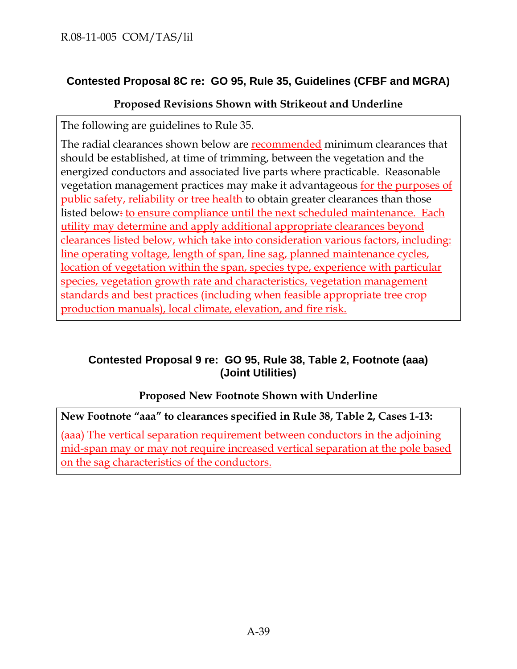# **Contested Proposal 8C re: GO 95, Rule 35, Guidelines (CFBF and MGRA)**

#### **Proposed Revisions Shown with Strikeout and Underline**

The following are guidelines to Rule 35.

The radial clearances shown below are **recommended** minimum clearances that should be established, at time of trimming, between the vegetation and the energized conductors and associated live parts where practicable. Reasonable vegetation management practices may make it advantageous for the purposes of public safety, reliability or tree health to obtain greater clearances than those listed below: to ensure compliance until the next scheduled maintenance. Each utility may determine and apply additional appropriate clearances beyond clearances listed below, which take into consideration various factors, including: line operating voltage, length of span, line sag, planned maintenance cycles, location of vegetation within the span, species type, experience with particular species, vegetation growth rate and characteristics, vegetation management standards and best practices (including when feasible appropriate tree crop production manuals), local climate, elevation, and fire risk.

## **Contested Proposal 9 re: GO 95, Rule 38, Table 2, Footnote (aaa) (Joint Utilities)**

#### **Proposed New Footnote Shown with Underline**

**New Footnote "aaa" to clearances specified in Rule 38, Table 2, Cases 1-13:** 

(aaa) The vertical separation requirement between conductors in the adjoining mid-span may or may not require increased vertical separation at the pole based on the sag characteristics of the conductors.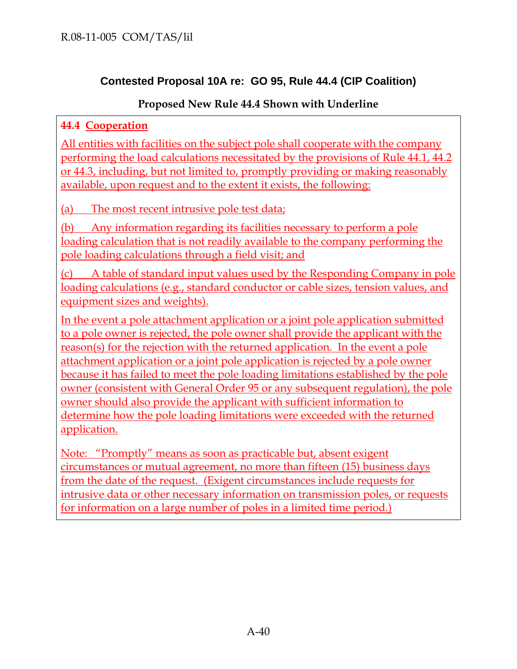# **Contested Proposal 10A re: GO 95, Rule 44.4 (CIP Coalition)**

## **Proposed New Rule 44.4 Shown with Underline**

# **44.4 Cooperation**

All entities with facilities on the subject pole shall cooperate with the company performing the load calculations necessitated by the provisions of Rule 44.1, 44.2 or 44.3, including, but not limited to, promptly providing or making reasonably available, upon request and to the extent it exists, the following:

# (a) The most recent intrusive pole test data;

(b) Any information regarding its facilities necessary to perform a pole loading calculation that is not readily available to the company performing the pole loading calculations through a field visit; and

(c) A table of standard input values used by the Responding Company in pole loading calculations (e.g., standard conductor or cable sizes, tension values, and equipment sizes and weights).

In the event a pole attachment application or a joint pole application submitted to a pole owner is rejected, the pole owner shall provide the applicant with the reason(s) for the rejection with the returned application. In the event a pole attachment application or a joint pole application is rejected by a pole owner because it has failed to meet the pole loading limitations established by the pole owner (consistent with General Order 95 or any subsequent regulation), the pole owner should also provide the applicant with sufficient information to determine how the pole loading limitations were exceeded with the returned application.

Note: "Promptly" means as soon as practicable but, absent exigent circumstances or mutual agreement, no more than fifteen (15) business days from the date of the request. (Exigent circumstances include requests for intrusive data or other necessary information on transmission poles, or requests for information on a large number of poles in a limited time period.)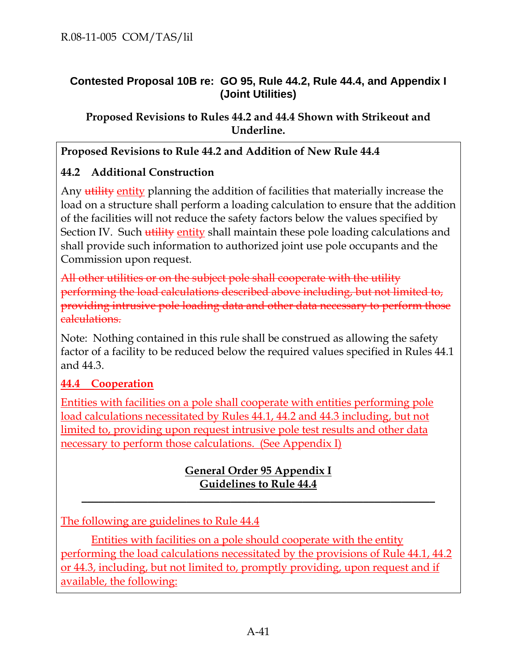## **Contested Proposal 10B re: GO 95, Rule 44.2, Rule 44.4, and Appendix I (Joint Utilities)**

#### **Proposed Revisions to Rules 44.2 and 44.4 Shown with Strikeout and Underline.**

#### **Proposed Revisions to Rule 44.2 and Addition of New Rule 44.4**

## **44.2 Additional Construction**

Any utility entity planning the addition of facilities that materially increase the load on a structure shall perform a loading calculation to ensure that the addition of the facilities will not reduce the safety factors below the values specified by Section IV. Such utility entity shall maintain these pole loading calculations and shall provide such information to authorized joint use pole occupants and the Commission upon request.

All other utilities or on the subject pole shall cooperate with the utility performing the load calculations described above including, but not limited to, providing intrusive pole loading data and other data necessary to perform those calculations.

Note: Nothing contained in this rule shall be construed as allowing the safety factor of a facility to be reduced below the required values specified in Rules 44.1 and 44.3.

## **44.4 Cooperation**

Entities with facilities on a pole shall cooperate with entities performing pole load calculations necessitated by Rules 44.1, 44.2 and 44.3 including, but not limited to, providing upon request intrusive pole test results and other data necessary to perform those calculations. (See Appendix I)

## **General Order 95 Appendix I Guidelines to Rule 44.4**

\_\_\_\_\_\_\_\_\_\_\_\_\_\_\_\_\_\_\_\_\_\_\_\_\_\_\_\_\_\_\_\_\_\_\_\_\_\_\_\_\_\_\_\_\_\_\_\_\_\_\_\_\_\_\_\_\_\_\_\_\_\_\_\_

The following are guidelines to Rule 44.4

Entities with facilities on a pole should cooperate with the entity performing the load calculations necessitated by the provisions of Rule 44.1, 44.2 or 44.3, including, but not limited to, promptly providing, upon request and if available, the following: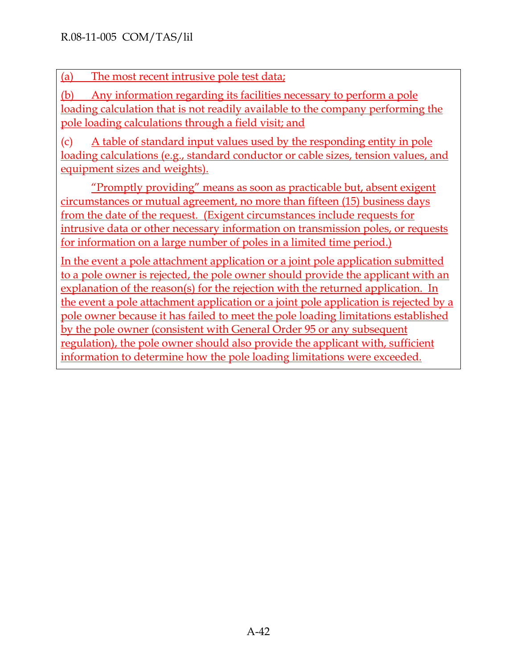(a) The most recent intrusive pole test data;

(b) Any information regarding its facilities necessary to perform a pole loading calculation that is not readily available to the company performing the pole loading calculations through a field visit; and

(c) A table of standard input values used by the responding entity in pole loading calculations (e.g., standard conductor or cable sizes, tension values, and equipment sizes and weights).

"Promptly providing" means as soon as practicable but, absent exigent circumstances or mutual agreement, no more than fifteen (15) business days from the date of the request. (Exigent circumstances include requests for intrusive data or other necessary information on transmission poles, or requests for information on a large number of poles in a limited time period.)

In the event a pole attachment application or a joint pole application submitted to a pole owner is rejected, the pole owner should provide the applicant with an explanation of the reason(s) for the rejection with the returned application. In the event a pole attachment application or a joint pole application is rejected by a pole owner because it has failed to meet the pole loading limitations established by the pole owner (consistent with General Order 95 or any subsequent regulation), the pole owner should also provide the applicant with, sufficient information to determine how the pole loading limitations were exceeded.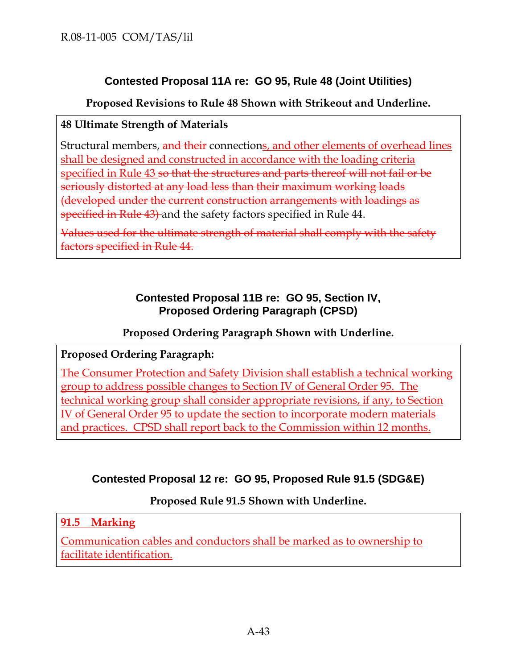## **Contested Proposal 11A re: GO 95, Rule 48 (Joint Utilities)**

#### **Proposed Revisions to Rule 48 Shown with Strikeout and Underline.**

#### **48 Ultimate Strength of Materials**

Structural members, and their connections, and other elements of overhead lines shall be designed and constructed in accordance with the loading criteria specified in Rule 43 so that the structures and parts thereof will not fail or be seriously distorted at any load less than their maximum working loads (developed under the current construction arrangements with loadings as specified in Rule 43) and the safety factors specified in Rule 44.

Values used for the ultimate strength of material shall comply with the safety factors specified in Rule 44.

#### **Contested Proposal 11B re: GO 95, Section IV, Proposed Ordering Paragraph (CPSD)**

# **Proposed Ordering Paragraph Shown with Underline.**

## **Proposed Ordering Paragraph:**

The Consumer Protection and Safety Division shall establish a technical working group to address possible changes to Section IV of General Order 95. The technical working group shall consider appropriate revisions, if any, to Section IV of General Order 95 to update the section to incorporate modern materials and practices. CPSD shall report back to the Commission within 12 months.

## **Contested Proposal 12 re: GO 95, Proposed Rule 91.5 (SDG&E)**

#### **Proposed Rule 91.5 Shown with Underline.**

#### **91.5 Marking**

Communication cables and conductors shall be marked as to ownership to facilitate identification.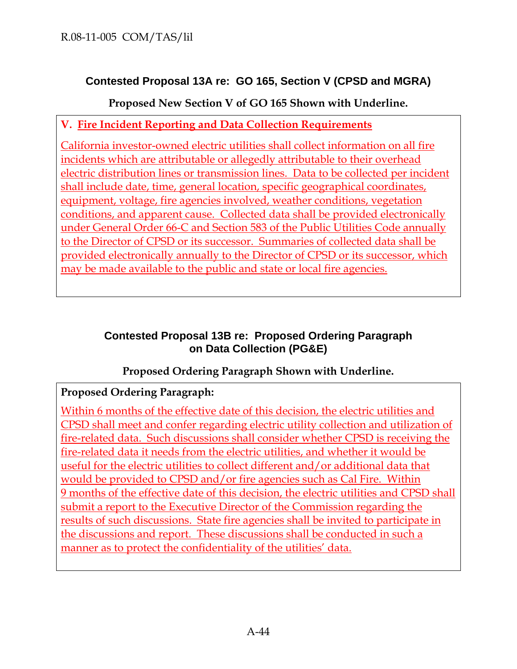## **Contested Proposal 13A re: GO 165, Section V (CPSD and MGRA)**

**Proposed New Section V of GO 165 Shown with Underline.** 

# **V. Fire Incident Reporting and Data Collection Requirements**

California investor-owned electric utilities shall collect information on all fire incidents which are attributable or allegedly attributable to their overhead electric distribution lines or transmission lines. Data to be collected per incident shall include date, time, general location, specific geographical coordinates, equipment, voltage, fire agencies involved, weather conditions, vegetation conditions, and apparent cause. Collected data shall be provided electronically under General Order 66-C and Section 583 of the Public Utilities Code annually to the Director of CPSD or its successor. Summaries of collected data shall be provided electronically annually to the Director of CPSD or its successor, which may be made available to the public and state or local fire agencies.

## **Contested Proposal 13B re: Proposed Ordering Paragraph on Data Collection (PG&E)**

# **Proposed Ordering Paragraph Shown with Underline.**

# **Proposed Ordering Paragraph:**

Within 6 months of the effective date of this decision, the electric utilities and CPSD shall meet and confer regarding electric utility collection and utilization of fire-related data. Such discussions shall consider whether CPSD is receiving the fire-related data it needs from the electric utilities, and whether it would be useful for the electric utilities to collect different and/or additional data that would be provided to CPSD and/or fire agencies such as Cal Fire. Within 9 months of the effective date of this decision, the electric utilities and CPSD shall submit a report to the Executive Director of the Commission regarding the results of such discussions. State fire agencies shall be invited to participate in the discussions and report. These discussions shall be conducted in such a manner as to protect the confidentiality of the utilities' data.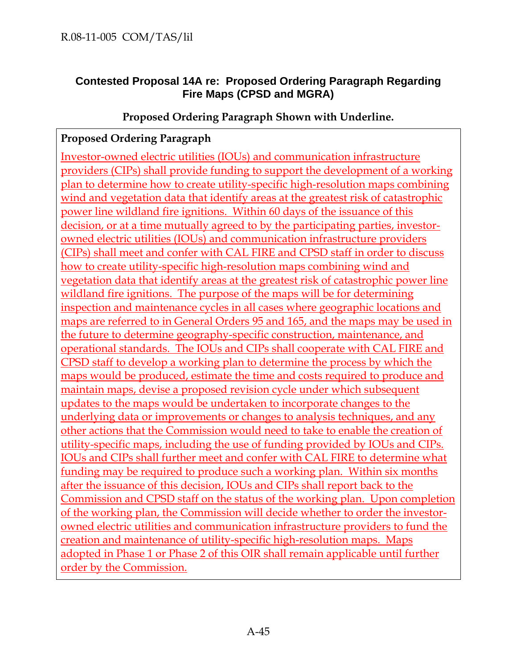## **Contested Proposal 14A re: Proposed Ordering Paragraph Regarding Fire Maps (CPSD and MGRA)**

#### **Proposed Ordering Paragraph Shown with Underline.**

## **Proposed Ordering Paragraph**

Investor-owned electric utilities (IOUs) and communication infrastructure providers (CIPs) shall provide funding to support the development of a working plan to determine how to create utility-specific high-resolution maps combining wind and vegetation data that identify areas at the greatest risk of catastrophic power line wildland fire ignitions. Within 60 days of the issuance of this decision, or at a time mutually agreed to by the participating parties, investorowned electric utilities (IOUs) and communication infrastructure providers (CIPs) shall meet and confer with CAL FIRE and CPSD staff in order to discuss how to create utility-specific high-resolution maps combining wind and vegetation data that identify areas at the greatest risk of catastrophic power line wildland fire ignitions. The purpose of the maps will be for determining inspection and maintenance cycles in all cases where geographic locations and maps are referred to in General Orders 95 and 165, and the maps may be used in the future to determine geography-specific construction, maintenance, and operational standards. The IOUs and CIPs shall cooperate with CAL FIRE and CPSD staff to develop a working plan to determine the process by which the maps would be produced, estimate the time and costs required to produce and maintain maps, devise a proposed revision cycle under which subsequent updates to the maps would be undertaken to incorporate changes to the underlying data or improvements or changes to analysis techniques, and any other actions that the Commission would need to take to enable the creation of utility-specific maps, including the use of funding provided by IOUs and CIPs. IOUs and CIPs shall further meet and confer with CAL FIRE to determine what funding may be required to produce such a working plan. Within six months after the issuance of this decision, IOUs and CIPs shall report back to the Commission and CPSD staff on the status of the working plan. Upon completion of the working plan, the Commission will decide whether to order the investorowned electric utilities and communication infrastructure providers to fund the creation and maintenance of utility-specific high-resolution maps. Maps adopted in Phase 1 or Phase 2 of this OIR shall remain applicable until further order by the Commission.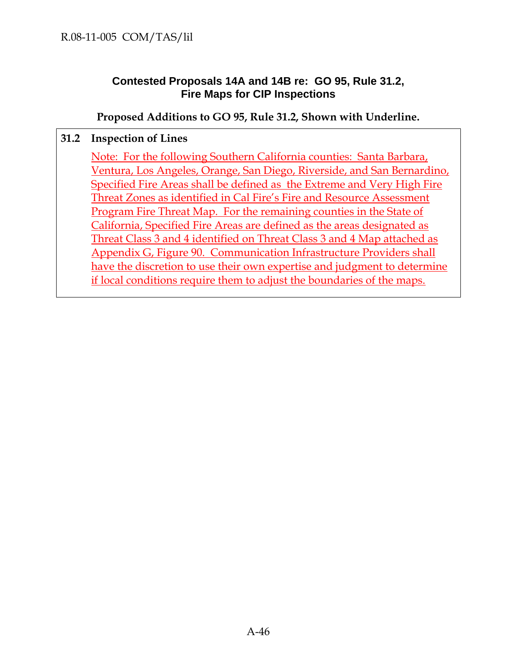#### **Contested Proposals 14A and 14B re: GO 95, Rule 31.2, Fire Maps for CIP Inspections**

**Proposed Additions to GO 95, Rule 31.2, Shown with Underline.** 

#### **31.2 Inspection of Lines**

Note: For the following Southern California counties: Santa Barbara, Ventura, Los Angeles, Orange, San Diego, Riverside, and San Bernardino, Specified Fire Areas shall be defined as the Extreme and Very High Fire Threat Zones as identified in Cal Fire's Fire and Resource Assessment Program Fire Threat Map. For the remaining counties in the State of California, Specified Fire Areas are defined as the areas designated as Threat Class 3 and 4 identified on Threat Class 3 and 4 Map attached as Appendix G, Figure 90. Communication Infrastructure Providers shall have the discretion to use their own expertise and judgment to determine if local conditions require them to adjust the boundaries of the maps.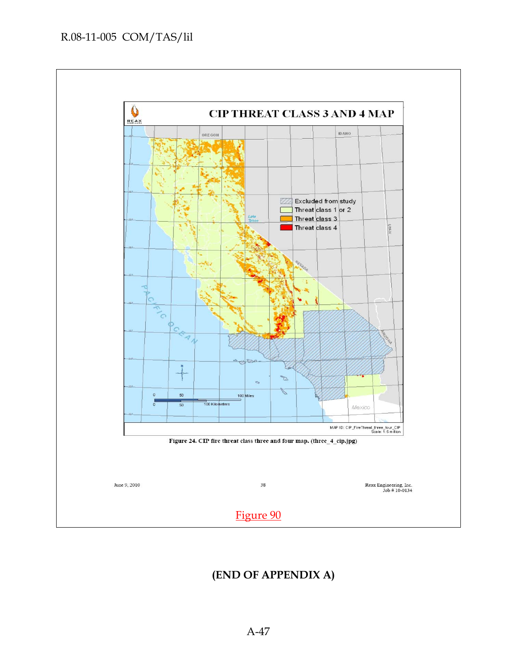

## **(END OF APPENDIX A)**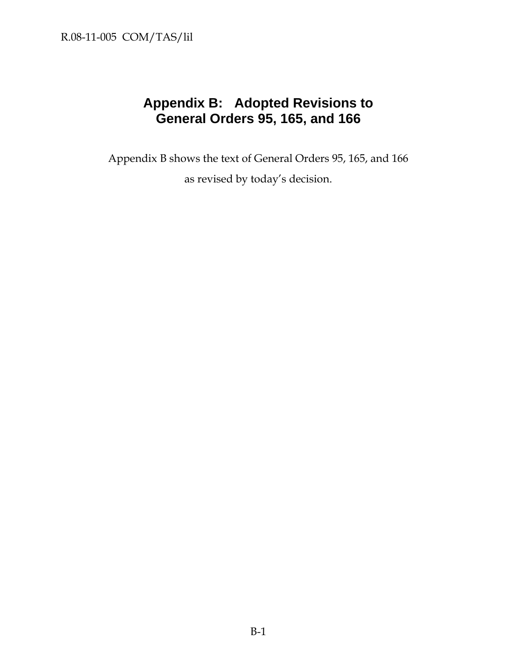# **Appendix B: Adopted Revisions to General Orders 95, 165, and 166**

Appendix B shows the text of General Orders 95, 165, and 166

as revised by today's decision.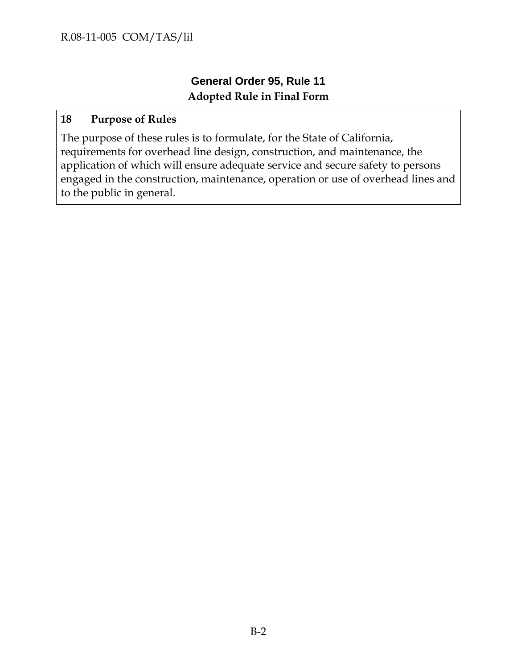# **General Order 95, Rule 11 Adopted Rule in Final Form**

#### **18 Purpose of Rules**

The purpose of these rules is to formulate, for the State of California, requirements for overhead line design, construction, and maintenance, the application of which will ensure adequate service and secure safety to persons engaged in the construction, maintenance, operation or use of overhead lines and to the public in general.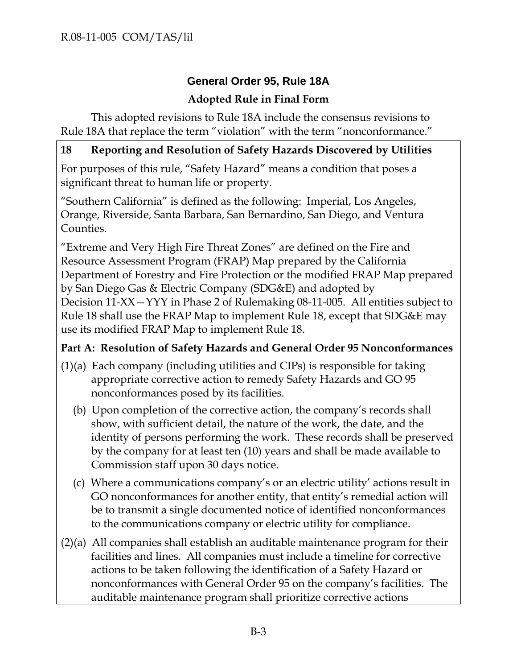# **General Order 95, Rule 18A Adopted Rule in Final Form**

This adopted revisions to Rule 18A include the consensus revisions to Rule 18A that replace the term "violation" with the term "nonconformance."

## **18 Reporting and Resolution of Safety Hazards Discovered by Utilities**

For purposes of this rule, "Safety Hazard" means a condition that poses a significant threat to human life or property.

"Southern California" is defined as the following: Imperial, Los Angeles, Orange, Riverside, Santa Barbara, San Bernardino, San Diego, and Ventura Counties.

"Extreme and Very High Fire Threat Zones" are defined on the Fire and Resource Assessment Program (FRAP) Map prepared by the California Department of Forestry and Fire Protection or the modified FRAP Map prepared by San Diego Gas & Electric Company (SDG&E) and adopted by Decision 11-XX—YYY in Phase 2 of Rulemaking 08-11-005. All entities subject to Rule 18 shall use the FRAP Map to implement Rule 18, except that SDG&E may use its modified FRAP Map to implement Rule 18.

## **Part A: Resolution of Safety Hazards and General Order 95 Nonconformances**

- (1)(a) Each company (including utilities and CIPs) is responsible for taking appropriate corrective action to remedy Safety Hazards and GO 95 nonconformances posed by its facilities.
	- (b) Upon completion of the corrective action, the company's records shall show, with sufficient detail, the nature of the work, the date, and the identity of persons performing the work. These records shall be preserved by the company for at least ten (10) years and shall be made available to Commission staff upon 30 days notice.
	- (c) Where a communications company's or an electric utility' actions result in GO nonconformances for another entity, that entity's remedial action will be to transmit a single documented notice of identified nonconformances to the communications company or electric utility for compliance.
- (2)(a) All companies shall establish an auditable maintenance program for their facilities and lines. All companies must include a timeline for corrective actions to be taken following the identification of a Safety Hazard or nonconformances with General Order 95 on the company's facilities. The auditable maintenance program shall prioritize corrective actions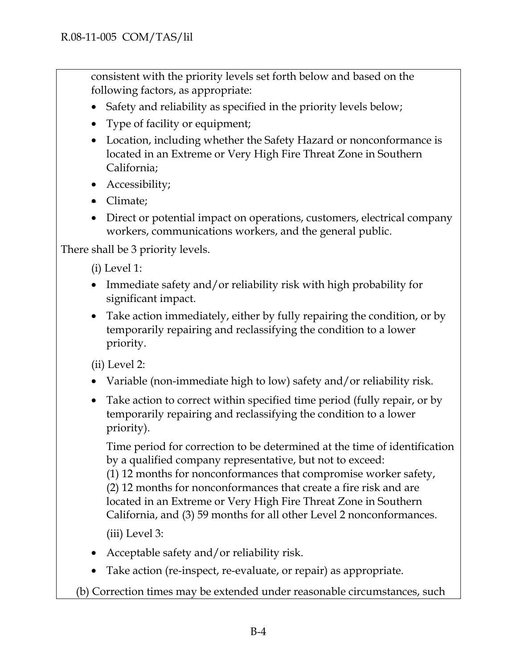consistent with the priority levels set forth below and based on the following factors, as appropriate:

- Safety and reliability as specified in the priority levels below;
- Type of facility or equipment;
- Location, including whether the Safety Hazard or nonconformance is located in an Extreme or Very High Fire Threat Zone in Southern California;
- Accessibility;
- Climate:
- Direct or potential impact on operations, customers, electrical company workers, communications workers, and the general public.

There shall be 3 priority levels.

(i) Level 1:

- Immediate safety and/or reliability risk with high probability for significant impact.
- Take action immediately, either by fully repairing the condition, or by temporarily repairing and reclassifying the condition to a lower priority.

(ii) Level 2:

- Variable (non-immediate high to low) safety and/or reliability risk.
- Take action to correct within specified time period (fully repair, or by temporarily repairing and reclassifying the condition to a lower priority).

Time period for correction to be determined at the time of identification by a qualified company representative, but not to exceed:

(1) 12 months for nonconformances that compromise worker safety, (2) 12 months for nonconformances that create a fire risk and are located in an Extreme or Very High Fire Threat Zone in Southern California, and (3) 59 months for all other Level 2 nonconformances. (iii) Level 3:

- Acceptable safety and/or reliability risk.
- Take action (re-inspect, re-evaluate, or repair) as appropriate.
- (b) Correction times may be extended under reasonable circumstances, such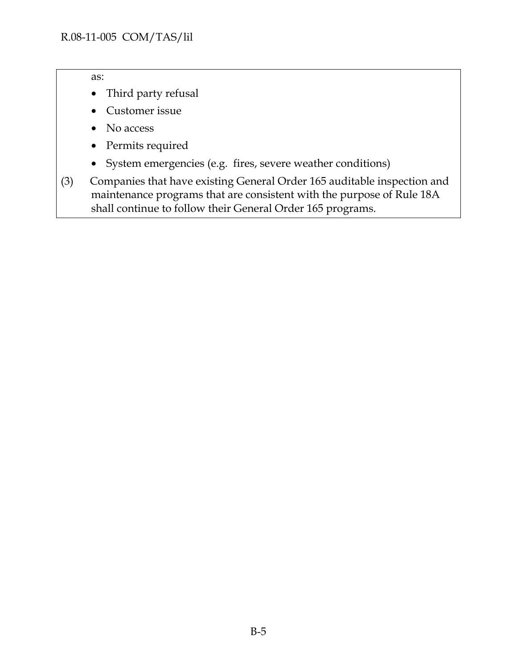as:

- Third party refusal
- Customer issue
- No access
- Permits required
- System emergencies (e.g. fires, severe weather conditions)
- (3) Companies that have existing General Order 165 auditable inspection and maintenance programs that are consistent with the purpose of Rule 18A shall continue to follow their General Order 165 programs.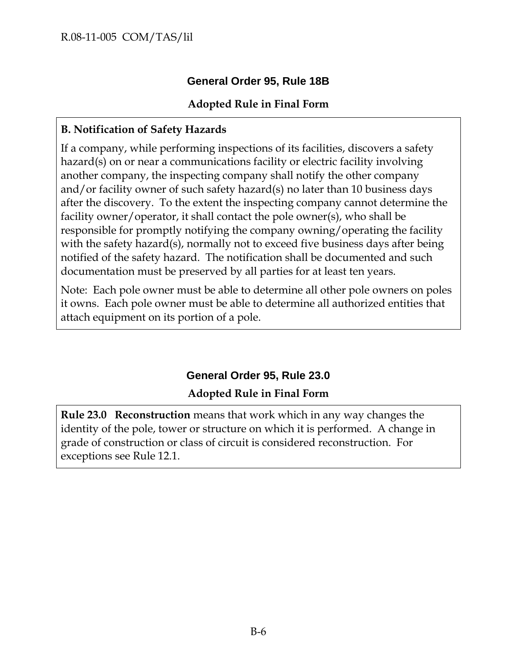## **General Order 95, Rule 18B**

#### **Adopted Rule in Final Form**

#### **B. Notification of Safety Hazards**

If a company, while performing inspections of its facilities, discovers a safety hazard(s) on or near a communications facility or electric facility involving another company, the inspecting company shall notify the other company and/or facility owner of such safety hazard(s) no later than 10 business days after the discovery. To the extent the inspecting company cannot determine the facility owner/operator, it shall contact the pole owner(s), who shall be responsible for promptly notifying the company owning/operating the facility with the safety hazard(s), normally not to exceed five business days after being notified of the safety hazard. The notification shall be documented and such documentation must be preserved by all parties for at least ten years.

Note: Each pole owner must be able to determine all other pole owners on poles it owns. Each pole owner must be able to determine all authorized entities that attach equipment on its portion of a pole.

# **General Order 95, Rule 23.0 Adopted Rule in Final Form**

**Rule 23.0 Reconstruction** means that work which in any way changes the identity of the pole, tower or structure on which it is performed. A change in grade of construction or class of circuit is considered reconstruction. For exceptions see Rule 12.1.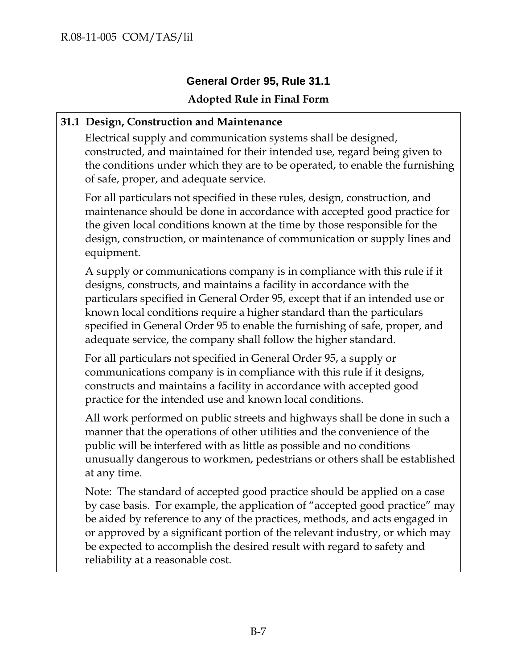# **General Order 95, Rule 31.1 Adopted Rule in Final Form**

#### **31.1 Design, Construction and Maintenance**

Electrical supply and communication systems shall be designed, constructed, and maintained for their intended use, regard being given to the conditions under which they are to be operated, to enable the furnishing of safe, proper, and adequate service.

For all particulars not specified in these rules, design, construction, and maintenance should be done in accordance with accepted good practice for the given local conditions known at the time by those responsible for the design, construction, or maintenance of communication or supply lines and equipment.

A supply or communications company is in compliance with this rule if it designs, constructs, and maintains a facility in accordance with the particulars specified in General Order 95, except that if an intended use or known local conditions require a higher standard than the particulars specified in General Order 95 to enable the furnishing of safe, proper, and adequate service, the company shall follow the higher standard.

For all particulars not specified in General Order 95, a supply or communications company is in compliance with this rule if it designs, constructs and maintains a facility in accordance with accepted good practice for the intended use and known local conditions.

All work performed on public streets and highways shall be done in such a manner that the operations of other utilities and the convenience of the public will be interfered with as little as possible and no conditions unusually dangerous to workmen, pedestrians or others shall be established at any time.

Note: The standard of accepted good practice should be applied on a case by case basis. For example, the application of "accepted good practice" may be aided by reference to any of the practices, methods, and acts engaged in or approved by a significant portion of the relevant industry, or which may be expected to accomplish the desired result with regard to safety and reliability at a reasonable cost.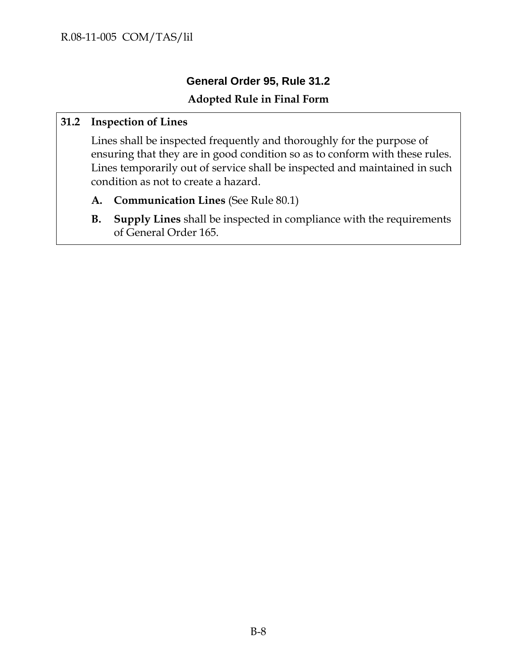# **General Order 95, Rule 31.2 Adopted Rule in Final Form**

#### **31.2 Inspection of Lines**

Lines shall be inspected frequently and thoroughly for the purpose of ensuring that they are in good condition so as to conform with these rules. Lines temporarily out of service shall be inspected and maintained in such condition as not to create a hazard.

- **A. Communication Lines** (See Rule 80.1)
- **B. Supply Lines** shall be inspected in compliance with the requirements of General Order 165.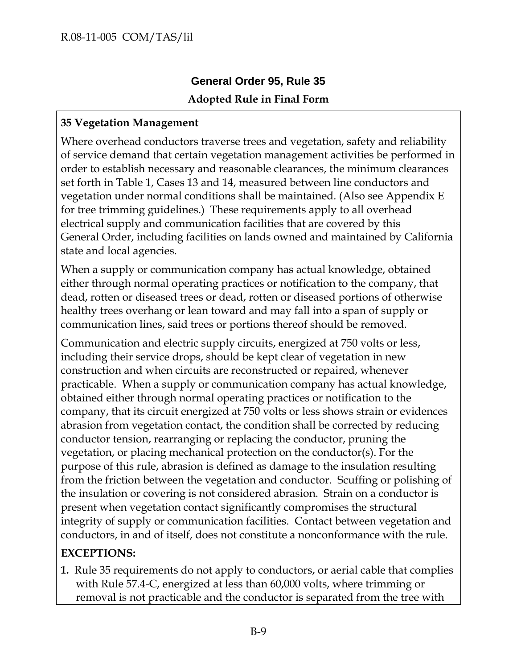# **General Order 95, Rule 35 Adopted Rule in Final Form**

#### **35 Vegetation Management**

Where overhead conductors traverse trees and vegetation, safety and reliability of service demand that certain vegetation management activities be performed in order to establish necessary and reasonable clearances, the minimum clearances set forth in Table 1, Cases 13 and 14, measured between line conductors and vegetation under normal conditions shall be maintained. (Also see Appendix E for tree trimming guidelines.) These requirements apply to all overhead electrical supply and communication facilities that are covered by this General Order, including facilities on lands owned and maintained by California state and local agencies.

When a supply or communication company has actual knowledge, obtained either through normal operating practices or notification to the company, that dead, rotten or diseased trees or dead, rotten or diseased portions of otherwise healthy trees overhang or lean toward and may fall into a span of supply or communication lines, said trees or portions thereof should be removed.

Communication and electric supply circuits, energized at 750 volts or less, including their service drops, should be kept clear of vegetation in new construction and when circuits are reconstructed or repaired, whenever practicable. When a supply or communication company has actual knowledge, obtained either through normal operating practices or notification to the company, that its circuit energized at 750 volts or less shows strain or evidences abrasion from vegetation contact, the condition shall be corrected by reducing conductor tension, rearranging or replacing the conductor, pruning the vegetation, or placing mechanical protection on the conductor(s). For the purpose of this rule, abrasion is defined as damage to the insulation resulting from the friction between the vegetation and conductor. Scuffing or polishing of the insulation or covering is not considered abrasion. Strain on a conductor is present when vegetation contact significantly compromises the structural integrity of supply or communication facilities. Contact between vegetation and conductors, in and of itself, does not constitute a nonconformance with the rule.

# **EXCEPTIONS:**

**1.** Rule 35 requirements do not apply to conductors, or aerial cable that complies with Rule 57.4-C, energized at less than 60,000 volts, where trimming or removal is not practicable and the conductor is separated from the tree with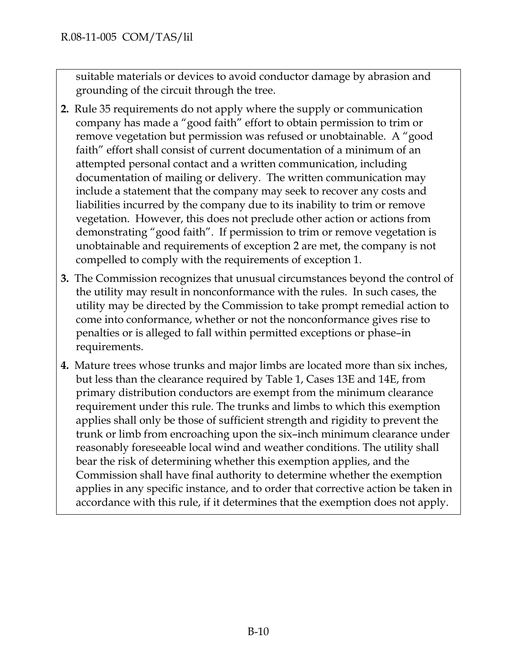suitable materials or devices to avoid conductor damage by abrasion and grounding of the circuit through the tree.

- **2.** Rule 35 requirements do not apply where the supply or communication company has made a "good faith" effort to obtain permission to trim or remove vegetation but permission was refused or unobtainable. A "good faith" effort shall consist of current documentation of a minimum of an attempted personal contact and a written communication, including documentation of mailing or delivery. The written communication may include a statement that the company may seek to recover any costs and liabilities incurred by the company due to its inability to trim or remove vegetation. However, this does not preclude other action or actions from demonstrating "good faith". If permission to trim or remove vegetation is unobtainable and requirements of exception 2 are met, the company is not compelled to comply with the requirements of exception 1.
- **3.** The Commission recognizes that unusual circumstances beyond the control of the utility may result in nonconformance with the rules. In such cases, the utility may be directed by the Commission to take prompt remedial action to come into conformance, whether or not the nonconformance gives rise to penalties or is alleged to fall within permitted exceptions or phase–in requirements.
- **4.** Mature trees whose trunks and major limbs are located more than six inches, but less than the clearance required by Table 1, Cases 13E and 14E, from primary distribution conductors are exempt from the minimum clearance requirement under this rule. The trunks and limbs to which this exemption applies shall only be those of sufficient strength and rigidity to prevent the trunk or limb from encroaching upon the six–inch minimum clearance under reasonably foreseeable local wind and weather conditions. The utility shall bear the risk of determining whether this exemption applies, and the Commission shall have final authority to determine whether the exemption applies in any specific instance, and to order that corrective action be taken in accordance with this rule, if it determines that the exemption does not apply.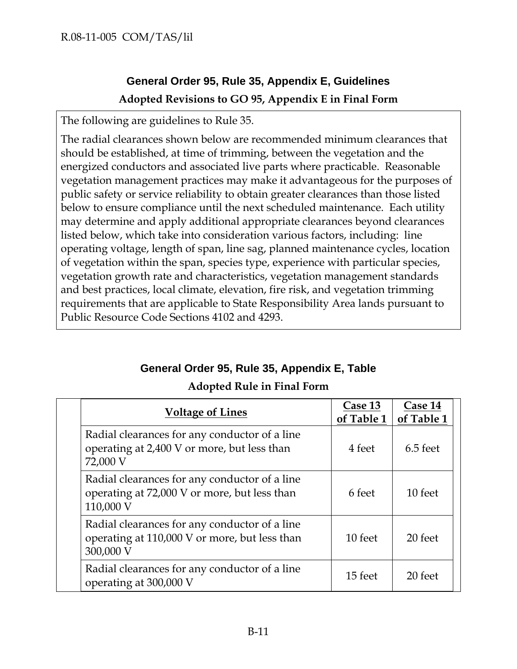# **General Order 95, Rule 35, Appendix E, Guidelines Adopted Revisions to GO 95, Appendix E in Final Form**

The following are guidelines to Rule 35.

The radial clearances shown below are recommended minimum clearances that should be established, at time of trimming, between the vegetation and the energized conductors and associated live parts where practicable. Reasonable vegetation management practices may make it advantageous for the purposes of public safety or service reliability to obtain greater clearances than those listed below to ensure compliance until the next scheduled maintenance. Each utility may determine and apply additional appropriate clearances beyond clearances listed below, which take into consideration various factors, including: line operating voltage, length of span, line sag, planned maintenance cycles, location of vegetation within the span, species type, experience with particular species, vegetation growth rate and characteristics, vegetation management standards and best practices, local climate, elevation, fire risk, and vegetation trimming requirements that are applicable to State Responsibility Area lands pursuant to Public Resource Code Sections 4102 and 4293.

# **General Order 95, Rule 35, Appendix E, Table**

| <b>Voltage of Lines</b>                                                                                     | Case 13<br>of Table 1 | Case 14<br>of Table 1 |
|-------------------------------------------------------------------------------------------------------------|-----------------------|-----------------------|
| Radial clearances for any conductor of a line<br>operating at 2,400 V or more, but less than<br>72,000 V    | 4 feet                | $6.5$ feet            |
| Radial clearances for any conductor of a line<br>operating at 72,000 V or more, but less than<br>110,000 V  | 6 feet                | 10 feet               |
| Radial clearances for any conductor of a line<br>operating at 110,000 V or more, but less than<br>300,000 V | 10 feet               | 20 feet               |
| Radial clearances for any conductor of a line<br>operating at 300,000 V                                     | 15 feet               | 20 feet               |

#### **Adopted Rule in Final Form**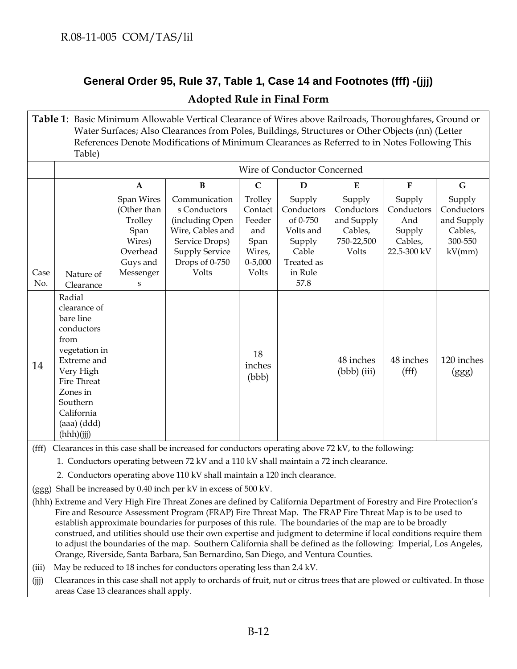# **General Order 95, Rule 37, Table 1, Case 14 and Footnotes (fff) -(jjj) Adopted Rule in Final Form**

| <b>Table 1:</b> Basic Minimum Allowable Vertical Clearance of Wires above Railroads, Thoroughfares, Ground or<br>Water Surfaces; Also Clearances from Poles, Buildings, Structures or Other Objects (nn) (Letter<br>References Denote Modifications of Minimum Clearances as Referred to in Notes Following This<br>Table) |                                                                                                                                                                                                 |                                                                                             |                                                                                                                                            |                                                                               |                                                                                           |                                                                      |                                                                 |                                                                       |
|----------------------------------------------------------------------------------------------------------------------------------------------------------------------------------------------------------------------------------------------------------------------------------------------------------------------------|-------------------------------------------------------------------------------------------------------------------------------------------------------------------------------------------------|---------------------------------------------------------------------------------------------|--------------------------------------------------------------------------------------------------------------------------------------------|-------------------------------------------------------------------------------|-------------------------------------------------------------------------------------------|----------------------------------------------------------------------|-----------------------------------------------------------------|-----------------------------------------------------------------------|
|                                                                                                                                                                                                                                                                                                                            |                                                                                                                                                                                                 |                                                                                             | Wire of Conductor Concerned                                                                                                                |                                                                               |                                                                                           |                                                                      |                                                                 |                                                                       |
|                                                                                                                                                                                                                                                                                                                            |                                                                                                                                                                                                 | $\mathbf A$                                                                                 | $\bf{B}$                                                                                                                                   | $\mathsf{C}$                                                                  | D                                                                                         | ${\bf E}$                                                            | $\mathbf F$                                                     | G                                                                     |
| Case                                                                                                                                                                                                                                                                                                                       | Nature of                                                                                                                                                                                       | Span Wires<br>(Other than<br>Trolley<br>Span<br>Wires)<br>Overhead<br>Guys and<br>Messenger | Communication<br>s Conductors<br>(including Open<br>Wire, Cables and<br>Service Drops)<br><b>Supply Service</b><br>Drops of 0-750<br>Volts | Trolley<br>Contact<br>Feeder<br>and<br>Span<br>Wires,<br>$0 - 5,000$<br>Volts | Supply<br>Conductors<br>of 0-750<br>Volts and<br>Supply<br>Cable<br>Treated as<br>in Rule | Supply<br>Conductors<br>and Supply<br>Cables,<br>750-22,500<br>Volts | Supply<br>Conductors<br>And<br>Supply<br>Cables,<br>22.5-300 kV | Supply<br>Conductors<br>and Supply<br>Cables,<br>300-550<br>$kV$ (mm) |
| No.                                                                                                                                                                                                                                                                                                                        | Clearance                                                                                                                                                                                       | S                                                                                           |                                                                                                                                            |                                                                               | 57.8                                                                                      |                                                                      |                                                                 |                                                                       |
| 14                                                                                                                                                                                                                                                                                                                         | Radial<br>clearance of<br>bare line<br>conductors<br>from<br>vegetation in<br>Extreme and<br>Very High<br><b>Fire Threat</b><br>Zones in<br>Southern<br>California<br>(aaa) (ddd)<br>(hhh)(jjj) |                                                                                             |                                                                                                                                            | 18<br>inches<br>(bbb)                                                         |                                                                                           | 48 inches<br>$(bbb)$ (iii)                                           | 48 inches<br>$(f\hat{f}f)$                                      | 120 inches<br>(ggg)                                                   |

(fff) Clearances in this case shall be increased for conductors operating above 72 kV, to the following:

1. Conductors operating between 72 kV and a 110 kV shall maintain a 72 inch clearance.

2. Conductors operating above 110 kV shall maintain a 120 inch clearance.

(ggg) Shall be increased by 0.40 inch per kV in excess of 500 kV.

(hhh) Extreme and Very High Fire Threat Zones are defined by California Department of Forestry and Fire Protection's Fire and Resource Assessment Program (FRAP) Fire Threat Map. The FRAP Fire Threat Map is to be used to establish approximate boundaries for purposes of this rule. The boundaries of the map are to be broadly construed, and utilities should use their own expertise and judgment to determine if local conditions require them to adjust the boundaries of the map. Southern California shall be defined as the following: Imperial, Los Angeles, Orange, Riverside, Santa Barbara, San Bernardino, San Diego, and Ventura Counties.

(iii) May be reduced to 18 inches for conductors operating less than 2.4 kV.

(jjj) Clearances in this case shall not apply to orchards of fruit, nut or citrus trees that are plowed or cultivated. In those areas Case 13 clearances shall apply.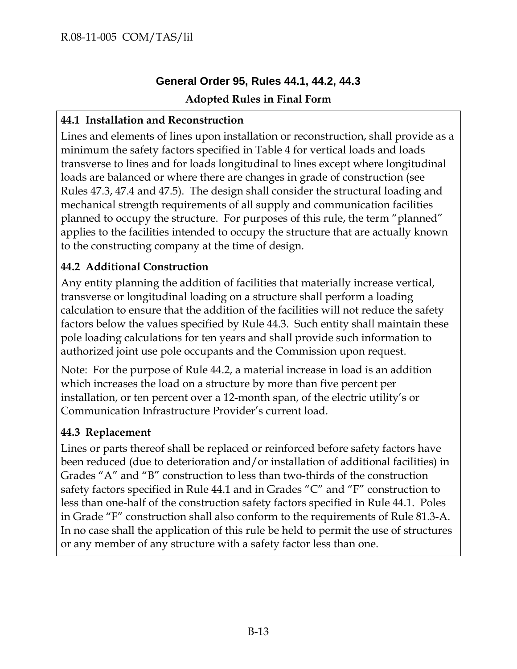# **General Order 95, Rules 44.1, 44.2, 44.3 Adopted Rules in Final Form**

#### **44.1 Installation and Reconstruction**

Lines and elements of lines upon installation or reconstruction, shall provide as a minimum the safety factors specified in Table 4 for vertical loads and loads transverse to lines and for loads longitudinal to lines except where longitudinal loads are balanced or where there are changes in grade of construction (see Rules 47.3, 47.4 and 47.5). The design shall consider the structural loading and mechanical strength requirements of all supply and communication facilities planned to occupy the structure. For purposes of this rule, the term "planned" applies to the facilities intended to occupy the structure that are actually known to the constructing company at the time of design.

## **44.2 Additional Construction**

Any entity planning the addition of facilities that materially increase vertical, transverse or longitudinal loading on a structure shall perform a loading calculation to ensure that the addition of the facilities will not reduce the safety factors below the values specified by Rule 44.3. Such entity shall maintain these pole loading calculations for ten years and shall provide such information to authorized joint use pole occupants and the Commission upon request.

Note: For the purpose of Rule 44.2, a material increase in load is an addition which increases the load on a structure by more than five percent per installation, or ten percent over a 12-month span, of the electric utility's or Communication Infrastructure Provider's current load.

## **44.3 Replacement**

Lines or parts thereof shall be replaced or reinforced before safety factors have been reduced (due to deterioration and/or installation of additional facilities) in Grades "A" and "B" construction to less than two-thirds of the construction safety factors specified in Rule 44.1 and in Grades "C" and "F" construction to less than one-half of the construction safety factors specified in Rule 44.1. Poles in Grade "F" construction shall also conform to the requirements of Rule 81.3-A. In no case shall the application of this rule be held to permit the use of structures or any member of any structure with a safety factor less than one.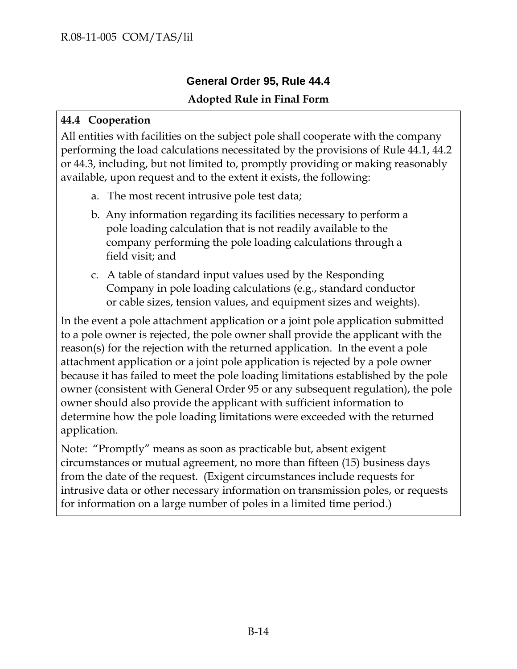# **General Order 95, Rule 44.4 Adopted Rule in Final Form**

#### **44.4 Cooperation**

All entities with facilities on the subject pole shall cooperate with the company performing the load calculations necessitated by the provisions of Rule 44.1, 44.2 or 44.3, including, but not limited to, promptly providing or making reasonably available, upon request and to the extent it exists, the following:

- a. The most recent intrusive pole test data;
- b. Any information regarding its facilities necessary to perform a pole loading calculation that is not readily available to the company performing the pole loading calculations through a field visit; and
- c. A table of standard input values used by the Responding Company in pole loading calculations (e.g., standard conductor or cable sizes, tension values, and equipment sizes and weights).

In the event a pole attachment application or a joint pole application submitted to a pole owner is rejected, the pole owner shall provide the applicant with the reason(s) for the rejection with the returned application. In the event a pole attachment application or a joint pole application is rejected by a pole owner because it has failed to meet the pole loading limitations established by the pole owner (consistent with General Order 95 or any subsequent regulation), the pole owner should also provide the applicant with sufficient information to determine how the pole loading limitations were exceeded with the returned application.

Note: "Promptly" means as soon as practicable but, absent exigent circumstances or mutual agreement, no more than fifteen (15) business days from the date of the request. (Exigent circumstances include requests for intrusive data or other necessary information on transmission poles, or requests for information on a large number of poles in a limited time period.)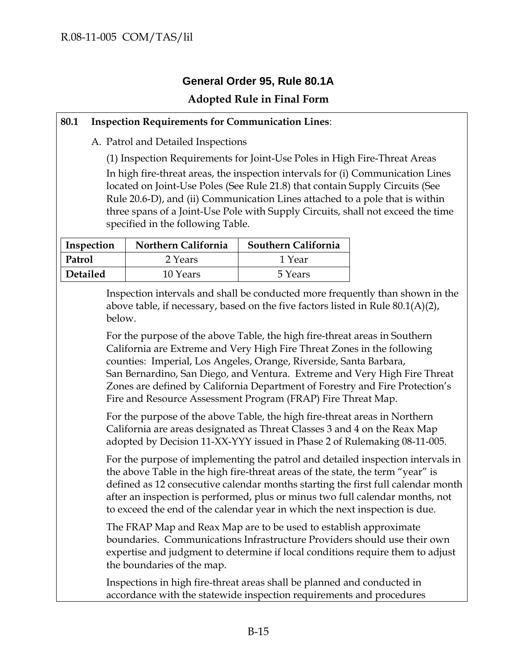# **General Order 95, Rule 80.1A Adopted Rule in Final Form**

#### **80.1 Inspection Requirements for Communication Lines**:

#### A. Patrol and Detailed Inspections

(1) Inspection Requirements for Joint-Use Poles in High Fire-Threat Areas In high fire-threat areas, the inspection intervals for (i) Communication Lines located on Joint-Use Poles (See Rule 21.8) that contain Supply Circuits (See Rule 20.6-D), and (ii) Communication Lines attached to a pole that is within three spans of a Joint-Use Pole with Supply Circuits, shall not exceed the time specified in the following Table.

| Northern California<br>Inspection |          | Southern California |
|-----------------------------------|----------|---------------------|
| Patrol                            | 2 Years  | 1 Year              |
| <b>Detailed</b>                   | 10 Years | 5 Years             |

Inspection intervals and shall be conducted more frequently than shown in the above table, if necessary, based on the five factors listed in Rule  $80.1(A)(2)$ , below.

For the purpose of the above Table, the high fire-threat areas in Southern California are Extreme and Very High Fire Threat Zones in the following counties: Imperial, Los Angeles, Orange, Riverside, Santa Barbara, San Bernardino, San Diego, and Ventura. Extreme and Very High Fire Threat Zones are defined by California Department of Forestry and Fire Protection's Fire and Resource Assessment Program (FRAP) Fire Threat Map.

For the purpose of the above Table, the high fire-threat areas in Northern California are areas designated as Threat Classes 3 and 4 on the Reax Map adopted by Decision 11-XX-YYY issued in Phase 2 of Rulemaking 08-11-005.

For the purpose of implementing the patrol and detailed inspection intervals in the above Table in the high fire-threat areas of the state, the term "year" is defined as 12 consecutive calendar months starting the first full calendar month after an inspection is performed, plus or minus two full calendar months, not to exceed the end of the calendar year in which the next inspection is due.

The FRAP Map and Reax Map are to be used to establish approximate boundaries. Communications Infrastructure Providers should use their own expertise and judgment to determine if local conditions require them to adjust the boundaries of the map.

Inspections in high fire-threat areas shall be planned and conducted in accordance with the statewide inspection requirements and procedures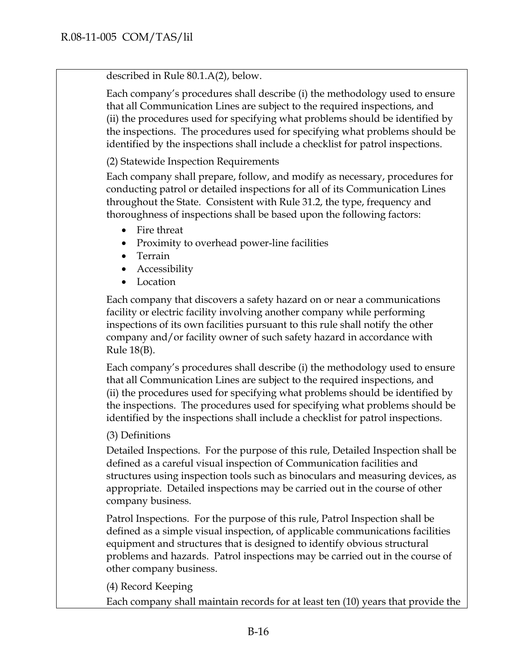described in Rule 80.1.A(2), below.

Each company's procedures shall describe (i) the methodology used to ensure that all Communication Lines are subject to the required inspections, and (ii) the procedures used for specifying what problems should be identified by the inspections. The procedures used for specifying what problems should be identified by the inspections shall include a checklist for patrol inspections.

(2) Statewide Inspection Requirements

Each company shall prepare, follow, and modify as necessary, procedures for conducting patrol or detailed inspections for all of its Communication Lines throughout the State. Consistent with Rule 31.2, the type, frequency and thoroughness of inspections shall be based upon the following factors:

- Fire threat
- Proximity to overhead power-line facilities
- Terrain
- Accessibility
- Location

Each company that discovers a safety hazard on or near a communications facility or electric facility involving another company while performing inspections of its own facilities pursuant to this rule shall notify the other company and/or facility owner of such safety hazard in accordance with Rule 18(B).

Each company's procedures shall describe (i) the methodology used to ensure that all Communication Lines are subject to the required inspections, and (ii) the procedures used for specifying what problems should be identified by the inspections. The procedures used for specifying what problems should be identified by the inspections shall include a checklist for patrol inspections.

#### (3) Definitions

Detailed Inspections. For the purpose of this rule, Detailed Inspection shall be defined as a careful visual inspection of Communication facilities and structures using inspection tools such as binoculars and measuring devices, as appropriate. Detailed inspections may be carried out in the course of other company business.

Patrol Inspections. For the purpose of this rule, Patrol Inspection shall be defined as a simple visual inspection, of applicable communications facilities equipment and structures that is designed to identify obvious structural problems and hazards. Patrol inspections may be carried out in the course of other company business.

(4) Record Keeping

Each company shall maintain records for at least ten (10) years that provide the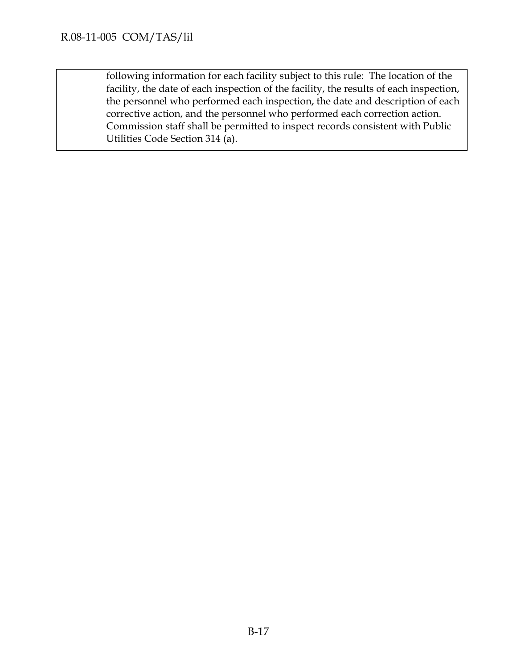following information for each facility subject to this rule: The location of the facility, the date of each inspection of the facility, the results of each inspection, the personnel who performed each inspection, the date and description of each corrective action, and the personnel who performed each correction action. Commission staff shall be permitted to inspect records consistent with Public Utilities Code Section 314 (a).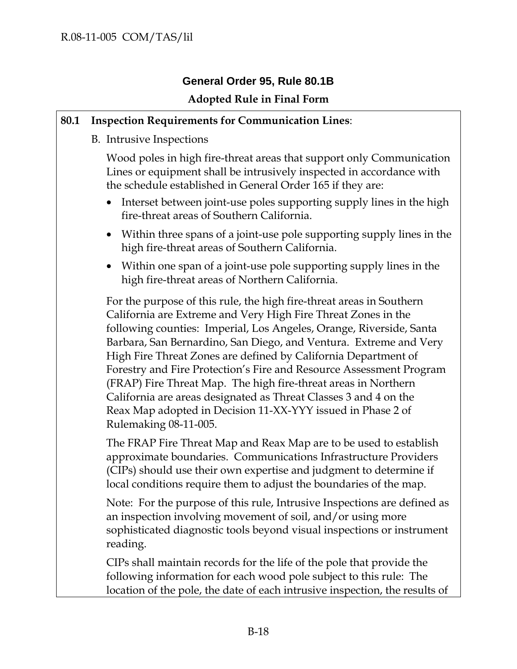# **General Order 95, Rule 80.1B Adopted Rule in Final Form**

#### **80.1 Inspection Requirements for Communication Lines**:

#### B. Intrusive Inspections

Wood poles in high fire-threat areas that support only Communication Lines or equipment shall be intrusively inspected in accordance with the schedule established in General Order 165 if they are:

- Interset between joint-use poles supporting supply lines in the high fire-threat areas of Southern California.
- Within three spans of a joint-use pole supporting supply lines in the high fire-threat areas of Southern California.
- Within one span of a joint-use pole supporting supply lines in the high fire-threat areas of Northern California.

For the purpose of this rule, the high fire-threat areas in Southern California are Extreme and Very High Fire Threat Zones in the following counties: Imperial, Los Angeles, Orange, Riverside, Santa Barbara, San Bernardino, San Diego, and Ventura. Extreme and Very High Fire Threat Zones are defined by California Department of Forestry and Fire Protection's Fire and Resource Assessment Program (FRAP) Fire Threat Map. The high fire-threat areas in Northern California are areas designated as Threat Classes 3 and 4 on the Reax Map adopted in Decision 11-XX-YYY issued in Phase 2 of Rulemaking 08-11-005.

The FRAP Fire Threat Map and Reax Map are to be used to establish approximate boundaries. Communications Infrastructure Providers (CIPs) should use their own expertise and judgment to determine if local conditions require them to adjust the boundaries of the map.

Note: For the purpose of this rule, Intrusive Inspections are defined as an inspection involving movement of soil, and/or using more sophisticated diagnostic tools beyond visual inspections or instrument reading.

CIPs shall maintain records for the life of the pole that provide the following information for each wood pole subject to this rule: The location of the pole, the date of each intrusive inspection, the results of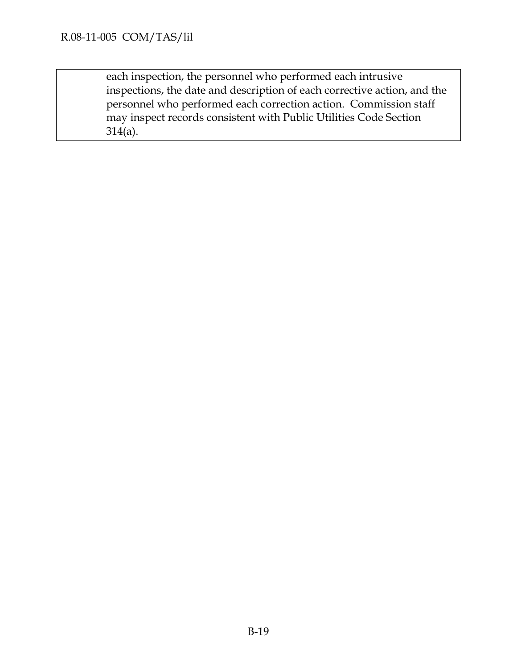each inspection, the personnel who performed each intrusive inspections, the date and description of each corrective action, and the personnel who performed each correction action. Commission staff may inspect records consistent with Public Utilities Code Section 314(a).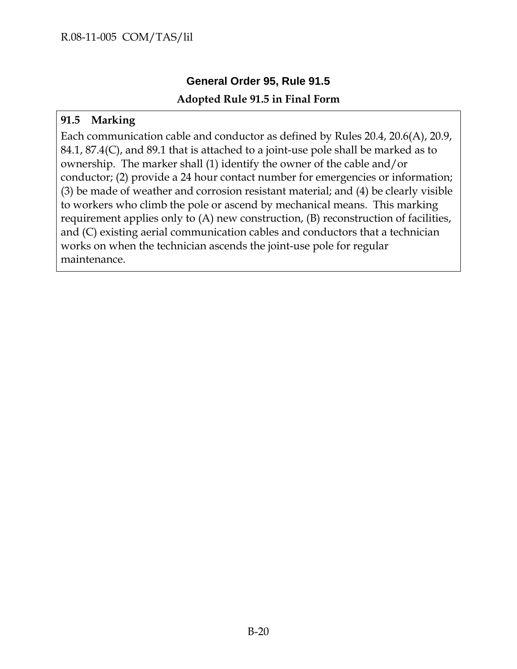# **General Order 95, Rule 91.5 Adopted Rule 91.5 in Final Form**

#### **91.5 Marking**

Each communication cable and conductor as defined by Rules 20.4, 20.6(A), 20.9, 84.1, 87.4(C), and 89.1 that is attached to a joint-use pole shall be marked as to ownership. The marker shall (1) identify the owner of the cable and/or conductor; (2) provide a 24 hour contact number for emergencies or information; (3) be made of weather and corrosion resistant material; and (4) be clearly visible to workers who climb the pole or ascend by mechanical means. This marking requirement applies only to (A) new construction, (B) reconstruction of facilities, and (C) existing aerial communication cables and conductors that a technician works on when the technician ascends the joint-use pole for regular maintenance.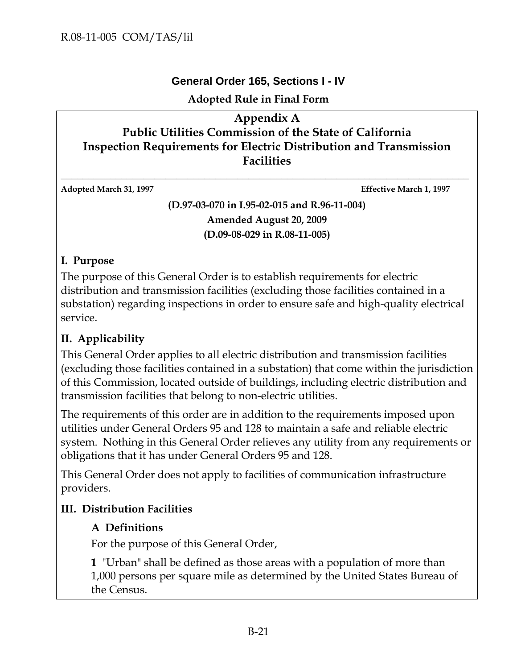#### **General Order 165, Sections I - IV**

**Adopted Rule in Final Form** 

### **Appendix A Public Utilities Commission of the State of California Inspection Requirements for Electric Distribution and Transmission Facilities**

**\_\_\_\_\_\_\_\_\_\_\_\_\_\_\_\_\_\_\_\_\_\_\_\_\_\_\_\_\_\_\_\_\_\_\_\_\_\_\_\_\_\_\_\_\_\_\_\_\_\_\_\_\_\_\_\_\_\_\_\_\_\_\_\_\_\_\_\_\_\_\_\_\_\_** 

**Adopted March 31, 1997 Effective March 1, 1997** 

#### **(D.97-03-070 in I.95-02-015 and R.96-11-004) Amended August 20, 2009 (D.09-08-029 in R.08-11-005)**

**\_\_\_\_\_\_\_\_\_\_\_\_\_\_\_\_\_\_\_\_\_\_\_\_\_\_\_\_\_\_\_\_\_\_\_\_\_\_\_\_\_\_\_\_\_\_\_\_\_\_\_\_\_\_\_\_\_\_\_\_\_\_\_\_\_\_\_\_\_\_\_\_\_\_\_\_\_\_\_\_\_\_\_\_\_\_\_\_\_\_\_\_\_\_\_\_\_\_\_\_\_\_\_\_\_\_\_\_\_\_\_\_\_\_\_**

#### **I. Purpose**

The purpose of this General Order is to establish requirements for electric distribution and transmission facilities (excluding those facilities contained in a substation) regarding inspections in order to ensure safe and high-quality electrical service.

# **II. Applicability**

This General Order applies to all electric distribution and transmission facilities (excluding those facilities contained in a substation) that come within the jurisdiction of this Commission, located outside of buildings, including electric distribution and transmission facilities that belong to non-electric utilities.

The requirements of this order are in addition to the requirements imposed upon utilities under General Orders 95 and 128 to maintain a safe and reliable electric system. Nothing in this General Order relieves any utility from any requirements or obligations that it has under General Orders 95 and 128.

This General Order does not apply to facilities of communication infrastructure providers.

#### **III. Distribution Facilities**

#### **A Definitions**

For the purpose of this General Order,

**1** "Urban" shall be defined as those areas with a population of more than 1,000 persons per square mile as determined by the United States Bureau of the Census.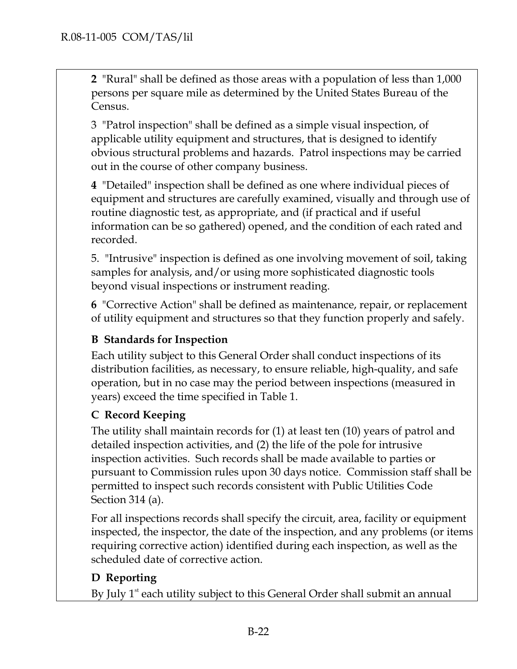**2** "Rural" shall be defined as those areas with a population of less than 1,000 persons per square mile as determined by the United States Bureau of the Census.

3 "Patrol inspection" shall be defined as a simple visual inspection, of applicable utility equipment and structures, that is designed to identify obvious structural problems and hazards. Patrol inspections may be carried out in the course of other company business.

**4** "Detailed" inspection shall be defined as one where individual pieces of equipment and structures are carefully examined, visually and through use of routine diagnostic test, as appropriate, and (if practical and if useful information can be so gathered) opened, and the condition of each rated and recorded.

5. "Intrusive" inspection is defined as one involving movement of soil, taking samples for analysis, and/or using more sophisticated diagnostic tools beyond visual inspections or instrument reading.

**6** "Corrective Action" shall be defined as maintenance, repair, or replacement of utility equipment and structures so that they function properly and safely.

#### **B Standards for Inspection**

Each utility subject to this General Order shall conduct inspections of its distribution facilities, as necessary, to ensure reliable, high-quality, and safe operation, but in no case may the period between inspections (measured in years) exceed the time specified in Table 1.

#### **C Record Keeping**

The utility shall maintain records for (1) at least ten (10) years of patrol and detailed inspection activities, and (2) the life of the pole for intrusive inspection activities. Such records shall be made available to parties or pursuant to Commission rules upon 30 days notice. Commission staff shall be permitted to inspect such records consistent with Public Utilities Code Section 314 (a).

For all inspections records shall specify the circuit, area, facility or equipment inspected, the inspector, the date of the inspection, and any problems (or items requiring corrective action) identified during each inspection, as well as the scheduled date of corrective action.

# **D Reporting**

By July  $1<sup>st</sup>$  each utility subject to this General Order shall submit an annual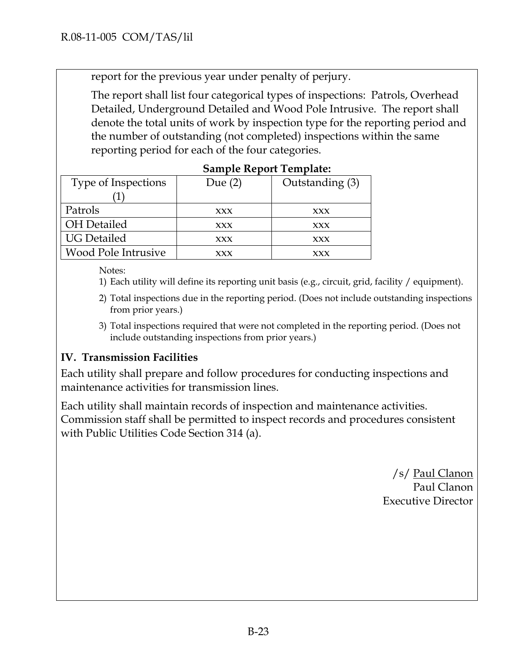report for the previous year under penalty of perjury.

The report shall list four categorical types of inspections: Patrols, Overhead Detailed, Underground Detailed and Wood Pole Intrusive. The report shall denote the total units of work by inspection type for the reporting period and the number of outstanding (not completed) inspections within the same reporting period for each of the four categories.

| Type of Inspections        | Due $(2)$ | Outstanding (3) |
|----------------------------|-----------|-----------------|
|                            |           |                 |
| Patrols                    | XXX       | <b>XXX</b>      |
| OH Detailed                | XXX       | <b>XXX</b>      |
| <b>UG Detailed</b>         | XXX       | <b>XXX</b>      |
| <b>Wood Pole Intrusive</b> | xxx       | xxx             |

| <b>Sample Report Template:</b> |
|--------------------------------|
|--------------------------------|

Notes:

- 1) Each utility will define its reporting unit basis (e.g., circuit, grid, facility / equipment).
- 2) Total inspections due in the reporting period. (Does not include outstanding inspections from prior years.)
- 3) Total inspections required that were not completed in the reporting period. (Does not include outstanding inspections from prior years.)

#### **IV. Transmission Facilities**

Each utility shall prepare and follow procedures for conducting inspections and maintenance activities for transmission lines.

Each utility shall maintain records of inspection and maintenance activities. Commission staff shall be permitted to inspect records and procedures consistent with Public Utilities Code Section 314 (a).

> /s/ Paul Clanon Paul Clanon Executive Director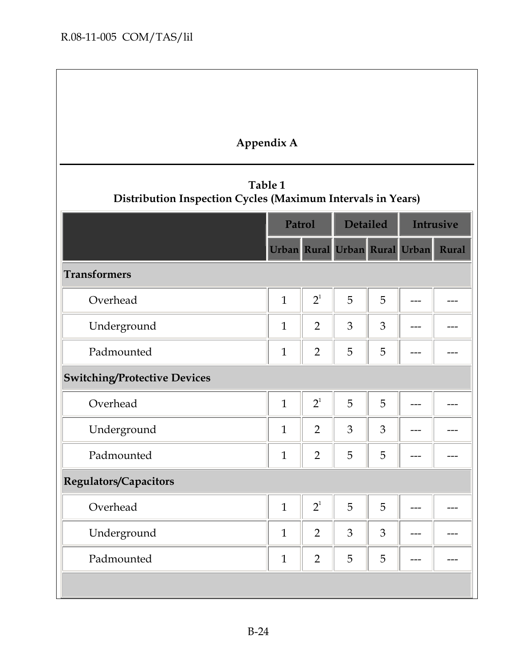| Table 1                                                     |  |  |  |  |  |  |  |
|-------------------------------------------------------------|--|--|--|--|--|--|--|
| Distribution Inspection Cycles (Maximum Intervals in Years) |  |  |  |  |  |  |  |

|                                     | Patrol       |                | <b>Detailed</b>               |   | <b>Intrusive</b> |              |
|-------------------------------------|--------------|----------------|-------------------------------|---|------------------|--------------|
|                                     |              |                | Urban Rural Urban Rural Urban |   |                  | <b>Rural</b> |
| <b>Transformers</b>                 |              |                |                               |   |                  |              |
| Overhead                            | $\mathbf{1}$ | $2^1$          | 5                             | 5 |                  |              |
| Underground                         | $\mathbf{1}$ | $\overline{2}$ | 3                             | 3 |                  |              |
| Padmounted                          | $\mathbf{1}$ | $\overline{2}$ | 5                             | 5 |                  |              |
| <b>Switching/Protective Devices</b> |              |                |                               |   |                  |              |
| Overhead                            | $\mathbf{1}$ | $2^1$          | 5                             | 5 |                  |              |
| Underground                         | $\mathbf{1}$ | $\overline{2}$ | 3                             | 3 |                  |              |
| Padmounted                          | $\mathbf{1}$ | $\overline{2}$ | 5                             | 5 |                  |              |
| Regulators/Capacitors               |              |                |                               |   |                  |              |
| Overhead                            | $\mathbf{1}$ | $2^1$          | 5                             | 5 |                  |              |
| Underground                         | $\mathbf{1}$ | $\overline{2}$ | 3                             | 3 |                  |              |
| Padmounted                          | $\mathbf{1}$ | $\overline{2}$ | 5                             | 5 |                  |              |
|                                     |              |                |                               |   |                  |              |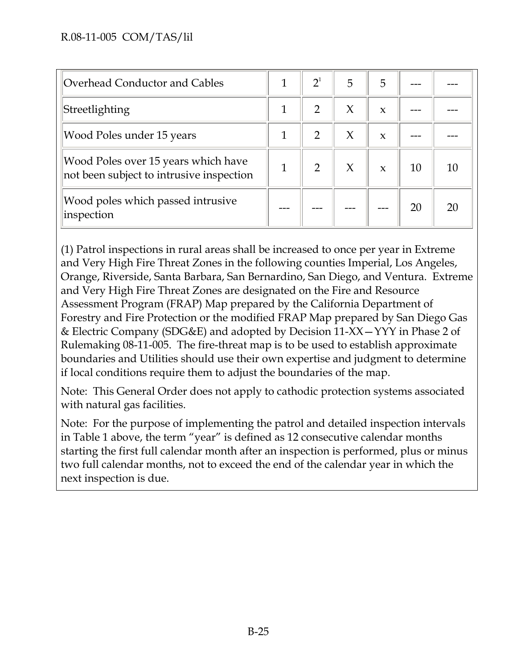| Overhead Conductor and Cables                                                   |   | $2^1$          | 5      | 5                   |    |    |
|---------------------------------------------------------------------------------|---|----------------|--------|---------------------|----|----|
| Streetlighting                                                                  | 1 | $\overline{2}$ | $\chi$ | $\boldsymbol{\chi}$ |    |    |
| Wood Poles under 15 years                                                       |   | $\overline{2}$ | $\chi$ | $\boldsymbol{\chi}$ |    |    |
| Wood Poles over 15 years which have<br>not been subject to intrusive inspection | 1 | 2              | $\chi$ | $\mathbf{x}$        | 10 | 10 |
| Wood poles which passed intrusive<br>inspection                                 |   |                |        |                     | 20 | 20 |

(1) Patrol inspections in rural areas shall be increased to once per year in Extreme and Very High Fire Threat Zones in the following counties Imperial, Los Angeles, Orange, Riverside, Santa Barbara, San Bernardino, San Diego, and Ventura. Extreme and Very High Fire Threat Zones are designated on the Fire and Resource Assessment Program (FRAP) Map prepared by the California Department of Forestry and Fire Protection or the modified FRAP Map prepared by San Diego Gas & Electric Company (SDG&E) and adopted by Decision 11-XX—YYY in Phase 2 of Rulemaking 08-11-005. The fire-threat map is to be used to establish approximate boundaries and Utilities should use their own expertise and judgment to determine if local conditions require them to adjust the boundaries of the map.

Note: This General Order does not apply to cathodic protection systems associated with natural gas facilities.

Note: For the purpose of implementing the patrol and detailed inspection intervals in Table 1 above, the term "year" is defined as 12 consecutive calendar months starting the first full calendar month after an inspection is performed, plus or minus two full calendar months, not to exceed the end of the calendar year in which the next inspection is due.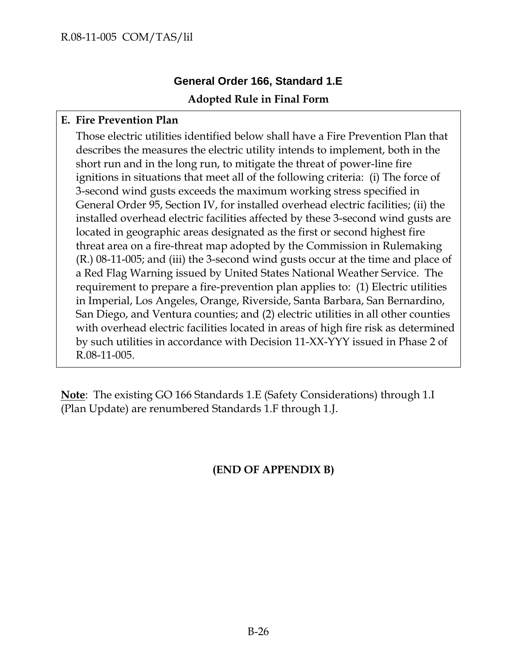# **General Order 166, Standard 1.E Adopted Rule in Final Form**

#### **E. Fire Prevention Plan**

Those electric utilities identified below shall have a Fire Prevention Plan that describes the measures the electric utility intends to implement, both in the short run and in the long run, to mitigate the threat of power-line fire ignitions in situations that meet all of the following criteria: (i) The force of 3-second wind gusts exceeds the maximum working stress specified in General Order 95, Section IV, for installed overhead electric facilities; (ii) the installed overhead electric facilities affected by these 3-second wind gusts are located in geographic areas designated as the first or second highest fire threat area on a fire-threat map adopted by the Commission in Rulemaking (R.) 08-11-005; and (iii) the 3-second wind gusts occur at the time and place of a Red Flag Warning issued by United States National Weather Service. The requirement to prepare a fire-prevention plan applies to: (1) Electric utilities in Imperial, Los Angeles, Orange, Riverside, Santa Barbara, San Bernardino, San Diego, and Ventura counties; and (2) electric utilities in all other counties with overhead electric facilities located in areas of high fire risk as determined by such utilities in accordance with Decision 11-XX-YYY issued in Phase 2 of R.08-11-005.

**Note**: The existing GO 166 Standards 1.E (Safety Considerations) through 1.I (Plan Update) are renumbered Standards 1.F through 1.J.

# **(END OF APPENDIX B)**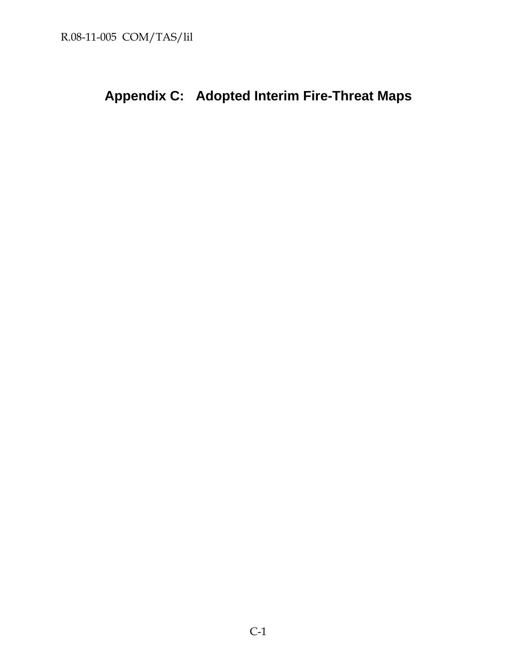# **Appendix C: Adopted Interim Fire-Threat Maps**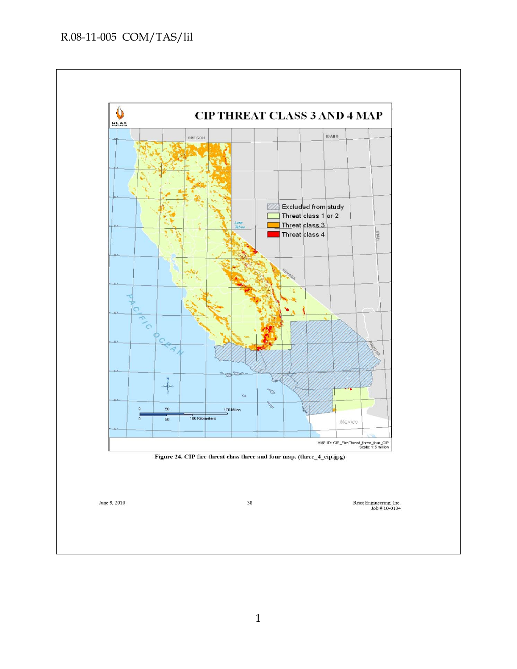